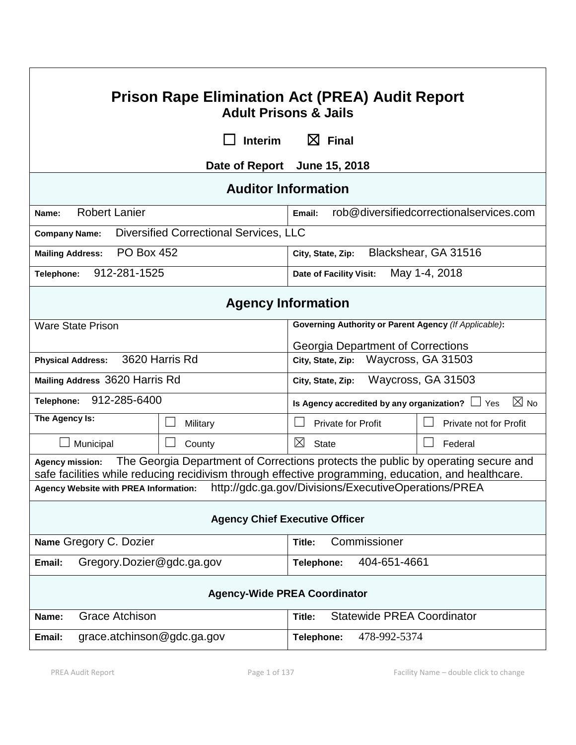| <b>Prison Rape Elimination Act (PREA) Audit Report</b><br><b>Adult Prisons &amp; Jails</b>                                                                                                                         |                  |                                                                        |                        |  |  |  |
|--------------------------------------------------------------------------------------------------------------------------------------------------------------------------------------------------------------------|------------------|------------------------------------------------------------------------|------------------------|--|--|--|
|                                                                                                                                                                                                                    | <b>Interim</b>   | $\boxtimes$ Final                                                      |                        |  |  |  |
| Date of Report June 15, 2018                                                                                                                                                                                       |                  |                                                                        |                        |  |  |  |
| <b>Auditor Information</b>                                                                                                                                                                                         |                  |                                                                        |                        |  |  |  |
| <b>Robert Lanier</b><br>Name:                                                                                                                                                                                      |                  | rob@diversifiedcorrectionalservices.com<br>Email:                      |                        |  |  |  |
| <b>Diversified Correctional Services, LLC</b><br><b>Company Name:</b>                                                                                                                                              |                  |                                                                        |                        |  |  |  |
| <b>PO Box 452</b><br><b>Mailing Address:</b>                                                                                                                                                                       |                  | Blackshear, GA 31516<br>City, State, Zip:                              |                        |  |  |  |
| 912-281-1525<br>Telephone:                                                                                                                                                                                         |                  | May 1-4, 2018<br>Date of Facility Visit:                               |                        |  |  |  |
| <b>Agency Information</b>                                                                                                                                                                                          |                  |                                                                        |                        |  |  |  |
| <b>Ware State Prison</b>                                                                                                                                                                                           |                  | Governing Authority or Parent Agency (If Applicable):                  |                        |  |  |  |
|                                                                                                                                                                                                                    |                  | Georgia Department of Corrections                                      |                        |  |  |  |
| 3620 Harris Rd<br><b>Physical Address:</b>                                                                                                                                                                         |                  | City, State, Zip: Waycross, GA 31503                                   |                        |  |  |  |
| Mailing Address 3620 Harris Rd                                                                                                                                                                                     |                  | Waycross, GA 31503<br>City, State, Zip:                                |                        |  |  |  |
| 912-285-6400<br>Telephone:                                                                                                                                                                                         |                  | $\boxtimes$ No<br>Is Agency accredited by any organization? $\Box$ Yes |                        |  |  |  |
| The Agency Is:                                                                                                                                                                                                     | Military         | <b>Private for Profit</b>                                              | Private not for Profit |  |  |  |
| Municipal                                                                                                                                                                                                          | $\Box$<br>County | ⊠<br><b>State</b>                                                      | Federal                |  |  |  |
| The Georgia Department of Corrections protects the public by operating secure and<br><b>Agency mission:</b><br>safe facilities while reducing recidivism through effective programming, education, and healthcare. |                  |                                                                        |                        |  |  |  |
| http://gdc.ga.gov/Divisions/ExecutiveOperations/PREA<br>Agency Website with PREA Information:                                                                                                                      |                  |                                                                        |                        |  |  |  |
| <b>Agency Chief Executive Officer</b>                                                                                                                                                                              |                  |                                                                        |                        |  |  |  |
| Name Gregory C. Dozier                                                                                                                                                                                             |                  | Commissioner<br>Title:                                                 |                        |  |  |  |
| Gregory.Dozier@gdc.ga.gov<br>Email:                                                                                                                                                                                |                  | 404-651-4661<br>Telephone:                                             |                        |  |  |  |
| <b>Agency-Wide PREA Coordinator</b>                                                                                                                                                                                |                  |                                                                        |                        |  |  |  |
| <b>Grace Atchison</b><br><b>Statewide PREA Coordinator</b><br>Name:<br>Title:                                                                                                                                      |                  |                                                                        |                        |  |  |  |
| grace.atchinson@gdc.ga.gov<br>Email:                                                                                                                                                                               |                  | 478-992-5374<br>Telephone:                                             |                        |  |  |  |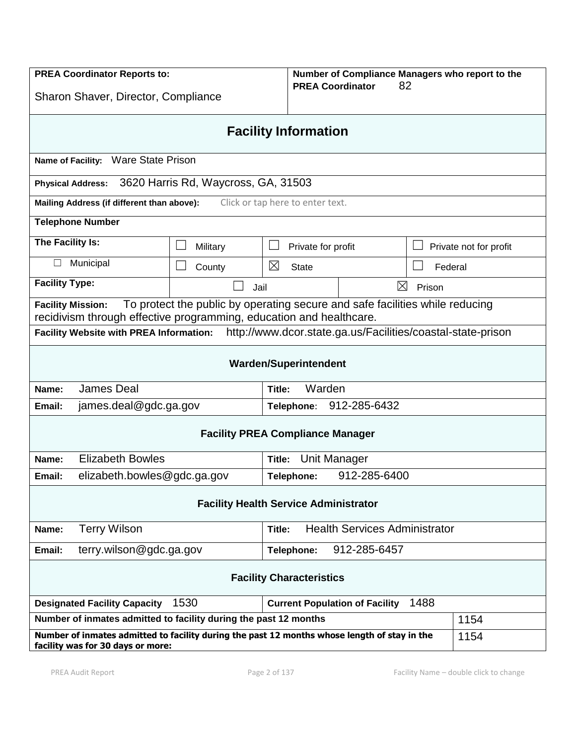| <b>PREA Coordinator Reports to:</b><br>Sharon Shaver, Director, Compliance                                                                                                      |                            |                            | Number of Compliance Managers who report to the<br>82<br><b>PREA Coordinator</b> |                                      |                        |  |
|---------------------------------------------------------------------------------------------------------------------------------------------------------------------------------|----------------------------|----------------------------|----------------------------------------------------------------------------------|--------------------------------------|------------------------|--|
| <b>Facility Information</b>                                                                                                                                                     |                            |                            |                                                                                  |                                      |                        |  |
| Name of Facility: Ware State Prison                                                                                                                                             |                            |                            |                                                                                  |                                      |                        |  |
| 3620 Harris Rd, Waycross, GA, 31503<br><b>Physical Address:</b>                                                                                                                 |                            |                            |                                                                                  |                                      |                        |  |
| Mailing Address (if different than above):<br>Click or tap here to enter text.                                                                                                  |                            |                            |                                                                                  |                                      |                        |  |
| <b>Telephone Number</b>                                                                                                                                                         |                            |                            |                                                                                  |                                      |                        |  |
| The Facility Is:                                                                                                                                                                | Military                   |                            | Private for profit                                                               |                                      | Private not for profit |  |
| Municipal                                                                                                                                                                       | County                     | ⊠<br><b>State</b>          |                                                                                  | Federal                              |                        |  |
| <b>Facility Type:</b>                                                                                                                                                           | Jail                       |                            | ⊠                                                                                | Prison                               |                        |  |
| To protect the public by operating secure and safe facilities while reducing<br><b>Facility Mission:</b><br>recidivism through effective programming, education and healthcare. |                            |                            |                                                                                  |                                      |                        |  |
| http://www.dcor.state.ga.us/Facilities/coastal-state-prison<br><b>Facility Website with PREA Information:</b>                                                                   |                            |                            |                                                                                  |                                      |                        |  |
| <b>Warden/Superintendent</b>                                                                                                                                                    |                            |                            |                                                                                  |                                      |                        |  |
| <b>James Deal</b><br>Name:                                                                                                                                                      | Title:                     | Warden                     |                                                                                  |                                      |                        |  |
| james.deal@gdc.ga.gov<br>Email:                                                                                                                                                 | 912-285-6432<br>Telephone: |                            |                                                                                  |                                      |                        |  |
| <b>Facility PREA Compliance Manager</b>                                                                                                                                         |                            |                            |                                                                                  |                                      |                        |  |
| <b>Elizabeth Bowles</b><br>Unit Manager<br>Name:<br>Title:                                                                                                                      |                            |                            |                                                                                  |                                      |                        |  |
| elizabeth.bowles@gdc.ga.gov<br>Email:                                                                                                                                           |                            | 912-285-6400<br>Telephone: |                                                                                  |                                      |                        |  |
| <b>Facility Health Service Administrator</b>                                                                                                                                    |                            |                            |                                                                                  |                                      |                        |  |
| <b>Terry Wilson</b><br>Name:                                                                                                                                                    | Title:                     |                            |                                                                                  | <b>Health Services Administrator</b> |                        |  |
| Email:                                                                                                                                                                          | terry.wilson@gdc.ga.gov    |                            | 912-285-6457<br>Telephone:                                                       |                                      |                        |  |
| <b>Facility Characteristics</b>                                                                                                                                                 |                            |                            |                                                                                  |                                      |                        |  |
| 1530<br>1488<br><b>Designated Facility Capacity</b><br><b>Current Population of Facility</b>                                                                                    |                            |                            |                                                                                  |                                      |                        |  |
| Number of inmates admitted to facility during the past 12 months                                                                                                                |                            |                            |                                                                                  |                                      | 1154                   |  |
| Number of inmates admitted to facility during the past 12 months whose length of stay in the<br>facility was for 30 days or more:                                               |                            |                            |                                                                                  |                                      | 1154                   |  |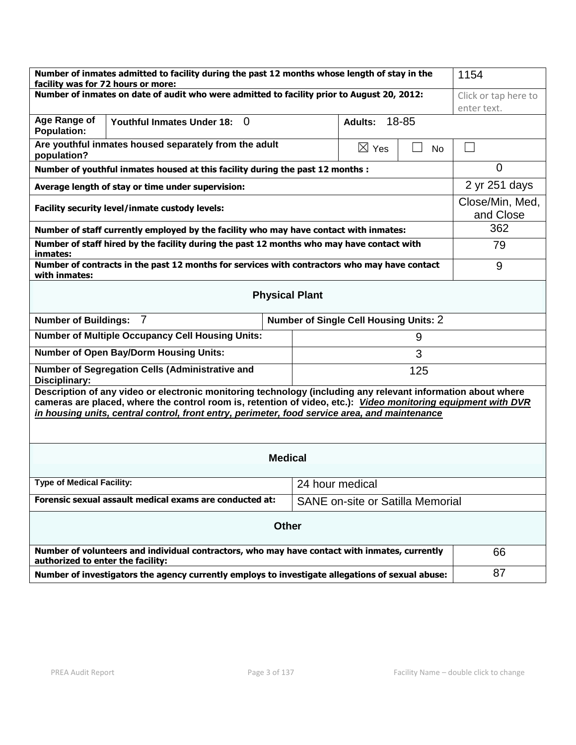| Number of inmates admitted to facility during the past 12 months whose length of stay in the<br>facility was for 72 hours or more:                                                                                                                                                                                             | 1154                                    |                     |  |  |  |  |
|--------------------------------------------------------------------------------------------------------------------------------------------------------------------------------------------------------------------------------------------------------------------------------------------------------------------------------|-----------------------------------------|---------------------|--|--|--|--|
| Number of inmates on date of audit who were admitted to facility prior to August 20, 2012:                                                                                                                                                                                                                                     | Click or tap here to                    |                     |  |  |  |  |
|                                                                                                                                                                                                                                                                                                                                |                                         | enter text.         |  |  |  |  |
| Age Range of<br><b>Youthful Inmates Under 18:</b><br>$\Omega$<br><b>Population:</b>                                                                                                                                                                                                                                            | 18-85<br><b>Adults:</b>                 |                     |  |  |  |  |
| Are youthful inmates housed separately from the adult<br>population?                                                                                                                                                                                                                                                           | $\boxtimes$ Yes                         | <b>No</b><br>$\sim$ |  |  |  |  |
| Number of youthful inmates housed at this facility during the past 12 months :                                                                                                                                                                                                                                                 | 0                                       |                     |  |  |  |  |
| Average length of stay or time under supervision:                                                                                                                                                                                                                                                                              | 2 yr 251 days                           |                     |  |  |  |  |
| Facility security level/inmate custody levels:                                                                                                                                                                                                                                                                                 | Close/Min, Med,<br>and Close            |                     |  |  |  |  |
| Number of staff currently employed by the facility who may have contact with inmates:                                                                                                                                                                                                                                          | 362                                     |                     |  |  |  |  |
| Number of staff hired by the facility during the past 12 months who may have contact with<br>inmates:                                                                                                                                                                                                                          | 79                                      |                     |  |  |  |  |
| Number of contracts in the past 12 months for services with contractors who may have contact<br>with inmates:                                                                                                                                                                                                                  | 9                                       |                     |  |  |  |  |
| <b>Physical Plant</b>                                                                                                                                                                                                                                                                                                          |                                         |                     |  |  |  |  |
| $\overline{7}$<br>Number of Single Cell Housing Units: 2<br><b>Number of Buildings:</b>                                                                                                                                                                                                                                        |                                         |                     |  |  |  |  |
| <b>Number of Multiple Occupancy Cell Housing Units:</b>                                                                                                                                                                                                                                                                        |                                         |                     |  |  |  |  |
| <b>Number of Open Bay/Dorm Housing Units:</b>                                                                                                                                                                                                                                                                                  |                                         |                     |  |  |  |  |
| Number of Segregation Cells (Administrative and<br>Disciplinary:                                                                                                                                                                                                                                                               |                                         |                     |  |  |  |  |
| Description of any video or electronic monitoring technology (including any relevant information about where<br>cameras are placed, where the control room is, retention of video, etc.): Video monitoring equipment with DVR<br>in housing units, central control, front entry, perimeter, food service area, and maintenance |                                         |                     |  |  |  |  |
| <b>Medical</b>                                                                                                                                                                                                                                                                                                                 |                                         |                     |  |  |  |  |
| <b>Type of Medical Facility:</b>                                                                                                                                                                                                                                                                                               | 24 hour medical                         |                     |  |  |  |  |
| Forensic sexual assault medical exams are conducted at:                                                                                                                                                                                                                                                                        | <b>SANE</b> on-site or Satilla Memorial |                     |  |  |  |  |
| <b>Other</b>                                                                                                                                                                                                                                                                                                                   |                                         |                     |  |  |  |  |
| Number of volunteers and individual contractors, who may have contact with inmates, currently<br>authorized to enter the facility:                                                                                                                                                                                             | 66                                      |                     |  |  |  |  |
| Number of investigators the agency currently employs to investigate allegations of sexual abuse:                                                                                                                                                                                                                               | 87                                      |                     |  |  |  |  |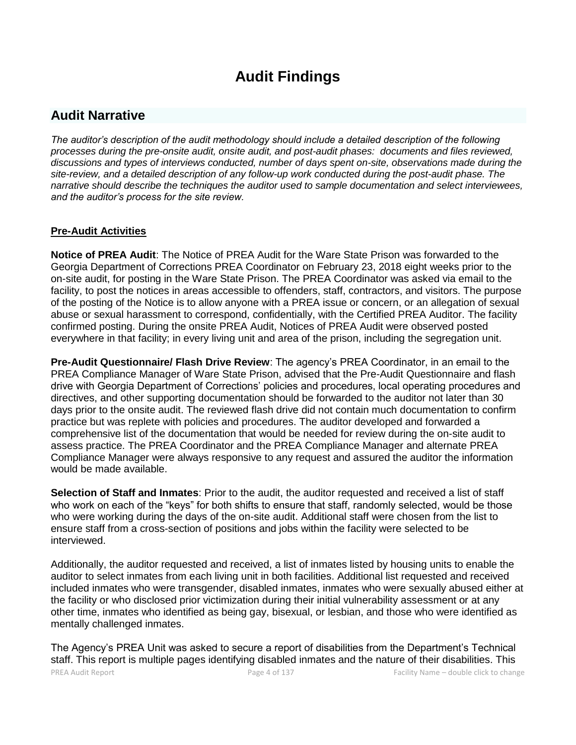# **Audit Findings**

# **Audit Narrative**

*The auditor's description of the audit methodology should include a detailed description of the following processes during the pre-onsite audit, onsite audit, and post-audit phases: documents and files reviewed, discussions and types of interviews conducted, number of days spent on-site, observations made during the site-review, and a detailed description of any follow-up work conducted during the post-audit phase. The narrative should describe the techniques the auditor used to sample documentation and select interviewees, and the auditor's process for the site review.*

# **Pre-Audit Activities**

**Notice of PREA Audit**: The Notice of PREA Audit for the Ware State Prison was forwarded to the Georgia Department of Corrections PREA Coordinator on February 23, 2018 eight weeks prior to the on-site audit, for posting in the Ware State Prison. The PREA Coordinator was asked via email to the facility, to post the notices in areas accessible to offenders, staff, contractors, and visitors. The purpose of the posting of the Notice is to allow anyone with a PREA issue or concern, or an allegation of sexual abuse or sexual harassment to correspond, confidentially, with the Certified PREA Auditor. The facility confirmed posting. During the onsite PREA Audit, Notices of PREA Audit were observed posted everywhere in that facility; in every living unit and area of the prison, including the segregation unit.

**Pre-Audit Questionnaire/ Flash Drive Review**: The agency's PREA Coordinator, in an email to the PREA Compliance Manager of Ware State Prison, advised that the Pre-Audit Questionnaire and flash drive with Georgia Department of Corrections' policies and procedures, local operating procedures and directives, and other supporting documentation should be forwarded to the auditor not later than 30 days prior to the onsite audit. The reviewed flash drive did not contain much documentation to confirm practice but was replete with policies and procedures. The auditor developed and forwarded a comprehensive list of the documentation that would be needed for review during the on-site audit to assess practice. The PREA Coordinator and the PREA Compliance Manager and alternate PREA Compliance Manager were always responsive to any request and assured the auditor the information would be made available.

**Selection of Staff and Inmates**: Prior to the audit, the auditor requested and received a list of staff who work on each of the "keys" for both shifts to ensure that staff, randomly selected, would be those who were working during the days of the on-site audit. Additional staff were chosen from the list to ensure staff from a cross-section of positions and jobs within the facility were selected to be interviewed.

Additionally, the auditor requested and received, a list of inmates listed by housing units to enable the auditor to select inmates from each living unit in both facilities. Additional list requested and received included inmates who were transgender, disabled inmates, inmates who were sexually abused either at the facility or who disclosed prior victimization during their initial vulnerability assessment or at any other time, inmates who identified as being gay, bisexual, or lesbian, and those who were identified as mentally challenged inmates.

PREA Audit Report **Page 4 of 137** Facility Name – double click to change The Agency's PREA Unit was asked to secure a report of disabilities from the Department's Technical staff. This report is multiple pages identifying disabled inmates and the nature of their disabilities. This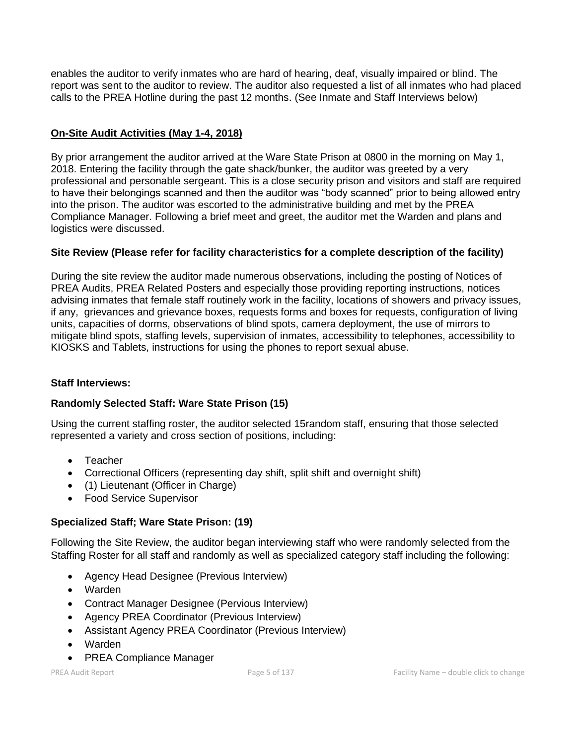enables the auditor to verify inmates who are hard of hearing, deaf, visually impaired or blind. The report was sent to the auditor to review. The auditor also requested a list of all inmates who had placed calls to the PREA Hotline during the past 12 months. (See Inmate and Staff Interviews below)

# **On-Site Audit Activities (May 1-4, 2018)**

By prior arrangement the auditor arrived at the Ware State Prison at 0800 in the morning on May 1, 2018. Entering the facility through the gate shack/bunker, the auditor was greeted by a very professional and personable sergeant. This is a close security prison and visitors and staff are required to have their belongings scanned and then the auditor was "body scanned" prior to being allowed entry into the prison. The auditor was escorted to the administrative building and met by the PREA Compliance Manager. Following a brief meet and greet, the auditor met the Warden and plans and logistics were discussed.

# **Site Review (Please refer for facility characteristics for a complete description of the facility)**

During the site review the auditor made numerous observations, including the posting of Notices of PREA Audits, PREA Related Posters and especially those providing reporting instructions, notices advising inmates that female staff routinely work in the facility, locations of showers and privacy issues, if any, grievances and grievance boxes, requests forms and boxes for requests, configuration of living units, capacities of dorms, observations of blind spots, camera deployment, the use of mirrors to mitigate blind spots, staffing levels, supervision of inmates, accessibility to telephones, accessibility to KIOSKS and Tablets, instructions for using the phones to report sexual abuse.

# **Staff Interviews:**

# **Randomly Selected Staff: Ware State Prison (15)**

Using the current staffing roster, the auditor selected 15random staff, ensuring that those selected represented a variety and cross section of positions, including:

- Teacher
- Correctional Officers (representing day shift, split shift and overnight shift)
- (1) Lieutenant (Officer in Charge)
- Food Service Supervisor

# **Specialized Staff; Ware State Prison: (19)**

Following the Site Review, the auditor began interviewing staff who were randomly selected from the Staffing Roster for all staff and randomly as well as specialized category staff including the following:

- Agency Head Designee (Previous Interview)
- Warden
- Contract Manager Designee (Pervious Interview)
- Agency PREA Coordinator (Previous Interview)
- Assistant Agency PREA Coordinator (Previous Interview)
- Warden
- PREA Compliance Manager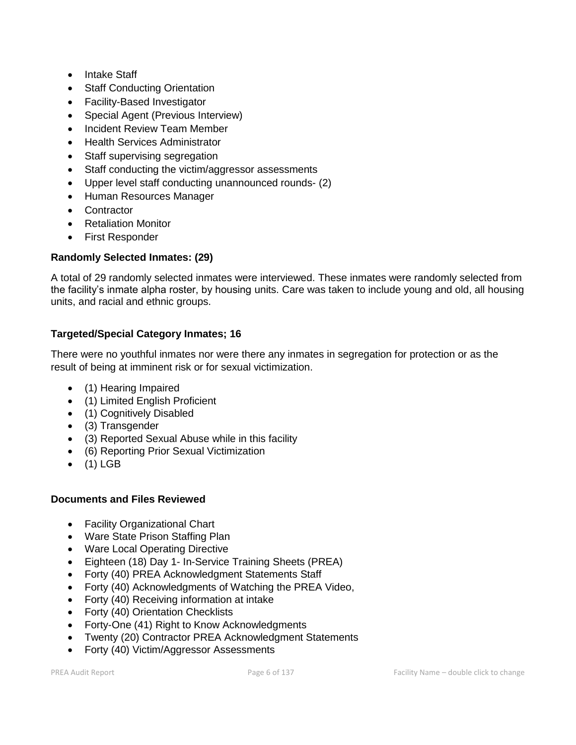- Intake Staff
- Staff Conducting Orientation
- Facility-Based Investigator
- Special Agent (Previous Interview)
- Incident Review Team Member
- Health Services Administrator
- Staff supervising segregation
- Staff conducting the victim/aggressor assessments
- Upper level staff conducting unannounced rounds- (2)
- Human Resources Manager
- Contractor
- Retaliation Monitor
- First Responder

# **Randomly Selected Inmates: (29)**

A total of 29 randomly selected inmates were interviewed. These inmates were randomly selected from the facility's inmate alpha roster, by housing units. Care was taken to include young and old, all housing units, and racial and ethnic groups.

# **Targeted/Special Category Inmates; 16**

There were no youthful inmates nor were there any inmates in segregation for protection or as the result of being at imminent risk or for sexual victimization.

- (1) Hearing Impaired
- (1) Limited English Proficient
- (1) Cognitively Disabled
- (3) Transgender
- (3) Reported Sexual Abuse while in this facility
- (6) Reporting Prior Sexual Victimization
- $\bullet$  (1) LGB

# **Documents and Files Reviewed**

- Facility Organizational Chart
- Ware State Prison Staffing Plan
- Ware Local Operating Directive
- Eighteen (18) Day 1- In-Service Training Sheets (PREA)
- Forty (40) PREA Acknowledgment Statements Staff
- Forty (40) Acknowledgments of Watching the PREA Video,
- Forty (40) Receiving information at intake
- Forty (40) Orientation Checklists
- Forty-One (41) Right to Know Acknowledgments
- Twenty (20) Contractor PREA Acknowledgment Statements
- Forty (40) Victim/Aggressor Assessments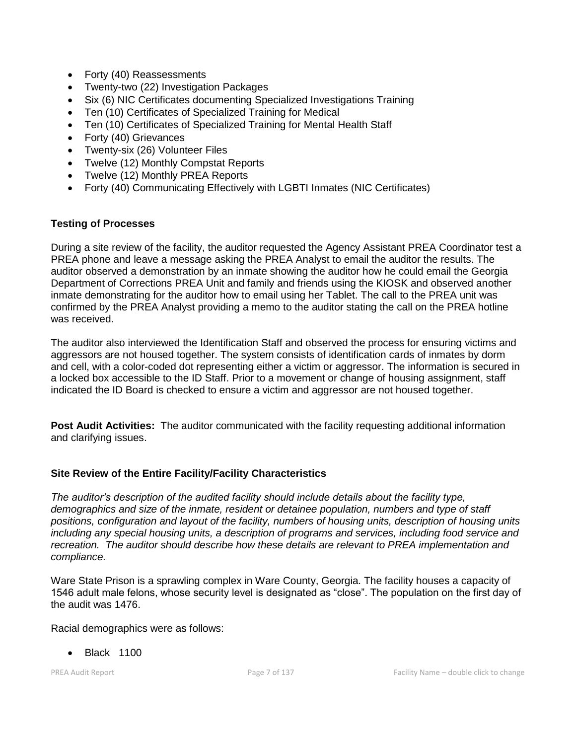- Forty (40) Reassessments
- Twenty-two (22) Investigation Packages
- Six (6) NIC Certificates documenting Specialized Investigations Training
- Ten (10) Certificates of Specialized Training for Medical
- Ten (10) Certificates of Specialized Training for Mental Health Staff
- Forty (40) Grievances
- Twenty-six (26) Volunteer Files
- Twelve (12) Monthly Compstat Reports
- Twelve (12) Monthly PREA Reports
- Forty (40) Communicating Effectively with LGBTI Inmates (NIC Certificates)

# **Testing of Processes**

During a site review of the facility, the auditor requested the Agency Assistant PREA Coordinator test a PREA phone and leave a message asking the PREA Analyst to email the auditor the results. The auditor observed a demonstration by an inmate showing the auditor how he could email the Georgia Department of Corrections PREA Unit and family and friends using the KIOSK and observed another inmate demonstrating for the auditor how to email using her Tablet. The call to the PREA unit was confirmed by the PREA Analyst providing a memo to the auditor stating the call on the PREA hotline was received.

The auditor also interviewed the Identification Staff and observed the process for ensuring victims and aggressors are not housed together. The system consists of identification cards of inmates by dorm and cell, with a color-coded dot representing either a victim or aggressor. The information is secured in a locked box accessible to the ID Staff. Prior to a movement or change of housing assignment, staff indicated the ID Board is checked to ensure a victim and aggressor are not housed together.

**Post Audit Activities:** The auditor communicated with the facility requesting additional information and clarifying issues.

# **Site Review of the Entire Facility/Facility Characteristics**

*The auditor's description of the audited facility should include details about the facility type, demographics and size of the inmate, resident or detainee population, numbers and type of staff positions, configuration and layout of the facility, numbers of housing units, description of housing units including any special housing units, a description of programs and services, including food service and recreation. The auditor should describe how these details are relevant to PREA implementation and compliance.*

Ware State Prison is a sprawling complex in Ware County, Georgia. The facility houses a capacity of 1546 adult male felons, whose security level is designated as "close". The population on the first day of the audit was 1476.

Racial demographics were as follows:

• Black 1100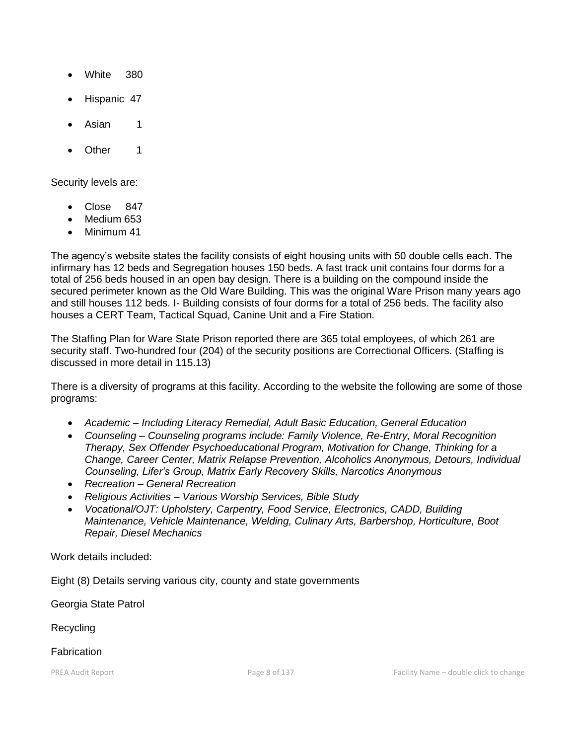- White 380
- Hispanic 47
- Asian 1
- Other 1

Security levels are:

- Close 847
- Medium 653
- Minimum 41

The agency's website states the facility consists of eight housing units with 50 double cells each. The infirmary has 12 beds and Segregation houses 150 beds. A fast track unit contains four dorms for a total of 256 beds housed in an open bay design. There is a building on the compound inside the secured perimeter known as the Old Ware Building. This was the original Ware Prison many years ago and still houses 112 beds. I- Building consists of four dorms for a total of 256 beds. The facility also houses a CERT Team, Tactical Squad, Canine Unit and a Fire Station.

The Staffing Plan for Ware State Prison reported there are 365 total employees, of which 261 are security staff. Two-hundred four (204) of the security positions are Correctional Officers. (Staffing is discussed in more detail in 115.13)

There is a diversity of programs at this facility. According to the website the following are some of those programs:

- *Academic – Including Literacy Remedial, Adult Basic Education, General Education*
- *Counseling – Counseling programs include: Family Violence, Re-Entry, Moral Recognition Therapy, Sex Offender Psychoeducational Program, Motivation for Change, Thinking for a Change, Career Center, Matrix Relapse Prevention, Alcoholics Anonymous, Detours, Individual Counseling, Lifer's Group, Matrix Early Recovery Skills, Narcotics Anonymous*
- *Recreation – General Recreation*
- *Religious Activities – Various Worship Services, Bible Study*
- *Vocational/OJT: Upholstery, Carpentry, Food Service, Electronics, CADD, Building Maintenance, Vehicle Maintenance, Welding, Culinary Arts, Barbershop, Horticulture, Boot Repair, Diesel Mechanics*

Work details included:

Eight (8) Details serving various city, county and state governments

Georgia State Patrol

**Recycling** 

**Fabrication**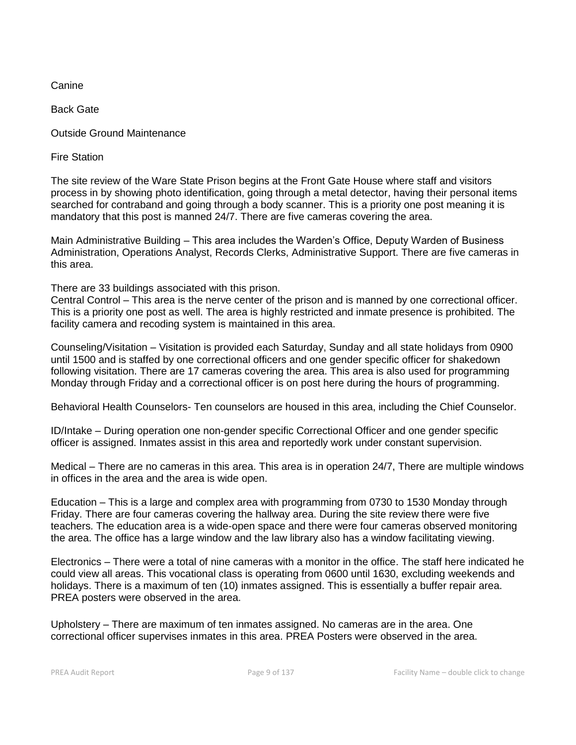**Canine** 

Back Gate

Outside Ground Maintenance

Fire Station

The site review of the Ware State Prison begins at the Front Gate House where staff and visitors process in by showing photo identification, going through a metal detector, having their personal items searched for contraband and going through a body scanner. This is a priority one post meaning it is mandatory that this post is manned 24/7. There are five cameras covering the area.

Main Administrative Building – This area includes the Warden's Office, Deputy Warden of Business Administration, Operations Analyst, Records Clerks, Administrative Support. There are five cameras in this area.

There are 33 buildings associated with this prison.

Central Control – This area is the nerve center of the prison and is manned by one correctional officer. This is a priority one post as well. The area is highly restricted and inmate presence is prohibited. The facility camera and recoding system is maintained in this area.

Counseling/Visitation – Visitation is provided each Saturday, Sunday and all state holidays from 0900 until 1500 and is staffed by one correctional officers and one gender specific officer for shakedown following visitation. There are 17 cameras covering the area. This area is also used for programming Monday through Friday and a correctional officer is on post here during the hours of programming.

Behavioral Health Counselors- Ten counselors are housed in this area, including the Chief Counselor.

ID/Intake – During operation one non-gender specific Correctional Officer and one gender specific officer is assigned. Inmates assist in this area and reportedly work under constant supervision.

Medical – There are no cameras in this area. This area is in operation 24/7, There are multiple windows in offices in the area and the area is wide open.

Education – This is a large and complex area with programming from 0730 to 1530 Monday through Friday. There are four cameras covering the hallway area. During the site review there were five teachers. The education area is a wide-open space and there were four cameras observed monitoring the area. The office has a large window and the law library also has a window facilitating viewing.

Electronics – There were a total of nine cameras with a monitor in the office. The staff here indicated he could view all areas. This vocational class is operating from 0600 until 1630, excluding weekends and holidays. There is a maximum of ten (10) inmates assigned. This is essentially a buffer repair area. PREA posters were observed in the area.

Upholstery – There are maximum of ten inmates assigned. No cameras are in the area. One correctional officer supervises inmates in this area. PREA Posters were observed in the area.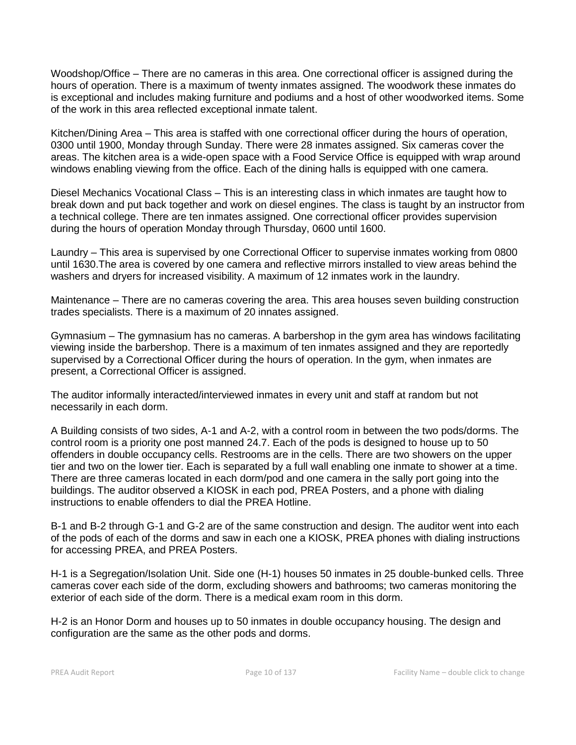Woodshop/Office – There are no cameras in this area. One correctional officer is assigned during the hours of operation. There is a maximum of twenty inmates assigned. The woodwork these inmates do is exceptional and includes making furniture and podiums and a host of other woodworked items. Some of the work in this area reflected exceptional inmate talent.

Kitchen/Dining Area – This area is staffed with one correctional officer during the hours of operation, 0300 until 1900, Monday through Sunday. There were 28 inmates assigned. Six cameras cover the areas. The kitchen area is a wide-open space with a Food Service Office is equipped with wrap around windows enabling viewing from the office. Each of the dining halls is equipped with one camera.

Diesel Mechanics Vocational Class – This is an interesting class in which inmates are taught how to break down and put back together and work on diesel engines. The class is taught by an instructor from a technical college. There are ten inmates assigned. One correctional officer provides supervision during the hours of operation Monday through Thursday, 0600 until 1600.

Laundry – This area is supervised by one Correctional Officer to supervise inmates working from 0800 until 1630.The area is covered by one camera and reflective mirrors installed to view areas behind the washers and dryers for increased visibility. A maximum of 12 inmates work in the laundry.

Maintenance – There are no cameras covering the area. This area houses seven building construction trades specialists. There is a maximum of 20 innates assigned.

Gymnasium – The gymnasium has no cameras. A barbershop in the gym area has windows facilitating viewing inside the barbershop. There is a maximum of ten inmates assigned and they are reportedly supervised by a Correctional Officer during the hours of operation. In the gym, when inmates are present, a Correctional Officer is assigned.

The auditor informally interacted/interviewed inmates in every unit and staff at random but not necessarily in each dorm.

A Building consists of two sides, A-1 and A-2, with a control room in between the two pods/dorms. The control room is a priority one post manned 24.7. Each of the pods is designed to house up to 50 offenders in double occupancy cells. Restrooms are in the cells. There are two showers on the upper tier and two on the lower tier. Each is separated by a full wall enabling one inmate to shower at a time. There are three cameras located in each dorm/pod and one camera in the sally port going into the buildings. The auditor observed a KIOSK in each pod, PREA Posters, and a phone with dialing instructions to enable offenders to dial the PREA Hotline.

B-1 and B-2 through G-1 and G-2 are of the same construction and design. The auditor went into each of the pods of each of the dorms and saw in each one a KIOSK, PREA phones with dialing instructions for accessing PREA, and PREA Posters.

H-1 is a Segregation/Isolation Unit. Side one (H-1) houses 50 inmates in 25 double-bunked cells. Three cameras cover each side of the dorm, excluding showers and bathrooms; two cameras monitoring the exterior of each side of the dorm. There is a medical exam room in this dorm.

H-2 is an Honor Dorm and houses up to 50 inmates in double occupancy housing. The design and configuration are the same as the other pods and dorms.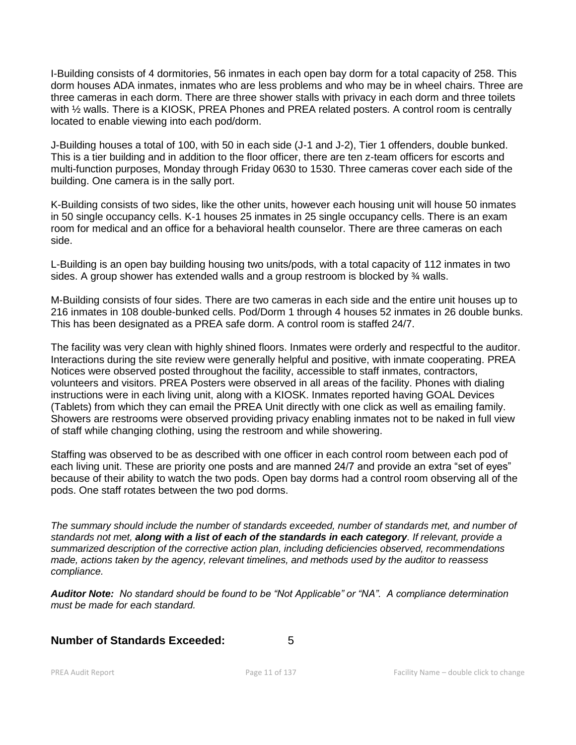I-Building consists of 4 dormitories, 56 inmates in each open bay dorm for a total capacity of 258. This dorm houses ADA inmates, inmates who are less problems and who may be in wheel chairs. Three are three cameras in each dorm. There are three shower stalls with privacy in each dorm and three toilets with ½ walls. There is a KIOSK, PREA Phones and PREA related posters. A control room is centrally located to enable viewing into each pod/dorm.

J-Building houses a total of 100, with 50 in each side (J-1 and J-2), Tier 1 offenders, double bunked. This is a tier building and in addition to the floor officer, there are ten z-team officers for escorts and multi-function purposes, Monday through Friday 0630 to 1530. Three cameras cover each side of the building. One camera is in the sally port.

K-Building consists of two sides, like the other units, however each housing unit will house 50 inmates in 50 single occupancy cells. K-1 houses 25 inmates in 25 single occupancy cells. There is an exam room for medical and an office for a behavioral health counselor. There are three cameras on each side.

L-Building is an open bay building housing two units/pods, with a total capacity of 112 inmates in two sides. A group shower has extended walls and a group restroom is blocked by ¾ walls.

M-Building consists of four sides. There are two cameras in each side and the entire unit houses up to 216 inmates in 108 double-bunked cells. Pod/Dorm 1 through 4 houses 52 inmates in 26 double bunks. This has been designated as a PREA safe dorm. A control room is staffed 24/7.

The facility was very clean with highly shined floors. Inmates were orderly and respectful to the auditor. Interactions during the site review were generally helpful and positive, with inmate cooperating. PREA Notices were observed posted throughout the facility, accessible to staff inmates, contractors, volunteers and visitors. PREA Posters were observed in all areas of the facility. Phones with dialing instructions were in each living unit, along with a KIOSK. Inmates reported having GOAL Devices (Tablets) from which they can email the PREA Unit directly with one click as well as emailing family. Showers are restrooms were observed providing privacy enabling inmates not to be naked in full view of staff while changing clothing, using the restroom and while showering.

Staffing was observed to be as described with one officer in each control room between each pod of each living unit. These are priority one posts and are manned 24/7 and provide an extra "set of eyes" because of their ability to watch the two pods. Open bay dorms had a control room observing all of the pods. One staff rotates between the two pod dorms.

*The summary should include the number of standards exceeded, number of standards met, and number of standards not met, along with a list of each of the standards in each category. If relevant, provide a summarized description of the corrective action plan, including deficiencies observed, recommendations made, actions taken by the agency, relevant timelines, and methods used by the auditor to reassess compliance.*

*Auditor Note: No standard should be found to be "Not Applicable" or "NA". A compliance determination must be made for each standard.*

# **Number of Standards Exceeded:** 5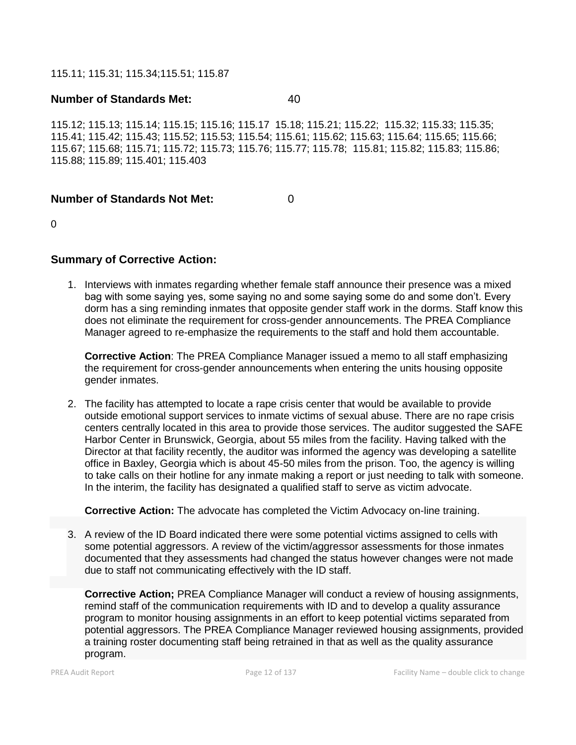115.11; 115.31; 115.34;115.51; 115.87

# **Number of Standards Met:** 40

115.12; 115.13; 115.14; 115.15; 115.16; 115.17 15.18; 115.21; 115.22; 115.32; 115.33; 115.35; 115.41; 115.42; 115.43; 115.52; 115.53; 115.54; 115.61; 115.62; 115.63; 115.64; 115.65; 115.66; 115.67; 115.68; 115.71; 115.72; 115.73; 115.76; 115.77; 115.78; 115.81; 115.82; 115.83; 115.86; 115.88; 115.89; 115.401; 115.403

# **Number of Standards Not Met:** 0

 $\Omega$ 

# **Summary of Corrective Action:**

1. Interviews with inmates regarding whether female staff announce their presence was a mixed bag with some saying yes, some saying no and some saying some do and some don't. Every dorm has a sing reminding inmates that opposite gender staff work in the dorms. Staff know this does not eliminate the requirement for cross-gender announcements. The PREA Compliance Manager agreed to re-emphasize the requirements to the staff and hold them accountable.

**Corrective Action**: The PREA Compliance Manager issued a memo to all staff emphasizing the requirement for cross-gender announcements when entering the units housing opposite gender inmates.

2. The facility has attempted to locate a rape crisis center that would be available to provide outside emotional support services to inmate victims of sexual abuse. There are no rape crisis centers centrally located in this area to provide those services. The auditor suggested the SAFE Harbor Center in Brunswick, Georgia, about 55 miles from the facility. Having talked with the Director at that facility recently, the auditor was informed the agency was developing a satellite office in Baxley, Georgia which is about 45-50 miles from the prison. Too, the agency is willing to take calls on their hotline for any inmate making a report or just needing to talk with someone. In the interim, the facility has designated a qualified staff to serve as victim advocate.

**Corrective Action:** The advocate has completed the Victim Advocacy on-line training.

3. A review of the ID Board indicated there were some potential victims assigned to cells with some potential aggressors. A review of the victim/aggressor assessments for those inmates documented that they assessments had changed the status however changes were not made due to staff not communicating effectively with the ID staff.

**Corrective Action;** PREA Compliance Manager will conduct a review of housing assignments, remind staff of the communication requirements with ID and to develop a quality assurance program to monitor housing assignments in an effort to keep potential victims separated from potential aggressors. The PREA Compliance Manager reviewed housing assignments, provided a training roster documenting staff being retrained in that as well as the quality assurance program.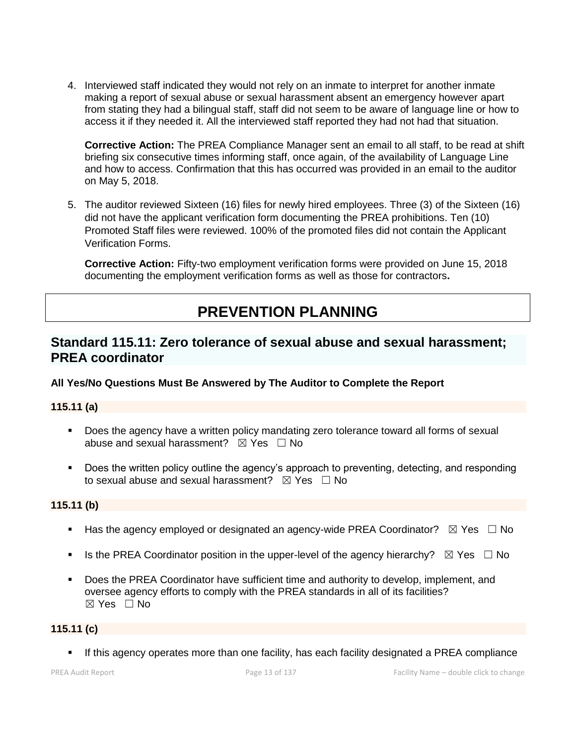4. Interviewed staff indicated they would not rely on an inmate to interpret for another inmate making a report of sexual abuse or sexual harassment absent an emergency however apart from stating they had a bilingual staff, staff did not seem to be aware of language line or how to access it if they needed it. All the interviewed staff reported they had not had that situation.

**Corrective Action:** The PREA Compliance Manager sent an email to all staff, to be read at shift briefing six consecutive times informing staff, once again, of the availability of Language Line and how to access. Confirmation that this has occurred was provided in an email to the auditor on May 5, 2018.

5. The auditor reviewed Sixteen (16) files for newly hired employees. Three (3) of the Sixteen (16) did not have the applicant verification form documenting the PREA prohibitions. Ten (10) Promoted Staff files were reviewed. 100% of the promoted files did not contain the Applicant Verification Forms.

**Corrective Action:** Fifty-two employment verification forms were provided on June 15, 2018 documenting the employment verification forms as well as those for contractors**.**

# **PREVENTION PLANNING**

# **Standard 115.11: Zero tolerance of sexual abuse and sexual harassment; PREA coordinator**

# **All Yes/No Questions Must Be Answered by The Auditor to Complete the Report**

# **115.11 (a)**

- Does the agency have a written policy mandating zero tolerance toward all forms of sexual abuse and sexual harassment?  $\boxtimes$  Yes  $\Box$  No
- Does the written policy outline the agency's approach to preventing, detecting, and responding to sexual abuse and sexual harassment?  $\boxtimes$  Yes  $\Box$  No

# **115.11 (b)**

- **■** Has the agency employed or designated an agency-wide PREA Coordinator?  $\boxtimes$  Yes  $\Box$  No
- **■** Is the PREA Coordinator position in the upper-level of the agency hierarchy?  $\boxtimes$  Yes  $\Box$  No
- Does the PREA Coordinator have sufficient time and authority to develop, implement, and oversee agency efforts to comply with the PREA standards in all of its facilities? ☒ Yes ☐ No

# **115.11 (c)**

▪ If this agency operates more than one facility, has each facility designated a PREA compliance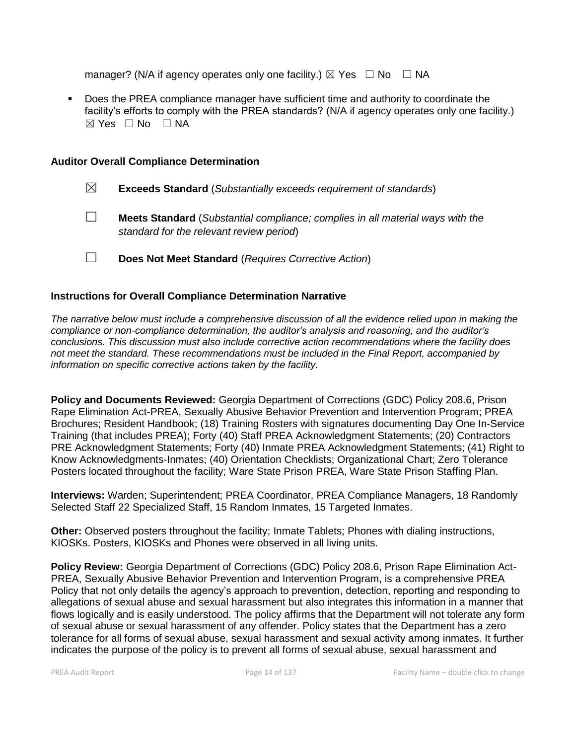manager? (N/A if agency operates only one facility.)  $\boxtimes$  Yes  $\Box$  No  $\Box$  NA

▪ Does the PREA compliance manager have sufficient time and authority to coordinate the facility's efforts to comply with the PREA standards? (N/A if agency operates only one facility.) ☒ Yes ☐ No ☐ NA

#### **Auditor Overall Compliance Determination**

- ☒ **Exceeds Standard** (*Substantially exceeds requirement of standards*)
- ☐ **Meets Standard** (*Substantial compliance; complies in all material ways with the standard for the relevant review period*)
- ☐ **Does Not Meet Standard** (*Requires Corrective Action*)

# **Instructions for Overall Compliance Determination Narrative**

*The narrative below must include a comprehensive discussion of all the evidence relied upon in making the compliance or non-compliance determination, the auditor's analysis and reasoning, and the auditor's conclusions. This discussion must also include corrective action recommendations where the facility does not meet the standard. These recommendations must be included in the Final Report, accompanied by information on specific corrective actions taken by the facility.*

**Policy and Documents Reviewed:** Georgia Department of Corrections (GDC) Policy 208.6, Prison Rape Elimination Act-PREA, Sexually Abusive Behavior Prevention and Intervention Program; PREA Brochures; Resident Handbook; (18) Training Rosters with signatures documenting Day One In-Service Training (that includes PREA); Forty (40) Staff PREA Acknowledgment Statements; (20) Contractors PRE Acknowledgment Statements; Forty (40) Inmate PREA Acknowledgment Statements; (41) Right to Know Acknowledgments-Inmates; (40) Orientation Checklists; Organizational Chart; Zero Tolerance Posters located throughout the facility; Ware State Prison PREA, Ware State Prison Staffing Plan.

**Interviews:** Warden; Superintendent; PREA Coordinator, PREA Compliance Managers, 18 Randomly Selected Staff 22 Specialized Staff, 15 Random Inmates, 15 Targeted Inmates.

**Other:** Observed posters throughout the facility; Inmate Tablets; Phones with dialing instructions, KIOSKs. Posters, KIOSKs and Phones were observed in all living units.

**Policy Review:** Georgia Department of Corrections (GDC) Policy 208.6, Prison Rape Elimination Act-PREA, Sexually Abusive Behavior Prevention and Intervention Program, is a comprehensive PREA Policy that not only details the agency's approach to prevention, detection, reporting and responding to allegations of sexual abuse and sexual harassment but also integrates this information in a manner that flows logically and is easily understood. The policy affirms that the Department will not tolerate any form of sexual abuse or sexual harassment of any offender. Policy states that the Department has a zero tolerance for all forms of sexual abuse, sexual harassment and sexual activity among inmates. It further indicates the purpose of the policy is to prevent all forms of sexual abuse, sexual harassment and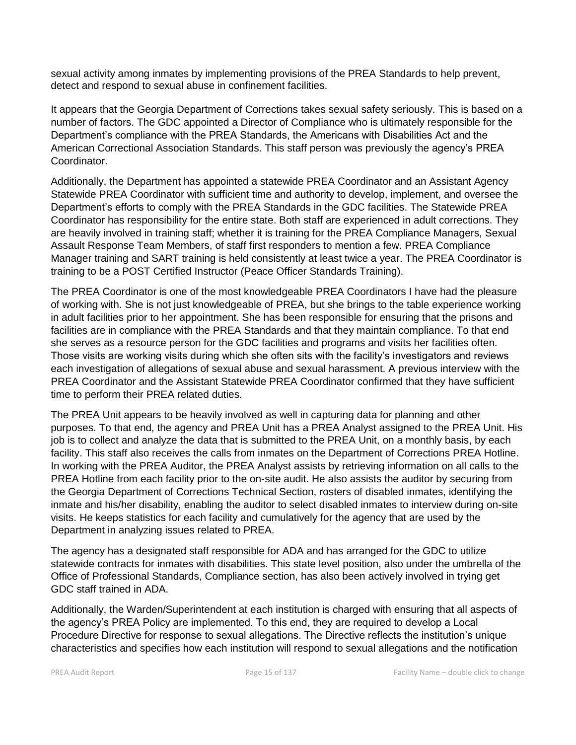sexual activity among inmates by implementing provisions of the PREA Standards to help prevent, detect and respond to sexual abuse in confinement facilities.

It appears that the Georgia Department of Corrections takes sexual safety seriously. This is based on a number of factors. The GDC appointed a Director of Compliance who is ultimately responsible for the Department's compliance with the PREA Standards, the Americans with Disabilities Act and the American Correctional Association Standards. This staff person was previously the agency's PREA Coordinator.

Additionally, the Department has appointed a statewide PREA Coordinator and an Assistant Agency Statewide PREA Coordinator with sufficient time and authority to develop, implement, and oversee the Department's efforts to comply with the PREA Standards in the GDC facilities. The Statewide PREA Coordinator has responsibility for the entire state. Both staff are experienced in adult corrections. They are heavily involved in training staff; whether it is training for the PREA Compliance Managers, Sexual Assault Response Team Members, of staff first responders to mention a few. PREA Compliance Manager training and SART training is held consistently at least twice a year. The PREA Coordinator is training to be a POST Certified Instructor (Peace Officer Standards Training).

The PREA Coordinator is one of the most knowledgeable PREA Coordinators I have had the pleasure of working with. She is not just knowledgeable of PREA, but she brings to the table experience working in adult facilities prior to her appointment. She has been responsible for ensuring that the prisons and facilities are in compliance with the PREA Standards and that they maintain compliance. To that end she serves as a resource person for the GDC facilities and programs and visits her facilities often. Those visits are working visits during which she often sits with the facility's investigators and reviews each investigation of allegations of sexual abuse and sexual harassment. A previous interview with the PREA Coordinator and the Assistant Statewide PREA Coordinator confirmed that they have sufficient time to perform their PREA related duties.

The PREA Unit appears to be heavily involved as well in capturing data for planning and other purposes. To that end, the agency and PREA Unit has a PREA Analyst assigned to the PREA Unit. His job is to collect and analyze the data that is submitted to the PREA Unit, on a monthly basis, by each facility. This staff also receives the calls from inmates on the Department of Corrections PREA Hotline. In working with the PREA Auditor, the PREA Analyst assists by retrieving information on all calls to the PREA Hotline from each facility prior to the on-site audit. He also assists the auditor by securing from the Georgia Department of Corrections Technical Section, rosters of disabled inmates, identifying the inmate and his/her disability, enabling the auditor to select disabled inmates to interview during on-site visits. He keeps statistics for each facility and cumulatively for the agency that are used by the Department in analyzing issues related to PREA.

The agency has a designated staff responsible for ADA and has arranged for the GDC to utilize statewide contracts for inmates with disabilities. This state level position, also under the umbrella of the Office of Professional Standards, Compliance section, has also been actively involved in trying get GDC staff trained in ADA.

Additionally, the Warden/Superintendent at each institution is charged with ensuring that all aspects of the agency's PREA Policy are implemented. To this end, they are required to develop a Local Procedure Directive for response to sexual allegations. The Directive reflects the institution's unique characteristics and specifies how each institution will respond to sexual allegations and the notification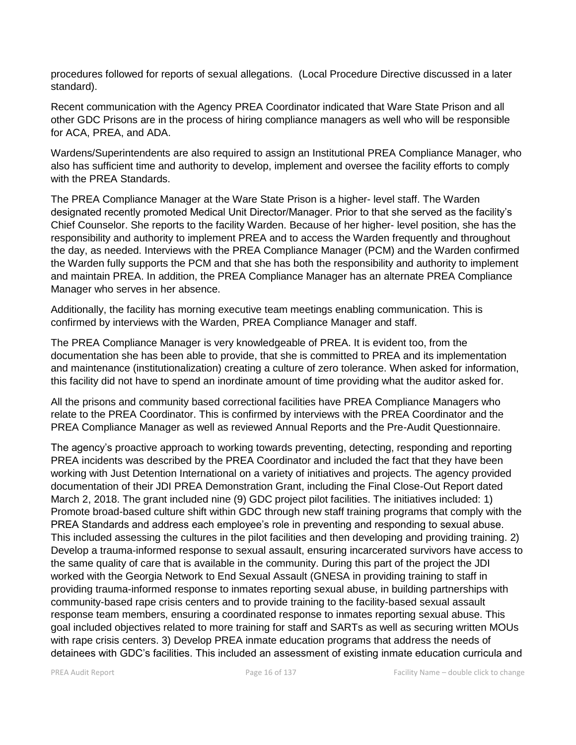procedures followed for reports of sexual allegations. (Local Procedure Directive discussed in a later standard).

Recent communication with the Agency PREA Coordinator indicated that Ware State Prison and all other GDC Prisons are in the process of hiring compliance managers as well who will be responsible for ACA, PREA, and ADA.

Wardens/Superintendents are also required to assign an Institutional PREA Compliance Manager, who also has sufficient time and authority to develop, implement and oversee the facility efforts to comply with the PREA Standards.

The PREA Compliance Manager at the Ware State Prison is a higher- level staff. The Warden designated recently promoted Medical Unit Director/Manager. Prior to that she served as the facility's Chief Counselor. She reports to the facility Warden. Because of her higher- level position, she has the responsibility and authority to implement PREA and to access the Warden frequently and throughout the day, as needed. Interviews with the PREA Compliance Manager (PCM) and the Warden confirmed the Warden fully supports the PCM and that she has both the responsibility and authority to implement and maintain PREA. In addition, the PREA Compliance Manager has an alternate PREA Compliance Manager who serves in her absence.

Additionally, the facility has morning executive team meetings enabling communication. This is confirmed by interviews with the Warden, PREA Compliance Manager and staff.

The PREA Compliance Manager is very knowledgeable of PREA. It is evident too, from the documentation she has been able to provide, that she is committed to PREA and its implementation and maintenance (institutionalization) creating a culture of zero tolerance. When asked for information, this facility did not have to spend an inordinate amount of time providing what the auditor asked for.

All the prisons and community based correctional facilities have PREA Compliance Managers who relate to the PREA Coordinator. This is confirmed by interviews with the PREA Coordinator and the PREA Compliance Manager as well as reviewed Annual Reports and the Pre-Audit Questionnaire.

The agency's proactive approach to working towards preventing, detecting, responding and reporting PREA incidents was described by the PREA Coordinator and included the fact that they have been working with Just Detention International on a variety of initiatives and projects. The agency provided documentation of their JDI PREA Demonstration Grant, including the Final Close-Out Report dated March 2, 2018. The grant included nine (9) GDC project pilot facilities. The initiatives included: 1) Promote broad-based culture shift within GDC through new staff training programs that comply with the PREA Standards and address each employee's role in preventing and responding to sexual abuse. This included assessing the cultures in the pilot facilities and then developing and providing training. 2) Develop a trauma-informed response to sexual assault, ensuring incarcerated survivors have access to the same quality of care that is available in the community. During this part of the project the JDI worked with the Georgia Network to End Sexual Assault (GNESA in providing training to staff in providing trauma-informed response to inmates reporting sexual abuse, in building partnerships with community-based rape crisis centers and to provide training to the facility-based sexual assault response team members, ensuring a coordinated response to inmates reporting sexual abuse. This goal included objectives related to more training for staff and SARTs as well as securing written MOUs with rape crisis centers. 3) Develop PREA inmate education programs that address the needs of detainees with GDC's facilities. This included an assessment of existing inmate education curricula and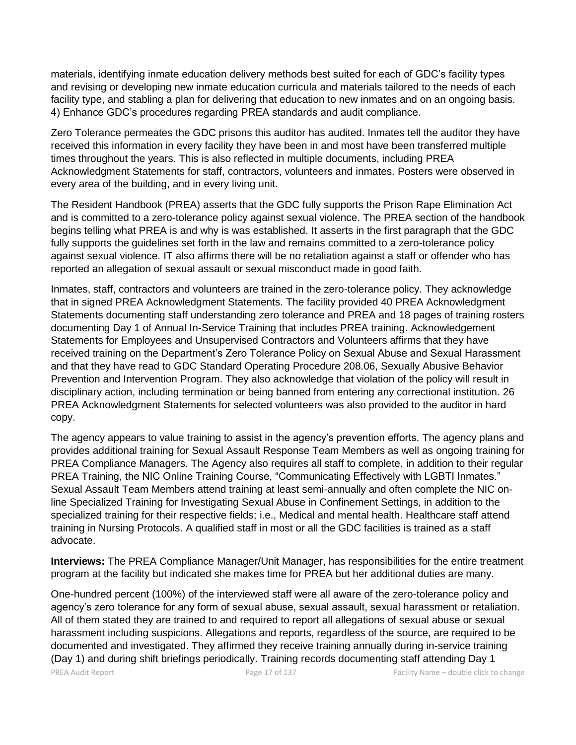materials, identifying inmate education delivery methods best suited for each of GDC's facility types and revising or developing new inmate education curricula and materials tailored to the needs of each facility type, and stabling a plan for delivering that education to new inmates and on an ongoing basis. 4) Enhance GDC's procedures regarding PREA standards and audit compliance.

Zero Tolerance permeates the GDC prisons this auditor has audited. Inmates tell the auditor they have received this information in every facility they have been in and most have been transferred multiple times throughout the years. This is also reflected in multiple documents, including PREA Acknowledgment Statements for staff, contractors, volunteers and inmates. Posters were observed in every area of the building, and in every living unit.

The Resident Handbook (PREA) asserts that the GDC fully supports the Prison Rape Elimination Act and is committed to a zero-tolerance policy against sexual violence. The PREA section of the handbook begins telling what PREA is and why is was established. It asserts in the first paragraph that the GDC fully supports the guidelines set forth in the law and remains committed to a zero-tolerance policy against sexual violence. IT also affirms there will be no retaliation against a staff or offender who has reported an allegation of sexual assault or sexual misconduct made in good faith.

Inmates, staff, contractors and volunteers are trained in the zero-tolerance policy. They acknowledge that in signed PREA Acknowledgment Statements. The facility provided 40 PREA Acknowledgment Statements documenting staff understanding zero tolerance and PREA and 18 pages of training rosters documenting Day 1 of Annual In-Service Training that includes PREA training. Acknowledgement Statements for Employees and Unsupervised Contractors and Volunteers affirms that they have received training on the Department's Zero Tolerance Policy on Sexual Abuse and Sexual Harassment and that they have read to GDC Standard Operating Procedure 208.06, Sexually Abusive Behavior Prevention and Intervention Program. They also acknowledge that violation of the policy will result in disciplinary action, including termination or being banned from entering any correctional institution. 26 PREA Acknowledgment Statements for selected volunteers was also provided to the auditor in hard copy.

The agency appears to value training to assist in the agency's prevention efforts. The agency plans and provides additional training for Sexual Assault Response Team Members as well as ongoing training for PREA Compliance Managers. The Agency also requires all staff to complete, in addition to their regular PREA Training, the NIC Online Training Course, "Communicating Effectively with LGBTI Inmates." Sexual Assault Team Members attend training at least semi-annually and often complete the NIC online Specialized Training for Investigating Sexual Abuse in Confinement Settings, in addition to the specialized training for their respective fields; i.e., Medical and mental health. Healthcare staff attend training in Nursing Protocols. A qualified staff in most or all the GDC facilities is trained as a staff advocate.

**Interviews:** The PREA Compliance Manager/Unit Manager, has responsibilities for the entire treatment program at the facility but indicated she makes time for PREA but her additional duties are many.

One-hundred percent (100%) of the interviewed staff were all aware of the zero-tolerance policy and agency's zero tolerance for any form of sexual abuse, sexual assault, sexual harassment or retaliation. All of them stated they are trained to and required to report all allegations of sexual abuse or sexual harassment including suspicions. Allegations and reports, regardless of the source, are required to be documented and investigated. They affirmed they receive training annually during in-service training (Day 1) and during shift briefings periodically. Training records documenting staff attending Day 1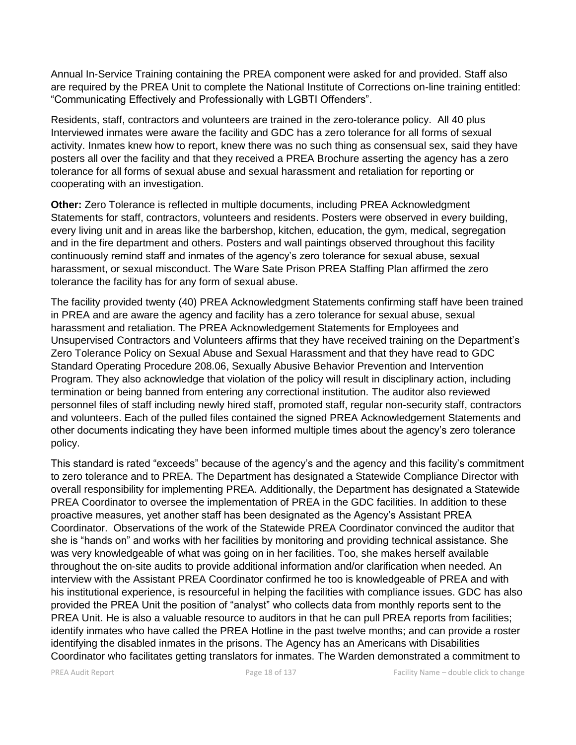Annual In-Service Training containing the PREA component were asked for and provided. Staff also are required by the PREA Unit to complete the National Institute of Corrections on-line training entitled: "Communicating Effectively and Professionally with LGBTI Offenders".

Residents, staff, contractors and volunteers are trained in the zero-tolerance policy. All 40 plus Interviewed inmates were aware the facility and GDC has a zero tolerance for all forms of sexual activity. Inmates knew how to report, knew there was no such thing as consensual sex, said they have posters all over the facility and that they received a PREA Brochure asserting the agency has a zero tolerance for all forms of sexual abuse and sexual harassment and retaliation for reporting or cooperating with an investigation.

**Other:** Zero Tolerance is reflected in multiple documents, including PREA Acknowledgment Statements for staff, contractors, volunteers and residents. Posters were observed in every building, every living unit and in areas like the barbershop, kitchen, education, the gym, medical, segregation and in the fire department and others. Posters and wall paintings observed throughout this facility continuously remind staff and inmates of the agency's zero tolerance for sexual abuse, sexual harassment, or sexual misconduct. The Ware Sate Prison PREA Staffing Plan affirmed the zero tolerance the facility has for any form of sexual abuse.

The facility provided twenty (40) PREA Acknowledgment Statements confirming staff have been trained in PREA and are aware the agency and facility has a zero tolerance for sexual abuse, sexual harassment and retaliation. The PREA Acknowledgement Statements for Employees and Unsupervised Contractors and Volunteers affirms that they have received training on the Department's Zero Tolerance Policy on Sexual Abuse and Sexual Harassment and that they have read to GDC Standard Operating Procedure 208.06, Sexually Abusive Behavior Prevention and Intervention Program. They also acknowledge that violation of the policy will result in disciplinary action, including termination or being banned from entering any correctional institution. The auditor also reviewed personnel files of staff including newly hired staff, promoted staff, regular non-security staff, contractors and volunteers. Each of the pulled files contained the signed PREA Acknowledgement Statements and other documents indicating they have been informed multiple times about the agency's zero tolerance policy.

This standard is rated "exceeds" because of the agency's and the agency and this facility's commitment to zero tolerance and to PREA. The Department has designated a Statewide Compliance Director with overall responsibility for implementing PREA. Additionally, the Department has designated a Statewide PREA Coordinator to oversee the implementation of PREA in the GDC facilities. In addition to these proactive measures, yet another staff has been designated as the Agency's Assistant PREA Coordinator. Observations of the work of the Statewide PREA Coordinator convinced the auditor that she is "hands on" and works with her facilities by monitoring and providing technical assistance. She was very knowledgeable of what was going on in her facilities. Too, she makes herself available throughout the on-site audits to provide additional information and/or clarification when needed. An interview with the Assistant PREA Coordinator confirmed he too is knowledgeable of PREA and with his institutional experience, is resourceful in helping the facilities with compliance issues. GDC has also provided the PREA Unit the position of "analyst" who collects data from monthly reports sent to the PREA Unit. He is also a valuable resource to auditors in that he can pull PREA reports from facilities; identify inmates who have called the PREA Hotline in the past twelve months; and can provide a roster identifying the disabled inmates in the prisons. The Agency has an Americans with Disabilities Coordinator who facilitates getting translators for inmates. The Warden demonstrated a commitment to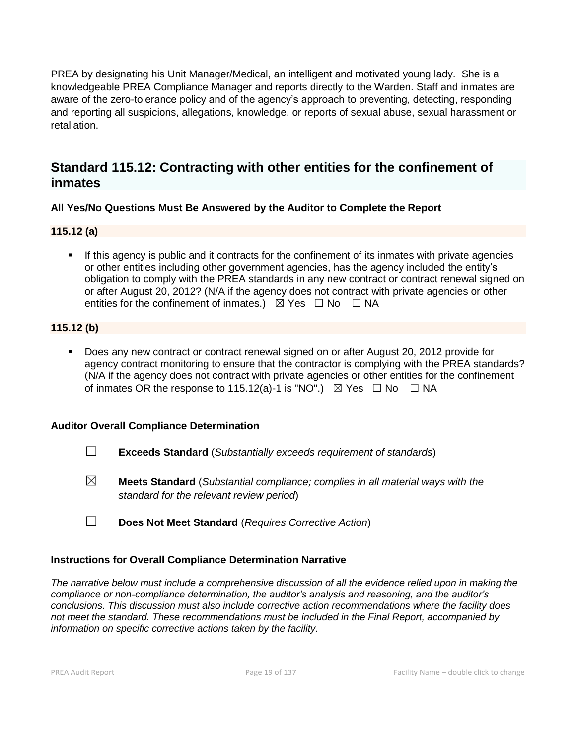PREA by designating his Unit Manager/Medical, an intelligent and motivated young lady. She is a knowledgeable PREA Compliance Manager and reports directly to the Warden. Staff and inmates are aware of the zero-tolerance policy and of the agency's approach to preventing, detecting, responding and reporting all suspicions, allegations, knowledge, or reports of sexual abuse, sexual harassment or retaliation.

# **Standard 115.12: Contracting with other entities for the confinement of inmates**

# **All Yes/No Questions Must Be Answered by the Auditor to Complete the Report**

**115.12 (a)**

If this agency is public and it contracts for the confinement of its inmates with private agencies or other entities including other government agencies, has the agency included the entity's obligation to comply with the PREA standards in any new contract or contract renewal signed on or after August 20, 2012? (N/A if the agency does not contract with private agencies or other entities for the confinement of inmates.)  $\boxtimes$  Yes  $\Box$  No  $\Box$  NA

# **115.12 (b)**

▪ Does any new contract or contract renewal signed on or after August 20, 2012 provide for agency contract monitoring to ensure that the contractor is complying with the PREA standards? (N/A if the agency does not contract with private agencies or other entities for the confinement of inmates OR the response to 115.12(a)-1 is "NO".)  $\boxtimes$  Yes  $\Box$  No  $\Box$  NA

# **Auditor Overall Compliance Determination**

- ☐ **Exceeds Standard** (*Substantially exceeds requirement of standards*)
- ☒ **Meets Standard** (*Substantial compliance; complies in all material ways with the standard for the relevant review period*)
- ☐ **Does Not Meet Standard** (*Requires Corrective Action*)

# **Instructions for Overall Compliance Determination Narrative**

*The narrative below must include a comprehensive discussion of all the evidence relied upon in making the compliance or non-compliance determination, the auditor's analysis and reasoning, and the auditor's conclusions. This discussion must also include corrective action recommendations where the facility does not meet the standard. These recommendations must be included in the Final Report, accompanied by information on specific corrective actions taken by the facility.*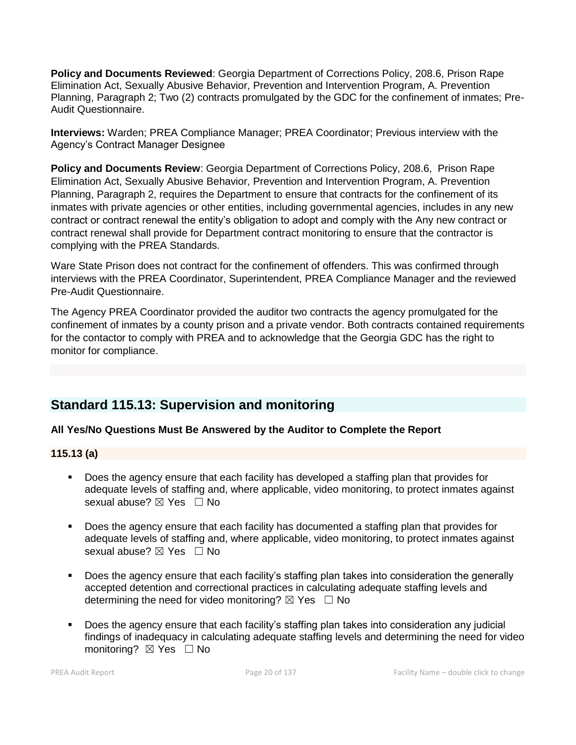**Policy and Documents Reviewed:** Georgia Department of Corrections Policy, 208.6, Prison Rape Elimination Act, Sexually Abusive Behavior, Prevention and Intervention Program, A. Prevention Planning, Paragraph 2; Two (2) contracts promulgated by the GDC for the confinement of inmates; Pre-Audit Questionnaire.

**Interviews:** Warden; PREA Compliance Manager; PREA Coordinator; Previous interview with the Agency's Contract Manager Designee

**Policy and Documents Review**: Georgia Department of Corrections Policy, 208.6, Prison Rape Elimination Act, Sexually Abusive Behavior, Prevention and Intervention Program, A. Prevention Planning, Paragraph 2, requires the Department to ensure that contracts for the confinement of its inmates with private agencies or other entities, including governmental agencies, includes in any new contract or contract renewal the entity's obligation to adopt and comply with the Any new contract or contract renewal shall provide for Department contract monitoring to ensure that the contractor is complying with the PREA Standards.

Ware State Prison does not contract for the confinement of offenders. This was confirmed through interviews with the PREA Coordinator, Superintendent, PREA Compliance Manager and the reviewed Pre-Audit Questionnaire.

The Agency PREA Coordinator provided the auditor two contracts the agency promulgated for the confinement of inmates by a county prison and a private vendor. Both contracts contained requirements for the contactor to comply with PREA and to acknowledge that the Georgia GDC has the right to monitor for compliance.

# **Standard 115.13: Supervision and monitoring**

# **All Yes/No Questions Must Be Answered by the Auditor to Complete the Report**

# **115.13 (a)**

- Does the agency ensure that each facility has developed a staffing plan that provides for adequate levels of staffing and, where applicable, video monitoring, to protect inmates against sexual abuse? ⊠ Yes □ No
- Does the agency ensure that each facility has documented a staffing plan that provides for adequate levels of staffing and, where applicable, video monitoring, to protect inmates against sexual abuse?  $\boxtimes$  Yes  $\Box$  No
- Does the agency ensure that each facility's staffing plan takes into consideration the generally accepted detention and correctional practices in calculating adequate staffing levels and determining the need for video monitoring?  $\boxtimes$  Yes  $\Box$  No
- Does the agency ensure that each facility's staffing plan takes into consideration any judicial findings of inadequacy in calculating adequate staffing levels and determining the need for video monitoring? ⊠ Yes □ No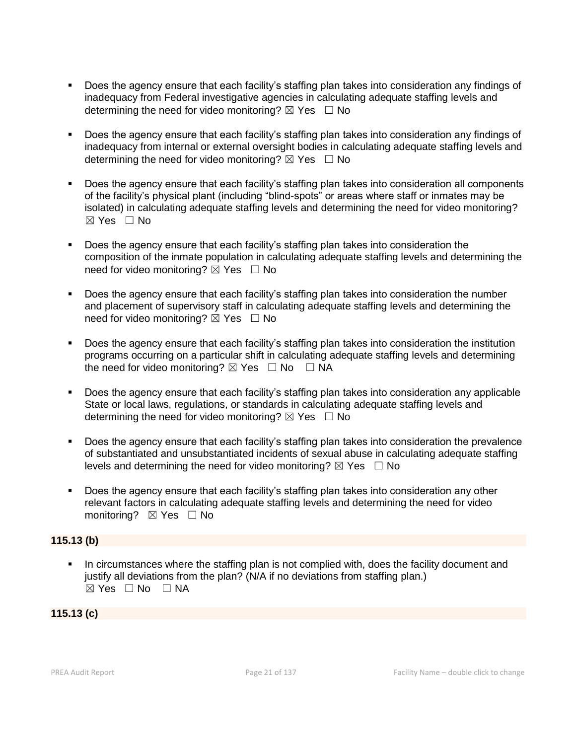- Does the agency ensure that each facility's staffing plan takes into consideration any findings of inadequacy from Federal investigative agencies in calculating adequate staffing levels and determining the need for video monitoring?  $\boxtimes$  Yes  $\Box$  No
- Does the agency ensure that each facility's staffing plan takes into consideration any findings of inadequacy from internal or external oversight bodies in calculating adequate staffing levels and determining the need for video monitoring?  $\boxtimes$  Yes  $\Box$  No
- Does the agency ensure that each facility's staffing plan takes into consideration all components of the facility's physical plant (including "blind-spots" or areas where staff or inmates may be isolated) in calculating adequate staffing levels and determining the need for video monitoring? ☒ Yes ☐ No
- Does the agency ensure that each facility's staffing plan takes into consideration the composition of the inmate population in calculating adequate staffing levels and determining the need for video monitoring?  $\boxtimes$  Yes  $\Box$  No
- Does the agency ensure that each facility's staffing plan takes into consideration the number and placement of supervisory staff in calculating adequate staffing levels and determining the need for video monitoring?  $\boxtimes$  Yes  $\Box$  No
- Does the agency ensure that each facility's staffing plan takes into consideration the institution programs occurring on a particular shift in calculating adequate staffing levels and determining the need for video monitoring?  $\boxtimes$  Yes  $\Box$  No  $\Box$  NA
- Does the agency ensure that each facility's staffing plan takes into consideration any applicable State or local laws, regulations, or standards in calculating adequate staffing levels and determining the need for video monitoring?  $\boxtimes$  Yes  $\Box$  No
- Does the agency ensure that each facility's staffing plan takes into consideration the prevalence of substantiated and unsubstantiated incidents of sexual abuse in calculating adequate staffing levels and determining the need for video monitoring?  $\boxtimes$  Yes  $\Box$  No
- Does the agency ensure that each facility's staffing plan takes into consideration any other relevant factors in calculating adequate staffing levels and determining the need for video monitoring? ⊠ Yes □ No

# **115.13 (b)**

In circumstances where the staffing plan is not complied with, does the facility document and justify all deviations from the plan? (N/A if no deviations from staffing plan.)  $\boxtimes$  Yes  $\Box$  No  $\Box$  NA

# **115.13 (c)**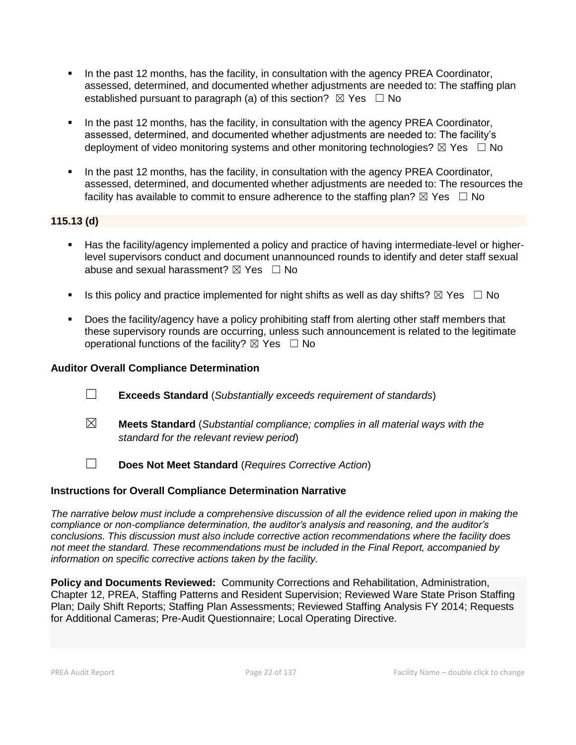- **•** In the past 12 months, has the facility, in consultation with the agency PREA Coordinator, assessed, determined, and documented whether adjustments are needed to: The staffing plan established pursuant to paragraph (a) of this section?  $\boxtimes$  Yes  $\Box$  No
- In the past 12 months, has the facility, in consultation with the agency PREA Coordinator, assessed, determined, and documented whether adjustments are needed to: The facility's deployment of video monitoring systems and other monitoring technologies?  $\boxtimes$  Yes  $\Box$  No
- In the past 12 months, has the facility, in consultation with the agency PREA Coordinator, assessed, determined, and documented whether adjustments are needed to: The resources the facility has available to commit to ensure adherence to the staffing plan?  $\boxtimes$  Yes  $\Box$  No

# **115.13 (d)**

- Has the facility/agency implemented a policy and practice of having intermediate-level or higherlevel supervisors conduct and document unannounced rounds to identify and deter staff sexual abuse and sexual harassment?  $\boxtimes$  Yes  $\Box$  No
- **■** Is this policy and practice implemented for night shifts as well as day shifts?  $\boxtimes$  Yes  $\Box$  No
- Does the facility/agency have a policy prohibiting staff from alerting other staff members that these supervisory rounds are occurring, unless such announcement is related to the legitimate operational functions of the facility?  $\boxtimes$  Yes  $\Box$  No

# **Auditor Overall Compliance Determination**

- ☐ **Exceeds Standard** (*Substantially exceeds requirement of standards*)
- ☒ **Meets Standard** (*Substantial compliance; complies in all material ways with the standard for the relevant review period*)
- ☐ **Does Not Meet Standard** (*Requires Corrective Action*)

# **Instructions for Overall Compliance Determination Narrative**

*The narrative below must include a comprehensive discussion of all the evidence relied upon in making the compliance or non-compliance determination, the auditor's analysis and reasoning, and the auditor's conclusions. This discussion must also include corrective action recommendations where the facility does not meet the standard. These recommendations must be included in the Final Report, accompanied by information on specific corrective actions taken by the facility.*

**Policy and Documents Reviewed:** Community Corrections and Rehabilitation, Administration, Chapter 12, PREA, Staffing Patterns and Resident Supervision; Reviewed Ware State Prison Staffing Plan; Daily Shift Reports; Staffing Plan Assessments; Reviewed Staffing Analysis FY 2014; Requests for Additional Cameras; Pre-Audit Questionnaire; Local Operating Directive.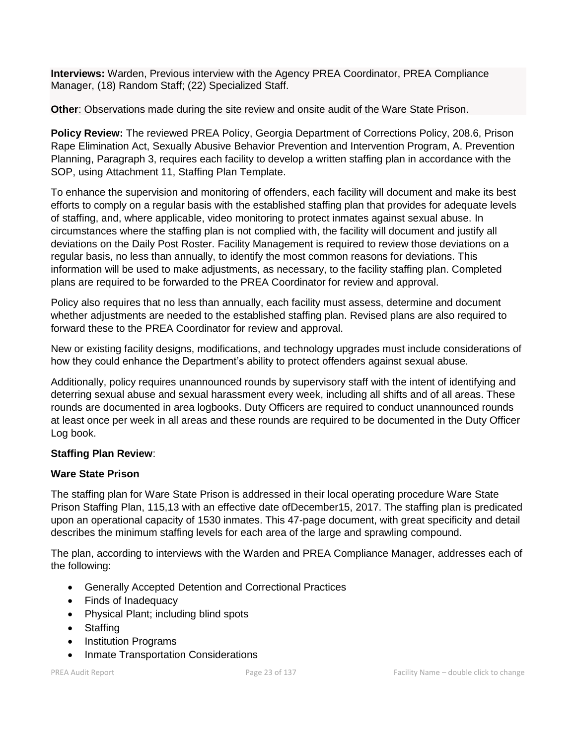**Interviews:** Warden, Previous interview with the Agency PREA Coordinator, PREA Compliance Manager, (18) Random Staff; (22) Specialized Staff.

**Other**: Observations made during the site review and onsite audit of the Ware State Prison.

**Policy Review:** The reviewed PREA Policy, Georgia Department of Corrections Policy, 208.6, Prison Rape Elimination Act, Sexually Abusive Behavior Prevention and Intervention Program, A. Prevention Planning, Paragraph 3, requires each facility to develop a written staffing plan in accordance with the SOP, using Attachment 11, Staffing Plan Template.

To enhance the supervision and monitoring of offenders, each facility will document and make its best efforts to comply on a regular basis with the established staffing plan that provides for adequate levels of staffing, and, where applicable, video monitoring to protect inmates against sexual abuse. In circumstances where the staffing plan is not complied with, the facility will document and justify all deviations on the Daily Post Roster. Facility Management is required to review those deviations on a regular basis, no less than annually, to identify the most common reasons for deviations. This information will be used to make adjustments, as necessary, to the facility staffing plan. Completed plans are required to be forwarded to the PREA Coordinator for review and approval.

Policy also requires that no less than annually, each facility must assess, determine and document whether adjustments are needed to the established staffing plan. Revised plans are also required to forward these to the PREA Coordinator for review and approval.

New or existing facility designs, modifications, and technology upgrades must include considerations of how they could enhance the Department's ability to protect offenders against sexual abuse.

Additionally, policy requires unannounced rounds by supervisory staff with the intent of identifying and deterring sexual abuse and sexual harassment every week, including all shifts and of all areas. These rounds are documented in area logbooks. Duty Officers are required to conduct unannounced rounds at least once per week in all areas and these rounds are required to be documented in the Duty Officer Log book.

# **Staffing Plan Review**:

# **Ware State Prison**

The staffing plan for Ware State Prison is addressed in their local operating procedure Ware State Prison Staffing Plan, 115,13 with an effective date ofDecember15, 2017. The staffing plan is predicated upon an operational capacity of 1530 inmates. This 47-page document, with great specificity and detail describes the minimum staffing levels for each area of the large and sprawling compound.

The plan, according to interviews with the Warden and PREA Compliance Manager, addresses each of the following:

- Generally Accepted Detention and Correctional Practices
- Finds of Inadequacy
- Physical Plant; including blind spots
- Staffing
- Institution Programs
- Inmate Transportation Considerations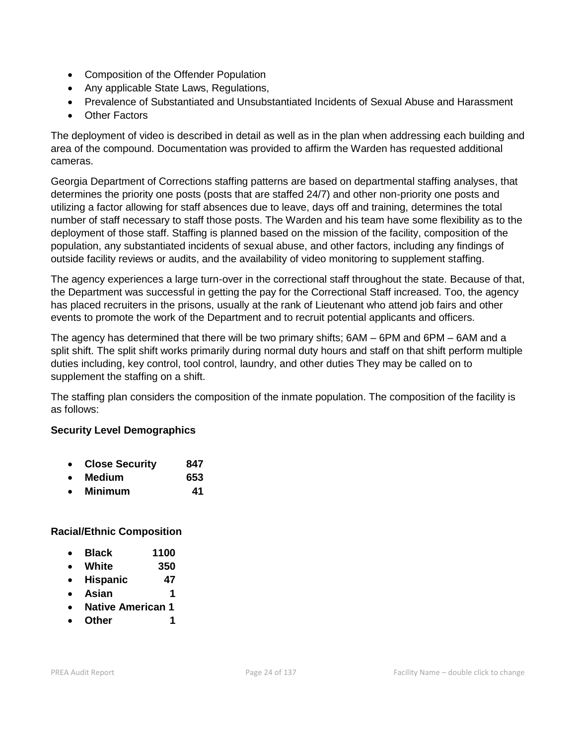- Composition of the Offender Population
- Any applicable State Laws, Regulations,
- Prevalence of Substantiated and Unsubstantiated Incidents of Sexual Abuse and Harassment
- Other Factors

The deployment of video is described in detail as well as in the plan when addressing each building and area of the compound. Documentation was provided to affirm the Warden has requested additional cameras.

Georgia Department of Corrections staffing patterns are based on departmental staffing analyses, that determines the priority one posts (posts that are staffed 24/7) and other non-priority one posts and utilizing a factor allowing for staff absences due to leave, days off and training, determines the total number of staff necessary to staff those posts. The Warden and his team have some flexibility as to the deployment of those staff. Staffing is planned based on the mission of the facility, composition of the population, any substantiated incidents of sexual abuse, and other factors, including any findings of outside facility reviews or audits, and the availability of video monitoring to supplement staffing.

The agency experiences a large turn-over in the correctional staff throughout the state. Because of that, the Department was successful in getting the pay for the Correctional Staff increased. Too, the agency has placed recruiters in the prisons, usually at the rank of Lieutenant who attend job fairs and other events to promote the work of the Department and to recruit potential applicants and officers.

The agency has determined that there will be two primary shifts; 6AM – 6PM and 6PM – 6AM and a split shift. The split shift works primarily during normal duty hours and staff on that shift perform multiple duties including, key control, tool control, laundry, and other duties They may be called on to supplement the staffing on a shift.

The staffing plan considers the composition of the inmate population. The composition of the facility is as follows:

# **Security Level Demographics**

- **Close Security 847**
- **Medium 653**
- **Minimum 41**

# **Racial/Ethnic Composition**

- **Black 1100**
- **White 350**
- **Hispanic 47**
- **Asian 1**
- **Native American 1**
- **Other 1**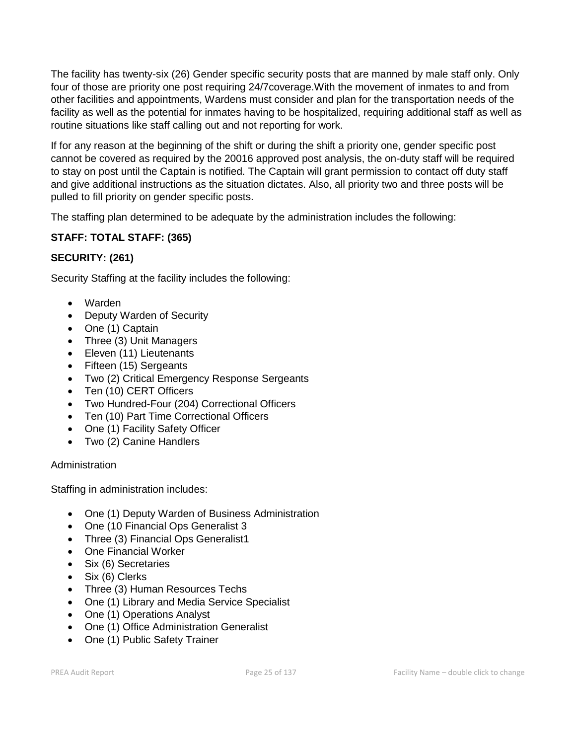The facility has twenty-six (26) Gender specific security posts that are manned by male staff only. Only four of those are priority one post requiring 24/7coverage.With the movement of inmates to and from other facilities and appointments, Wardens must consider and plan for the transportation needs of the facility as well as the potential for inmates having to be hospitalized, requiring additional staff as well as routine situations like staff calling out and not reporting for work.

If for any reason at the beginning of the shift or during the shift a priority one, gender specific post cannot be covered as required by the 20016 approved post analysis, the on-duty staff will be required to stay on post until the Captain is notified. The Captain will grant permission to contact off duty staff and give additional instructions as the situation dictates. Also, all priority two and three posts will be pulled to fill priority on gender specific posts.

The staffing plan determined to be adequate by the administration includes the following:

# **STAFF: TOTAL STAFF: (365)**

# **SECURITY: (261)**

Security Staffing at the facility includes the following:

- Warden
- Deputy Warden of Security
- One (1) Captain
- Three (3) Unit Managers
- Eleven (11) Lieutenants
- Fifteen (15) Sergeants
- Two (2) Critical Emergency Response Sergeants
- Ten (10) CERT Officers
- Two Hundred-Four (204) Correctional Officers
- Ten (10) Part Time Correctional Officers
- One (1) Facility Safety Officer
- Two (2) Canine Handlers

# Administration

Staffing in administration includes:

- One (1) Deputy Warden of Business Administration
- One (10 Financial Ops Generalist 3
- Three (3) Financial Ops Generalist1
- One Financial Worker
- Six (6) Secretaries
- Six (6) Clerks
- Three (3) Human Resources Techs
- One (1) Library and Media Service Specialist
- One (1) Operations Analyst
- One (1) Office Administration Generalist
- One (1) Public Safety Trainer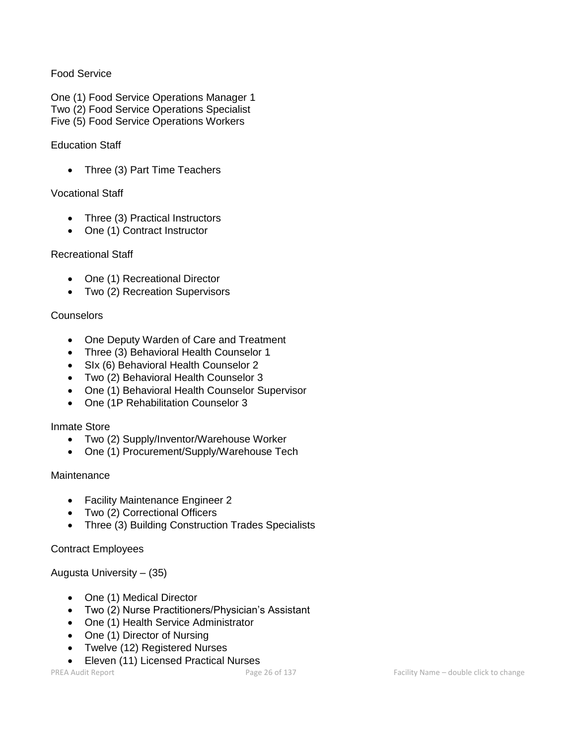# Food Service

One (1) Food Service Operations Manager 1 Two (2) Food Service Operations Specialist Five (5) Food Service Operations Workers

#### Education Staff

• Three (3) Part Time Teachers

#### Vocational Staff

- Three (3) Practical Instructors
- One (1) Contract Instructor

#### Recreational Staff

- One (1) Recreational Director
- Two (2) Recreation Supervisors

#### **Counselors**

- One Deputy Warden of Care and Treatment
- Three (3) Behavioral Health Counselor 1
- SIx (6) Behavioral Health Counselor 2
- Two (2) Behavioral Health Counselor 3
- One (1) Behavioral Health Counselor Supervisor
- One (1P Rehabilitation Counselor 3

# Inmate Store

- Two (2) Supply/Inventor/Warehouse Worker
- One (1) Procurement/Supply/Warehouse Tech

# **Maintenance**

- Facility Maintenance Engineer 2
- Two (2) Correctional Officers
- Three (3) Building Construction Trades Specialists

# Contract Employees

Augusta University – (35)

- One (1) Medical Director
- Two (2) Nurse Practitioners/Physician's Assistant
- One (1) Health Service Administrator
- One (1) Director of Nursing
- Twelve (12) Registered Nurses
- Eleven (11) Licensed Practical Nurses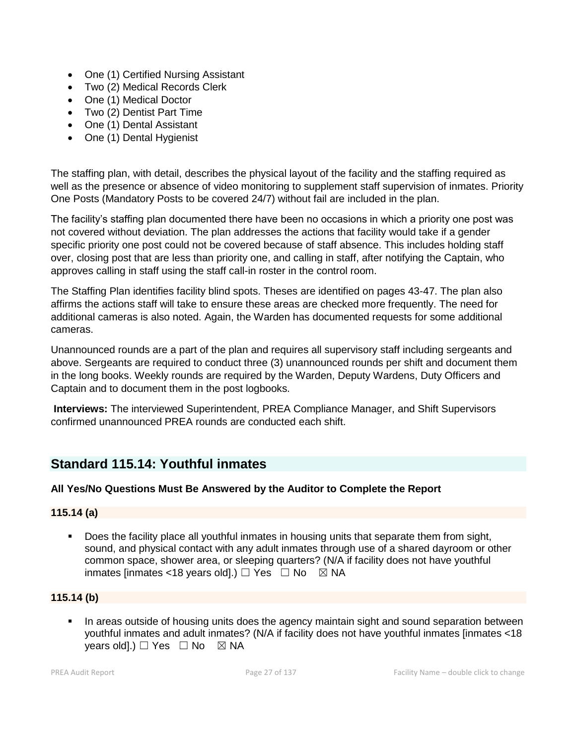- One (1) Certified Nursing Assistant
- Two (2) Medical Records Clerk
- One (1) Medical Doctor
- Two (2) Dentist Part Time
- One (1) Dental Assistant
- One (1) Dental Hygienist

The staffing plan, with detail, describes the physical layout of the facility and the staffing required as well as the presence or absence of video monitoring to supplement staff supervision of inmates. Priority One Posts (Mandatory Posts to be covered 24/7) without fail are included in the plan.

The facility's staffing plan documented there have been no occasions in which a priority one post was not covered without deviation. The plan addresses the actions that facility would take if a gender specific priority one post could not be covered because of staff absence. This includes holding staff over, closing post that are less than priority one, and calling in staff, after notifying the Captain, who approves calling in staff using the staff call-in roster in the control room.

The Staffing Plan identifies facility blind spots. Theses are identified on pages 43-47. The plan also affirms the actions staff will take to ensure these areas are checked more frequently. The need for additional cameras is also noted. Again, the Warden has documented requests for some additional cameras.

Unannounced rounds are a part of the plan and requires all supervisory staff including sergeants and above. Sergeants are required to conduct three (3) unannounced rounds per shift and document them in the long books. Weekly rounds are required by the Warden, Deputy Wardens, Duty Officers and Captain and to document them in the post logbooks.

**Interviews:** The interviewed Superintendent, PREA Compliance Manager, and Shift Supervisors confirmed unannounced PREA rounds are conducted each shift.

# **Standard 115.14: Youthful inmates**

# **All Yes/No Questions Must Be Answered by the Auditor to Complete the Report**

# **115.14 (a)**

Does the facility place all youthful inmates in housing units that separate them from sight, sound, and physical contact with any adult inmates through use of a shared dayroom or other common space, shower area, or sleeping quarters? (N/A if facility does not have youthful inmates [inmates <18 years old].)  $\Box$  Yes  $\Box$  No  $\boxtimes$  NA

# **115.14 (b)**

**•** In areas outside of housing units does the agency maintain sight and sound separation between youthful inmates and adult inmates? (N/A if facility does not have youthful inmates [inmates <18 years old].)  $\Box$  Yes  $\Box$  No  $\boxtimes$  NA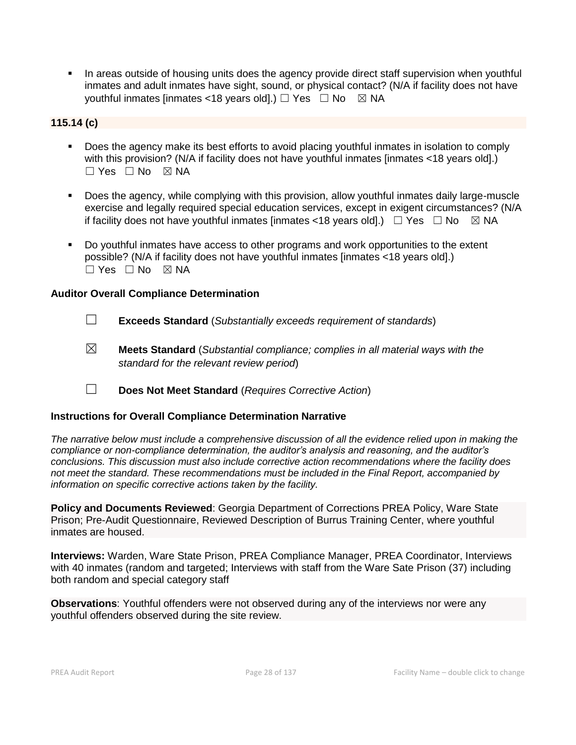**•** In areas outside of housing units does the agency provide direct staff supervision when youthful inmates and adult inmates have sight, sound, or physical contact? (N/A if facility does not have youthful inmates [inmates <18 years old].)  $\Box$  Yes  $\Box$  No  $\boxtimes$  NA

# **115.14 (c)**

- Does the agency make its best efforts to avoid placing youthful inmates in isolation to comply with this provision? (N/A if facility does not have youthful inmates [inmates <18 years old].) ☐ Yes ☐ No ☒ NA
- Does the agency, while complying with this provision, allow youthful inmates daily large-muscle exercise and legally required special education services, except in exigent circumstances? (N/A if facility does not have youthful inmates [inmates <18 years old].)  $\Box$  Yes  $\Box$  No  $\boxtimes$  NA
- Do youthful inmates have access to other programs and work opportunities to the extent possible? (N/A if facility does not have youthful inmates [inmates <18 years old].) ☐ Yes ☐ No ☒ NA

# **Auditor Overall Compliance Determination**

- ☐ **Exceeds Standard** (*Substantially exceeds requirement of standards*)
- ☒ **Meets Standard** (*Substantial compliance; complies in all material ways with the standard for the relevant review period*)
- ☐ **Does Not Meet Standard** (*Requires Corrective Action*)

# **Instructions for Overall Compliance Determination Narrative**

*The narrative below must include a comprehensive discussion of all the evidence relied upon in making the compliance or non-compliance determination, the auditor's analysis and reasoning, and the auditor's conclusions. This discussion must also include corrective action recommendations where the facility does not meet the standard. These recommendations must be included in the Final Report, accompanied by information on specific corrective actions taken by the facility.*

**Policy and Documents Reviewed**: Georgia Department of Corrections PREA Policy, Ware State Prison; Pre-Audit Questionnaire, Reviewed Description of Burrus Training Center, where youthful inmates are housed.

**Interviews:** Warden, Ware State Prison, PREA Compliance Manager, PREA Coordinator, Interviews with 40 inmates (random and targeted; Interviews with staff from the Ware Sate Prison (37) including both random and special category staff

**Observations**: Youthful offenders were not observed during any of the interviews nor were any youthful offenders observed during the site review.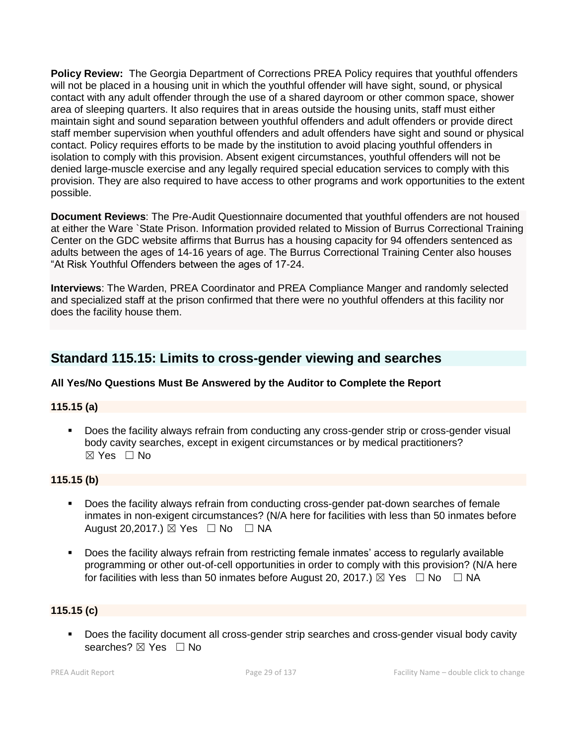**Policy Review:** The Georgia Department of Corrections PREA Policy requires that youthful offenders will not be placed in a housing unit in which the youthful offender will have sight, sound, or physical contact with any adult offender through the use of a shared dayroom or other common space, shower area of sleeping quarters. It also requires that in areas outside the housing units, staff must either maintain sight and sound separation between youthful offenders and adult offenders or provide direct staff member supervision when youthful offenders and adult offenders have sight and sound or physical contact. Policy requires efforts to be made by the institution to avoid placing youthful offenders in isolation to comply with this provision. Absent exigent circumstances, youthful offenders will not be denied large-muscle exercise and any legally required special education services to comply with this provision. They are also required to have access to other programs and work opportunities to the extent possible.

**Document Reviews**: The Pre-Audit Questionnaire documented that youthful offenders are not housed at either the Ware `State Prison. Information provided related to Mission of Burrus Correctional Training Center on the GDC website affirms that Burrus has a housing capacity for 94 offenders sentenced as adults between the ages of 14-16 years of age. The Burrus Correctional Training Center also houses "At Risk Youthful Offenders between the ages of 17-24.

**Interviews**: The Warden, PREA Coordinator and PREA Compliance Manger and randomly selected and specialized staff at the prison confirmed that there were no youthful offenders at this facility nor does the facility house them.

# **Standard 115.15: Limits to cross-gender viewing and searches**

# **All Yes/No Questions Must Be Answered by the Auditor to Complete the Report**

# **115.15 (a)**

Does the facility always refrain from conducting any cross-gender strip or cross-gender visual body cavity searches, except in exigent circumstances or by medical practitioners? ☒ Yes ☐ No

# **115.15 (b)**

- Does the facility always refrain from conducting cross-gender pat-down searches of female inmates in non-exigent circumstances? (N/A here for facilities with less than 50 inmates before August 20,2017.)  $\boxtimes$  Yes  $\Box$  No  $\Box$  NA
- Does the facility always refrain from restricting female inmates' access to regularly available programming or other out-of-cell opportunities in order to comply with this provision? (N/A here for facilities with less than 50 inmates before August 20, 2017.)  $\boxtimes$  Yes  $\Box$  No  $\Box$  NA

# **115.15 (c)**

▪ Does the facility document all cross-gender strip searches and cross-gender visual body cavity searches? ⊠ Yes □ No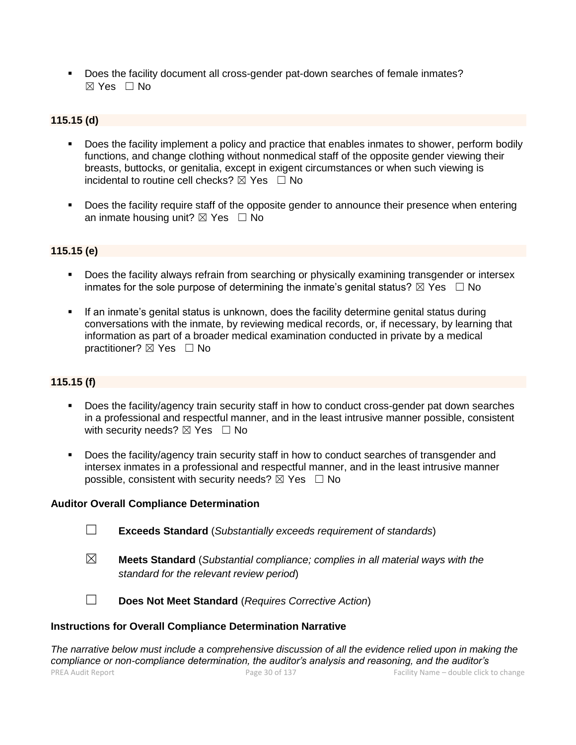▪ Does the facility document all cross-gender pat-down searches of female inmates?  $\boxtimes$  Yes  $\Box$  No

### **115.15 (d)**

- Does the facility implement a policy and practice that enables inmates to shower, perform bodily functions, and change clothing without nonmedical staff of the opposite gender viewing their breasts, buttocks, or genitalia, except in exigent circumstances or when such viewing is incidental to routine cell checks?  $\boxtimes$  Yes  $\Box$  No
- Does the facility require staff of the opposite gender to announce their presence when entering an inmate housing unit?  $\boxtimes$  Yes  $\Box$  No

#### **115.15 (e)**

- **Does the facility always refrain from searching or physically examining transgender or intersex** inmates for the sole purpose of determining the inmate's genital status?  $\boxtimes$  Yes  $\Box$  No
- **•** If an inmate's genital status is unknown, does the facility determine genital status during conversations with the inmate, by reviewing medical records, or, if necessary, by learning that information as part of a broader medical examination conducted in private by a medical practitioner? ⊠ Yes □ No

# **115.15 (f)**

- Does the facility/agency train security staff in how to conduct cross-gender pat down searches in a professional and respectful manner, and in the least intrusive manner possible, consistent with security needs?  $\boxtimes$  Yes  $\Box$  No
- Does the facility/agency train security staff in how to conduct searches of transgender and intersex inmates in a professional and respectful manner, and in the least intrusive manner possible, consistent with security needs?  $\boxtimes$  Yes  $\Box$  No

#### **Auditor Overall Compliance Determination**

- ☐ **Exceeds Standard** (*Substantially exceeds requirement of standards*)
- ☒ **Meets Standard** (*Substantial compliance; complies in all material ways with the standard for the relevant review period*)
- 
- ☐ **Does Not Meet Standard** (*Requires Corrective Action*)

#### **Instructions for Overall Compliance Determination Narrative**

PREA Audit Report **Page 30** of 137 Facility Name – double click to change *The narrative below must include a comprehensive discussion of all the evidence relied upon in making the compliance or non-compliance determination, the auditor's analysis and reasoning, and the auditor's*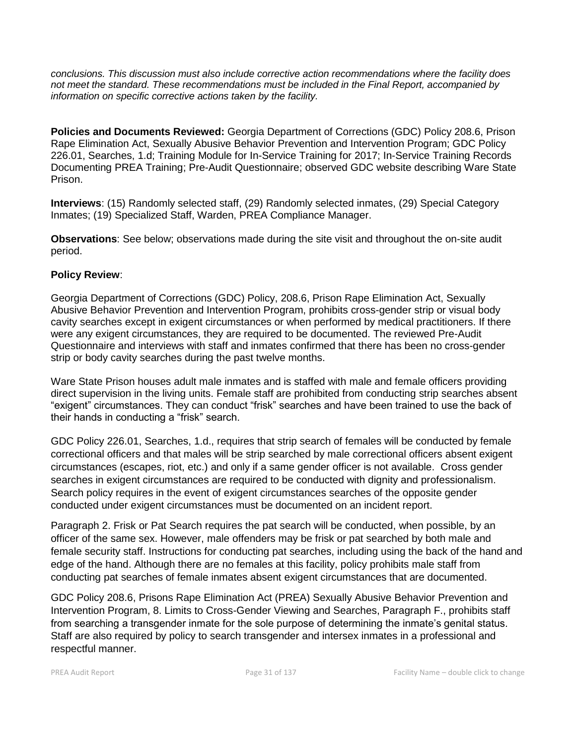*conclusions. This discussion must also include corrective action recommendations where the facility does not meet the standard. These recommendations must be included in the Final Report, accompanied by information on specific corrective actions taken by the facility.*

**Policies and Documents Reviewed:** Georgia Department of Corrections (GDC) Policy 208.6, Prison Rape Elimination Act, Sexually Abusive Behavior Prevention and Intervention Program; GDC Policy 226.01, Searches, 1.d; Training Module for In-Service Training for 2017; In-Service Training Records Documenting PREA Training; Pre-Audit Questionnaire; observed GDC website describing Ware State Prison.

**Interviews**: (15) Randomly selected staff, (29) Randomly selected inmates, (29) Special Category Inmates; (19) Specialized Staff, Warden, PREA Compliance Manager.

**Observations**: See below; observations made during the site visit and throughout the on-site audit period.

# **Policy Review**:

Georgia Department of Corrections (GDC) Policy, 208.6, Prison Rape Elimination Act, Sexually Abusive Behavior Prevention and Intervention Program, prohibits cross-gender strip or visual body cavity searches except in exigent circumstances or when performed by medical practitioners. If there were any exigent circumstances, they are required to be documented. The reviewed Pre-Audit Questionnaire and interviews with staff and inmates confirmed that there has been no cross-gender strip or body cavity searches during the past twelve months.

Ware State Prison houses adult male inmates and is staffed with male and female officers providing direct supervision in the living units. Female staff are prohibited from conducting strip searches absent "exigent" circumstances. They can conduct "frisk" searches and have been trained to use the back of their hands in conducting a "frisk" search.

GDC Policy 226.01, Searches, 1.d., requires that strip search of females will be conducted by female correctional officers and that males will be strip searched by male correctional officers absent exigent circumstances (escapes, riot, etc.) and only if a same gender officer is not available. Cross gender searches in exigent circumstances are required to be conducted with dignity and professionalism. Search policy requires in the event of exigent circumstances searches of the opposite gender conducted under exigent circumstances must be documented on an incident report.

Paragraph 2. Frisk or Pat Search requires the pat search will be conducted, when possible, by an officer of the same sex. However, male offenders may be frisk or pat searched by both male and female security staff. Instructions for conducting pat searches, including using the back of the hand and edge of the hand. Although there are no females at this facility, policy prohibits male staff from conducting pat searches of female inmates absent exigent circumstances that are documented.

GDC Policy 208.6, Prisons Rape Elimination Act (PREA) Sexually Abusive Behavior Prevention and Intervention Program, 8. Limits to Cross-Gender Viewing and Searches, Paragraph F., prohibits staff from searching a transgender inmate for the sole purpose of determining the inmate's genital status. Staff are also required by policy to search transgender and intersex inmates in a professional and respectful manner.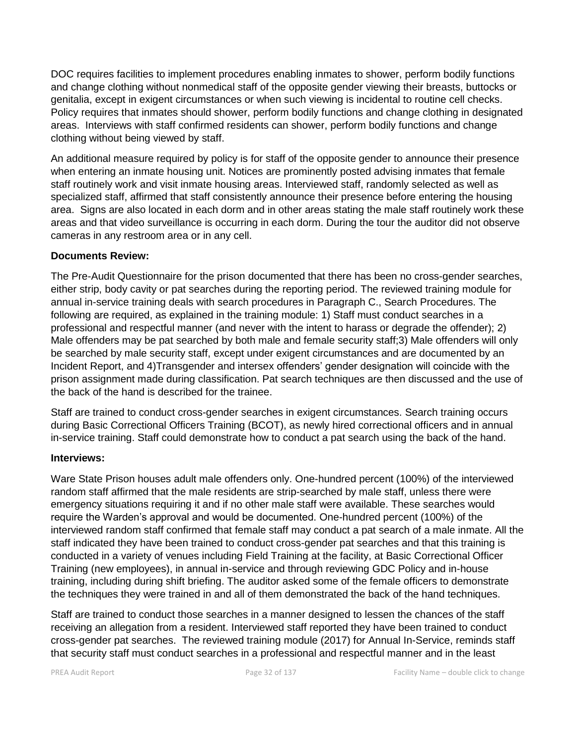DOC requires facilities to implement procedures enabling inmates to shower, perform bodily functions and change clothing without nonmedical staff of the opposite gender viewing their breasts, buttocks or genitalia, except in exigent circumstances or when such viewing is incidental to routine cell checks. Policy requires that inmates should shower, perform bodily functions and change clothing in designated areas. Interviews with staff confirmed residents can shower, perform bodily functions and change clothing without being viewed by staff.

An additional measure required by policy is for staff of the opposite gender to announce their presence when entering an inmate housing unit. Notices are prominently posted advising inmates that female staff routinely work and visit inmate housing areas. Interviewed staff, randomly selected as well as specialized staff, affirmed that staff consistently announce their presence before entering the housing area. Signs are also located in each dorm and in other areas stating the male staff routinely work these areas and that video surveillance is occurring in each dorm. During the tour the auditor did not observe cameras in any restroom area or in any cell.

# **Documents Review:**

The Pre-Audit Questionnaire for the prison documented that there has been no cross-gender searches, either strip, body cavity or pat searches during the reporting period. The reviewed training module for annual in-service training deals with search procedures in Paragraph C., Search Procedures. The following are required, as explained in the training module: 1) Staff must conduct searches in a professional and respectful manner (and never with the intent to harass or degrade the offender); 2) Male offenders may be pat searched by both male and female security staff;3) Male offenders will only be searched by male security staff, except under exigent circumstances and are documented by an Incident Report, and 4)Transgender and intersex offenders' gender designation will coincide with the prison assignment made during classification. Pat search techniques are then discussed and the use of the back of the hand is described for the trainee.

Staff are trained to conduct cross-gender searches in exigent circumstances. Search training occurs during Basic Correctional Officers Training (BCOT), as newly hired correctional officers and in annual in-service training. Staff could demonstrate how to conduct a pat search using the back of the hand.

# **Interviews:**

Ware State Prison houses adult male offenders only. One-hundred percent (100%) of the interviewed random staff affirmed that the male residents are strip-searched by male staff, unless there were emergency situations requiring it and if no other male staff were available. These searches would require the Warden's approval and would be documented. One-hundred percent (100%) of the interviewed random staff confirmed that female staff may conduct a pat search of a male inmate. All the staff indicated they have been trained to conduct cross-gender pat searches and that this training is conducted in a variety of venues including Field Training at the facility, at Basic Correctional Officer Training (new employees), in annual in-service and through reviewing GDC Policy and in-house training, including during shift briefing. The auditor asked some of the female officers to demonstrate the techniques they were trained in and all of them demonstrated the back of the hand techniques.

Staff are trained to conduct those searches in a manner designed to lessen the chances of the staff receiving an allegation from a resident. Interviewed staff reported they have been trained to conduct cross-gender pat searches. The reviewed training module (2017) for Annual In-Service, reminds staff that security staff must conduct searches in a professional and respectful manner and in the least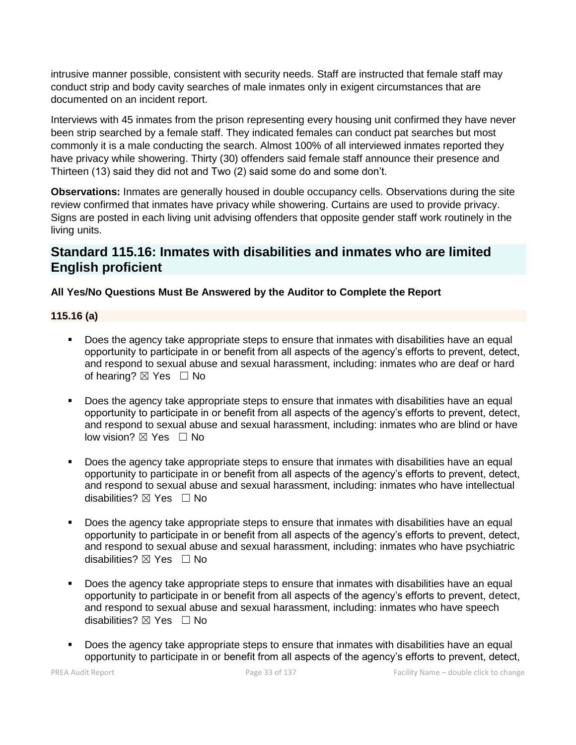intrusive manner possible, consistent with security needs. Staff are instructed that female staff may conduct strip and body cavity searches of male inmates only in exigent circumstances that are documented on an incident report.

Interviews with 45 inmates from the prison representing every housing unit confirmed they have never been strip searched by a female staff. They indicated females can conduct pat searches but most commonly it is a male conducting the search. Almost 100% of all interviewed inmates reported they have privacy while showering. Thirty (30) offenders said female staff announce their presence and Thirteen (13) said they did not and Two (2) said some do and some don't.

**Observations:** Inmates are generally housed in double occupancy cells. Observations during the site review confirmed that inmates have privacy while showering. Curtains are used to provide privacy. Signs are posted in each living unit advising offenders that opposite gender staff work routinely in the living units.

# **Standard 115.16: Inmates with disabilities and inmates who are limited English proficient**

# **All Yes/No Questions Must Be Answered by the Auditor to Complete the Report**

# **115.16 (a)**

- **•** Does the agency take appropriate steps to ensure that inmates with disabilities have an equal opportunity to participate in or benefit from all aspects of the agency's efforts to prevent, detect, and respond to sexual abuse and sexual harassment, including: inmates who are deaf or hard of hearing?  $\boxtimes$  Yes  $\Box$  No
- Does the agency take appropriate steps to ensure that inmates with disabilities have an equal opportunity to participate in or benefit from all aspects of the agency's efforts to prevent, detect, and respond to sexual abuse and sexual harassment, including: inmates who are blind or have low vision?  $\boxtimes$  Yes  $\Box$  No
- Does the agency take appropriate steps to ensure that inmates with disabilities have an equal opportunity to participate in or benefit from all aspects of the agency's efforts to prevent, detect, and respond to sexual abuse and sexual harassment, including: inmates who have intellectual disabilities? ☒ Yes ☐ No
- Does the agency take appropriate steps to ensure that inmates with disabilities have an equal opportunity to participate in or benefit from all aspects of the agency's efforts to prevent, detect, and respond to sexual abuse and sexual harassment, including: inmates who have psychiatric disabilities?  $\boxtimes$  Yes  $\Box$  No
- Does the agency take appropriate steps to ensure that inmates with disabilities have an equal opportunity to participate in or benefit from all aspects of the agency's efforts to prevent, detect, and respond to sexual abuse and sexual harassment, including: inmates who have speech disabilities? ⊠ Yes □ No
- **•** Does the agency take appropriate steps to ensure that inmates with disabilities have an equal opportunity to participate in or benefit from all aspects of the agency's efforts to prevent, detect,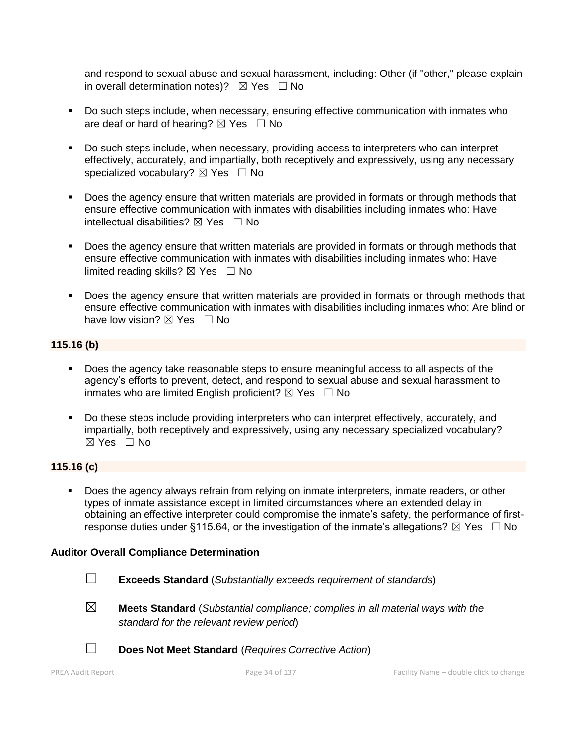and respond to sexual abuse and sexual harassment, including: Other (if "other," please explain in overall determination notes)?  $\boxtimes$  Yes  $\Box$  No

- Do such steps include, when necessary, ensuring effective communication with inmates who are deaf or hard of hearing?  $\boxtimes$  Yes  $\Box$  No
- Do such steps include, when necessary, providing access to interpreters who can interpret effectively, accurately, and impartially, both receptively and expressively, using any necessary specialized vocabulary?  $\boxtimes$  Yes  $\Box$  No
- Does the agency ensure that written materials are provided in formats or through methods that ensure effective communication with inmates with disabilities including inmates who: Have intellectual disabilities?  $\boxtimes$  Yes  $\Box$  No
- **•** Does the agency ensure that written materials are provided in formats or through methods that ensure effective communication with inmates with disabilities including inmates who: Have limited reading skills?  $\boxtimes$  Yes  $\Box$  No
- Does the agency ensure that written materials are provided in formats or through methods that ensure effective communication with inmates with disabilities including inmates who: Are blind or have low vision?  $\boxtimes$  Yes  $\Box$  No

# **115.16 (b)**

- Does the agency take reasonable steps to ensure meaningful access to all aspects of the agency's efforts to prevent, detect, and respond to sexual abuse and sexual harassment to inmates who are limited English proficient?  $\boxtimes$  Yes  $\Box$  No
- Do these steps include providing interpreters who can interpret effectively, accurately, and impartially, both receptively and expressively, using any necessary specialized vocabulary?  $\boxtimes$  Yes  $\Box$  No

# **115.16 (c)**

Does the agency always refrain from relying on inmate interpreters, inmate readers, or other types of inmate assistance except in limited circumstances where an extended delay in obtaining an effective interpreter could compromise the inmate's safety, the performance of firstresponse duties under §115.64, or the investigation of the inmate's allegations?  $\boxtimes$  Yes  $\Box$  No

# **Auditor Overall Compliance Determination**

- ☐ **Exceeds Standard** (*Substantially exceeds requirement of standards*)
- ☒ **Meets Standard** (*Substantial compliance; complies in all material ways with the standard for the relevant review period*)
- ☐ **Does Not Meet Standard** (*Requires Corrective Action*)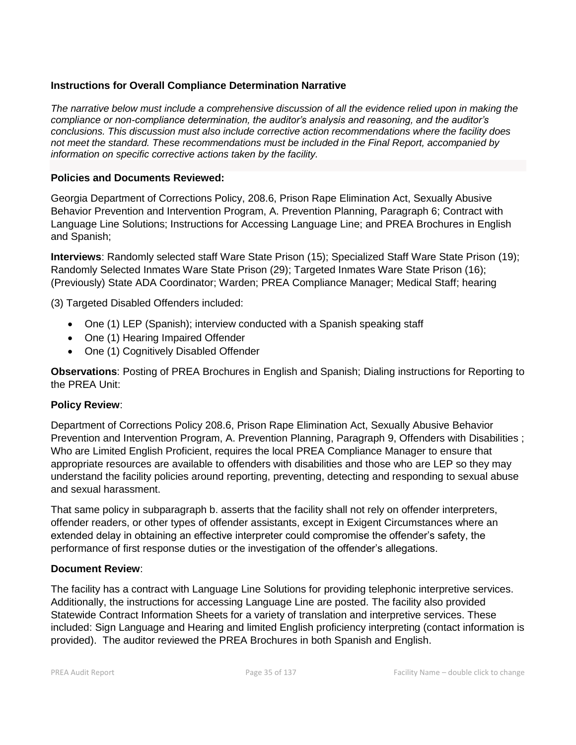# **Instructions for Overall Compliance Determination Narrative**

*The narrative below must include a comprehensive discussion of all the evidence relied upon in making the compliance or non-compliance determination, the auditor's analysis and reasoning, and the auditor's conclusions. This discussion must also include corrective action recommendations where the facility does not meet the standard. These recommendations must be included in the Final Report, accompanied by information on specific corrective actions taken by the facility.*

# **Policies and Documents Reviewed:**

Georgia Department of Corrections Policy, 208.6, Prison Rape Elimination Act, Sexually Abusive Behavior Prevention and Intervention Program, A. Prevention Planning, Paragraph 6; Contract with Language Line Solutions; Instructions for Accessing Language Line; and PREA Brochures in English and Spanish;

**Interviews**: Randomly selected staff Ware State Prison (15); Specialized Staff Ware State Prison (19); Randomly Selected Inmates Ware State Prison (29); Targeted Inmates Ware State Prison (16); (Previously) State ADA Coordinator; Warden; PREA Compliance Manager; Medical Staff; hearing

(3) Targeted Disabled Offenders included:

- One (1) LEP (Spanish); interview conducted with a Spanish speaking staff
- One (1) Hearing Impaired Offender
- One (1) Cognitively Disabled Offender

**Observations**: Posting of PREA Brochures in English and Spanish; Dialing instructions for Reporting to the PREA Unit:

# **Policy Review**:

Department of Corrections Policy 208.6, Prison Rape Elimination Act, Sexually Abusive Behavior Prevention and Intervention Program, A. Prevention Planning, Paragraph 9, Offenders with Disabilities ; Who are Limited English Proficient, requires the local PREA Compliance Manager to ensure that appropriate resources are available to offenders with disabilities and those who are LEP so they may understand the facility policies around reporting, preventing, detecting and responding to sexual abuse and sexual harassment.

That same policy in subparagraph b. asserts that the facility shall not rely on offender interpreters, offender readers, or other types of offender assistants, except in Exigent Circumstances where an extended delay in obtaining an effective interpreter could compromise the offender's safety, the performance of first response duties or the investigation of the offender's allegations.

# **Document Review**:

The facility has a contract with Language Line Solutions for providing telephonic interpretive services. Additionally, the instructions for accessing Language Line are posted. The facility also provided Statewide Contract Information Sheets for a variety of translation and interpretive services. These included: Sign Language and Hearing and limited English proficiency interpreting (contact information is provided). The auditor reviewed the PREA Brochures in both Spanish and English.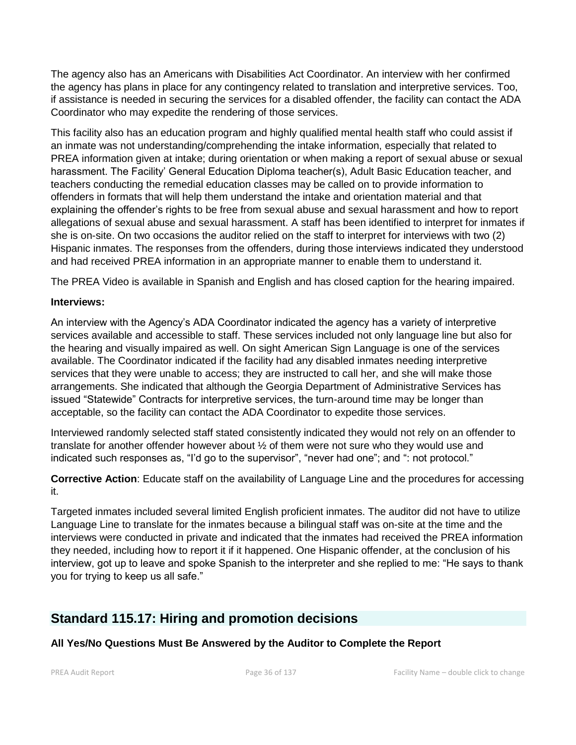The agency also has an Americans with Disabilities Act Coordinator. An interview with her confirmed the agency has plans in place for any contingency related to translation and interpretive services. Too, if assistance is needed in securing the services for a disabled offender, the facility can contact the ADA Coordinator who may expedite the rendering of those services.

This facility also has an education program and highly qualified mental health staff who could assist if an inmate was not understanding/comprehending the intake information, especially that related to PREA information given at intake; during orientation or when making a report of sexual abuse or sexual harassment. The Facility' General Education Diploma teacher(s), Adult Basic Education teacher, and teachers conducting the remedial education classes may be called on to provide information to offenders in formats that will help them understand the intake and orientation material and that explaining the offender's rights to be free from sexual abuse and sexual harassment and how to report allegations of sexual abuse and sexual harassment. A staff has been identified to interpret for inmates if she is on-site. On two occasions the auditor relied on the staff to interpret for interviews with two (2) Hispanic inmates. The responses from the offenders, during those interviews indicated they understood and had received PREA information in an appropriate manner to enable them to understand it.

The PREA Video is available in Spanish and English and has closed caption for the hearing impaired.

# **Interviews:**

An interview with the Agency's ADA Coordinator indicated the agency has a variety of interpretive services available and accessible to staff. These services included not only language line but also for the hearing and visually impaired as well. On sight American Sign Language is one of the services available. The Coordinator indicated if the facility had any disabled inmates needing interpretive services that they were unable to access; they are instructed to call her, and she will make those arrangements. She indicated that although the Georgia Department of Administrative Services has issued "Statewide" Contracts for interpretive services, the turn-around time may be longer than acceptable, so the facility can contact the ADA Coordinator to expedite those services.

Interviewed randomly selected staff stated consistently indicated they would not rely on an offender to translate for another offender however about ½ of them were not sure who they would use and indicated such responses as, "I'd go to the supervisor", "never had one"; and ": not protocol."

**Corrective Action**: Educate staff on the availability of Language Line and the procedures for accessing it.

Targeted inmates included several limited English proficient inmates. The auditor did not have to utilize Language Line to translate for the inmates because a bilingual staff was on-site at the time and the interviews were conducted in private and indicated that the inmates had received the PREA information they needed, including how to report it if it happened. One Hispanic offender, at the conclusion of his interview, got up to leave and spoke Spanish to the interpreter and she replied to me: "He says to thank you for trying to keep us all safe."

# **Standard 115.17: Hiring and promotion decisions**

# **All Yes/No Questions Must Be Answered by the Auditor to Complete the Report**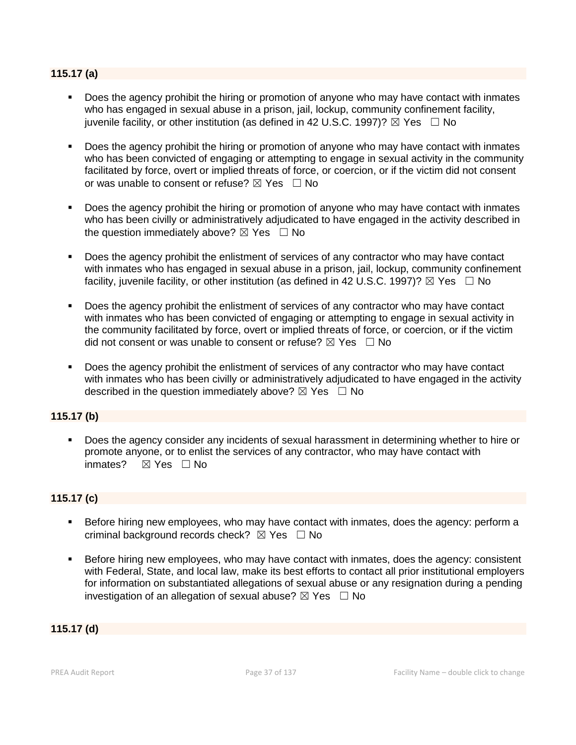# **115.17 (a)**

- Does the agency prohibit the hiring or promotion of anyone who may have contact with inmates who has engaged in sexual abuse in a prison, jail, lockup, community confinement facility, juvenile facility, or other institution (as defined in 42 U.S.C. 1997)?  $\boxtimes$  Yes  $\Box$  No
- **•** Does the agency prohibit the hiring or promotion of anyone who may have contact with inmates who has been convicted of engaging or attempting to engage in sexual activity in the community facilitated by force, overt or implied threats of force, or coercion, or if the victim did not consent or was unable to consent or refuse?  $\boxtimes$  Yes  $\Box$  No
- Does the agency prohibit the hiring or promotion of anyone who may have contact with inmates who has been civilly or administratively adjudicated to have engaged in the activity described in the question immediately above?  $\boxtimes$  Yes  $\Box$  No
- Does the agency prohibit the enlistment of services of any contractor who may have contact with inmates who has engaged in sexual abuse in a prison, jail, lockup, community confinement facility, iuvenile facility, or other institution (as defined in 42 U.S.C. 1997)?  $\boxtimes$  Yes  $\Box$  No
- Does the agency prohibit the enlistment of services of any contractor who may have contact with inmates who has been convicted of engaging or attempting to engage in sexual activity in the community facilitated by force, overt or implied threats of force, or coercion, or if the victim did not consent or was unable to consent or refuse?  $\boxtimes$  Yes  $\Box$  No
- Does the agency prohibit the enlistment of services of any contractor who may have contact with inmates who has been civilly or administratively adjudicated to have engaged in the activity described in the question immediately above?  $\boxtimes$  Yes  $\Box$  No

# **115.17 (b)**

■ Does the agency consider any incidents of sexual harassment in determining whether to hire or promote anyone, or to enlist the services of any contractor, who may have contact with inmates? ☒ Yes ☐ No

# **115.17 (c)**

- Before hiring new employees, who may have contact with inmates, does the agency: perform a criminal background records check?  $\boxtimes$  Yes  $\Box$  No
- **EXEL Before hiring new employees, who may have contact with inmates, does the agency: consistent** with Federal, State, and local law, make its best efforts to contact all prior institutional employers for information on substantiated allegations of sexual abuse or any resignation during a pending investigation of an allegation of sexual abuse?  $\boxtimes$  Yes  $\Box$  No

# **115.17 (d)**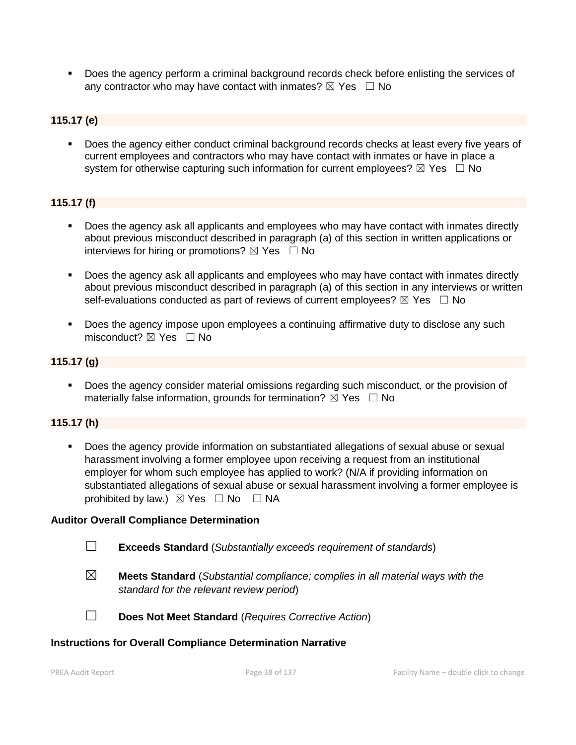▪ Does the agency perform a criminal background records check before enlisting the services of any contractor who may have contact with inmates?  $\boxtimes$  Yes  $\Box$  No

# **115.17 (e)**

▪ Does the agency either conduct criminal background records checks at least every five years of current employees and contractors who may have contact with inmates or have in place a system for otherwise capturing such information for current employees?  $\boxtimes$  Yes  $\Box$  No

# **115.17 (f)**

- Does the agency ask all applicants and employees who may have contact with inmates directly about previous misconduct described in paragraph (a) of this section in written applications or interviews for hiring or promotions?  $\boxtimes$  Yes  $\Box$  No
- Does the agency ask all applicants and employees who may have contact with inmates directly about previous misconduct described in paragraph (a) of this section in any interviews or written self-evaluations conducted as part of reviews of current employees?  $\boxtimes$  Yes  $\Box$  No
- Does the agency impose upon employees a continuing affirmative duty to disclose any such misconduct?  $\boxtimes$  Yes  $\Box$  No

#### **115.17 (g)**

■ Does the agency consider material omissions regarding such misconduct, or the provision of materially false information, grounds for termination?  $\boxtimes$  Yes  $\Box$  No

#### **115.17 (h)**

Does the agency provide information on substantiated allegations of sexual abuse or sexual harassment involving a former employee upon receiving a request from an institutional employer for whom such employee has applied to work? (N/A if providing information on substantiated allegations of sexual abuse or sexual harassment involving a former employee is prohibited by law.)  $\boxtimes$  Yes  $\Box$  No  $\Box$  NA

#### **Auditor Overall Compliance Determination**

- ☐ **Exceeds Standard** (*Substantially exceeds requirement of standards*)
- ☒ **Meets Standard** (*Substantial compliance; complies in all material ways with the standard for the relevant review period*)
- 
- ☐ **Does Not Meet Standard** (*Requires Corrective Action*)

#### **Instructions for Overall Compliance Determination Narrative**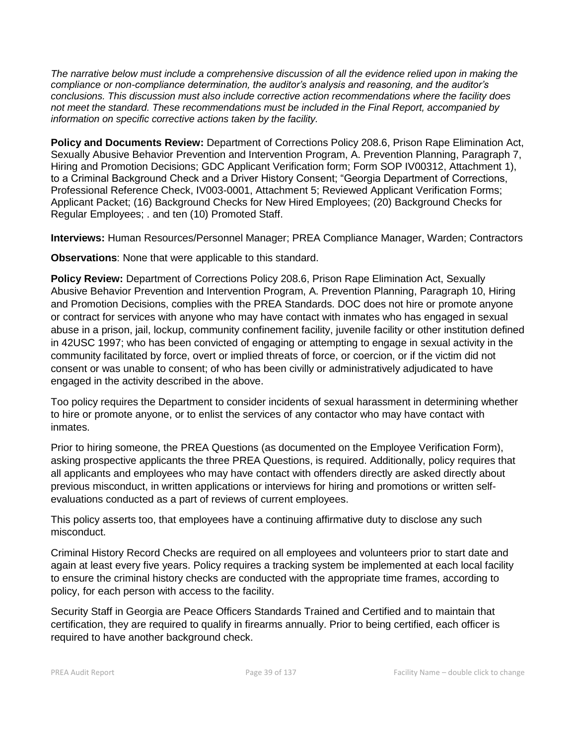*The narrative below must include a comprehensive discussion of all the evidence relied upon in making the compliance or non-compliance determination, the auditor's analysis and reasoning, and the auditor's conclusions. This discussion must also include corrective action recommendations where the facility does not meet the standard. These recommendations must be included in the Final Report, accompanied by information on specific corrective actions taken by the facility.*

**Policy and Documents Review:** Department of Corrections Policy 208.6, Prison Rape Elimination Act, Sexually Abusive Behavior Prevention and Intervention Program, A. Prevention Planning, Paragraph 7, Hiring and Promotion Decisions; GDC Applicant Verification form; Form SOP IV00312, Attachment 1), to a Criminal Background Check and a Driver History Consent; "Georgia Department of Corrections, Professional Reference Check, IV003-0001, Attachment 5; Reviewed Applicant Verification Forms; Applicant Packet; (16) Background Checks for New Hired Employees; (20) Background Checks for Regular Employees; . and ten (10) Promoted Staff.

**Interviews:** Human Resources/Personnel Manager; PREA Compliance Manager, Warden; Contractors

**Observations**: None that were applicable to this standard.

**Policy Review:** Department of Corrections Policy 208.6, Prison Rape Elimination Act, Sexually Abusive Behavior Prevention and Intervention Program, A. Prevention Planning, Paragraph 10, Hiring and Promotion Decisions, complies with the PREA Standards. DOC does not hire or promote anyone or contract for services with anyone who may have contact with inmates who has engaged in sexual abuse in a prison, jail, lockup, community confinement facility, juvenile facility or other institution defined in 42USC 1997; who has been convicted of engaging or attempting to engage in sexual activity in the community facilitated by force, overt or implied threats of force, or coercion, or if the victim did not consent or was unable to consent; of who has been civilly or administratively adjudicated to have engaged in the activity described in the above.

Too policy requires the Department to consider incidents of sexual harassment in determining whether to hire or promote anyone, or to enlist the services of any contactor who may have contact with inmates.

Prior to hiring someone, the PREA Questions (as documented on the Employee Verification Form), asking prospective applicants the three PREA Questions, is required. Additionally, policy requires that all applicants and employees who may have contact with offenders directly are asked directly about previous misconduct, in written applications or interviews for hiring and promotions or written selfevaluations conducted as a part of reviews of current employees.

This policy asserts too, that employees have a continuing affirmative duty to disclose any such misconduct.

Criminal History Record Checks are required on all employees and volunteers prior to start date and again at least every five years. Policy requires a tracking system be implemented at each local facility to ensure the criminal history checks are conducted with the appropriate time frames, according to policy, for each person with access to the facility.

Security Staff in Georgia are Peace Officers Standards Trained and Certified and to maintain that certification, they are required to qualify in firearms annually. Prior to being certified, each officer is required to have another background check.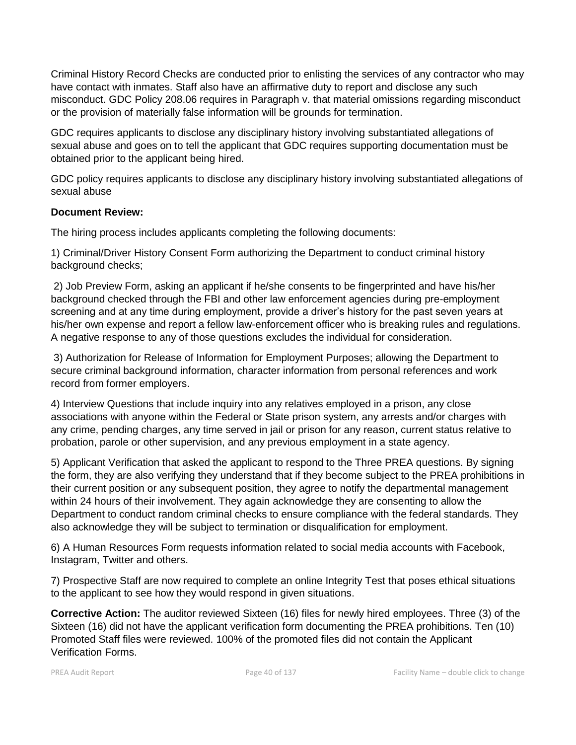Criminal History Record Checks are conducted prior to enlisting the services of any contractor who may have contact with inmates. Staff also have an affirmative duty to report and disclose any such misconduct. GDC Policy 208.06 requires in Paragraph v. that material omissions regarding misconduct or the provision of materially false information will be grounds for termination.

GDC requires applicants to disclose any disciplinary history involving substantiated allegations of sexual abuse and goes on to tell the applicant that GDC requires supporting documentation must be obtained prior to the applicant being hired.

GDC policy requires applicants to disclose any disciplinary history involving substantiated allegations of sexual abuse

# **Document Review:**

The hiring process includes applicants completing the following documents:

1) Criminal/Driver History Consent Form authorizing the Department to conduct criminal history background checks;

2) Job Preview Form, asking an applicant if he/she consents to be fingerprinted and have his/her background checked through the FBI and other law enforcement agencies during pre-employment screening and at any time during employment, provide a driver's history for the past seven years at his/her own expense and report a fellow law-enforcement officer who is breaking rules and regulations. A negative response to any of those questions excludes the individual for consideration.

3) Authorization for Release of Information for Employment Purposes; allowing the Department to secure criminal background information, character information from personal references and work record from former employers.

4) Interview Questions that include inquiry into any relatives employed in a prison, any close associations with anyone within the Federal or State prison system, any arrests and/or charges with any crime, pending charges, any time served in jail or prison for any reason, current status relative to probation, parole or other supervision, and any previous employment in a state agency.

5) Applicant Verification that asked the applicant to respond to the Three PREA questions. By signing the form, they are also verifying they understand that if they become subject to the PREA prohibitions in their current position or any subsequent position, they agree to notify the departmental management within 24 hours of their involvement. They again acknowledge they are consenting to allow the Department to conduct random criminal checks to ensure compliance with the federal standards. They also acknowledge they will be subject to termination or disqualification for employment.

6) A Human Resources Form requests information related to social media accounts with Facebook, Instagram, Twitter and others.

7) Prospective Staff are now required to complete an online Integrity Test that poses ethical situations to the applicant to see how they would respond in given situations.

**Corrective Action:** The auditor reviewed Sixteen (16) files for newly hired employees. Three (3) of the Sixteen (16) did not have the applicant verification form documenting the PREA prohibitions. Ten (10) Promoted Staff files were reviewed. 100% of the promoted files did not contain the Applicant Verification Forms.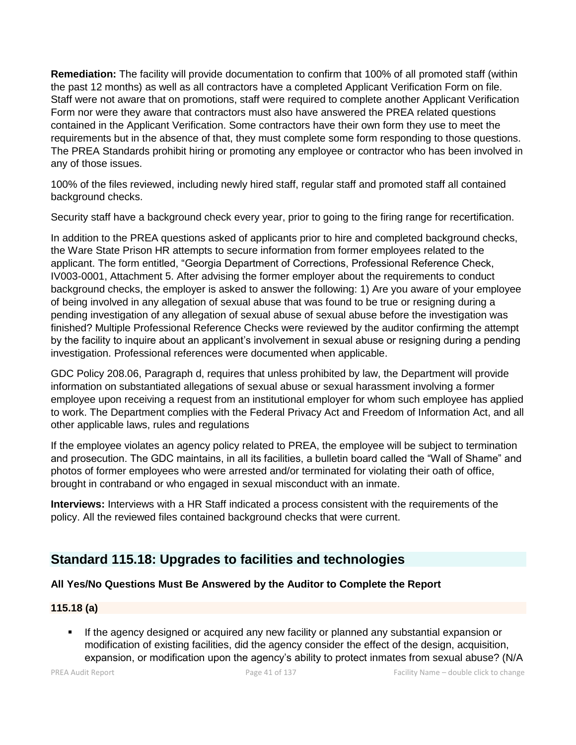**Remediation:** The facility will provide documentation to confirm that 100% of all promoted staff (within the past 12 months) as well as all contractors have a completed Applicant Verification Form on file. Staff were not aware that on promotions, staff were required to complete another Applicant Verification Form nor were they aware that contractors must also have answered the PREA related questions contained in the Applicant Verification. Some contractors have their own form they use to meet the requirements but in the absence of that, they must complete some form responding to those questions. The PREA Standards prohibit hiring or promoting any employee or contractor who has been involved in any of those issues.

100% of the files reviewed, including newly hired staff, regular staff and promoted staff all contained background checks.

Security staff have a background check every year, prior to going to the firing range for recertification.

In addition to the PREA questions asked of applicants prior to hire and completed background checks, the Ware State Prison HR attempts to secure information from former employees related to the applicant. The form entitled, "Georgia Department of Corrections, Professional Reference Check, IV003-0001, Attachment 5. After advising the former employer about the requirements to conduct background checks, the employer is asked to answer the following: 1) Are you aware of your employee of being involved in any allegation of sexual abuse that was found to be true or resigning during a pending investigation of any allegation of sexual abuse of sexual abuse before the investigation was finished? Multiple Professional Reference Checks were reviewed by the auditor confirming the attempt by the facility to inquire about an applicant's involvement in sexual abuse or resigning during a pending investigation. Professional references were documented when applicable.

GDC Policy 208.06, Paragraph d, requires that unless prohibited by law, the Department will provide information on substantiated allegations of sexual abuse or sexual harassment involving a former employee upon receiving a request from an institutional employer for whom such employee has applied to work. The Department complies with the Federal Privacy Act and Freedom of Information Act, and all other applicable laws, rules and regulations

If the employee violates an agency policy related to PREA, the employee will be subject to termination and prosecution. The GDC maintains, in all its facilities, a bulletin board called the "Wall of Shame" and photos of former employees who were arrested and/or terminated for violating their oath of office, brought in contraband or who engaged in sexual misconduct with an inmate.

**Interviews:** Interviews with a HR Staff indicated a process consistent with the requirements of the policy. All the reviewed files contained background checks that were current.

# **Standard 115.18: Upgrades to facilities and technologies**

# **All Yes/No Questions Must Be Answered by the Auditor to Complete the Report**

# **115.18 (a)**

If the agency designed or acquired any new facility or planned any substantial expansion or modification of existing facilities, did the agency consider the effect of the design, acquisition, expansion, or modification upon the agency's ability to protect inmates from sexual abuse? (N/A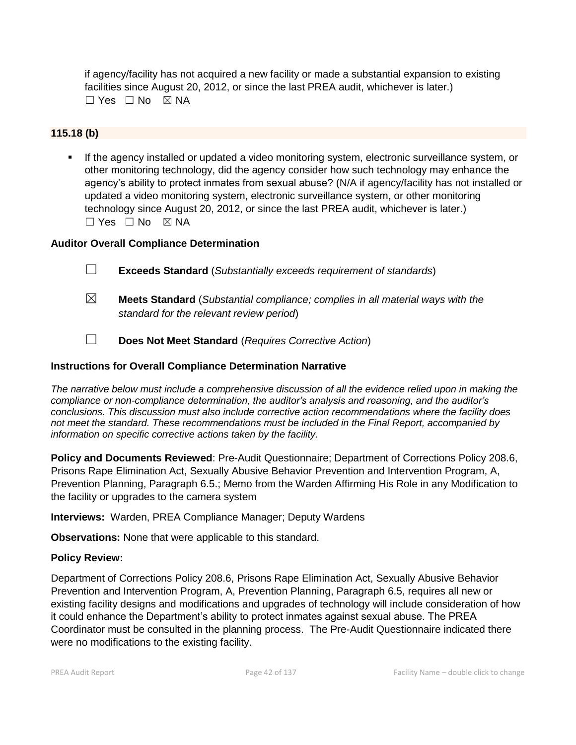if agency/facility has not acquired a new facility or made a substantial expansion to existing facilities since August 20, 2012, or since the last PREA audit, whichever is later.)  $\Box$  Yes  $\Box$  No  $\boxtimes$  NA

# **115.18 (b)**

If the agency installed or updated a video monitoring system, electronic surveillance system, or other monitoring technology, did the agency consider how such technology may enhance the agency's ability to protect inmates from sexual abuse? (N/A if agency/facility has not installed or updated a video monitoring system, electronic surveillance system, or other monitoring technology since August 20, 2012, or since the last PREA audit, whichever is later.)  $\square$  Yes  $\square$  No  $\square$  NA

# **Auditor Overall Compliance Determination**

- ☐ **Exceeds Standard** (*Substantially exceeds requirement of standards*)
- ☒ **Meets Standard** (*Substantial compliance; complies in all material ways with the standard for the relevant review period*)
- ☐ **Does Not Meet Standard** (*Requires Corrective Action*)

#### **Instructions for Overall Compliance Determination Narrative**

*The narrative below must include a comprehensive discussion of all the evidence relied upon in making the compliance or non-compliance determination, the auditor's analysis and reasoning, and the auditor's conclusions. This discussion must also include corrective action recommendations where the facility does not meet the standard. These recommendations must be included in the Final Report, accompanied by information on specific corrective actions taken by the facility.*

**Policy and Documents Reviewed**: Pre-Audit Questionnaire; Department of Corrections Policy 208.6, Prisons Rape Elimination Act, Sexually Abusive Behavior Prevention and Intervention Program, A, Prevention Planning, Paragraph 6.5.; Memo from the Warden Affirming His Role in any Modification to the facility or upgrades to the camera system

**Interviews:** Warden, PREA Compliance Manager; Deputy Wardens

**Observations:** None that were applicable to this standard.

#### **Policy Review:**

Department of Corrections Policy 208.6, Prisons Rape Elimination Act, Sexually Abusive Behavior Prevention and Intervention Program, A, Prevention Planning, Paragraph 6.5, requires all new or existing facility designs and modifications and upgrades of technology will include consideration of how it could enhance the Department's ability to protect inmates against sexual abuse. The PREA Coordinator must be consulted in the planning process. The Pre-Audit Questionnaire indicated there were no modifications to the existing facility.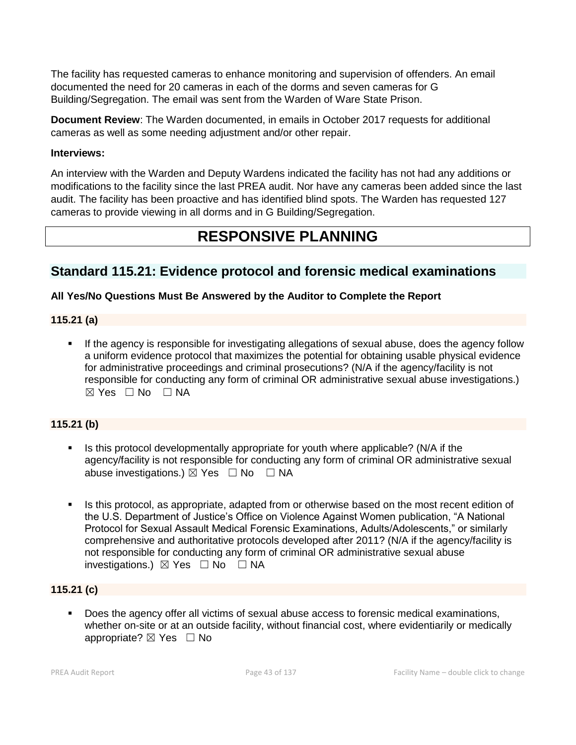The facility has requested cameras to enhance monitoring and supervision of offenders. An email documented the need for 20 cameras in each of the dorms and seven cameras for G Building/Segregation. The email was sent from the Warden of Ware State Prison.

**Document Review**: The Warden documented, in emails in October 2017 requests for additional cameras as well as some needing adjustment and/or other repair.

# **Interviews:**

An interview with the Warden and Deputy Wardens indicated the facility has not had any additions or modifications to the facility since the last PREA audit. Nor have any cameras been added since the last audit. The facility has been proactive and has identified blind spots. The Warden has requested 127 cameras to provide viewing in all dorms and in G Building/Segregation.

# **RESPONSIVE PLANNING**

# **Standard 115.21: Evidence protocol and forensic medical examinations**

# **All Yes/No Questions Must Be Answered by the Auditor to Complete the Report**

# **115.21 (a)**

**.** If the agency is responsible for investigating allegations of sexual abuse, does the agency follow a uniform evidence protocol that maximizes the potential for obtaining usable physical evidence for administrative proceedings and criminal prosecutions? (N/A if the agency/facility is not responsible for conducting any form of criminal OR administrative sexual abuse investigations.)  $\boxtimes$  Yes  $\Box$  No  $\Box$  NA

# **115.21 (b)**

- **EXECT** Is this protocol developmentally appropriate for youth where applicable? (N/A if the agency/facility is not responsible for conducting any form of criminal OR administrative sexual abuse investigations.)  $\boxtimes$  Yes  $\Box$  No  $\Box$  NA
- Is this protocol, as appropriate, adapted from or otherwise based on the most recent edition of the U.S. Department of Justice's Office on Violence Against Women publication, "A National Protocol for Sexual Assault Medical Forensic Examinations, Adults/Adolescents," or similarly comprehensive and authoritative protocols developed after 2011? (N/A if the agency/facility is not responsible for conducting any form of criminal OR administrative sexual abuse investigations.) ☒ Yes ☐ No ☐ NA

# **115.21 (c)**

Does the agency offer all victims of sexual abuse access to forensic medical examinations, whether on-site or at an outside facility, without financial cost, where evidentiarily or medically appropriate? ⊠ Yes □ No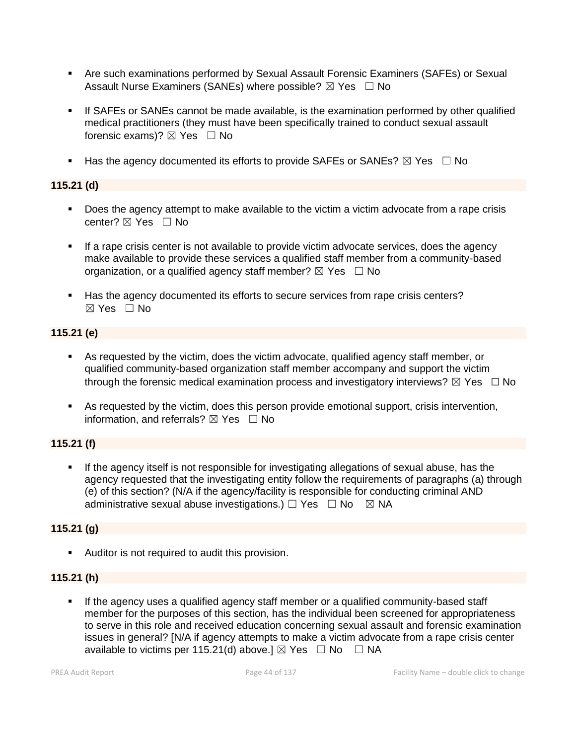- **Are such examinations performed by Sexual Assault Forensic Examiners (SAFEs) or Sexual** Assault Nurse Examiners (SANEs) where possible?  $\boxtimes$  Yes  $\Box$  No
- **•** If SAFEs or SANEs cannot be made available, is the examination performed by other qualified medical practitioners (they must have been specifically trained to conduct sexual assault forensic exams)? ⊠ Yes □ No
- **■** Has the agency documented its efforts to provide SAFEs or SANEs?  $\boxtimes$  Yes  $\Box$  No

# **115.21 (d)**

- Does the agency attempt to make available to the victim a victim advocate from a rape crisis center? ⊠ Yes □ No
- **•** If a rape crisis center is not available to provide victim advocate services, does the agency make available to provide these services a qualified staff member from a community-based organization, or a qualified agency staff member?  $\boxtimes$  Yes  $\Box$  No
- Has the agency documented its efforts to secure services from rape crisis centers?  $\boxtimes$  Yes  $\Box$  No

# **115.21 (e)**

- As requested by the victim, does the victim advocate, qualified agency staff member, or qualified community-based organization staff member accompany and support the victim through the forensic medical examination process and investigatory interviews?  $\boxtimes$  Yes  $\Box$  No
- As requested by the victim, does this person provide emotional support, crisis intervention, information, and referrals?  $\boxtimes$  Yes  $\Box$  No

# **115.21 (f)**

If the agency itself is not responsible for investigating allegations of sexual abuse, has the agency requested that the investigating entity follow the requirements of paragraphs (a) through (e) of this section? (N/A if the agency/facility is responsible for conducting criminal AND administrative sexual abuse investigations.)  $\Box$  Yes  $\Box$  No  $\boxtimes$  NA

# **115.21 (g)**

▪ Auditor is not required to audit this provision.

# **115.21 (h)**

**■** If the agency uses a qualified agency staff member or a qualified community-based staff member for the purposes of this section, has the individual been screened for appropriateness to serve in this role and received education concerning sexual assault and forensic examination issues in general? [N/A if agency attempts to make a victim advocate from a rape crisis center available to victims per 115.21(d) above.]  $\boxtimes$  Yes  $\Box$  No  $\Box$  NA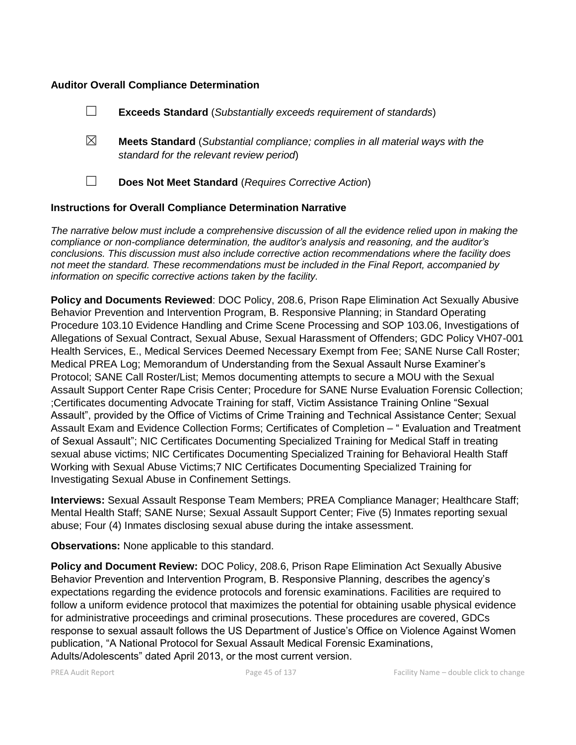#### **Auditor Overall Compliance Determination**

|                                                                    |   | <b>Exceeds Standard</b> (Substantially exceeds requirement of standards)                                                          |
|--------------------------------------------------------------------|---|-----------------------------------------------------------------------------------------------------------------------------------|
|                                                                    | ⊠ | <b>Meets Standard</b> (Substantial compliance; complies in all material ways with the<br>standard for the relevant review period) |
|                                                                    |   | Does Not Meet Standard (Requires Corrective Action)                                                                               |
| <b>Instructions for Overall Compliance Determination Narrative</b> |   |                                                                                                                                   |

*The narrative below must include a comprehensive discussion of all the evidence relied upon in making the compliance or non-compliance determination, the auditor's analysis and reasoning, and the auditor's conclusions. This discussion must also include corrective action recommendations where the facility does not meet the standard. These recommendations must be included in the Final Report, accompanied by information on specific corrective actions taken by the facility.*

**Policy and Documents Reviewed**: DOC Policy, 208.6, Prison Rape Elimination Act Sexually Abusive Behavior Prevention and Intervention Program, B. Responsive Planning; in Standard Operating Procedure 103.10 Evidence Handling and Crime Scene Processing and SOP 103.06, Investigations of Allegations of Sexual Contract, Sexual Abuse, Sexual Harassment of Offenders; GDC Policy VH07-001 Health Services, E., Medical Services Deemed Necessary Exempt from Fee; SANE Nurse Call Roster; Medical PREA Log; Memorandum of Understanding from the Sexual Assault Nurse Examiner's Protocol; SANE Call Roster/List; Memos documenting attempts to secure a MOU with the Sexual Assault Support Center Rape Crisis Center; Procedure for SANE Nurse Evaluation Forensic Collection; ;Certificates documenting Advocate Training for staff, Victim Assistance Training Online "Sexual Assault", provided by the Office of Victims of Crime Training and Technical Assistance Center; Sexual Assault Exam and Evidence Collection Forms; Certificates of Completion – " Evaluation and Treatment of Sexual Assault"; NIC Certificates Documenting Specialized Training for Medical Staff in treating sexual abuse victims; NIC Certificates Documenting Specialized Training for Behavioral Health Staff Working with Sexual Abuse Victims;7 NIC Certificates Documenting Specialized Training for Investigating Sexual Abuse in Confinement Settings.

**Interviews:** Sexual Assault Response Team Members; PREA Compliance Manager; Healthcare Staff; Mental Health Staff; SANE Nurse; Sexual Assault Support Center; Five (5) Inmates reporting sexual abuse; Four (4) Inmates disclosing sexual abuse during the intake assessment.

**Observations:** None applicable to this standard.

**Policy and Document Review:** DOC Policy, 208.6, Prison Rape Elimination Act Sexually Abusive Behavior Prevention and Intervention Program, B. Responsive Planning, describes the agency's expectations regarding the evidence protocols and forensic examinations. Facilities are required to follow a uniform evidence protocol that maximizes the potential for obtaining usable physical evidence for administrative proceedings and criminal prosecutions. These procedures are covered, GDCs response to sexual assault follows the US Department of Justice's Office on Violence Against Women publication, "A National Protocol for Sexual Assault Medical Forensic Examinations, Adults/Adolescents" dated April 2013, or the most current version.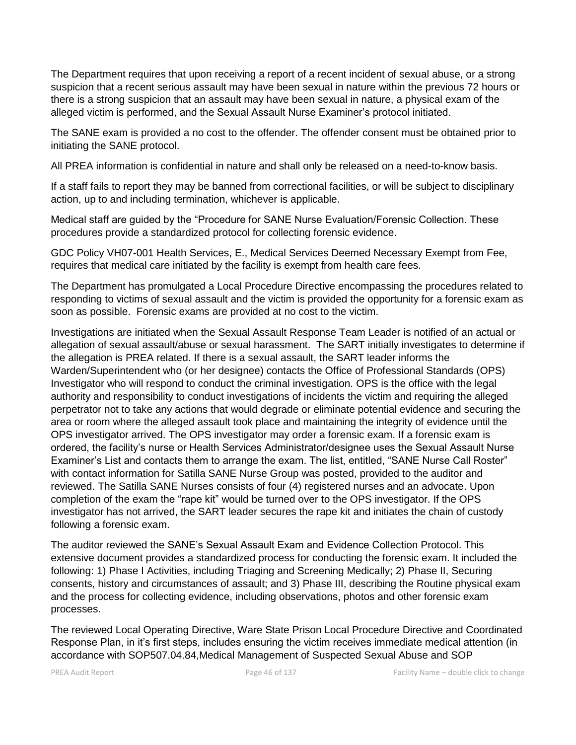The Department requires that upon receiving a report of a recent incident of sexual abuse, or a strong suspicion that a recent serious assault may have been sexual in nature within the previous 72 hours or there is a strong suspicion that an assault may have been sexual in nature, a physical exam of the alleged victim is performed, and the Sexual Assault Nurse Examiner's protocol initiated.

The SANE exam is provided a no cost to the offender. The offender consent must be obtained prior to initiating the SANE protocol.

All PREA information is confidential in nature and shall only be released on a need-to-know basis.

If a staff fails to report they may be banned from correctional facilities, or will be subject to disciplinary action, up to and including termination, whichever is applicable.

Medical staff are guided by the "Procedure for SANE Nurse Evaluation/Forensic Collection. These procedures provide a standardized protocol for collecting forensic evidence.

GDC Policy VH07-001 Health Services, E., Medical Services Deemed Necessary Exempt from Fee, requires that medical care initiated by the facility is exempt from health care fees.

The Department has promulgated a Local Procedure Directive encompassing the procedures related to responding to victims of sexual assault and the victim is provided the opportunity for a forensic exam as soon as possible. Forensic exams are provided at no cost to the victim.

Investigations are initiated when the Sexual Assault Response Team Leader is notified of an actual or allegation of sexual assault/abuse or sexual harassment. The SART initially investigates to determine if the allegation is PREA related. If there is a sexual assault, the SART leader informs the Warden/Superintendent who (or her designee) contacts the Office of Professional Standards (OPS) Investigator who will respond to conduct the criminal investigation. OPS is the office with the legal authority and responsibility to conduct investigations of incidents the victim and requiring the alleged perpetrator not to take any actions that would degrade or eliminate potential evidence and securing the area or room where the alleged assault took place and maintaining the integrity of evidence until the OPS investigator arrived. The OPS investigator may order a forensic exam. If a forensic exam is ordered, the facility's nurse or Health Services Administrator/designee uses the Sexual Assault Nurse Examiner's List and contacts them to arrange the exam. The list, entitled, "SANE Nurse Call Roster" with contact information for Satilla SANE Nurse Group was posted, provided to the auditor and reviewed. The Satilla SANE Nurses consists of four (4) registered nurses and an advocate. Upon completion of the exam the "rape kit" would be turned over to the OPS investigator. If the OPS investigator has not arrived, the SART leader secures the rape kit and initiates the chain of custody following a forensic exam.

The auditor reviewed the SANE's Sexual Assault Exam and Evidence Collection Protocol. This extensive document provides a standardized process for conducting the forensic exam. It included the following: 1) Phase I Activities, including Triaging and Screening Medically; 2) Phase II, Securing consents, history and circumstances of assault; and 3) Phase III, describing the Routine physical exam and the process for collecting evidence, including observations, photos and other forensic exam processes.

The reviewed Local Operating Directive, Ware State Prison Local Procedure Directive and Coordinated Response Plan, in it's first steps, includes ensuring the victim receives immediate medical attention (in accordance with SOP507.04.84,Medical Management of Suspected Sexual Abuse and SOP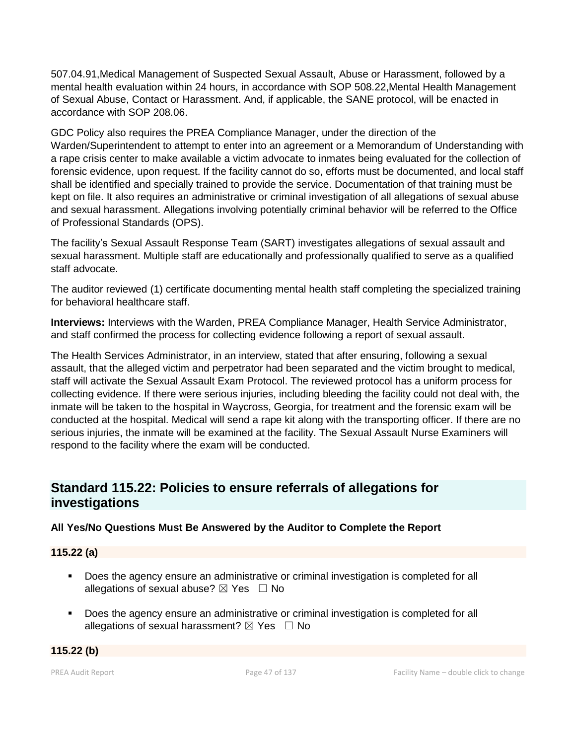507.04.91,Medical Management of Suspected Sexual Assault, Abuse or Harassment, followed by a mental health evaluation within 24 hours, in accordance with SOP 508.22,Mental Health Management of Sexual Abuse, Contact or Harassment. And, if applicable, the SANE protocol, will be enacted in accordance with SOP 208.06.

GDC Policy also requires the PREA Compliance Manager, under the direction of the Warden/Superintendent to attempt to enter into an agreement or a Memorandum of Understanding with a rape crisis center to make available a victim advocate to inmates being evaluated for the collection of forensic evidence, upon request. If the facility cannot do so, efforts must be documented, and local staff shall be identified and specially trained to provide the service. Documentation of that training must be kept on file. It also requires an administrative or criminal investigation of all allegations of sexual abuse and sexual harassment. Allegations involving potentially criminal behavior will be referred to the Office of Professional Standards (OPS).

The facility's Sexual Assault Response Team (SART) investigates allegations of sexual assault and sexual harassment. Multiple staff are educationally and professionally qualified to serve as a qualified staff advocate.

The auditor reviewed (1) certificate documenting mental health staff completing the specialized training for behavioral healthcare staff.

**Interviews:** Interviews with the Warden, PREA Compliance Manager, Health Service Administrator, and staff confirmed the process for collecting evidence following a report of sexual assault.

The Health Services Administrator, in an interview, stated that after ensuring, following a sexual assault, that the alleged victim and perpetrator had been separated and the victim brought to medical, staff will activate the Sexual Assault Exam Protocol. The reviewed protocol has a uniform process for collecting evidence. If there were serious injuries, including bleeding the facility could not deal with, the inmate will be taken to the hospital in Waycross, Georgia, for treatment and the forensic exam will be conducted at the hospital. Medical will send a rape kit along with the transporting officer. If there are no serious injuries, the inmate will be examined at the facility. The Sexual Assault Nurse Examiners will respond to the facility where the exam will be conducted.

# **Standard 115.22: Policies to ensure referrals of allegations for investigations**

# **All Yes/No Questions Must Be Answered by the Auditor to Complete the Report**

# **115.22 (a)**

- Does the agency ensure an administrative or criminal investigation is completed for all allegations of sexual abuse?  $\boxtimes$  Yes  $\Box$  No
- Does the agency ensure an administrative or criminal investigation is completed for all allegations of sexual harassment?  $\boxtimes$  Yes  $\Box$  No

# **115.22 (b)**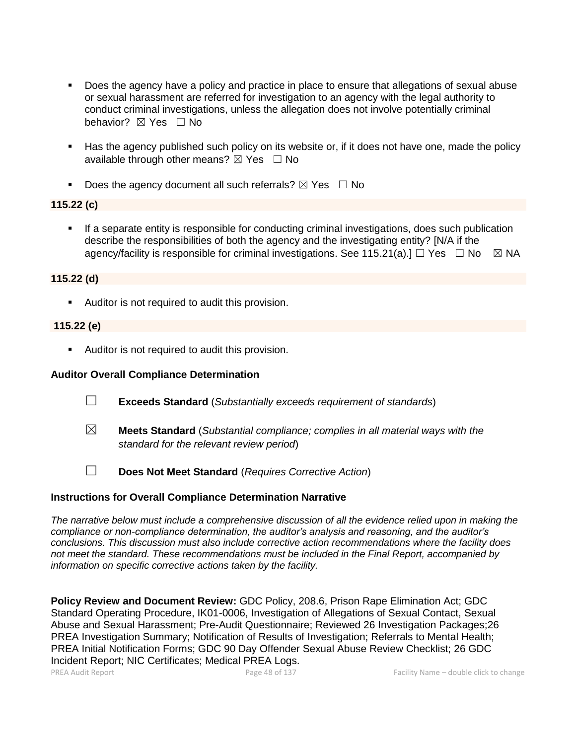- Does the agency have a policy and practice in place to ensure that allegations of sexual abuse or sexual harassment are referred for investigation to an agency with the legal authority to conduct criminal investigations, unless the allegation does not involve potentially criminal behavior? **⊠** Yes □ No
- Has the agency published such policy on its website or, if it does not have one, made the policy available through other means?  $\boxtimes$  Yes  $\Box$  No
- **•** Does the agency document all such referrals?  $\boxtimes$  Yes  $\Box$  No

# **115.22 (c)**

If a separate entity is responsible for conducting criminal investigations, does such publication describe the responsibilities of both the agency and the investigating entity? [N/A if the agency/facility is responsible for criminal investigations. See 115.21(a).]  $\Box$  Yes  $\Box$  No  $\boxtimes$  NA

# **115.22 (d)**

■ Auditor is not required to audit this provision.

# **115.22 (e)**

■ Auditor is not required to audit this provision.

# **Auditor Overall Compliance Determination**

- ☐ **Exceeds Standard** (*Substantially exceeds requirement of standards*)
- ☒ **Meets Standard** (*Substantial compliance; complies in all material ways with the standard for the relevant review period*)
- ☐ **Does Not Meet Standard** (*Requires Corrective Action*)

# **Instructions for Overall Compliance Determination Narrative**

*The narrative below must include a comprehensive discussion of all the evidence relied upon in making the compliance or non-compliance determination, the auditor's analysis and reasoning, and the auditor's conclusions. This discussion must also include corrective action recommendations where the facility does not meet the standard. These recommendations must be included in the Final Report, accompanied by information on specific corrective actions taken by the facility.*

**Policy Review and Document Review:** GDC Policy, 208.6, Prison Rape Elimination Act; GDC Standard Operating Procedure, IK01-0006, Investigation of Allegations of Sexual Contact, Sexual Abuse and Sexual Harassment; Pre-Audit Questionnaire; Reviewed 26 Investigation Packages;26 PREA Investigation Summary; Notification of Results of Investigation; Referrals to Mental Health; PREA Initial Notification Forms; GDC 90 Day Offender Sexual Abuse Review Checklist; 26 GDC Incident Report; NIC Certificates; Medical PREA Logs.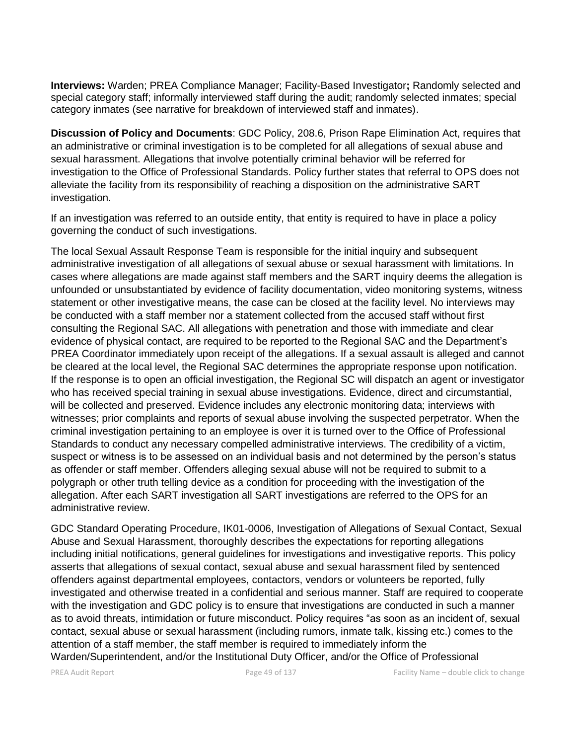**Interviews:** Warden; PREA Compliance Manager; Facility-Based Investigator**;** Randomly selected and special category staff; informally interviewed staff during the audit; randomly selected inmates; special category inmates (see narrative for breakdown of interviewed staff and inmates).

**Discussion of Policy and Documents**: GDC Policy, 208.6, Prison Rape Elimination Act, requires that an administrative or criminal investigation is to be completed for all allegations of sexual abuse and sexual harassment. Allegations that involve potentially criminal behavior will be referred for investigation to the Office of Professional Standards. Policy further states that referral to OPS does not alleviate the facility from its responsibility of reaching a disposition on the administrative SART investigation.

If an investigation was referred to an outside entity, that entity is required to have in place a policy governing the conduct of such investigations.

The local Sexual Assault Response Team is responsible for the initial inquiry and subsequent administrative investigation of all allegations of sexual abuse or sexual harassment with limitations. In cases where allegations are made against staff members and the SART inquiry deems the allegation is unfounded or unsubstantiated by evidence of facility documentation, video monitoring systems, witness statement or other investigative means, the case can be closed at the facility level. No interviews may be conducted with a staff member nor a statement collected from the accused staff without first consulting the Regional SAC. All allegations with penetration and those with immediate and clear evidence of physical contact, are required to be reported to the Regional SAC and the Department's PREA Coordinator immediately upon receipt of the allegations. If a sexual assault is alleged and cannot be cleared at the local level, the Regional SAC determines the appropriate response upon notification. If the response is to open an official investigation, the Regional SC will dispatch an agent or investigator who has received special training in sexual abuse investigations. Evidence, direct and circumstantial, will be collected and preserved. Evidence includes any electronic monitoring data; interviews with witnesses; prior complaints and reports of sexual abuse involving the suspected perpetrator. When the criminal investigation pertaining to an employee is over it is turned over to the Office of Professional Standards to conduct any necessary compelled administrative interviews. The credibility of a victim, suspect or witness is to be assessed on an individual basis and not determined by the person's status as offender or staff member. Offenders alleging sexual abuse will not be required to submit to a polygraph or other truth telling device as a condition for proceeding with the investigation of the allegation. After each SART investigation all SART investigations are referred to the OPS for an administrative review.

GDC Standard Operating Procedure, IK01-0006, Investigation of Allegations of Sexual Contact, Sexual Abuse and Sexual Harassment, thoroughly describes the expectations for reporting allegations including initial notifications, general guidelines for investigations and investigative reports. This policy asserts that allegations of sexual contact, sexual abuse and sexual harassment filed by sentenced offenders against departmental employees, contactors, vendors or volunteers be reported, fully investigated and otherwise treated in a confidential and serious manner. Staff are required to cooperate with the investigation and GDC policy is to ensure that investigations are conducted in such a manner as to avoid threats, intimidation or future misconduct. Policy requires "as soon as an incident of, sexual contact, sexual abuse or sexual harassment (including rumors, inmate talk, kissing etc.) comes to the attention of a staff member, the staff member is required to immediately inform the Warden/Superintendent, and/or the Institutional Duty Officer, and/or the Office of Professional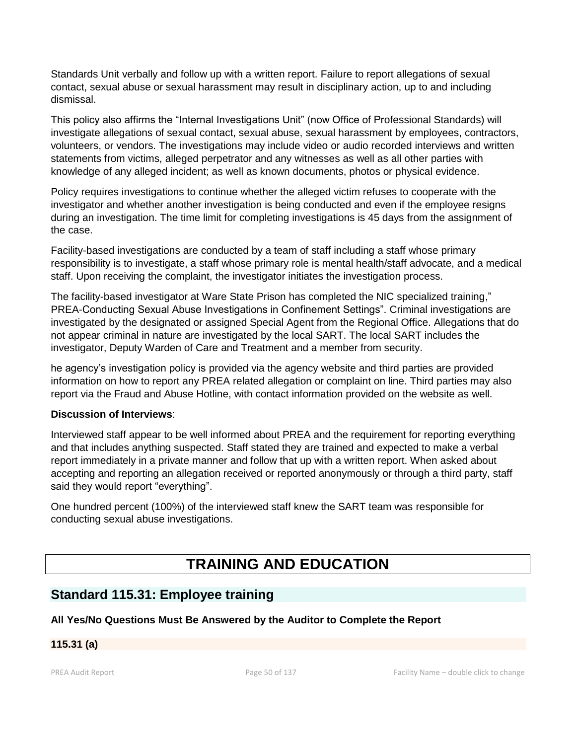Standards Unit verbally and follow up with a written report. Failure to report allegations of sexual contact, sexual abuse or sexual harassment may result in disciplinary action, up to and including dismissal.

This policy also affirms the "Internal Investigations Unit" (now Office of Professional Standards) will investigate allegations of sexual contact, sexual abuse, sexual harassment by employees, contractors, volunteers, or vendors. The investigations may include video or audio recorded interviews and written statements from victims, alleged perpetrator and any witnesses as well as all other parties with knowledge of any alleged incident; as well as known documents, photos or physical evidence.

Policy requires investigations to continue whether the alleged victim refuses to cooperate with the investigator and whether another investigation is being conducted and even if the employee resigns during an investigation. The time limit for completing investigations is 45 days from the assignment of the case.

Facility-based investigations are conducted by a team of staff including a staff whose primary responsibility is to investigate, a staff whose primary role is mental health/staff advocate, and a medical staff. Upon receiving the complaint, the investigator initiates the investigation process.

The facility-based investigator at Ware State Prison has completed the NIC specialized training," PREA-Conducting Sexual Abuse Investigations in Confinement Settings". Criminal investigations are investigated by the designated or assigned Special Agent from the Regional Office. Allegations that do not appear criminal in nature are investigated by the local SART. The local SART includes the investigator, Deputy Warden of Care and Treatment and a member from security.

he agency's investigation policy is provided via the agency website and third parties are provided information on how to report any PREA related allegation or complaint on line. Third parties may also report via the Fraud and Abuse Hotline, with contact information provided on the website as well.

# **Discussion of Interviews**:

Interviewed staff appear to be well informed about PREA and the requirement for reporting everything and that includes anything suspected. Staff stated they are trained and expected to make a verbal report immediately in a private manner and follow that up with a written report. When asked about accepting and reporting an allegation received or reported anonymously or through a third party, staff said they would report "everything".

One hundred percent (100%) of the interviewed staff knew the SART team was responsible for conducting sexual abuse investigations.

# **TRAINING AND EDUCATION**

# **Standard 115.31: Employee training**

# **All Yes/No Questions Must Be Answered by the Auditor to Complete the Report**

# **115.31 (a)**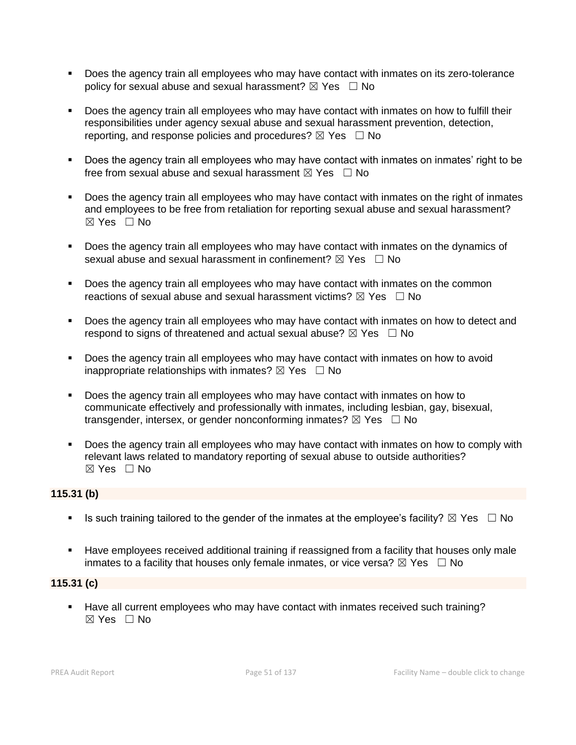- Does the agency train all employees who may have contact with inmates on its zero-tolerance policy for sexual abuse and sexual harassment?  $\boxtimes$  Yes  $\Box$  No
- Does the agency train all employees who may have contact with inmates on how to fulfill their responsibilities under agency sexual abuse and sexual harassment prevention, detection, reporting, and response policies and procedures?  $\boxtimes$  Yes  $\Box$  No
- Does the agency train all employees who may have contact with inmates on inmates' right to be free from sexual abuse and sexual harassment  $\boxtimes$  Yes  $\Box$  No
- Does the agency train all employees who may have contact with inmates on the right of inmates and employees to be free from retaliation for reporting sexual abuse and sexual harassment?  $\boxtimes$  Yes  $\Box$  No
- Does the agency train all employees who may have contact with inmates on the dynamics of sexual abuse and sexual harassment in confinement?  $\boxtimes$  Yes  $\Box$  No
- **•** Does the agency train all employees who may have contact with inmates on the common reactions of sexual abuse and sexual harassment victims?  $\boxtimes$  Yes  $\Box$  No
- Does the agency train all employees who may have contact with inmates on how to detect and respond to signs of threatened and actual sexual abuse?  $\boxtimes$  Yes  $\Box$  No
- Does the agency train all employees who may have contact with inmates on how to avoid inappropriate relationships with inmates?  $\boxtimes$  Yes  $\Box$  No
- Does the agency train all employees who may have contact with inmates on how to communicate effectively and professionally with inmates, including lesbian, gay, bisexual, transgender, intersex, or gender nonconforming inmates?  $\boxtimes$  Yes  $\Box$  No
- **•** Does the agency train all employees who may have contact with inmates on how to comply with relevant laws related to mandatory reporting of sexual abuse to outside authorities?  $\boxtimes$  Yes  $\Box$  No

# **115.31 (b)**

- **■** Is such training tailored to the gender of the inmates at the employee's facility?  $\boxtimes$  Yes  $\Box$  No
- **EXECT** Have employees received additional training if reassigned from a facility that houses only male inmates to a facility that houses only female inmates, or vice versa?  $\boxtimes$  Yes  $\Box$  No

# **115.31 (c)**

▪ Have all current employees who may have contact with inmates received such training?  $\boxtimes$  Yes  $\Box$  No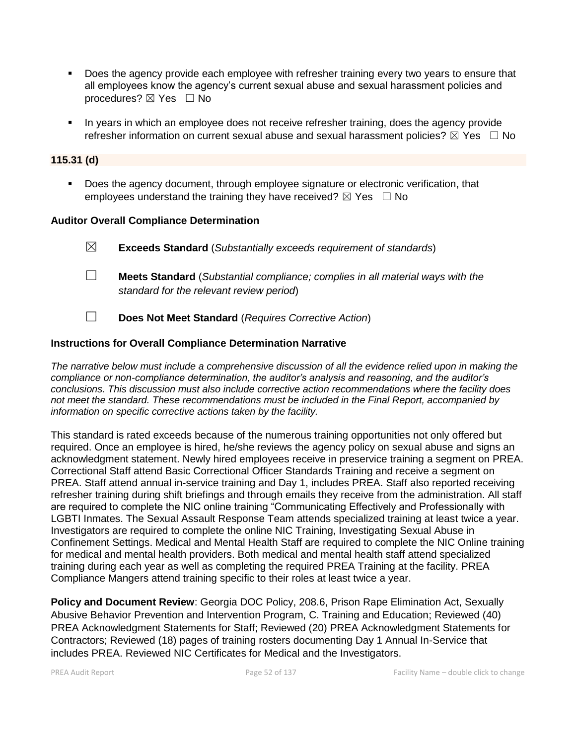- **•** Does the agency provide each employee with refresher training every two years to ensure that all employees know the agency's current sexual abuse and sexual harassment policies and procedures? ⊠ Yes □ No
- In years in which an employee does not receive refresher training, does the agency provide refresher information on current sexual abuse and sexual harassment policies?  $\boxtimes$  Yes  $\Box$  No

#### **115.31 (d)**

**•** Does the agency document, through employee signature or electronic verification, that employees understand the training they have received?  $\boxtimes$  Yes  $\Box$  No

#### **Auditor Overall Compliance Determination**

☒ **Exceeds Standard** (*Substantially exceeds requirement of standards*) ☐ **Meets Standard** (*Substantial compliance; complies in all material ways with the standard for the relevant review period*)

☐ **Does Not Meet Standard** (*Requires Corrective Action*)

# **Instructions for Overall Compliance Determination Narrative**

*The narrative below must include a comprehensive discussion of all the evidence relied upon in making the compliance or non-compliance determination, the auditor's analysis and reasoning, and the auditor's conclusions. This discussion must also include corrective action recommendations where the facility does not meet the standard. These recommendations must be included in the Final Report, accompanied by information on specific corrective actions taken by the facility.*

This standard is rated exceeds because of the numerous training opportunities not only offered but required. Once an employee is hired, he/she reviews the agency policy on sexual abuse and signs an acknowledgment statement. Newly hired employees receive in preservice training a segment on PREA. Correctional Staff attend Basic Correctional Officer Standards Training and receive a segment on PREA. Staff attend annual in-service training and Day 1, includes PREA. Staff also reported receiving refresher training during shift briefings and through emails they receive from the administration. All staff are required to complete the NIC online training "Communicating Effectively and Professionally with LGBTI Inmates. The Sexual Assault Response Team attends specialized training at least twice a year. Investigators are required to complete the online NIC Training, Investigating Sexual Abuse in Confinement Settings. Medical and Mental Health Staff are required to complete the NIC Online training for medical and mental health providers. Both medical and mental health staff attend specialized training during each year as well as completing the required PREA Training at the facility. PREA Compliance Mangers attend training specific to their roles at least twice a year.

**Policy and Document Review**: Georgia DOC Policy, 208.6, Prison Rape Elimination Act, Sexually Abusive Behavior Prevention and Intervention Program, C. Training and Education; Reviewed (40) PREA Acknowledgment Statements for Staff; Reviewed (20) PREA Acknowledgment Statements for Contractors; Reviewed (18) pages of training rosters documenting Day 1 Annual In-Service that includes PREA. Reviewed NIC Certificates for Medical and the Investigators.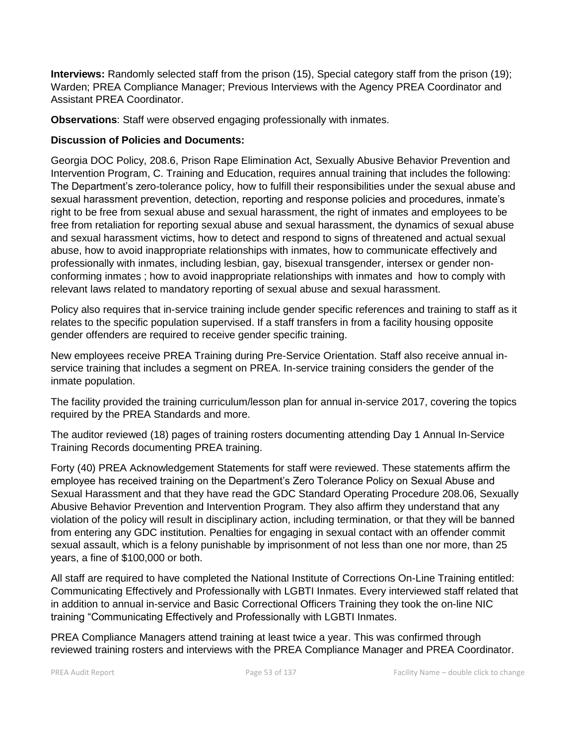**Interviews:** Randomly selected staff from the prison (15), Special category staff from the prison (19); Warden; PREA Compliance Manager; Previous Interviews with the Agency PREA Coordinator and Assistant PREA Coordinator.

**Observations**: Staff were observed engaging professionally with inmates.

# **Discussion of Policies and Documents:**

Georgia DOC Policy, 208.6, Prison Rape Elimination Act, Sexually Abusive Behavior Prevention and Intervention Program, C. Training and Education, requires annual training that includes the following: The Department's zero-tolerance policy, how to fulfill their responsibilities under the sexual abuse and sexual harassment prevention, detection, reporting and response policies and procedures, inmate's right to be free from sexual abuse and sexual harassment, the right of inmates and employees to be free from retaliation for reporting sexual abuse and sexual harassment, the dynamics of sexual abuse and sexual harassment victims, how to detect and respond to signs of threatened and actual sexual abuse, how to avoid inappropriate relationships with inmates, how to communicate effectively and professionally with inmates, including lesbian, gay, bisexual transgender, intersex or gender nonconforming inmates ; how to avoid inappropriate relationships with inmates and how to comply with relevant laws related to mandatory reporting of sexual abuse and sexual harassment.

Policy also requires that in-service training include gender specific references and training to staff as it relates to the specific population supervised. If a staff transfers in from a facility housing opposite gender offenders are required to receive gender specific training.

New employees receive PREA Training during Pre-Service Orientation. Staff also receive annual inservice training that includes a segment on PREA. In-service training considers the gender of the inmate population.

The facility provided the training curriculum/lesson plan for annual in-service 2017, covering the topics required by the PREA Standards and more.

The auditor reviewed (18) pages of training rosters documenting attending Day 1 Annual In-Service Training Records documenting PREA training.

Forty (40) PREA Acknowledgement Statements for staff were reviewed. These statements affirm the employee has received training on the Department's Zero Tolerance Policy on Sexual Abuse and Sexual Harassment and that they have read the GDC Standard Operating Procedure 208.06, Sexually Abusive Behavior Prevention and Intervention Program. They also affirm they understand that any violation of the policy will result in disciplinary action, including termination, or that they will be banned from entering any GDC institution. Penalties for engaging in sexual contact with an offender commit sexual assault, which is a felony punishable by imprisonment of not less than one nor more, than 25 years, a fine of \$100,000 or both.

All staff are required to have completed the National Institute of Corrections On-Line Training entitled: Communicating Effectively and Professionally with LGBTI Inmates. Every interviewed staff related that in addition to annual in-service and Basic Correctional Officers Training they took the on-line NIC training "Communicating Effectively and Professionally with LGBTI Inmates.

PREA Compliance Managers attend training at least twice a year. This was confirmed through reviewed training rosters and interviews with the PREA Compliance Manager and PREA Coordinator.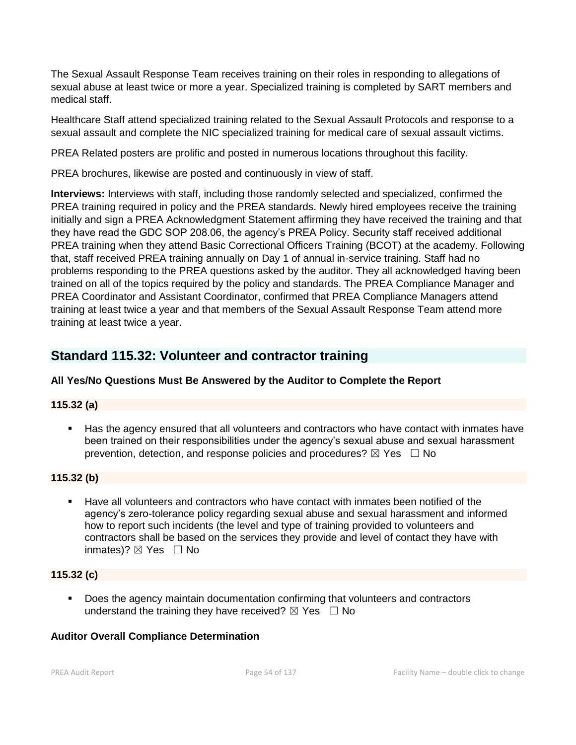The Sexual Assault Response Team receives training on their roles in responding to allegations of sexual abuse at least twice or more a year. Specialized training is completed by SART members and medical staff.

Healthcare Staff attend specialized training related to the Sexual Assault Protocols and response to a sexual assault and complete the NIC specialized training for medical care of sexual assault victims.

PREA Related posters are prolific and posted in numerous locations throughout this facility.

PREA brochures, likewise are posted and continuously in view of staff.

**Interviews:** Interviews with staff, including those randomly selected and specialized, confirmed the PREA training required in policy and the PREA standards. Newly hired employees receive the training initially and sign a PREA Acknowledgment Statement affirming they have received the training and that they have read the GDC SOP 208.06, the agency's PREA Policy. Security staff received additional PREA training when they attend Basic Correctional Officers Training (BCOT) at the academy. Following that, staff received PREA training annually on Day 1 of annual in-service training. Staff had no problems responding to the PREA questions asked by the auditor. They all acknowledged having been trained on all of the topics required by the policy and standards. The PREA Compliance Manager and PREA Coordinator and Assistant Coordinator, confirmed that PREA Compliance Managers attend training at least twice a year and that members of the Sexual Assault Response Team attend more training at least twice a year.

# **Standard 115.32: Volunteer and contractor training**

# **All Yes/No Questions Must Be Answered by the Auditor to Complete the Report**

# **115.32 (a)**

■ Has the agency ensured that all volunteers and contractors who have contact with inmates have been trained on their responsibilities under the agency's sexual abuse and sexual harassment prevention, detection, and response policies and procedures?  $\boxtimes$  Yes  $\Box$  No

# **115.32 (b)**

■ Have all volunteers and contractors who have contact with inmates been notified of the agency's zero-tolerance policy regarding sexual abuse and sexual harassment and informed how to report such incidents (the level and type of training provided to volunteers and contractors shall be based on the services they provide and level of contact they have with inmates)?  $\boxtimes$  Yes  $\Box$  No

# **115.32 (c)**

▪ Does the agency maintain documentation confirming that volunteers and contractors understand the training they have received?  $\boxtimes$  Yes  $\Box$  No

# **Auditor Overall Compliance Determination**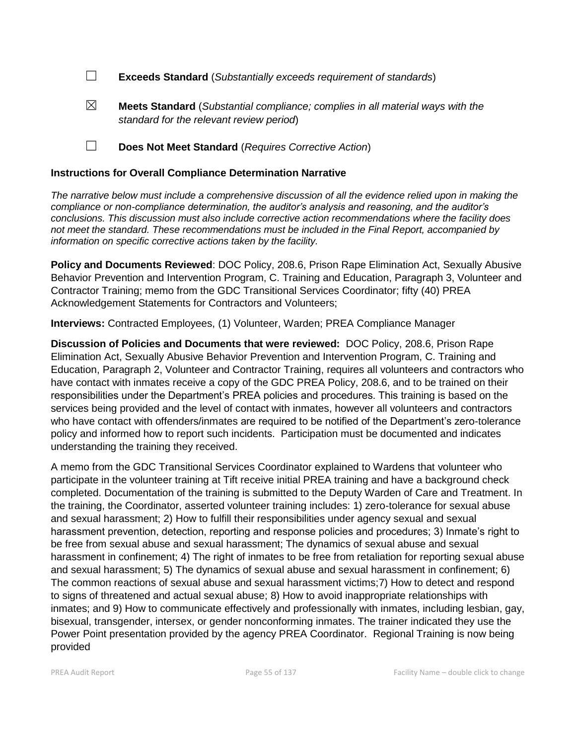☐ **Exceeds Standard** (*Substantially exceeds requirement of standards*)

- ☒ **Meets Standard** (*Substantial compliance; complies in all material ways with the standard for the relevant review period*)
- ☐ **Does Not Meet Standard** (*Requires Corrective Action*)

# **Instructions for Overall Compliance Determination Narrative**

*The narrative below must include a comprehensive discussion of all the evidence relied upon in making the compliance or non-compliance determination, the auditor's analysis and reasoning, and the auditor's conclusions. This discussion must also include corrective action recommendations where the facility does not meet the standard. These recommendations must be included in the Final Report, accompanied by information on specific corrective actions taken by the facility.*

**Policy and Documents Reviewed**: DOC Policy, 208.6, Prison Rape Elimination Act, Sexually Abusive Behavior Prevention and Intervention Program, C. Training and Education, Paragraph 3, Volunteer and Contractor Training; memo from the GDC Transitional Services Coordinator; fifty (40) PREA Acknowledgement Statements for Contractors and Volunteers;

**Interviews:** Contracted Employees, (1) Volunteer, Warden; PREA Compliance Manager

**Discussion of Policies and Documents that were reviewed:** DOC Policy, 208.6, Prison Rape Elimination Act, Sexually Abusive Behavior Prevention and Intervention Program, C. Training and Education, Paragraph 2, Volunteer and Contractor Training, requires all volunteers and contractors who have contact with inmates receive a copy of the GDC PREA Policy, 208.6, and to be trained on their responsibilities under the Department's PREA policies and procedures. This training is based on the services being provided and the level of contact with inmates, however all volunteers and contractors who have contact with offenders/inmates are required to be notified of the Department's zero-tolerance policy and informed how to report such incidents. Participation must be documented and indicates understanding the training they received.

A memo from the GDC Transitional Services Coordinator explained to Wardens that volunteer who participate in the volunteer training at Tift receive initial PREA training and have a background check completed. Documentation of the training is submitted to the Deputy Warden of Care and Treatment. In the training, the Coordinator, asserted volunteer training includes: 1) zero-tolerance for sexual abuse and sexual harassment; 2) How to fulfill their responsibilities under agency sexual and sexual harassment prevention, detection, reporting and response policies and procedures; 3) Inmate's right to be free from sexual abuse and sexual harassment; The dynamics of sexual abuse and sexual harassment in confinement; 4) The right of inmates to be free from retaliation for reporting sexual abuse and sexual harassment; 5) The dynamics of sexual abuse and sexual harassment in confinement; 6) The common reactions of sexual abuse and sexual harassment victims;7) How to detect and respond to signs of threatened and actual sexual abuse; 8) How to avoid inappropriate relationships with inmates; and 9) How to communicate effectively and professionally with inmates, including lesbian, gay, bisexual, transgender, intersex, or gender nonconforming inmates. The trainer indicated they use the Power Point presentation provided by the agency PREA Coordinator. Regional Training is now being provided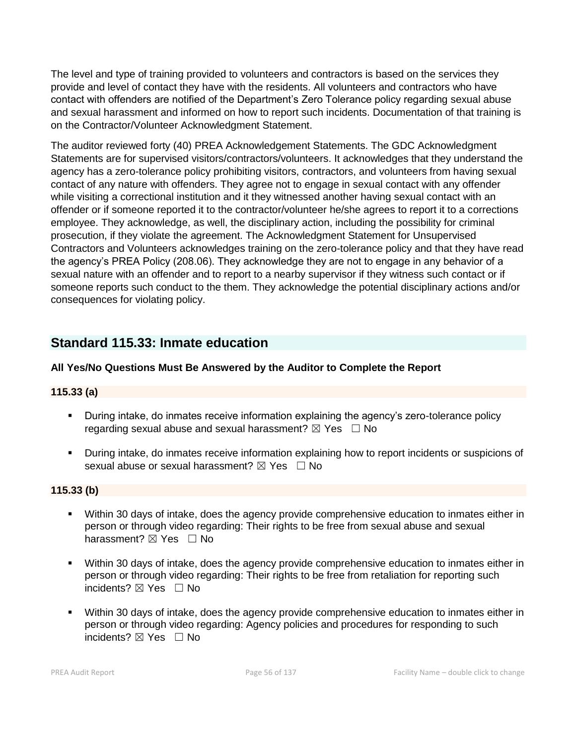The level and type of training provided to volunteers and contractors is based on the services they provide and level of contact they have with the residents. All volunteers and contractors who have contact with offenders are notified of the Department's Zero Tolerance policy regarding sexual abuse and sexual harassment and informed on how to report such incidents. Documentation of that training is on the Contractor/Volunteer Acknowledgment Statement.

The auditor reviewed forty (40) PREA Acknowledgement Statements. The GDC Acknowledgment Statements are for supervised visitors/contractors/volunteers. It acknowledges that they understand the agency has a zero-tolerance policy prohibiting visitors, contractors, and volunteers from having sexual contact of any nature with offenders. They agree not to engage in sexual contact with any offender while visiting a correctional institution and it they witnessed another having sexual contact with an offender or if someone reported it to the contractor/volunteer he/she agrees to report it to a corrections employee. They acknowledge, as well, the disciplinary action, including the possibility for criminal prosecution, if they violate the agreement. The Acknowledgment Statement for Unsupervised Contractors and Volunteers acknowledges training on the zero-tolerance policy and that they have read the agency's PREA Policy (208.06). They acknowledge they are not to engage in any behavior of a sexual nature with an offender and to report to a nearby supervisor if they witness such contact or if someone reports such conduct to the them. They acknowledge the potential disciplinary actions and/or consequences for violating policy.

# **Standard 115.33: Inmate education**

# **All Yes/No Questions Must Be Answered by the Auditor to Complete the Report**

# **115.33 (a)**

- **•** During intake, do inmates receive information explaining the agency's zero-tolerance policy regarding sexual abuse and sexual harassment?  $\boxtimes$  Yes  $\Box$  No
- During intake, do inmates receive information explaining how to report incidents or suspicions of sexual abuse or sexual harassment?  $\boxtimes$  Yes  $\Box$  No

# **115.33 (b)**

- Within 30 days of intake, does the agency provide comprehensive education to inmates either in person or through video regarding: Their rights to be free from sexual abuse and sexual harassment? ⊠ Yes □ No
- Within 30 days of intake, does the agency provide comprehensive education to inmates either in person or through video regarding: Their rights to be free from retaliation for reporting such incidents? ⊠ Yes □ No
- Within 30 days of intake, does the agency provide comprehensive education to inmates either in person or through video regarding: Agency policies and procedures for responding to such incidents? ⊠ Yes □ No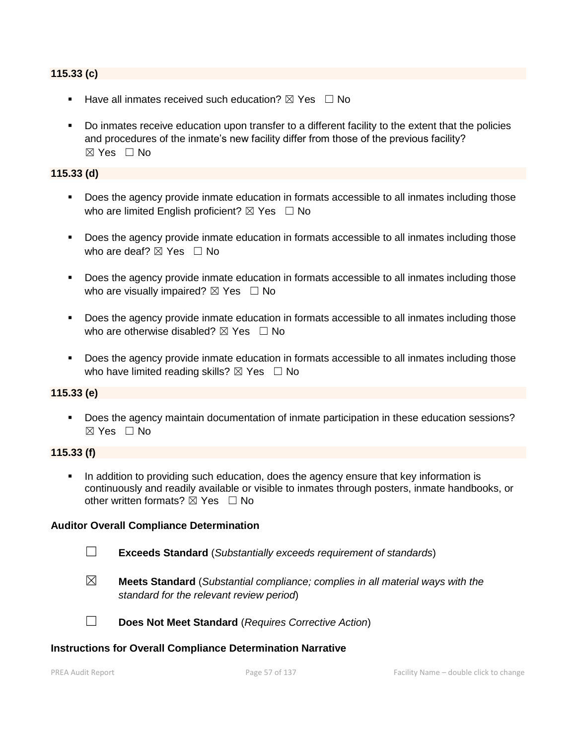#### **115.33 (c)**

- Have all inmates received such education?  $\boxtimes$  Yes  $\Box$  No
- Do inmates receive education upon transfer to a different facility to the extent that the policies and procedures of the inmate's new facility differ from those of the previous facility?  $\boxtimes$  Yes  $\Box$  No

#### **115.33 (d)**

- Does the agency provide inmate education in formats accessible to all inmates including those who are limited English proficient?  $\boxtimes$  Yes  $\Box$  No
- Does the agency provide inmate education in formats accessible to all inmates including those who are deaf?  $\boxtimes$  Yes  $\Box$  No
- Does the agency provide inmate education in formats accessible to all inmates including those who are visually impaired?  $\boxtimes$  Yes  $\Box$  No
- Does the agency provide inmate education in formats accessible to all inmates including those who are otherwise disabled?  $\boxtimes$  Yes  $\Box$  No
- Does the agency provide inmate education in formats accessible to all inmates including those who have limited reading skills?  $\boxtimes$  Yes  $\Box$  No

#### **115.33 (e)**

▪ Does the agency maintain documentation of inmate participation in these education sessions?  $\boxtimes$  Yes  $\Box$  No

# **115.33 (f)**

**•** In addition to providing such education, does the agency ensure that key information is continuously and readily available or visible to inmates through posters, inmate handbooks, or other written formats?  $\boxtimes$  Yes  $\Box$  No

#### **Auditor Overall Compliance Determination**

- ☐ **Exceeds Standard** (*Substantially exceeds requirement of standards*)
- ☒ **Meets Standard** (*Substantial compliance; complies in all material ways with the standard for the relevant review period*)
- ☐ **Does Not Meet Standard** (*Requires Corrective Action*)

#### **Instructions for Overall Compliance Determination Narrative**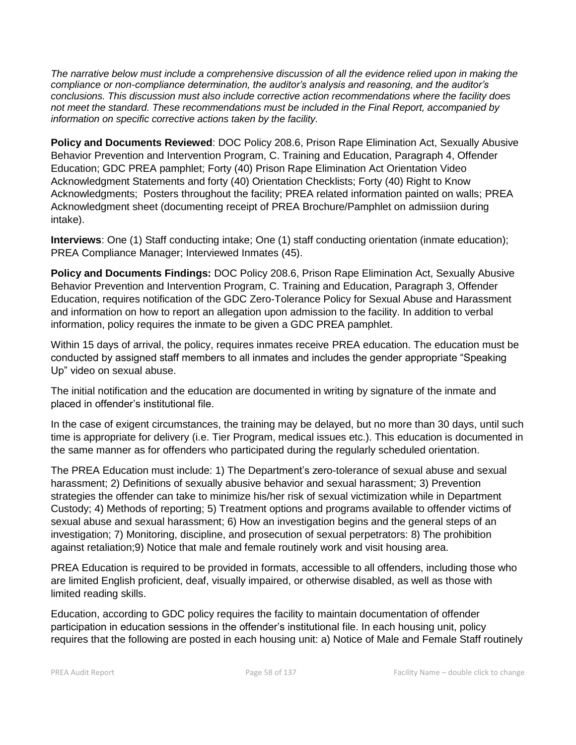*The narrative below must include a comprehensive discussion of all the evidence relied upon in making the compliance or non-compliance determination, the auditor's analysis and reasoning, and the auditor's conclusions. This discussion must also include corrective action recommendations where the facility does not meet the standard. These recommendations must be included in the Final Report, accompanied by information on specific corrective actions taken by the facility.*

**Policy and Documents Reviewed**: DOC Policy 208.6, Prison Rape Elimination Act, Sexually Abusive Behavior Prevention and Intervention Program, C. Training and Education, Paragraph 4, Offender Education; GDC PREA pamphlet; Forty (40) Prison Rape Elimination Act Orientation Video Acknowledgment Statements and forty (40) Orientation Checklists; Forty (40) Right to Know Acknowledgments; Posters throughout the facility; PREA related information painted on walls; PREA Acknowledgment sheet (documenting receipt of PREA Brochure/Pamphlet on admissiion during intake).

**Interviews**: One (1) Staff conducting intake; One (1) staff conducting orientation (inmate education); PREA Compliance Manager; Interviewed Inmates (45).

**Policy and Documents Findings:** DOC Policy 208.6, Prison Rape Elimination Act, Sexually Abusive Behavior Prevention and Intervention Program, C. Training and Education, Paragraph 3, Offender Education, requires notification of the GDC Zero-Tolerance Policy for Sexual Abuse and Harassment and information on how to report an allegation upon admission to the facility. In addition to verbal information, policy requires the inmate to be given a GDC PREA pamphlet.

Within 15 days of arrival, the policy, requires inmates receive PREA education. The education must be conducted by assigned staff members to all inmates and includes the gender appropriate "Speaking Up" video on sexual abuse.

The initial notification and the education are documented in writing by signature of the inmate and placed in offender's institutional file.

In the case of exigent circumstances, the training may be delayed, but no more than 30 days, until such time is appropriate for delivery (i.e. Tier Program, medical issues etc.). This education is documented in the same manner as for offenders who participated during the regularly scheduled orientation.

The PREA Education must include: 1) The Department's zero-tolerance of sexual abuse and sexual harassment; 2) Definitions of sexually abusive behavior and sexual harassment; 3) Prevention strategies the offender can take to minimize his/her risk of sexual victimization while in Department Custody; 4) Methods of reporting; 5) Treatment options and programs available to offender victims of sexual abuse and sexual harassment; 6) How an investigation begins and the general steps of an investigation; 7) Monitoring, discipline, and prosecution of sexual perpetrators: 8) The prohibition against retaliation;9) Notice that male and female routinely work and visit housing area.

PREA Education is required to be provided in formats, accessible to all offenders, including those who are limited English proficient, deaf, visually impaired, or otherwise disabled, as well as those with limited reading skills.

Education, according to GDC policy requires the facility to maintain documentation of offender participation in education sessions in the offender's institutional file. In each housing unit, policy requires that the following are posted in each housing unit: a) Notice of Male and Female Staff routinely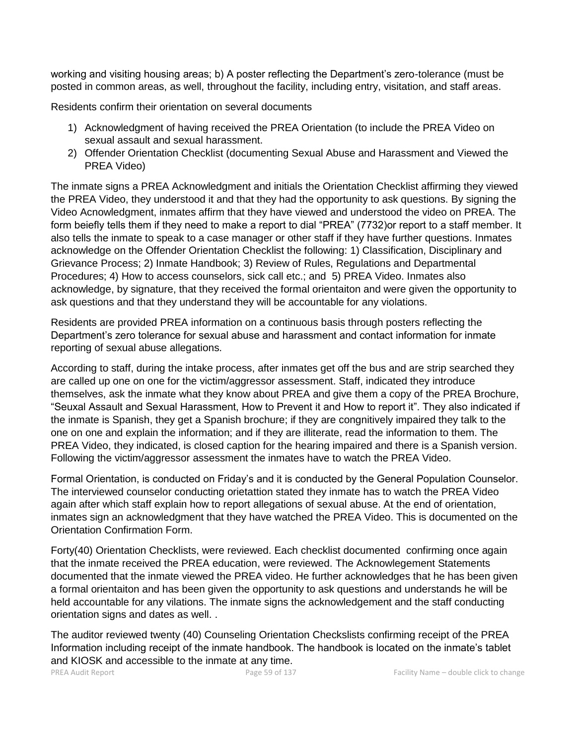working and visiting housing areas; b) A poster reflecting the Department's zero-tolerance (must be posted in common areas, as well, throughout the facility, including entry, visitation, and staff areas.

Residents confirm their orientation on several documents

- 1) Acknowledgment of having received the PREA Orientation (to include the PREA Video on sexual assault and sexual harassment.
- 2) Offender Orientation Checklist (documenting Sexual Abuse and Harassment and Viewed the PREA Video)

The inmate signs a PREA Acknowledgment and initials the Orientation Checklist affirming they viewed the PREA Video, they understood it and that they had the opportunity to ask questions. By signing the Video Acnowledgment, inmates affirm that they have viewed and understood the video on PREA. The form beiefly tells them if they need to make a report to dial "PREA" (7732)or report to a staff member. It also tells the inmate to speak to a case manager or other staff if they have further questions. Inmates acknowledge on the Offender Orientation Checklist the following: 1) Classification, Disciplinary and Grievance Process; 2) Inmate Handbook; 3) Review of Rules, Regulations and Departmental Procedures; 4) How to access counselors, sick call etc.; and 5) PREA Video. Inmates also acknowledge, by signature, that they received the formal orientaiton and were given the opportunity to ask questions and that they understand they will be accountable for any violations.

Residents are provided PREA information on a continuous basis through posters reflecting the Department's zero tolerance for sexual abuse and harassment and contact information for inmate reporting of sexual abuse allegations.

According to staff, during the intake process, after inmates get off the bus and are strip searched they are called up one on one for the victim/aggressor assessment. Staff, indicated they introduce themselves, ask the inmate what they know about PREA and give them a copy of the PREA Brochure, "Seuxal Assault and Sexual Harassment, How to Prevent it and How to report it". They also indicated if the inmate is Spanish, they get a Spanish brochure; if they are congnitively impaired they talk to the one on one and explain the information; and if they are illiterate, read the information to them. The PREA Video, they indicated, is closed caption for the hearing impaired and there is a Spanish version. Following the victim/aggressor assessment the inmates have to watch the PREA Video.

Formal Orientation, is conducted on Friday's and it is conducted by the General Population Counselor. The interviewed counselor conducting orietattion stated they inmate has to watch the PREA Video again after which staff explain how to report allegations of sexual abuse. At the end of orientation, inmates sign an acknowledgment that they have watched the PREA Video. This is documented on the Orientation Confirmation Form.

Forty(40) Orientation Checklists, were reviewed. Each checklist documented confirming once again that the inmate received the PREA education, were reviewed. The Acknowlegement Statements documented that the inmate viewed the PREA video. He further acknowledges that he has been given a formal orientaiton and has been given the opportunity to ask questions and understands he will be held accountable for any vilations. The inmate signs the acknowledgement and the staff conducting orientation signs and dates as well. .

The auditor reviewed twenty (40) Counseling Orientation Checkslists confirming receipt of the PREA Information including receipt of the inmate handbook. The handbook is located on the inmate's tablet and KIOSK and accessible to the inmate at any time.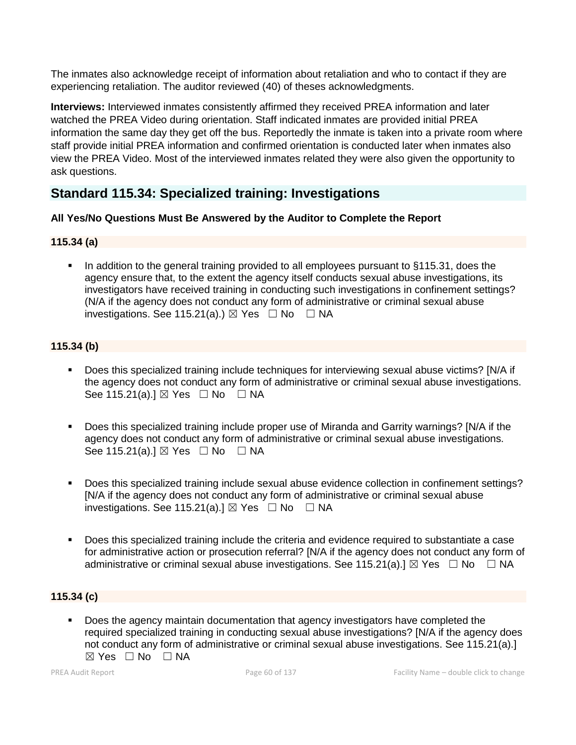The inmates also acknowledge receipt of information about retaliation and who to contact if they are experiencing retaliation. The auditor reviewed (40) of theses acknowledgments.

**Interviews:** Interviewed inmates consistently affirmed they received PREA information and later watched the PREA Video during orientation. Staff indicated inmates are provided initial PREA information the same day they get off the bus. Reportedly the inmate is taken into a private room where staff provide initial PREA information and confirmed orientation is conducted later when inmates also view the PREA Video. Most of the interviewed inmates related they were also given the opportunity to ask questions.

# **Standard 115.34: Specialized training: Investigations**

# **All Yes/No Questions Must Be Answered by the Auditor to Complete the Report**

# **115.34 (a)**

In addition to the general training provided to all employees pursuant to §115.31, does the agency ensure that, to the extent the agency itself conducts sexual abuse investigations, its investigators have received training in conducting such investigations in confinement settings? (N/A if the agency does not conduct any form of administrative or criminal sexual abuse investigations. See 115.21(a).)  $\boxtimes$  Yes  $\Box$  No  $\Box$  NA

# **115.34 (b)**

- Does this specialized training include techniques for interviewing sexual abuse victims? [N/A if the agency does not conduct any form of administrative or criminal sexual abuse investigations. See 115.21(a).]  $\boxtimes$  Yes  $\Box$  No  $\Box$  NA
- Does this specialized training include proper use of Miranda and Garrity warnings? [N/A if the agency does not conduct any form of administrative or criminal sexual abuse investigations. See 115.21(a).]  $\boxtimes$  Yes  $\Box$  No  $\Box$  NA
- Does this specialized training include sexual abuse evidence collection in confinement settings? [N/A if the agency does not conduct any form of administrative or criminal sexual abuse investigations. See 115.21(a).]  $\boxtimes$  Yes  $\Box$  No  $\Box$  NA
- Does this specialized training include the criteria and evidence required to substantiate a case for administrative action or prosecution referral? [N/A if the agency does not conduct any form of administrative or criminal sexual abuse investigations. See 115.21(a).]  $\boxtimes$  Yes  $\Box$  No  $\Box$  NA

# **115.34 (c)**

Does the agency maintain documentation that agency investigators have completed the required specialized training in conducting sexual abuse investigations? [N/A if the agency does not conduct any form of administrative or criminal sexual abuse investigations. See 115.21(a).]  $\boxtimes$  Yes  $\Box$  No  $\Box$  NA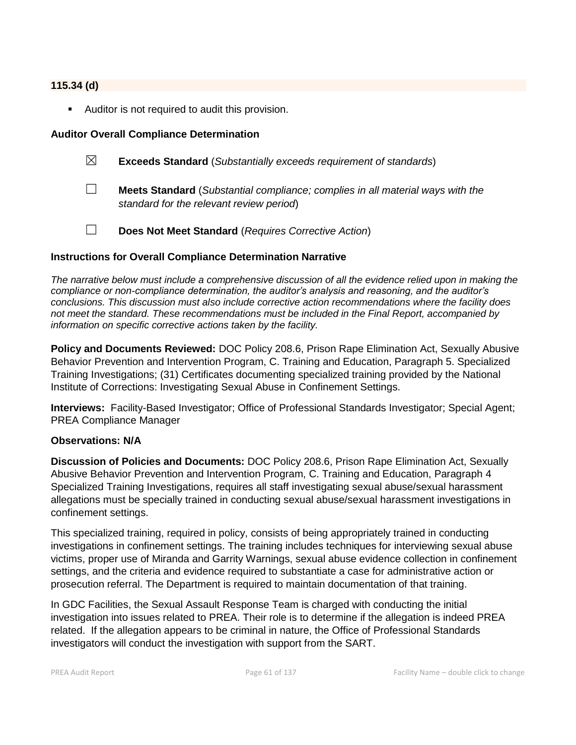# **115.34 (d)**

■ Auditor is not required to audit this provision.

#### **Auditor Overall Compliance Determination**

- ☒ **Exceeds Standard** (*Substantially exceeds requirement of standards*)
- ☐ **Meets Standard** (*Substantial compliance; complies in all material ways with the standard for the relevant review period*)
- ☐ **Does Not Meet Standard** (*Requires Corrective Action*)

#### **Instructions for Overall Compliance Determination Narrative**

*The narrative below must include a comprehensive discussion of all the evidence relied upon in making the compliance or non-compliance determination, the auditor's analysis and reasoning, and the auditor's conclusions. This discussion must also include corrective action recommendations where the facility does not meet the standard. These recommendations must be included in the Final Report, accompanied by information on specific corrective actions taken by the facility.*

**Policy and Documents Reviewed:** DOC Policy 208.6, Prison Rape Elimination Act, Sexually Abusive Behavior Prevention and Intervention Program, C. Training and Education, Paragraph 5. Specialized Training Investigations; (31) Certificates documenting specialized training provided by the National Institute of Corrections: Investigating Sexual Abuse in Confinement Settings.

**Interviews:** Facility-Based Investigator; Office of Professional Standards Investigator; Special Agent; PREA Compliance Manager

#### **Observations: N/A**

**Discussion of Policies and Documents:** DOC Policy 208.6, Prison Rape Elimination Act, Sexually Abusive Behavior Prevention and Intervention Program, C. Training and Education, Paragraph 4 Specialized Training Investigations, requires all staff investigating sexual abuse/sexual harassment allegations must be specially trained in conducting sexual abuse/sexual harassment investigations in confinement settings.

This specialized training, required in policy, consists of being appropriately trained in conducting investigations in confinement settings. The training includes techniques for interviewing sexual abuse victims, proper use of Miranda and Garrity Warnings, sexual abuse evidence collection in confinement settings, and the criteria and evidence required to substantiate a case for administrative action or prosecution referral. The Department is required to maintain documentation of that training.

In GDC Facilities, the Sexual Assault Response Team is charged with conducting the initial investigation into issues related to PREA. Their role is to determine if the allegation is indeed PREA related. If the allegation appears to be criminal in nature, the Office of Professional Standards investigators will conduct the investigation with support from the SART.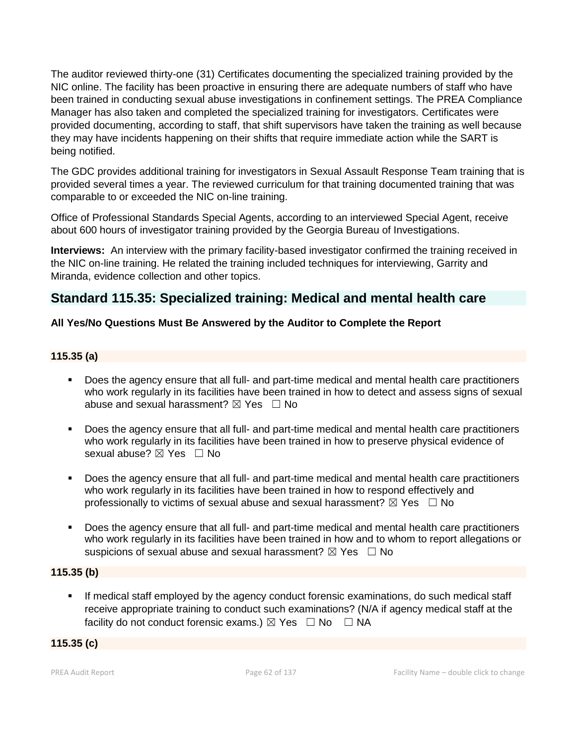The auditor reviewed thirty-one (31) Certificates documenting the specialized training provided by the NIC online. The facility has been proactive in ensuring there are adequate numbers of staff who have been trained in conducting sexual abuse investigations in confinement settings. The PREA Compliance Manager has also taken and completed the specialized training for investigators. Certificates were provided documenting, according to staff, that shift supervisors have taken the training as well because they may have incidents happening on their shifts that require immediate action while the SART is being notified.

The GDC provides additional training for investigators in Sexual Assault Response Team training that is provided several times a year. The reviewed curriculum for that training documented training that was comparable to or exceeded the NIC on-line training.

Office of Professional Standards Special Agents, according to an interviewed Special Agent, receive about 600 hours of investigator training provided by the Georgia Bureau of Investigations.

**Interviews:** An interview with the primary facility-based investigator confirmed the training received in the NIC on-line training. He related the training included techniques for interviewing, Garrity and Miranda, evidence collection and other topics.

# **Standard 115.35: Specialized training: Medical and mental health care**

# **All Yes/No Questions Must Be Answered by the Auditor to Complete the Report**

# **115.35 (a)**

- Does the agency ensure that all full- and part-time medical and mental health care practitioners who work regularly in its facilities have been trained in how to detect and assess signs of sexual abuse and sexual harassment?  $\boxtimes$  Yes  $\Box$  No
- Does the agency ensure that all full- and part-time medical and mental health care practitioners who work regularly in its facilities have been trained in how to preserve physical evidence of sexual abuse?  $\boxtimes$  Yes  $\Box$  No
- Does the agency ensure that all full- and part-time medical and mental health care practitioners who work regularly in its facilities have been trained in how to respond effectively and professionally to victims of sexual abuse and sexual harassment?  $\boxtimes$  Yes  $\Box$  No
- Does the agency ensure that all full- and part-time medical and mental health care practitioners who work regularly in its facilities have been trained in how and to whom to report allegations or suspicions of sexual abuse and sexual harassment?  $\boxtimes$  Yes  $\Box$  No

# **115.35 (b)**

If medical staff employed by the agency conduct forensic examinations, do such medical staff receive appropriate training to conduct such examinations? (N/A if agency medical staff at the facility do not conduct forensic exams.)  $\boxtimes$  Yes  $\Box$  No  $\Box$  NA

# **115.35 (c)**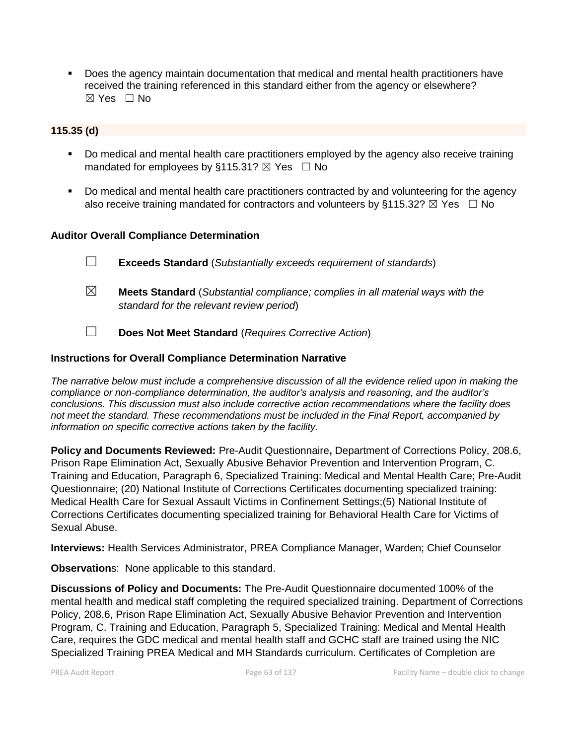▪ Does the agency maintain documentation that medical and mental health practitioners have received the training referenced in this standard either from the agency or elsewhere? ☒ Yes ☐ No

# **115.35 (d)**

- Do medical and mental health care practitioners employed by the agency also receive training mandated for employees by §115.31?  $\boxtimes$  Yes  $\Box$  No
- Do medical and mental health care practitioners contracted by and volunteering for the agency also receive training mandated for contractors and volunteers by §115.32?  $\boxtimes$  Yes  $\Box$  No

# **Auditor Overall Compliance Determination**

- ☐ **Exceeds Standard** (*Substantially exceeds requirement of standards*) ☒ **Meets Standard** (*Substantial compliance; complies in all material ways with the*
- ☐ **Does Not Meet Standard** (*Requires Corrective Action*)

#### **Instructions for Overall Compliance Determination Narrative**

*standard for the relevant review period*)

*The narrative below must include a comprehensive discussion of all the evidence relied upon in making the compliance or non-compliance determination, the auditor's analysis and reasoning, and the auditor's conclusions. This discussion must also include corrective action recommendations where the facility does not meet the standard. These recommendations must be included in the Final Report, accompanied by information on specific corrective actions taken by the facility.*

**Policy and Documents Reviewed:** Pre-Audit Questionnaire**,** Department of Corrections Policy, 208.6, Prison Rape Elimination Act, Sexually Abusive Behavior Prevention and Intervention Program, C. Training and Education, Paragraph 6, Specialized Training: Medical and Mental Health Care; Pre-Audit Questionnaire; (20) National Institute of Corrections Certificates documenting specialized training: Medical Health Care for Sexual Assault Victims in Confinement Settings;(5) National Institute of Corrections Certificates documenting specialized training for Behavioral Health Care for Victims of Sexual Abuse.

**Interviews:** Health Services Administrator, PREA Compliance Manager, Warden; Chief Counselor

**Observation**s: None applicable to this standard.

**Discussions of Policy and Documents:** The Pre-Audit Questionnaire documented 100% of the mental health and medical staff completing the required specialized training. Department of Corrections Policy, 208.6, Prison Rape Elimination Act, Sexually Abusive Behavior Prevention and Intervention Program, C. Training and Education, Paragraph 5, Specialized Training: Medical and Mental Health Care, requires the GDC medical and mental health staff and GCHC staff are trained using the NIC Specialized Training PREA Medical and MH Standards curriculum. Certificates of Completion are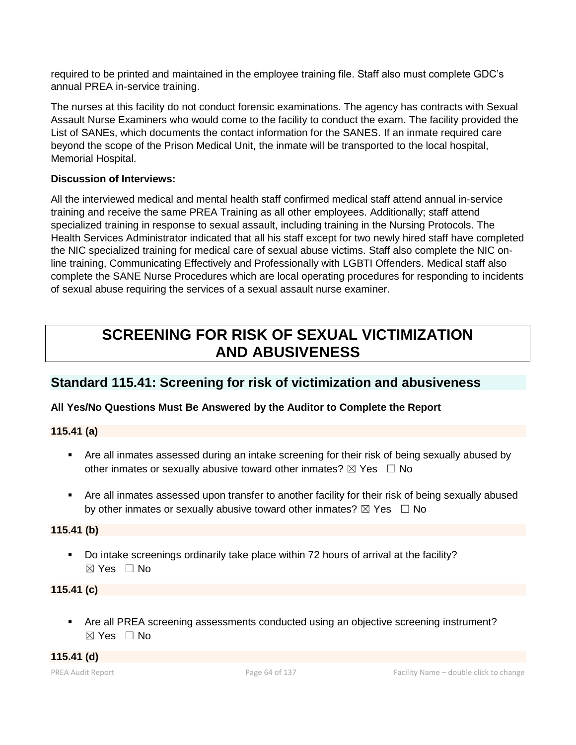required to be printed and maintained in the employee training file. Staff also must complete GDC's annual PREA in-service training.

The nurses at this facility do not conduct forensic examinations. The agency has contracts with Sexual Assault Nurse Examiners who would come to the facility to conduct the exam. The facility provided the List of SANEs, which documents the contact information for the SANES. If an inmate required care beyond the scope of the Prison Medical Unit, the inmate will be transported to the local hospital, Memorial Hospital.

# **Discussion of Interviews:**

All the interviewed medical and mental health staff confirmed medical staff attend annual in-service training and receive the same PREA Training as all other employees. Additionally; staff attend specialized training in response to sexual assault, including training in the Nursing Protocols. The Health Services Administrator indicated that all his staff except for two newly hired staff have completed the NIC specialized training for medical care of sexual abuse victims. Staff also complete the NIC online training, Communicating Effectively and Professionally with LGBTI Offenders. Medical staff also complete the SANE Nurse Procedures which are local operating procedures for responding to incidents of sexual abuse requiring the services of a sexual assault nurse examiner.

# **SCREENING FOR RISK OF SEXUAL VICTIMIZATION AND ABUSIVENESS**

# **Standard 115.41: Screening for risk of victimization and abusiveness**

# **All Yes/No Questions Must Be Answered by the Auditor to Complete the Report**

**115.41 (a)**

- Are all inmates assessed during an intake screening for their risk of being sexually abused by other inmates or sexually abusive toward other inmates?  $\boxtimes$  Yes  $\Box$  No
- Are all inmates assessed upon transfer to another facility for their risk of being sexually abused by other inmates or sexually abusive toward other inmates?  $\boxtimes$  Yes  $\Box$  No

# **115.41 (b)**

▪ Do intake screenings ordinarily take place within 72 hours of arrival at the facility? ☒ Yes ☐ No

# **115.41 (c)**

■ Are all PREA screening assessments conducted using an objective screening instrument? ☒ Yes ☐ No

**115.41 (d)**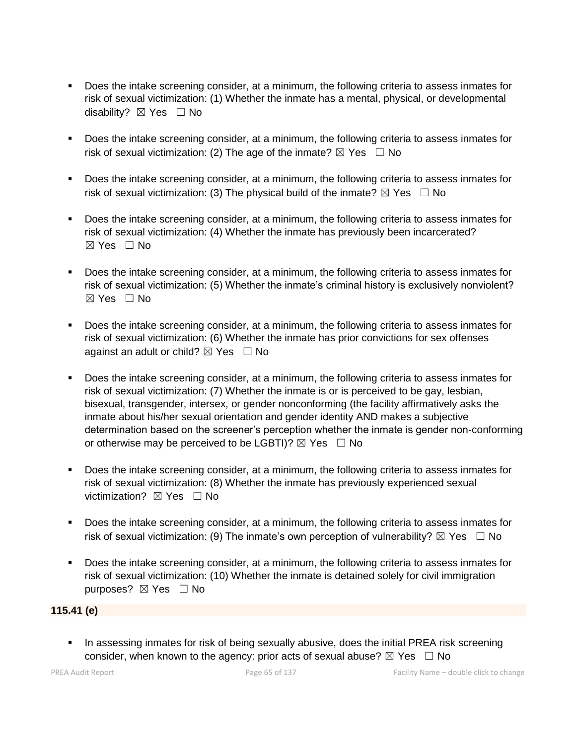- Does the intake screening consider, at a minimum, the following criteria to assess inmates for risk of sexual victimization: (1) Whether the inmate has a mental, physical, or developmental disability? ⊠ Yes □ No
- Does the intake screening consider, at a minimum, the following criteria to assess inmates for risk of sexual victimization: (2) The age of the inmate?  $\boxtimes$  Yes  $\Box$  No
- Does the intake screening consider, at a minimum, the following criteria to assess inmates for risk of sexual victimization: (3) The physical build of the inmate?  $\boxtimes$  Yes  $\Box$  No
- Does the intake screening consider, at a minimum, the following criteria to assess inmates for risk of sexual victimization: (4) Whether the inmate has previously been incarcerated?  $\boxtimes$  Yes  $\Box$  No
- Does the intake screening consider, at a minimum, the following criteria to assess inmates for risk of sexual victimization: (5) Whether the inmate's criminal history is exclusively nonviolent?  $\boxtimes$  Yes  $\Box$  No
- Does the intake screening consider, at a minimum, the following criteria to assess inmates for risk of sexual victimization: (6) Whether the inmate has prior convictions for sex offenses against an adult or child?  $\boxtimes$  Yes  $\Box$  No
- Does the intake screening consider, at a minimum, the following criteria to assess inmates for risk of sexual victimization: (7) Whether the inmate is or is perceived to be gay, lesbian, bisexual, transgender, intersex, or gender nonconforming (the facility affirmatively asks the inmate about his/her sexual orientation and gender identity AND makes a subjective determination based on the screener's perception whether the inmate is gender non-conforming or otherwise may be perceived to be LGBTI)?  $\boxtimes$  Yes  $\Box$  No
- Does the intake screening consider, at a minimum, the following criteria to assess inmates for risk of sexual victimization: (8) Whether the inmate has previously experienced sexual victimization? **⊠** Yes □ No
- Does the intake screening consider, at a minimum, the following criteria to assess inmates for risk of sexual victimization: (9) The inmate's own perception of vulnerability?  $\boxtimes$  Yes  $\Box$  No
- Does the intake screening consider, at a minimum, the following criteria to assess inmates for risk of sexual victimization: (10) Whether the inmate is detained solely for civil immigration purposes? ⊠ Yes □ No

# **115.41 (e)**

**•** In assessing inmates for risk of being sexually abusive, does the initial PREA risk screening consider, when known to the agency: prior acts of sexual abuse?  $\boxtimes$  Yes  $\Box$  No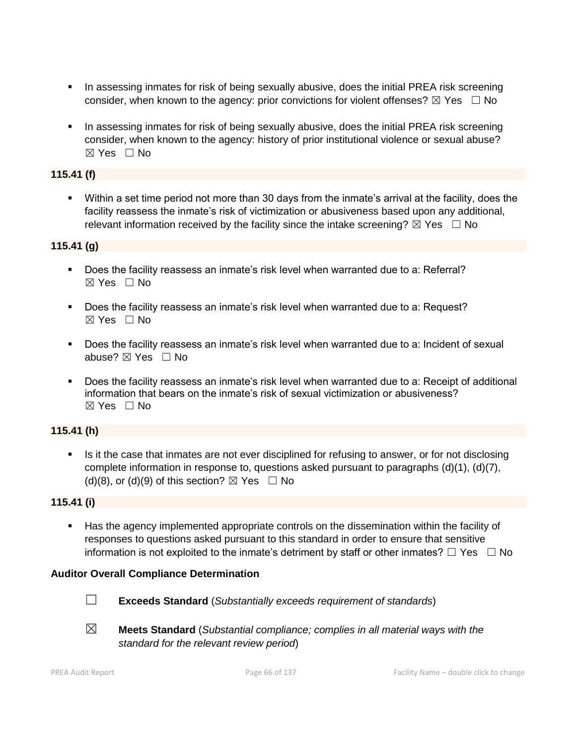- **•** In assessing inmates for risk of being sexually abusive, does the initial PREA risk screening consider, when known to the agency: prior convictions for violent offenses?  $\boxtimes$  Yes  $\Box$  No
- **•** In assessing inmates for risk of being sexually abusive, does the initial PREA risk screening consider, when known to the agency: history of prior institutional violence or sexual abuse?  $\boxtimes$  Yes  $\Box$  No

# **115.41 (f)**

▪ Within a set time period not more than 30 days from the inmate's arrival at the facility, does the facility reassess the inmate's risk of victimization or abusiveness based upon any additional, relevant information received by the facility since the intake screening?  $\boxtimes$  Yes  $\Box$  No

# **115.41 (g)**

- Does the facility reassess an inmate's risk level when warranted due to a: Referral? ☒ Yes ☐ No
- Does the facility reassess an inmate's risk level when warranted due to a: Request?  $\boxtimes$  Yes  $\Box$  No
- Does the facility reassess an inmate's risk level when warranted due to a: Incident of sexual abuse? ☒ Yes ☐ No
- Does the facility reassess an inmate's risk level when warranted due to a: Receipt of additional information that bears on the inmate's risk of sexual victimization or abusiveness?  $\boxtimes$  Yes  $\Box$  No

# **115.41 (h)**

Is it the case that inmates are not ever disciplined for refusing to answer, or for not disclosing complete information in response to, questions asked pursuant to paragraphs (d)(1), (d)(7), (d)(8), or (d)(9) of this section?  $\boxtimes$  Yes  $\Box$  No

#### **115.41 (i)**

■ Has the agency implemented appropriate controls on the dissemination within the facility of responses to questions asked pursuant to this standard in order to ensure that sensitive information is not exploited to the inmate's detriment by staff or other inmates?  $\Box$  Yes  $\Box$  No

#### **Auditor Overall Compliance Determination**



- ☐ **Exceeds Standard** (*Substantially exceeds requirement of standards*)
- ☒ **Meets Standard** (*Substantial compliance; complies in all material ways with the standard for the relevant review period*)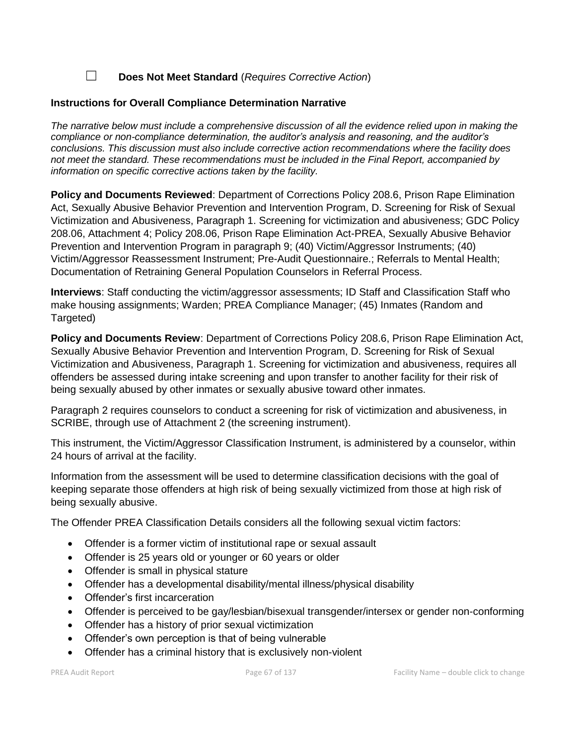☐ **Does Not Meet Standard** (*Requires Corrective Action*)

# **Instructions for Overall Compliance Determination Narrative**

*The narrative below must include a comprehensive discussion of all the evidence relied upon in making the compliance or non-compliance determination, the auditor's analysis and reasoning, and the auditor's conclusions. This discussion must also include corrective action recommendations where the facility does not meet the standard. These recommendations must be included in the Final Report, accompanied by information on specific corrective actions taken by the facility.*

**Policy and Documents Reviewed**: Department of Corrections Policy 208.6, Prison Rape Elimination Act, Sexually Abusive Behavior Prevention and Intervention Program, D. Screening for Risk of Sexual Victimization and Abusiveness, Paragraph 1. Screening for victimization and abusiveness; GDC Policy 208.06, Attachment 4; Policy 208.06, Prison Rape Elimination Act-PREA, Sexually Abusive Behavior Prevention and Intervention Program in paragraph 9; (40) Victim/Aggressor Instruments; (40) Victim/Aggressor Reassessment Instrument; Pre-Audit Questionnaire.; Referrals to Mental Health; Documentation of Retraining General Population Counselors in Referral Process.

**Interviews**: Staff conducting the victim/aggressor assessments; ID Staff and Classification Staff who make housing assignments; Warden; PREA Compliance Manager; (45) Inmates (Random and Targeted)

**Policy and Documents Review**: Department of Corrections Policy 208.6, Prison Rape Elimination Act, Sexually Abusive Behavior Prevention and Intervention Program, D. Screening for Risk of Sexual Victimization and Abusiveness, Paragraph 1. Screening for victimization and abusiveness, requires all offenders be assessed during intake screening and upon transfer to another facility for their risk of being sexually abused by other inmates or sexually abusive toward other inmates.

Paragraph 2 requires counselors to conduct a screening for risk of victimization and abusiveness, in SCRIBE, through use of Attachment 2 (the screening instrument).

This instrument, the Victim/Aggressor Classification Instrument, is administered by a counselor, within 24 hours of arrival at the facility.

Information from the assessment will be used to determine classification decisions with the goal of keeping separate those offenders at high risk of being sexually victimized from those at high risk of being sexually abusive.

The Offender PREA Classification Details considers all the following sexual victim factors:

- Offender is a former victim of institutional rape or sexual assault
- Offender is 25 years old or younger or 60 years or older
- Offender is small in physical stature
- Offender has a developmental disability/mental illness/physical disability
- Offender's first incarceration
- Offender is perceived to be gay/lesbian/bisexual transgender/intersex or gender non-conforming
- Offender has a history of prior sexual victimization
- Offender's own perception is that of being vulnerable
- Offender has a criminal history that is exclusively non-violent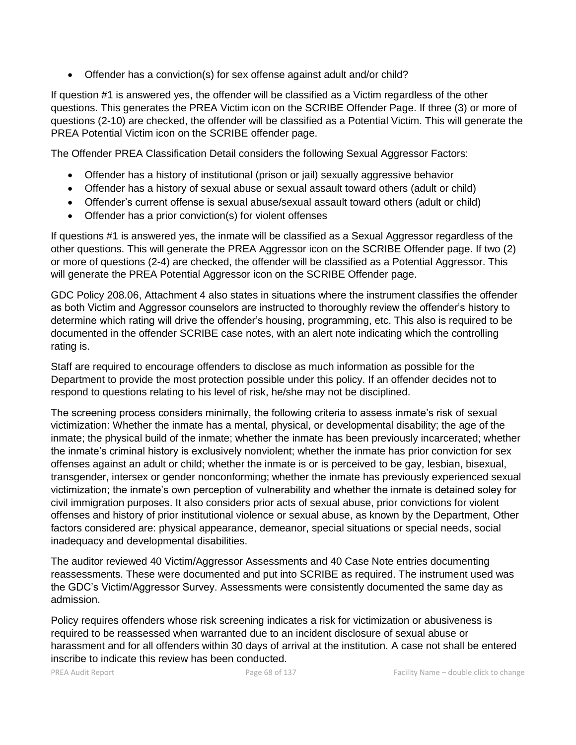• Offender has a conviction(s) for sex offense against adult and/or child?

If question #1 is answered yes, the offender will be classified as a Victim regardless of the other questions. This generates the PREA Victim icon on the SCRIBE Offender Page. If three (3) or more of questions (2-10) are checked, the offender will be classified as a Potential Victim. This will generate the PREA Potential Victim icon on the SCRIBE offender page.

The Offender PREA Classification Detail considers the following Sexual Aggressor Factors:

- Offender has a history of institutional (prison or jail) sexually aggressive behavior
- Offender has a history of sexual abuse or sexual assault toward others (adult or child)
- Offender's current offense is sexual abuse/sexual assault toward others (adult or child)
- Offender has a prior conviction(s) for violent offenses

If questions #1 is answered yes, the inmate will be classified as a Sexual Aggressor regardless of the other questions. This will generate the PREA Aggressor icon on the SCRIBE Offender page. If two (2) or more of questions (2-4) are checked, the offender will be classified as a Potential Aggressor. This will generate the PREA Potential Aggressor icon on the SCRIBE Offender page.

GDC Policy 208.06, Attachment 4 also states in situations where the instrument classifies the offender as both Victim and Aggressor counselors are instructed to thoroughly review the offender's history to determine which rating will drive the offender's housing, programming, etc. This also is required to be documented in the offender SCRIBE case notes, with an alert note indicating which the controlling rating is.

Staff are required to encourage offenders to disclose as much information as possible for the Department to provide the most protection possible under this policy. If an offender decides not to respond to questions relating to his level of risk, he/she may not be disciplined.

The screening process considers minimally, the following criteria to assess inmate's risk of sexual victimization: Whether the inmate has a mental, physical, or developmental disability; the age of the inmate; the physical build of the inmate; whether the inmate has been previously incarcerated; whether the inmate's criminal history is exclusively nonviolent; whether the inmate has prior conviction for sex offenses against an adult or child; whether the inmate is or is perceived to be gay, lesbian, bisexual, transgender, intersex or gender nonconforming; whether the inmate has previously experienced sexual victimization; the inmate's own perception of vulnerability and whether the inmate is detained soley for civil immigration purposes. It also considers prior acts of sexual abuse, prior convictions for violent offenses and history of prior institutional violence or sexual abuse, as known by the Department, Other factors considered are: physical appearance, demeanor, special situations or special needs, social inadequacy and developmental disabilities.

The auditor reviewed 40 Victim/Aggressor Assessments and 40 Case Note entries documenting reassessments. These were documented and put into SCRIBE as required. The instrument used was the GDC's Victim/Aggressor Survey. Assessments were consistently documented the same day as admission.

Policy requires offenders whose risk screening indicates a risk for victimization or abusiveness is required to be reassessed when warranted due to an incident disclosure of sexual abuse or harassment and for all offenders within 30 days of arrival at the institution. A case not shall be entered inscribe to indicate this review has been conducted.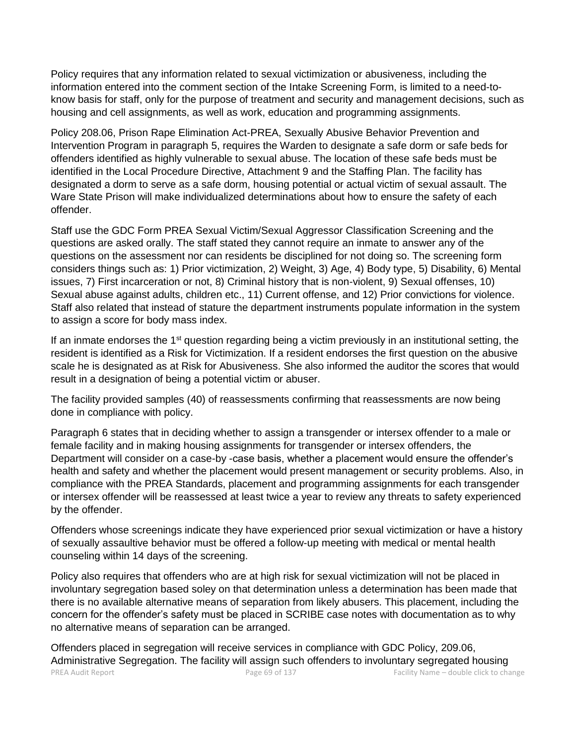Policy requires that any information related to sexual victimization or abusiveness, including the information entered into the comment section of the Intake Screening Form, is limited to a need-toknow basis for staff, only for the purpose of treatment and security and management decisions, such as housing and cell assignments, as well as work, education and programming assignments.

Policy 208.06, Prison Rape Elimination Act-PREA, Sexually Abusive Behavior Prevention and Intervention Program in paragraph 5, requires the Warden to designate a safe dorm or safe beds for offenders identified as highly vulnerable to sexual abuse. The location of these safe beds must be identified in the Local Procedure Directive, Attachment 9 and the Staffing Plan. The facility has designated a dorm to serve as a safe dorm, housing potential or actual victim of sexual assault. The Ware State Prison will make individualized determinations about how to ensure the safety of each offender.

Staff use the GDC Form PREA Sexual Victim/Sexual Aggressor Classification Screening and the questions are asked orally. The staff stated they cannot require an inmate to answer any of the questions on the assessment nor can residents be disciplined for not doing so. The screening form considers things such as: 1) Prior victimization, 2) Weight, 3) Age, 4) Body type, 5) Disability, 6) Mental issues, 7) First incarceration or not, 8) Criminal history that is non-violent, 9) Sexual offenses, 10) Sexual abuse against adults, children etc., 11) Current offense, and 12) Prior convictions for violence. Staff also related that instead of stature the department instruments populate information in the system to assign a score for body mass index.

If an inmate endorses the 1<sup>st</sup> question regarding being a victim previously in an institutional setting, the resident is identified as a Risk for Victimization. If a resident endorses the first question on the abusive scale he is designated as at Risk for Abusiveness. She also informed the auditor the scores that would result in a designation of being a potential victim or abuser.

The facility provided samples (40) of reassessments confirming that reassessments are now being done in compliance with policy.

Paragraph 6 states that in deciding whether to assign a transgender or intersex offender to a male or female facility and in making housing assignments for transgender or intersex offenders, the Department will consider on a case-by -case basis, whether a placement would ensure the offender's health and safety and whether the placement would present management or security problems. Also, in compliance with the PREA Standards, placement and programming assignments for each transgender or intersex offender will be reassessed at least twice a year to review any threats to safety experienced by the offender.

Offenders whose screenings indicate they have experienced prior sexual victimization or have a history of sexually assaultive behavior must be offered a follow-up meeting with medical or mental health counseling within 14 days of the screening.

Policy also requires that offenders who are at high risk for sexual victimization will not be placed in involuntary segregation based soley on that determination unless a determination has been made that there is no available alternative means of separation from likely abusers. This placement, including the concern for the offender's safety must be placed in SCRIBE case notes with documentation as to why no alternative means of separation can be arranged.

PREA Audit Report **Page 19 of 137** Page 69 of 137 Facility Name – double click to change Offenders placed in segregation will receive services in compliance with GDC Policy, 209.06, Administrative Segregation. The facility will assign such offenders to involuntary segregated housing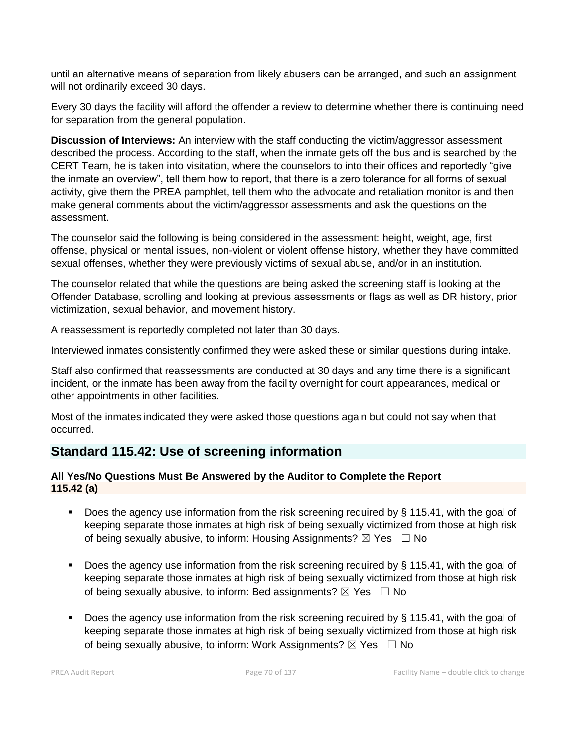until an alternative means of separation from likely abusers can be arranged, and such an assignment will not ordinarily exceed 30 days.

Every 30 days the facility will afford the offender a review to determine whether there is continuing need for separation from the general population.

**Discussion of Interviews:** An interview with the staff conducting the victim/aggressor assessment described the process. According to the staff, when the inmate gets off the bus and is searched by the CERT Team, he is taken into visitation, where the counselors to into their offices and reportedly "give the inmate an overview", tell them how to report, that there is a zero tolerance for all forms of sexual activity, give them the PREA pamphlet, tell them who the advocate and retaliation monitor is and then make general comments about the victim/aggressor assessments and ask the questions on the assessment.

The counselor said the following is being considered in the assessment: height, weight, age, first offense, physical or mental issues, non-violent or violent offense history, whether they have committed sexual offenses, whether they were previously victims of sexual abuse, and/or in an institution.

The counselor related that while the questions are being asked the screening staff is looking at the Offender Database, scrolling and looking at previous assessments or flags as well as DR history, prior victimization, sexual behavior, and movement history.

A reassessment is reportedly completed not later than 30 days.

Interviewed inmates consistently confirmed they were asked these or similar questions during intake.

Staff also confirmed that reassessments are conducted at 30 days and any time there is a significant incident, or the inmate has been away from the facility overnight for court appearances, medical or other appointments in other facilities.

Most of the inmates indicated they were asked those questions again but could not say when that occurred.

# **Standard 115.42: Use of screening information**

# **All Yes/No Questions Must Be Answered by the Auditor to Complete the Report 115.42 (a)**

- Does the agency use information from the risk screening required by § 115.41, with the goal of keeping separate those inmates at high risk of being sexually victimized from those at high risk of being sexually abusive, to inform: Housing Assignments?  $\boxtimes$  Yes  $\Box$  No
- Does the agency use information from the risk screening required by § 115.41, with the goal of keeping separate those inmates at high risk of being sexually victimized from those at high risk of being sexually abusive, to inform: Bed assignments?  $\boxtimes$  Yes  $\Box$  No
- **•** Does the agency use information from the risk screening required by  $\S$  115.41, with the goal of keeping separate those inmates at high risk of being sexually victimized from those at high risk of being sexually abusive, to inform: Work Assignments?  $\boxtimes$  Yes  $\Box$  No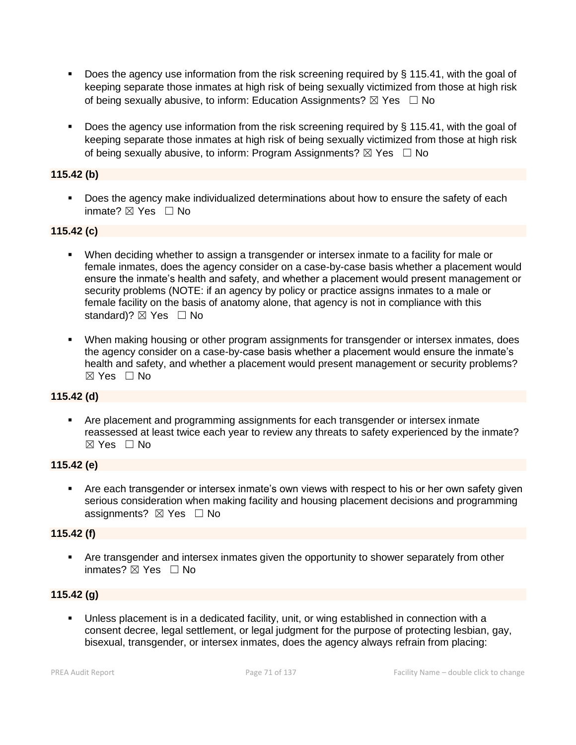- **•** Does the agency use information from the risk screening required by  $\S$  115.41, with the goal of keeping separate those inmates at high risk of being sexually victimized from those at high risk of being sexually abusive, to inform: Education Assignments?  $\boxtimes$  Yes  $\Box$  No
- **•** Does the agency use information from the risk screening required by  $\S$  115.41, with the goal of keeping separate those inmates at high risk of being sexually victimized from those at high risk of being sexually abusive, to inform: Program Assignments?  $\boxtimes$  Yes  $\Box$  No

# **115.42 (b)**

■ Does the agency make individualized determinations about how to ensure the safety of each inmate? ☒ Yes ☐ No

# **115.42 (c)**

- When deciding whether to assign a transgender or intersex inmate to a facility for male or female inmates, does the agency consider on a case-by-case basis whether a placement would ensure the inmate's health and safety, and whether a placement would present management or security problems (NOTE: if an agency by policy or practice assigns inmates to a male or female facility on the basis of anatomy alone, that agency is not in compliance with this standard)?  $\boxtimes$  Yes  $\Box$  No
- **When making housing or other program assignments for transgender or intersex inmates, does** the agency consider on a case-by-case basis whether a placement would ensure the inmate's health and safety, and whether a placement would present management or security problems?  $\boxtimes$  Yes  $\Box$  No

# **115.42 (d)**

▪ Are placement and programming assignments for each transgender or intersex inmate reassessed at least twice each year to review any threats to safety experienced by the inmate? ☒ Yes ☐ No

# **115.42 (e)**

■ Are each transgender or intersex inmate's own views with respect to his or her own safety given serious consideration when making facility and housing placement decisions and programming assignments?  $\boxtimes$  Yes  $\Box$  No

# **115.42 (f)**

**EXT** Are transgender and intersex inmates given the opportunity to shower separately from other inmates? ⊠ Yes □ No

# **115.42 (g)**

■ Unless placement is in a dedicated facility, unit, or wing established in connection with a consent decree, legal settlement, or legal judgment for the purpose of protecting lesbian, gay, bisexual, transgender, or intersex inmates, does the agency always refrain from placing: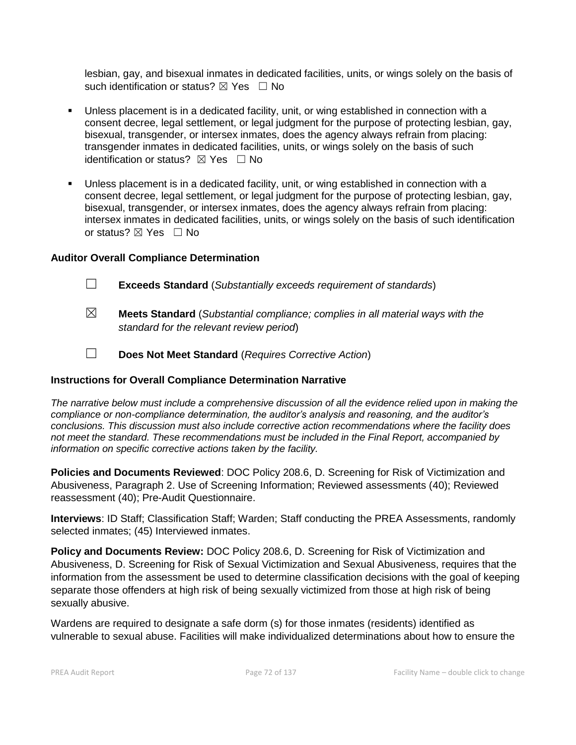lesbian, gay, and bisexual inmates in dedicated facilities, units, or wings solely on the basis of such identification or status?  $\boxtimes$  Yes  $\Box$  No

- Unless placement is in a dedicated facility, unit, or wing established in connection with a consent decree, legal settlement, or legal judgment for the purpose of protecting lesbian, gay, bisexual, transgender, or intersex inmates, does the agency always refrain from placing: transgender inmates in dedicated facilities, units, or wings solely on the basis of such identification or status?  $\boxtimes$  Yes  $\Box$  No
- Unless placement is in a dedicated facility, unit, or wing established in connection with a consent decree, legal settlement, or legal judgment for the purpose of protecting lesbian, gay, bisexual, transgender, or intersex inmates, does the agency always refrain from placing: intersex inmates in dedicated facilities, units, or wings solely on the basis of such identification or status? ⊠ Yes □ No

#### **Auditor Overall Compliance Determination**

- ☐ **Exceeds Standard** (*Substantially exceeds requirement of standards*)
- ☒ **Meets Standard** (*Substantial compliance; complies in all material ways with the standard for the relevant review period*)
- ☐ **Does Not Meet Standard** (*Requires Corrective Action*)

# **Instructions for Overall Compliance Determination Narrative**

*The narrative below must include a comprehensive discussion of all the evidence relied upon in making the compliance or non-compliance determination, the auditor's analysis and reasoning, and the auditor's conclusions. This discussion must also include corrective action recommendations where the facility does not meet the standard. These recommendations must be included in the Final Report, accompanied by information on specific corrective actions taken by the facility.*

**Policies and Documents Reviewed**: DOC Policy 208.6, D. Screening for Risk of Victimization and Abusiveness, Paragraph 2. Use of Screening Information; Reviewed assessments (40); Reviewed reassessment (40); Pre-Audit Questionnaire.

**Interviews**: ID Staff; Classification Staff; Warden; Staff conducting the PREA Assessments, randomly selected inmates; (45) Interviewed inmates.

**Policy and Documents Review:** DOC Policy 208.6, D. Screening for Risk of Victimization and Abusiveness, D. Screening for Risk of Sexual Victimization and Sexual Abusiveness, requires that the information from the assessment be used to determine classification decisions with the goal of keeping separate those offenders at high risk of being sexually victimized from those at high risk of being sexually abusive.

Wardens are required to designate a safe dorm (s) for those inmates (residents) identified as vulnerable to sexual abuse. Facilities will make individualized determinations about how to ensure the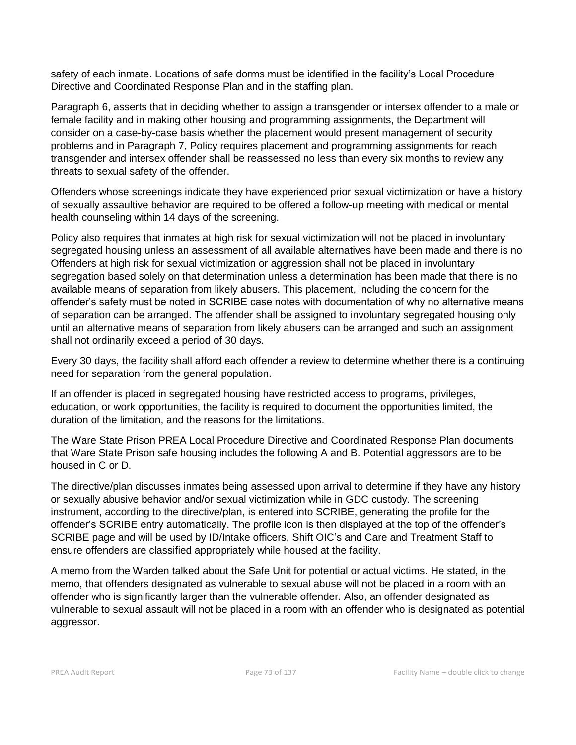safety of each inmate. Locations of safe dorms must be identified in the facility's Local Procedure Directive and Coordinated Response Plan and in the staffing plan.

Paragraph 6, asserts that in deciding whether to assign a transgender or intersex offender to a male or female facility and in making other housing and programming assignments, the Department will consider on a case-by-case basis whether the placement would present management of security problems and in Paragraph 7, Policy requires placement and programming assignments for reach transgender and intersex offender shall be reassessed no less than every six months to review any threats to sexual safety of the offender.

Offenders whose screenings indicate they have experienced prior sexual victimization or have a history of sexually assaultive behavior are required to be offered a follow-up meeting with medical or mental health counseling within 14 days of the screening.

Policy also requires that inmates at high risk for sexual victimization will not be placed in involuntary segregated housing unless an assessment of all available alternatives have been made and there is no Offenders at high risk for sexual victimization or aggression shall not be placed in involuntary segregation based solely on that determination unless a determination has been made that there is no available means of separation from likely abusers. This placement, including the concern for the offender's safety must be noted in SCRIBE case notes with documentation of why no alternative means of separation can be arranged. The offender shall be assigned to involuntary segregated housing only until an alternative means of separation from likely abusers can be arranged and such an assignment shall not ordinarily exceed a period of 30 days.

Every 30 days, the facility shall afford each offender a review to determine whether there is a continuing need for separation from the general population.

If an offender is placed in segregated housing have restricted access to programs, privileges, education, or work opportunities, the facility is required to document the opportunities limited, the duration of the limitation, and the reasons for the limitations.

The Ware State Prison PREA Local Procedure Directive and Coordinated Response Plan documents that Ware State Prison safe housing includes the following A and B. Potential aggressors are to be housed in C or D.

The directive/plan discusses inmates being assessed upon arrival to determine if they have any history or sexually abusive behavior and/or sexual victimization while in GDC custody. The screening instrument, according to the directive/plan, is entered into SCRIBE, generating the profile for the offender's SCRIBE entry automatically. The profile icon is then displayed at the top of the offender's SCRIBE page and will be used by ID/Intake officers, Shift OIC's and Care and Treatment Staff to ensure offenders are classified appropriately while housed at the facility.

A memo from the Warden talked about the Safe Unit for potential or actual victims. He stated, in the memo, that offenders designated as vulnerable to sexual abuse will not be placed in a room with an offender who is significantly larger than the vulnerable offender. Also, an offender designated as vulnerable to sexual assault will not be placed in a room with an offender who is designated as potential aggressor.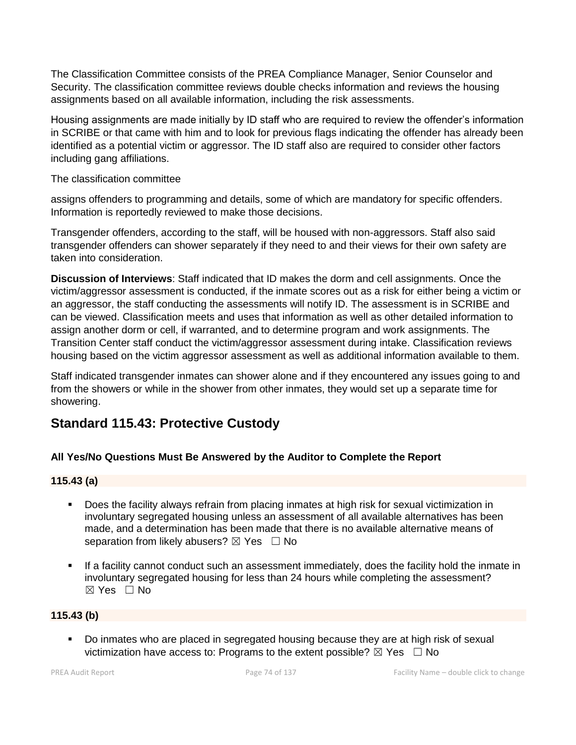The Classification Committee consists of the PREA Compliance Manager, Senior Counselor and Security. The classification committee reviews double checks information and reviews the housing assignments based on all available information, including the risk assessments.

Housing assignments are made initially by ID staff who are required to review the offender's information in SCRIBE or that came with him and to look for previous flags indicating the offender has already been identified as a potential victim or aggressor. The ID staff also are required to consider other factors including gang affiliations.

The classification committee

assigns offenders to programming and details, some of which are mandatory for specific offenders. Information is reportedly reviewed to make those decisions.

Transgender offenders, according to the staff, will be housed with non-aggressors. Staff also said transgender offenders can shower separately if they need to and their views for their own safety are taken into consideration.

**Discussion of Interviews**: Staff indicated that ID makes the dorm and cell assignments. Once the victim/aggressor assessment is conducted, if the inmate scores out as a risk for either being a victim or an aggressor, the staff conducting the assessments will notify ID. The assessment is in SCRIBE and can be viewed. Classification meets and uses that information as well as other detailed information to assign another dorm or cell, if warranted, and to determine program and work assignments. The Transition Center staff conduct the victim/aggressor assessment during intake. Classification reviews housing based on the victim aggressor assessment as well as additional information available to them.

Staff indicated transgender inmates can shower alone and if they encountered any issues going to and from the showers or while in the shower from other inmates, they would set up a separate time for showering.

## **Standard 115.43: Protective Custody**

## **All Yes/No Questions Must Be Answered by the Auditor to Complete the Report**

## **115.43 (a)**

- Does the facility always refrain from placing inmates at high risk for sexual victimization in involuntary segregated housing unless an assessment of all available alternatives has been made, and a determination has been made that there is no available alternative means of separation from likely abusers?  $\boxtimes$  Yes  $\Box$  No
- **.** If a facility cannot conduct such an assessment immediately, does the facility hold the inmate in involuntary segregated housing for less than 24 hours while completing the assessment? ☒ Yes ☐ No

## **115.43 (b)**

▪ Do inmates who are placed in segregated housing because they are at high risk of sexual victimization have access to: Programs to the extent possible?  $\boxtimes$  Yes  $\Box$  No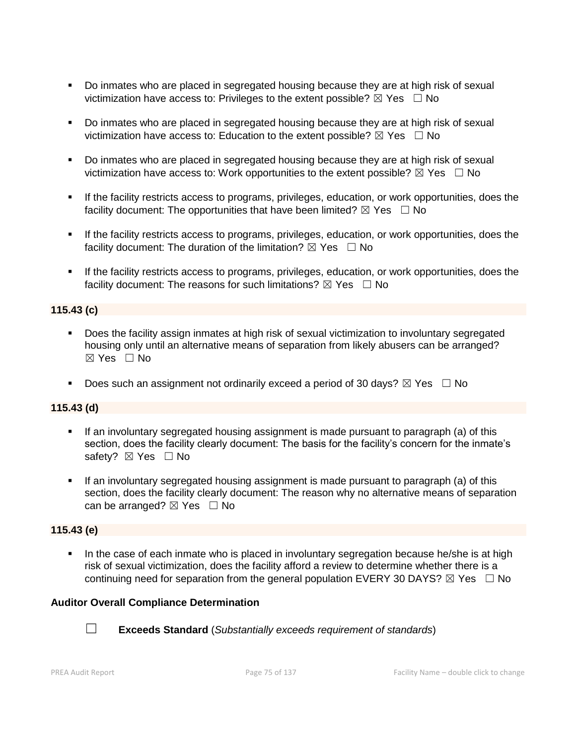- Do inmates who are placed in segregated housing because they are at high risk of sexual victimization have access to: Privileges to the extent possible?  $\boxtimes$  Yes  $\Box$  No
- Do inmates who are placed in segregated housing because they are at high risk of sexual victimization have access to: Education to the extent possible?  $\boxtimes$  Yes  $\Box$  No
- Do inmates who are placed in segregated housing because they are at high risk of sexual victimization have access to: Work opportunities to the extent possible?  $\boxtimes$  Yes  $\Box$  No
- **.** If the facility restricts access to programs, privileges, education, or work opportunities, does the facility document: The opportunities that have been limited?  $\boxtimes$  Yes  $\Box$  No
- **.** If the facility restricts access to programs, privileges, education, or work opportunities, does the facility document: The duration of the limitation?  $\boxtimes$  Yes  $\Box$  No
- **EXECT** If the facility restricts access to programs, privileges, education, or work opportunities, does the facility document: The reasons for such limitations?  $\boxtimes$  Yes  $\Box$  No

## **115.43 (c)**

- Does the facility assign inmates at high risk of sexual victimization to involuntary segregated housing only until an alternative means of separation from likely abusers can be arranged? ☒ Yes ☐ No
- **•** Does such an assignment not ordinarily exceed a period of 30 days?  $\boxtimes$  Yes  $\Box$  No

#### **115.43 (d)**

- If an involuntary segregated housing assignment is made pursuant to paragraph (a) of this section, does the facility clearly document: The basis for the facility's concern for the inmate's safety? ⊠ Yes □ No
- If an involuntary segregated housing assignment is made pursuant to paragraph (a) of this section, does the facility clearly document: The reason why no alternative means of separation can be arranged?  $\boxtimes$  Yes  $\Box$  No

#### **115.43 (e)**

In the case of each inmate who is placed in involuntary segregation because he/she is at high risk of sexual victimization, does the facility afford a review to determine whether there is a continuing need for separation from the general population EVERY 30 DAYS?  $\boxtimes$  Yes  $\Box$  No

#### **Auditor Overall Compliance Determination**



☐ **Exceeds Standard** (*Substantially exceeds requirement of standards*)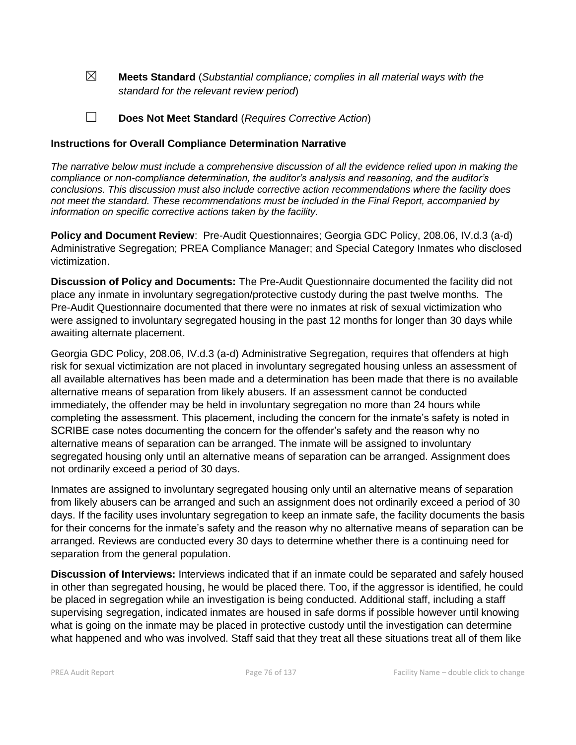☒ **Meets Standard** (*Substantial compliance; complies in all material ways with the standard for the relevant review period*)

☐ **Does Not Meet Standard** (*Requires Corrective Action*)

#### **Instructions for Overall Compliance Determination Narrative**

*The narrative below must include a comprehensive discussion of all the evidence relied upon in making the compliance or non-compliance determination, the auditor's analysis and reasoning, and the auditor's conclusions. This discussion must also include corrective action recommendations where the facility does not meet the standard. These recommendations must be included in the Final Report, accompanied by information on specific corrective actions taken by the facility.*

**Policy and Document Review**: Pre-Audit Questionnaires; Georgia GDC Policy, 208.06, IV.d.3 (a-d) Administrative Segregation; PREA Compliance Manager; and Special Category Inmates who disclosed victimization.

**Discussion of Policy and Documents:** The Pre-Audit Questionnaire documented the facility did not place any inmate in involuntary segregation/protective custody during the past twelve months. The Pre-Audit Questionnaire documented that there were no inmates at risk of sexual victimization who were assigned to involuntary segregated housing in the past 12 months for longer than 30 days while awaiting alternate placement.

Georgia GDC Policy, 208.06, IV.d.3 (a-d) Administrative Segregation, requires that offenders at high risk for sexual victimization are not placed in involuntary segregated housing unless an assessment of all available alternatives has been made and a determination has been made that there is no available alternative means of separation from likely abusers. If an assessment cannot be conducted immediately, the offender may be held in involuntary segregation no more than 24 hours while completing the assessment. This placement, including the concern for the inmate's safety is noted in SCRIBE case notes documenting the concern for the offender's safety and the reason why no alternative means of separation can be arranged. The inmate will be assigned to involuntary segregated housing only until an alternative means of separation can be arranged. Assignment does not ordinarily exceed a period of 30 days.

Inmates are assigned to involuntary segregated housing only until an alternative means of separation from likely abusers can be arranged and such an assignment does not ordinarily exceed a period of 30 days. If the facility uses involuntary segregation to keep an inmate safe, the facility documents the basis for their concerns for the inmate's safety and the reason why no alternative means of separation can be arranged. Reviews are conducted every 30 days to determine whether there is a continuing need for separation from the general population.

**Discussion of Interviews:** Interviews indicated that if an inmate could be separated and safely housed in other than segregated housing, he would be placed there. Too, if the aggressor is identified, he could be placed in segregation while an investigation is being conducted. Additional staff, including a staff supervising segregation, indicated inmates are housed in safe dorms if possible however until knowing what is going on the inmate may be placed in protective custody until the investigation can determine what happened and who was involved. Staff said that they treat all these situations treat all of them like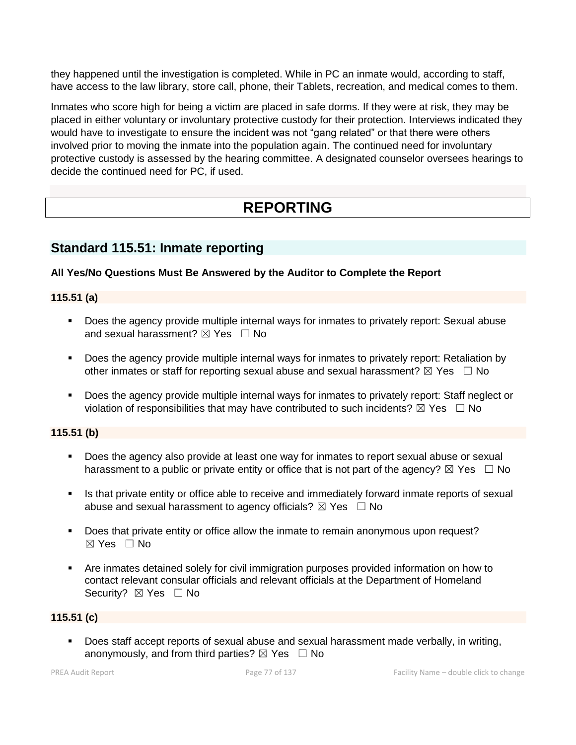they happened until the investigation is completed. While in PC an inmate would, according to staff, have access to the law library, store call, phone, their Tablets, recreation, and medical comes to them.

Inmates who score high for being a victim are placed in safe dorms. If they were at risk, they may be placed in either voluntary or involuntary protective custody for their protection. Interviews indicated they would have to investigate to ensure the incident was not "gang related" or that there were others involved prior to moving the inmate into the population again. The continued need for involuntary protective custody is assessed by the hearing committee. A designated counselor oversees hearings to decide the continued need for PC, if used.

# **REPORTING**

## **Standard 115.51: Inmate reporting**

#### **All Yes/No Questions Must Be Answered by the Auditor to Complete the Report**

### **115.51 (a)**

- Does the agency provide multiple internal ways for inmates to privately report: Sexual abuse and sexual harassment?  $\boxtimes$  Yes  $\Box$  No
- Does the agency provide multiple internal ways for inmates to privately report: Retaliation by other inmates or staff for reporting sexual abuse and sexual harassment?  $\boxtimes$  Yes  $\Box$  No
- Does the agency provide multiple internal ways for inmates to privately report: Staff neglect or violation of responsibilities that may have contributed to such incidents?  $\boxtimes$  Yes  $\Box$  No

## **115.51 (b)**

- Does the agency also provide at least one way for inmates to report sexual abuse or sexual harassment to a public or private entity or office that is not part of the agency?  $\boxtimes$  Yes  $\Box$  No
- **•** Is that private entity or office able to receive and immediately forward inmate reports of sexual abuse and sexual harassment to agency officials?  $\boxtimes$  Yes  $\Box$  No
- Does that private entity or office allow the inmate to remain anonymous upon request? ☒ Yes ☐ No
- Are inmates detained solely for civil immigration purposes provided information on how to contact relevant consular officials and relevant officials at the Department of Homeland Security?  $\boxtimes$  Yes  $\Box$  No

#### **115.51 (c)**

■ Does staff accept reports of sexual abuse and sexual harassment made verbally, in writing, anonymously, and from third parties?  $\boxtimes$  Yes  $\Box$  No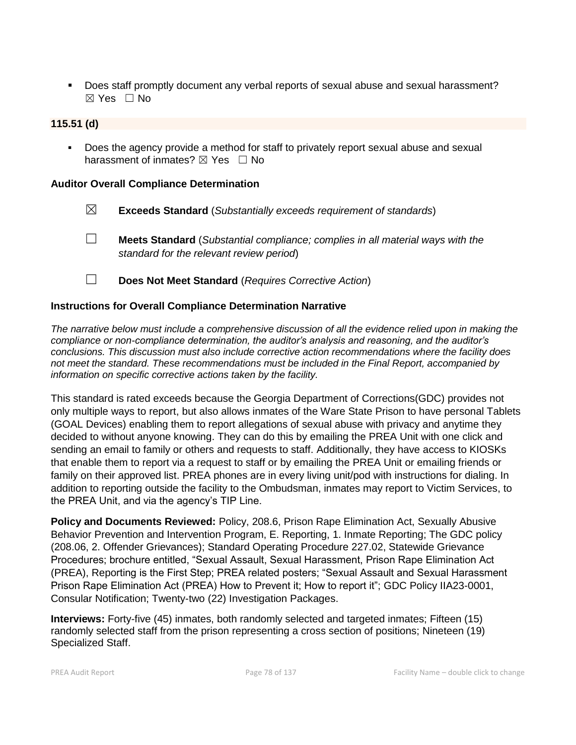■ Does staff promptly document any verbal reports of sexual abuse and sexual harassment? ☒ Yes ☐ No

## **115.51 (d)**

Does the agency provide a method for staff to privately report sexual abuse and sexual harassment of inmates?  $\boxtimes$  Yes  $\Box$  No

#### **Auditor Overall Compliance Determination**

- ☒ **Exceeds Standard** (*Substantially exceeds requirement of standards*)
- ☐ **Meets Standard** (*Substantial compliance; complies in all material ways with the standard for the relevant review period*)
- ☐ **Does Not Meet Standard** (*Requires Corrective Action*)

#### **Instructions for Overall Compliance Determination Narrative**

*The narrative below must include a comprehensive discussion of all the evidence relied upon in making the compliance or non-compliance determination, the auditor's analysis and reasoning, and the auditor's conclusions. This discussion must also include corrective action recommendations where the facility does not meet the standard. These recommendations must be included in the Final Report, accompanied by information on specific corrective actions taken by the facility.*

This standard is rated exceeds because the Georgia Department of Corrections(GDC) provides not only multiple ways to report, but also allows inmates of the Ware State Prison to have personal Tablets (GOAL Devices) enabling them to report allegations of sexual abuse with privacy and anytime they decided to without anyone knowing. They can do this by emailing the PREA Unit with one click and sending an email to family or others and requests to staff. Additionally, they have access to KIOSKs that enable them to report via a request to staff or by emailing the PREA Unit or emailing friends or family on their approved list. PREA phones are in every living unit/pod with instructions for dialing. In addition to reporting outside the facility to the Ombudsman, inmates may report to Victim Services, to the PREA Unit, and via the agency's TIP Line.

**Policy and Documents Reviewed:** Policy, 208.6, Prison Rape Elimination Act, Sexually Abusive Behavior Prevention and Intervention Program, E. Reporting, 1. Inmate Reporting; The GDC policy (208.06, 2. Offender Grievances); Standard Operating Procedure 227.02, Statewide Grievance Procedures; brochure entitled, "Sexual Assault, Sexual Harassment, Prison Rape Elimination Act (PREA), Reporting is the First Step; PREA related posters; "Sexual Assault and Sexual Harassment Prison Rape Elimination Act (PREA) How to Prevent it; How to report it"; GDC Policy IIA23-0001, Consular Notification; Twenty-two (22) Investigation Packages.

**Interviews:** Forty-five (45) inmates, both randomly selected and targeted inmates; Fifteen (15) randomly selected staff from the prison representing a cross section of positions; Nineteen (19) Specialized Staff.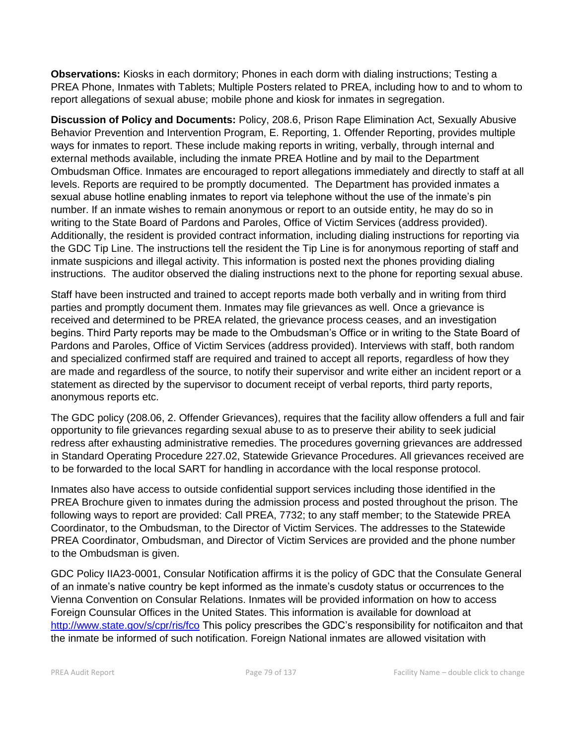**Observations:** Kiosks in each dormitory; Phones in each dorm with dialing instructions; Testing a PREA Phone, Inmates with Tablets; Multiple Posters related to PREA, including how to and to whom to report allegations of sexual abuse; mobile phone and kiosk for inmates in segregation.

**Discussion of Policy and Documents:** Policy, 208.6, Prison Rape Elimination Act, Sexually Abusive Behavior Prevention and Intervention Program, E. Reporting, 1. Offender Reporting, provides multiple ways for inmates to report. These include making reports in writing, verbally, through internal and external methods available, including the inmate PREA Hotline and by mail to the Department Ombudsman Office. Inmates are encouraged to report allegations immediately and directly to staff at all levels. Reports are required to be promptly documented. The Department has provided inmates a sexual abuse hotline enabling inmates to report via telephone without the use of the inmate's pin number. If an inmate wishes to remain anonymous or report to an outside entity, he may do so in writing to the State Board of Pardons and Paroles, Office of Victim Services (address provided). Additionally, the resident is provided contract information, including dialing instructions for reporting via the GDC Tip Line. The instructions tell the resident the Tip Line is for anonymous reporting of staff and inmate suspicions and illegal activity. This information is posted next the phones providing dialing instructions. The auditor observed the dialing instructions next to the phone for reporting sexual abuse.

Staff have been instructed and trained to accept reports made both verbally and in writing from third parties and promptly document them. Inmates may file grievances as well. Once a grievance is received and determined to be PREA related, the grievance process ceases, and an investigation begins. Third Party reports may be made to the Ombudsman's Office or in writing to the State Board of Pardons and Paroles, Office of Victim Services (address provided). Interviews with staff, both random and specialized confirmed staff are required and trained to accept all reports, regardless of how they are made and regardless of the source, to notify their supervisor and write either an incident report or a statement as directed by the supervisor to document receipt of verbal reports, third party reports, anonymous reports etc.

The GDC policy (208.06, 2. Offender Grievances), requires that the facility allow offenders a full and fair opportunity to file grievances regarding sexual abuse to as to preserve their ability to seek judicial redress after exhausting administrative remedies. The procedures governing grievances are addressed in Standard Operating Procedure 227.02, Statewide Grievance Procedures. All grievances received are to be forwarded to the local SART for handling in accordance with the local response protocol.

Inmates also have access to outside confidential support services including those identified in the PREA Brochure given to inmates during the admission process and posted throughout the prison. The following ways to report are provided: Call PREA, 7732; to any staff member; to the Statewide PREA Coordinator, to the Ombudsman, to the Director of Victim Services. The addresses to the Statewide PREA Coordinator, Ombudsman, and Director of Victim Services are provided and the phone number to the Ombudsman is given.

GDC Policy IIA23-0001, Consular Notification affirms it is the policy of GDC that the Consulate General of an inmate's native country be kept informed as the inmate's cusdoty status or occurrences to the Vienna Convention on Consular Relations. Inmates will be provided information on how to access Foreign Counsular Offices in the United States. This information is available for download at <http://www.state.gov/s/cpr/ris/fco> This policy prescribes the GDC's responsibility for notificaiton and that the inmate be informed of such notification. Foreign National inmates are allowed visitation with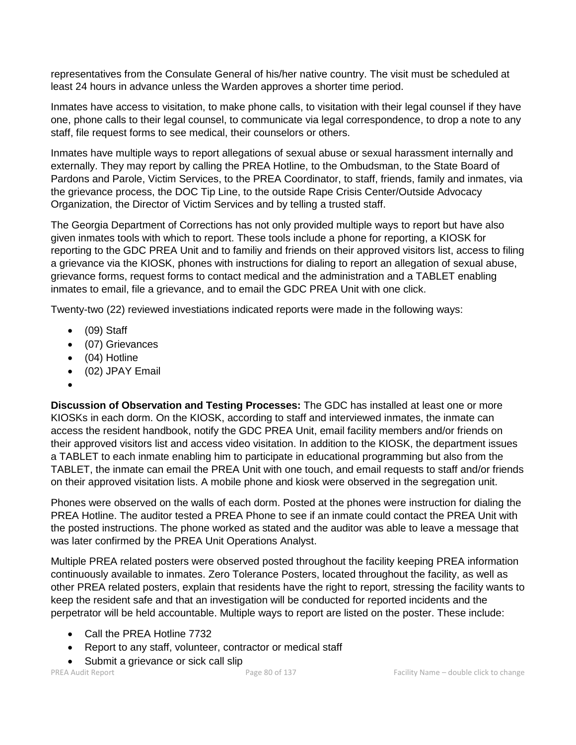representatives from the Consulate General of his/her native country. The visit must be scheduled at least 24 hours in advance unless the Warden approves a shorter time period.

Inmates have access to visitation, to make phone calls, to visitation with their legal counsel if they have one, phone calls to their legal counsel, to communicate via legal correspondence, to drop a note to any staff, file request forms to see medical, their counselors or others.

Inmates have multiple ways to report allegations of sexual abuse or sexual harassment internally and externally. They may report by calling the PREA Hotline, to the Ombudsman, to the State Board of Pardons and Parole, Victim Services, to the PREA Coordinator, to staff, friends, family and inmates, via the grievance process, the DOC Tip Line, to the outside Rape Crisis Center/Outside Advocacy Organization, the Director of Victim Services and by telling a trusted staff.

The Georgia Department of Corrections has not only provided multiple ways to report but have also given inmates tools with which to report. These tools include a phone for reporting, a KIOSK for reporting to the GDC PREA Unit and to familiy and friends on their approved visitors list, access to filing a grievance via the KIOSK, phones with instructions for dialing to report an allegation of sexual abuse, grievance forms, request forms to contact medical and the administration and a TABLET enabling inmates to email, file a grievance, and to email the GDC PREA Unit with one click.

Twenty-two (22) reviewed investiations indicated reports were made in the following ways:

- (09) Staff
- (07) Grievances
- (04) Hotline
- (02) JPAY Email
- •

**Discussion of Observation and Testing Processes:** The GDC has installed at least one or more KIOSKs in each dorm. On the KIOSK, according to staff and interviewed inmates, the inmate can access the resident handbook, notify the GDC PREA Unit, email facility members and/or friends on their approved visitors list and access video visitation. In addition to the KIOSK, the department issues a TABLET to each inmate enabling him to participate in educational programming but also from the TABLET, the inmate can email the PREA Unit with one touch, and email requests to staff and/or friends on their approved visitation lists. A mobile phone and kiosk were observed in the segregation unit.

Phones were observed on the walls of each dorm. Posted at the phones were instruction for dialing the PREA Hotline. The auditor tested a PREA Phone to see if an inmate could contact the PREA Unit with the posted instructions. The phone worked as stated and the auditor was able to leave a message that was later confirmed by the PREA Unit Operations Analyst.

Multiple PREA related posters were observed posted throughout the facility keeping PREA information continuously available to inmates. Zero Tolerance Posters, located throughout the facility, as well as other PREA related posters, explain that residents have the right to report, stressing the facility wants to keep the resident safe and that an investigation will be conducted for reported incidents and the perpetrator will be held accountable. Multiple ways to report are listed on the poster. These include:

- Call the PREA Hotline 7732
- Report to any staff, volunteer, contractor or medical staff
- Submit a grievance or sick call slip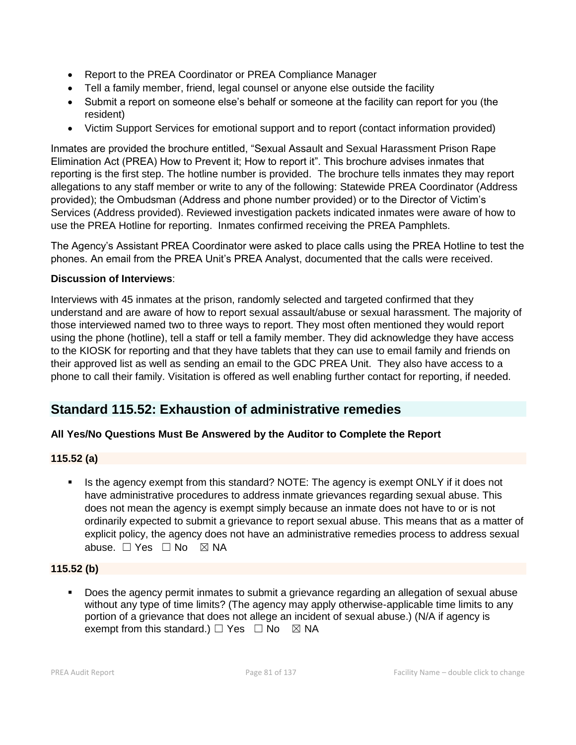- Report to the PREA Coordinator or PREA Compliance Manager
- Tell a family member, friend, legal counsel or anyone else outside the facility
- Submit a report on someone else's behalf or someone at the facility can report for you (the resident)
- Victim Support Services for emotional support and to report (contact information provided)

Inmates are provided the brochure entitled, "Sexual Assault and Sexual Harassment Prison Rape Elimination Act (PREA) How to Prevent it; How to report it". This brochure advises inmates that reporting is the first step. The hotline number is provided. The brochure tells inmates they may report allegations to any staff member or write to any of the following: Statewide PREA Coordinator (Address provided); the Ombudsman (Address and phone number provided) or to the Director of Victim's Services (Address provided). Reviewed investigation packets indicated inmates were aware of how to use the PREA Hotline for reporting. Inmates confirmed receiving the PREA Pamphlets.

The Agency's Assistant PREA Coordinator were asked to place calls using the PREA Hotline to test the phones. An email from the PREA Unit's PREA Analyst, documented that the calls were received.

## **Discussion of Interviews**:

Interviews with 45 inmates at the prison, randomly selected and targeted confirmed that they understand and are aware of how to report sexual assault/abuse or sexual harassment. The majority of those interviewed named two to three ways to report. They most often mentioned they would report using the phone (hotline), tell a staff or tell a family member. They did acknowledge they have access to the KIOSK for reporting and that they have tablets that they can use to email family and friends on their approved list as well as sending an email to the GDC PREA Unit. They also have access to a phone to call their family. Visitation is offered as well enabling further contact for reporting, if needed.

## **Standard 115.52: Exhaustion of administrative remedies**

## **All Yes/No Questions Must Be Answered by the Auditor to Complete the Report**

## **115.52 (a)**

**.** Is the agency exempt from this standard? NOTE: The agency is exempt ONLY if it does not have administrative procedures to address inmate grievances regarding sexual abuse. This does not mean the agency is exempt simply because an inmate does not have to or is not ordinarily expected to submit a grievance to report sexual abuse. This means that as a matter of explicit policy, the agency does not have an administrative remedies process to address sexual abuse. □ Yes □ No ⊠ NA

## **115.52 (b)**

Does the agency permit inmates to submit a grievance regarding an allegation of sexual abuse without any type of time limits? (The agency may apply otherwise-applicable time limits to any portion of a grievance that does not allege an incident of sexual abuse.) (N/A if agency is exempt from this standard.)  $\Box$  Yes  $\Box$  No  $\boxtimes$  NA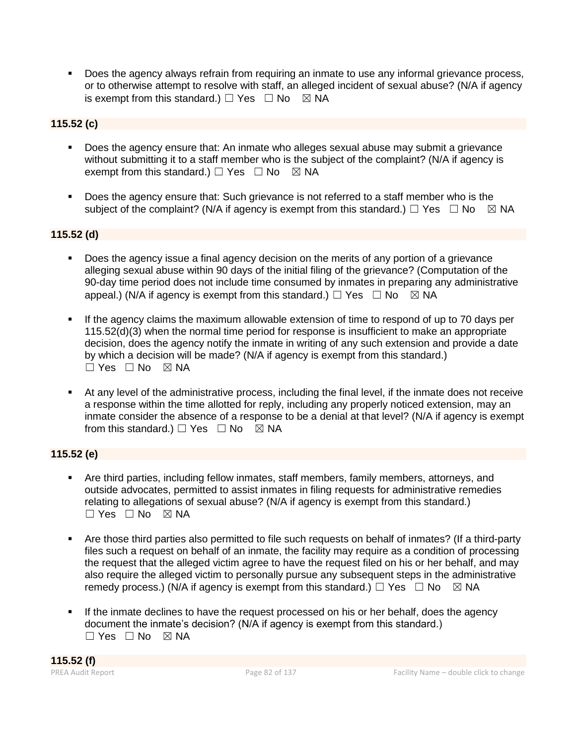**•** Does the agency always refrain from requiring an inmate to use any informal grievance process, or to otherwise attempt to resolve with staff, an alleged incident of sexual abuse? (N/A if agency is exempt from this standard.)  $\Box$  Yes  $\Box$  No  $\boxtimes$  NA

## **115.52 (c)**

- Does the agency ensure that: An inmate who alleges sexual abuse may submit a grievance without submitting it to a staff member who is the subject of the complaint? (N/A if agency is exempt from this standard.)  $\Box$  Yes  $\Box$  No  $\boxtimes$  NA
- Does the agency ensure that: Such grievance is not referred to a staff member who is the subject of the complaint? (N/A if agency is exempt from this standard.)  $\Box$  Yes  $\Box$  No  $\boxtimes$  NA

## **115.52 (d)**

- Does the agency issue a final agency decision on the merits of any portion of a grievance alleging sexual abuse within 90 days of the initial filing of the grievance? (Computation of the 90-day time period does not include time consumed by inmates in preparing any administrative appeal.) (N/A if agency is exempt from this standard.)  $\Box$  Yes  $\Box$  No  $\boxtimes$  NA
- If the agency claims the maximum allowable extension of time to respond of up to 70 days per 115.52(d)(3) when the normal time period for response is insufficient to make an appropriate decision, does the agency notify the inmate in writing of any such extension and provide a date by which a decision will be made? (N/A if agency is exempt from this standard.) ☐ Yes ☐ No ☒ NA
- At any level of the administrative process, including the final level, if the inmate does not receive a response within the time allotted for reply, including any properly noticed extension, may an inmate consider the absence of a response to be a denial at that level? (N/A if agency is exempt from this standard.)  $\Box$  Yes  $\Box$  No  $\boxtimes$  NA

## **115.52 (e)**

- Are third parties, including fellow inmates, staff members, family members, attorneys, and outside advocates, permitted to assist inmates in filing requests for administrative remedies relating to allegations of sexual abuse? (N/A if agency is exempt from this standard.) ☐ Yes ☐ No ☒ NA
- Are those third parties also permitted to file such requests on behalf of inmates? (If a third-party files such a request on behalf of an inmate, the facility may require as a condition of processing the request that the alleged victim agree to have the request filed on his or her behalf, and may also require the alleged victim to personally pursue any subsequent steps in the administrative remedy process.) (N/A if agency is exempt from this standard.)  $\Box$  Yes  $\Box$  No  $\boxtimes$  NA
- If the inmate declines to have the request processed on his or her behalf, does the agency document the inmate's decision? (N/A if agency is exempt from this standard.)  $\square$  Yes  $\square$  No  $\square$  NA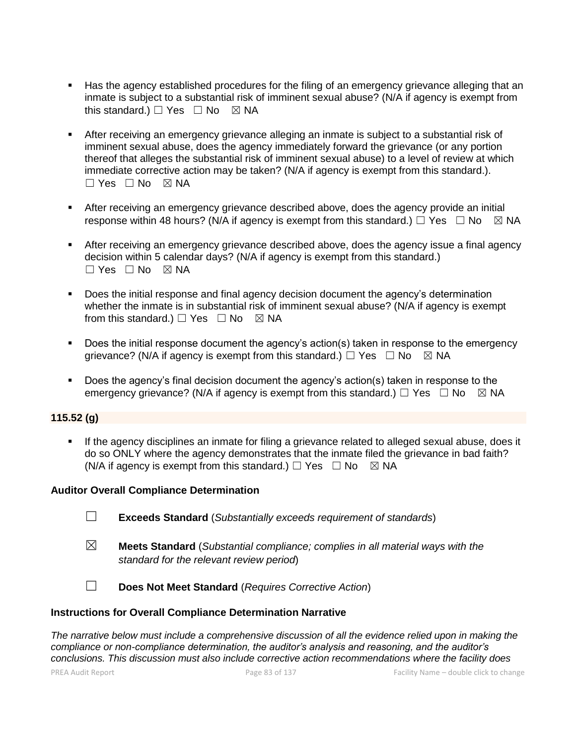- Has the agency established procedures for the filing of an emergency grievance alleging that an inmate is subject to a substantial risk of imminent sexual abuse? (N/A if agency is exempt from this standard.)  $\Box$  Yes  $\Box$  No  $\boxtimes$  NA
- **EXECT** After receiving an emergency grievance alleging an inmate is subject to a substantial risk of imminent sexual abuse, does the agency immediately forward the grievance (or any portion thereof that alleges the substantial risk of imminent sexual abuse) to a level of review at which immediate corrective action may be taken? (N/A if agency is exempt from this standard.).  $\Box$  Yes  $\Box$  No  $\boxtimes$  NA
- **EXECT** After receiving an emergency grievance described above, does the agency provide an initial response within 48 hours? (N/A if agency is exempt from this standard.)  $\Box$  Yes  $\Box$  No  $\boxtimes$  NA
- **EXECT** After receiving an emergency grievance described above, does the agency issue a final agency decision within 5 calendar days? (N/A if agency is exempt from this standard.)  $\Box$  Yes  $\Box$  No  $\boxtimes$  NA
- Does the initial response and final agency decision document the agency's determination whether the inmate is in substantial risk of imminent sexual abuse? (N/A if agency is exempt from this standard.)  $\Box$  Yes  $\Box$  No  $\boxtimes$  NA
- Does the initial response document the agency's action(s) taken in response to the emergency grievance? (N/A if agency is exempt from this standard.)  $\Box$  Yes  $\Box$  No  $\boxtimes$  NA
- Does the agency's final decision document the agency's action(s) taken in response to the emergency grievance? (N/A if agency is exempt from this standard.)  $\Box$  Yes  $\Box$  No  $\boxtimes$  NA

#### **115.52 (g)**

**.** If the agency disciplines an inmate for filing a grievance related to alleged sexual abuse, does it do so ONLY where the agency demonstrates that the inmate filed the grievance in bad faith? (N/A if agency is exempt from this standard.)  $\Box$  Yes  $\Box$  No  $\boxtimes$  NA

#### **Auditor Overall Compliance Determination**

- ☐ **Exceeds Standard** (*Substantially exceeds requirement of standards*)
- ☒ **Meets Standard** (*Substantial compliance; complies in all material ways with the standard for the relevant review period*)
- ☐ **Does Not Meet Standard** (*Requires Corrective Action*)

#### **Instructions for Overall Compliance Determination Narrative**

*The narrative below must include a comprehensive discussion of all the evidence relied upon in making the compliance or non-compliance determination, the auditor's analysis and reasoning, and the auditor's conclusions. This discussion must also include corrective action recommendations where the facility does*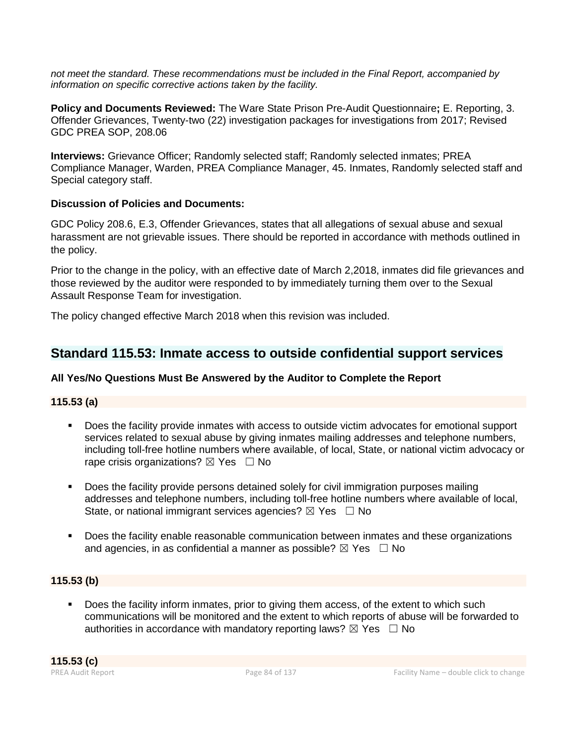*not meet the standard. These recommendations must be included in the Final Report, accompanied by information on specific corrective actions taken by the facility.*

**Policy and Documents Reviewed:** The Ware State Prison Pre-Audit Questionnaire**;** E. Reporting, 3. Offender Grievances, Twenty-two (22) investigation packages for investigations from 2017; Revised GDC PREA SOP, 208.06

**Interviews:** Grievance Officer; Randomly selected staff; Randomly selected inmates; PREA Compliance Manager, Warden, PREA Compliance Manager, 45. Inmates, Randomly selected staff and Special category staff.

### **Discussion of Policies and Documents:**

GDC Policy 208.6, E.3, Offender Grievances, states that all allegations of sexual abuse and sexual harassment are not grievable issues. There should be reported in accordance with methods outlined in the policy.

Prior to the change in the policy, with an effective date of March 2,2018, inmates did file grievances and those reviewed by the auditor were responded to by immediately turning them over to the Sexual Assault Response Team for investigation.

The policy changed effective March 2018 when this revision was included.

## **Standard 115.53: Inmate access to outside confidential support services**

## **All Yes/No Questions Must Be Answered by the Auditor to Complete the Report**

#### **115.53 (a)**

- Does the facility provide inmates with access to outside victim advocates for emotional support services related to sexual abuse by giving inmates mailing addresses and telephone numbers, including toll-free hotline numbers where available, of local, State, or national victim advocacy or rape crisis organizations?  $\boxtimes$  Yes  $\Box$  No
- Does the facility provide persons detained solely for civil immigration purposes mailing addresses and telephone numbers, including toll-free hotline numbers where available of local, State, or national immigrant services agencies?  $\boxtimes$  Yes  $\Box$  No
- Does the facility enable reasonable communication between inmates and these organizations and agencies, in as confidential a manner as possible?  $\boxtimes$  Yes  $\Box$  No

## **115.53 (b)**

Does the facility inform inmates, prior to giving them access, of the extent to which such communications will be monitored and the extent to which reports of abuse will be forwarded to authorities in accordance with mandatory reporting laws?  $\boxtimes$  Yes  $\Box$  No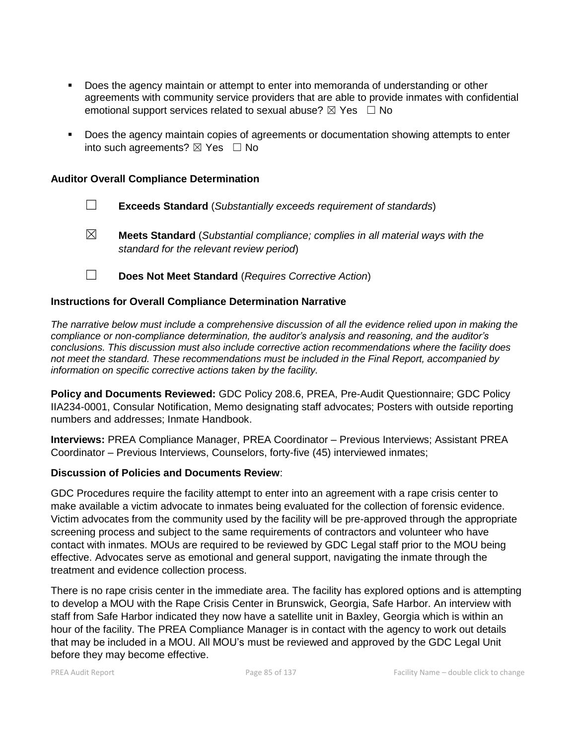- Does the agency maintain or attempt to enter into memoranda of understanding or other agreements with community service providers that are able to provide inmates with confidential emotional support services related to sexual abuse?  $\boxtimes$  Yes  $\Box$  No
- Does the agency maintain copies of agreements or documentation showing attempts to enter into such agreements?  $\boxtimes$  Yes  $\Box$  No

#### **Auditor Overall Compliance Determination**

☐ **Exceeds Standard** (*Substantially exceeds requirement of standards*)

- ☒ **Meets Standard** (*Substantial compliance; complies in all material ways with the standard for the relevant review period*)
- ☐ **Does Not Meet Standard** (*Requires Corrective Action*)

#### **Instructions for Overall Compliance Determination Narrative**

*The narrative below must include a comprehensive discussion of all the evidence relied upon in making the compliance or non-compliance determination, the auditor's analysis and reasoning, and the auditor's conclusions. This discussion must also include corrective action recommendations where the facility does not meet the standard. These recommendations must be included in the Final Report, accompanied by information on specific corrective actions taken by the facility.*

**Policy and Documents Reviewed:** GDC Policy 208.6, PREA, Pre-Audit Questionnaire; GDC Policy IIA234-0001, Consular Notification, Memo designating staff advocates; Posters with outside reporting numbers and addresses; Inmate Handbook.

**Interviews:** PREA Compliance Manager, PREA Coordinator – Previous Interviews; Assistant PREA Coordinator – Previous Interviews, Counselors, forty-five (45) interviewed inmates;

#### **Discussion of Policies and Documents Review**:

GDC Procedures require the facility attempt to enter into an agreement with a rape crisis center to make available a victim advocate to inmates being evaluated for the collection of forensic evidence. Victim advocates from the community used by the facility will be pre-approved through the appropriate screening process and subject to the same requirements of contractors and volunteer who have contact with inmates. MOUs are required to be reviewed by GDC Legal staff prior to the MOU being effective. Advocates serve as emotional and general support, navigating the inmate through the treatment and evidence collection process.

There is no rape crisis center in the immediate area. The facility has explored options and is attempting to develop a MOU with the Rape Crisis Center in Brunswick, Georgia, Safe Harbor. An interview with staff from Safe Harbor indicated they now have a satellite unit in Baxley, Georgia which is within an hour of the facility. The PREA Compliance Manager is in contact with the agency to work out details that may be included in a MOU. All MOU's must be reviewed and approved by the GDC Legal Unit before they may become effective.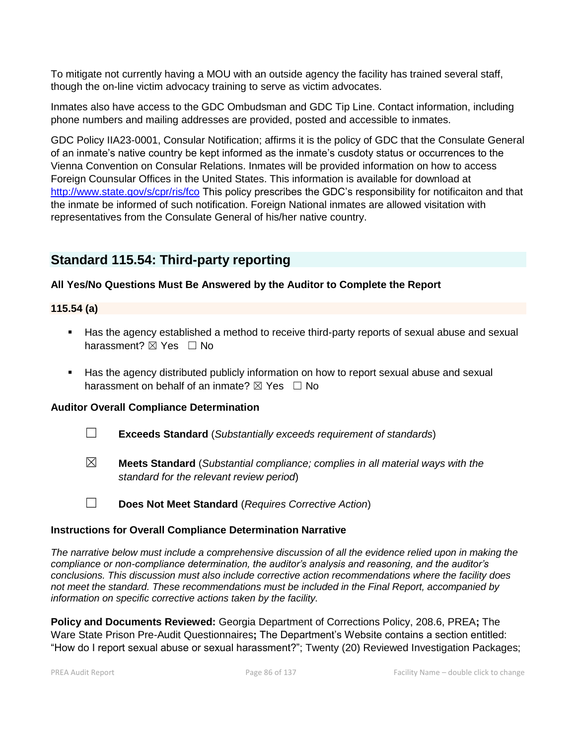To mitigate not currently having a MOU with an outside agency the facility has trained several staff, though the on-line victim advocacy training to serve as victim advocates.

Inmates also have access to the GDC Ombudsman and GDC Tip Line. Contact information, including phone numbers and mailing addresses are provided, posted and accessible to inmates.

GDC Policy IIA23-0001, Consular Notification; affirms it is the policy of GDC that the Consulate General of an inmate's native country be kept informed as the inmate's cusdoty status or occurrences to the Vienna Convention on Consular Relations. Inmates will be provided information on how to access Foreign Counsular Offices in the United States. This information is available for download at <http://www.state.gov/s/cpr/ris/fco> This policy prescribes the GDC's responsibility for notificaiton and that the inmate be informed of such notification. Foreign National inmates are allowed visitation with representatives from the Consulate General of his/her native country.

## **Standard 115.54: Third-party reporting**

## **All Yes/No Questions Must Be Answered by the Auditor to Complete the Report**

## **115.54 (a)**

- Has the agency established a method to receive third-party reports of sexual abuse and sexual harassment? **⊠** Yes □ No
- Has the agency distributed publicly information on how to report sexual abuse and sexual harassment on behalf of an inmate?  $\boxtimes$  Yes  $\Box$  No

## **Auditor Overall Compliance Determination**

- ☐ **Exceeds Standard** (*Substantially exceeds requirement of standards*)
- ☒ **Meets Standard** (*Substantial compliance; complies in all material ways with the standard for the relevant review period*)
- ☐ **Does Not Meet Standard** (*Requires Corrective Action*)

## **Instructions for Overall Compliance Determination Narrative**

*The narrative below must include a comprehensive discussion of all the evidence relied upon in making the compliance or non-compliance determination, the auditor's analysis and reasoning, and the auditor's conclusions. This discussion must also include corrective action recommendations where the facility does not meet the standard. These recommendations must be included in the Final Report, accompanied by information on specific corrective actions taken by the facility.*

**Policy and Documents Reviewed:** Georgia Department of Corrections Policy, 208.6, PREA**;** The Ware State Prison Pre-Audit Questionnaires**;** The Department's Website contains a section entitled: "How do I report sexual abuse or sexual harassment?"; Twenty (20) Reviewed Investigation Packages;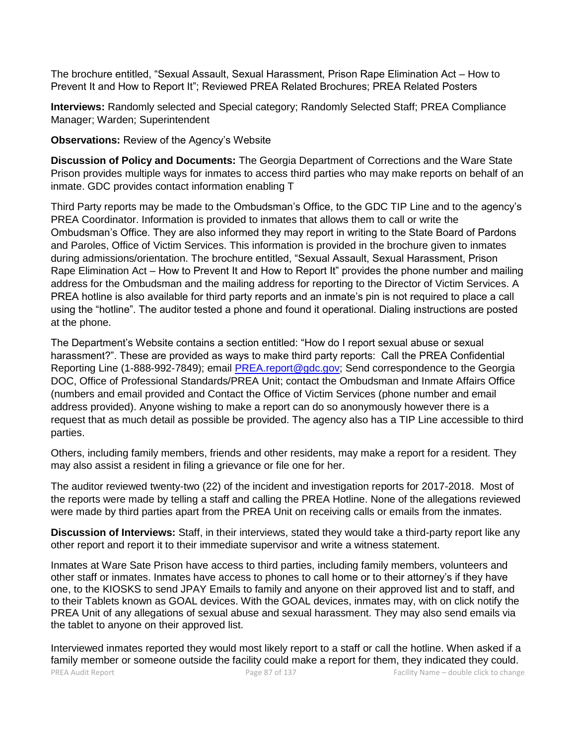The brochure entitled, "Sexual Assault, Sexual Harassment, Prison Rape Elimination Act – How to Prevent It and How to Report It"; Reviewed PREA Related Brochures; PREA Related Posters

**Interviews:** Randomly selected and Special category; Randomly Selected Staff; PREA Compliance Manager; Warden; Superintendent

**Observations:** Review of the Agency's Website

**Discussion of Policy and Documents:** The Georgia Department of Corrections and the Ware State Prison provides multiple ways for inmates to access third parties who may make reports on behalf of an inmate. GDC provides contact information enabling T

Third Party reports may be made to the Ombudsman's Office, to the GDC TIP Line and to the agency's PREA Coordinator. Information is provided to inmates that allows them to call or write the Ombudsman's Office. They are also informed they may report in writing to the State Board of Pardons and Paroles, Office of Victim Services. This information is provided in the brochure given to inmates during admissions/orientation. The brochure entitled, "Sexual Assault, Sexual Harassment, Prison Rape Elimination Act – How to Prevent It and How to Report It" provides the phone number and mailing address for the Ombudsman and the mailing address for reporting to the Director of Victim Services. A PREA hotline is also available for third party reports and an inmate's pin is not required to place a call using the "hotline". The auditor tested a phone and found it operational. Dialing instructions are posted at the phone.

The Department's Website contains a section entitled: "How do I report sexual abuse or sexual harassment?". These are provided as ways to make third party reports: Call the PREA Confidential Reporting Line (1-888-992-7849); email [PREA.report@gdc.gov;](mailto:PREA.report@gdc.gov) Send correspondence to the Georgia DOC, Office of Professional Standards/PREA Unit; contact the Ombudsman and Inmate Affairs Office (numbers and email provided and Contact the Office of Victim Services (phone number and email address provided). Anyone wishing to make a report can do so anonymously however there is a request that as much detail as possible be provided. The agency also has a TIP Line accessible to third parties.

Others, including family members, friends and other residents, may make a report for a resident. They may also assist a resident in filing a grievance or file one for her.

The auditor reviewed twenty-two (22) of the incident and investigation reports for 2017-2018. Most of the reports were made by telling a staff and calling the PREA Hotline. None of the allegations reviewed were made by third parties apart from the PREA Unit on receiving calls or emails from the inmates.

**Discussion of Interviews:** Staff, in their interviews, stated they would take a third-party report like any other report and report it to their immediate supervisor and write a witness statement.

Inmates at Ware Sate Prison have access to third parties, including family members, volunteers and other staff or inmates. Inmates have access to phones to call home or to their attorney's if they have one, to the KIOSKS to send JPAY Emails to family and anyone on their approved list and to staff, and to their Tablets known as GOAL devices. With the GOAL devices, inmates may, with on click notify the PREA Unit of any allegations of sexual abuse and sexual harassment. They may also send emails via the tablet to anyone on their approved list.

PREA Audit Report **Page 87** of 137 Facility Name – double click to change Interviewed inmates reported they would most likely report to a staff or call the hotline. When asked if a family member or someone outside the facility could make a report for them, they indicated they could.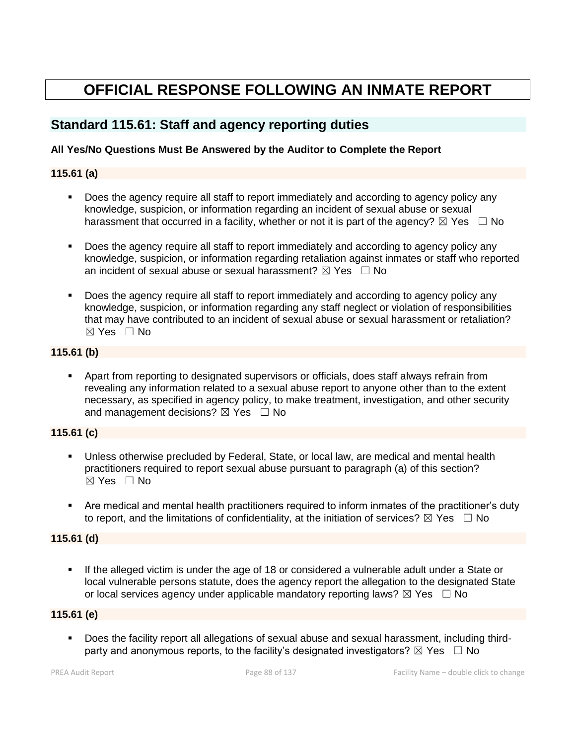# **OFFICIAL RESPONSE FOLLOWING AN INMATE REPORT**

## **Standard 115.61: Staff and agency reporting duties**

#### **All Yes/No Questions Must Be Answered by the Auditor to Complete the Report**

### **115.61 (a)**

- **•** Does the agency require all staff to report immediately and according to agency policy any knowledge, suspicion, or information regarding an incident of sexual abuse or sexual harassment that occurred in a facility, whether or not it is part of the agency?  $\boxtimes$  Yes  $\Box$  No
- Does the agency require all staff to report immediately and according to agency policy any knowledge, suspicion, or information regarding retaliation against inmates or staff who reported an incident of sexual abuse or sexual harassment?  $\boxtimes$  Yes  $\Box$  No
- Does the agency require all staff to report immediately and according to agency policy any knowledge, suspicion, or information regarding any staff neglect or violation of responsibilities that may have contributed to an incident of sexual abuse or sexual harassment or retaliation? ☒ Yes ☐ No

### **115.61 (b)**

▪ Apart from reporting to designated supervisors or officials, does staff always refrain from revealing any information related to a sexual abuse report to anyone other than to the extent necessary, as specified in agency policy, to make treatment, investigation, and other security and management decisions?  $\boxtimes$  Yes  $\Box$  No

## **115.61 (c)**

- Unless otherwise precluded by Federal, State, or local law, are medical and mental health practitioners required to report sexual abuse pursuant to paragraph (a) of this section? ☒ Yes ☐ No
- Are medical and mental health practitioners required to inform inmates of the practitioner's duty to report, and the limitations of confidentiality, at the initiation of services?  $\boxtimes$  Yes  $\Box$  No

#### **115.61 (d)**

**.** If the alleged victim is under the age of 18 or considered a vulnerable adult under a State or local vulnerable persons statute, does the agency report the allegation to the designated State or local services agency under applicable mandatory reporting laws?  $\boxtimes$  Yes  $\Box$  No

#### **115.61 (e)**

▪ Does the facility report all allegations of sexual abuse and sexual harassment, including thirdparty and anonymous reports, to the facility's designated investigators?  $\boxtimes$  Yes  $\Box$  No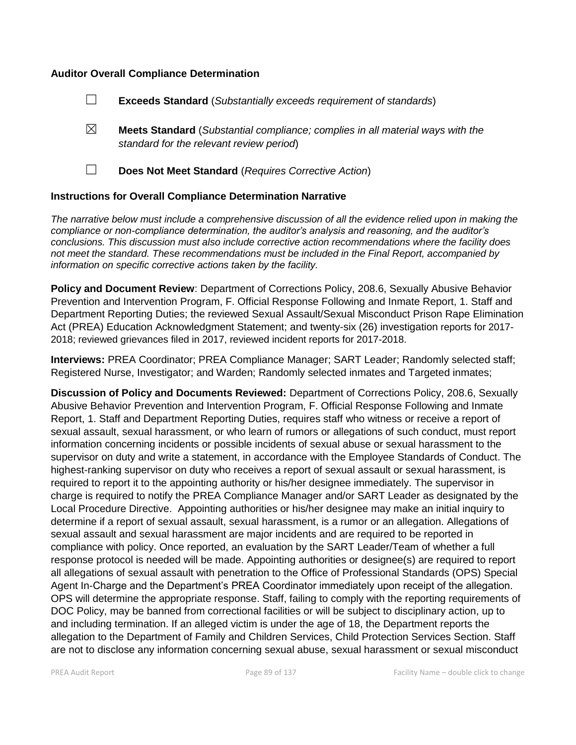#### **Auditor Overall Compliance Determination**

- ☐ **Exceeds Standard** (*Substantially exceeds requirement of standards*)
- ☒ **Meets Standard** (*Substantial compliance; complies in all material ways with the standard for the relevant review period*)
- 
- ☐ **Does Not Meet Standard** (*Requires Corrective Action*)

#### **Instructions for Overall Compliance Determination Narrative**

*The narrative below must include a comprehensive discussion of all the evidence relied upon in making the compliance or non-compliance determination, the auditor's analysis and reasoning, and the auditor's conclusions. This discussion must also include corrective action recommendations where the facility does not meet the standard. These recommendations must be included in the Final Report, accompanied by information on specific corrective actions taken by the facility.*

**Policy and Document Review**: Department of Corrections Policy, 208.6, Sexually Abusive Behavior Prevention and Intervention Program, F. Official Response Following and Inmate Report, 1. Staff and Department Reporting Duties; the reviewed Sexual Assault/Sexual Misconduct Prison Rape Elimination Act (PREA) Education Acknowledgment Statement; and twenty-six (26) investigation reports for 2017- 2018; reviewed grievances filed in 2017, reviewed incident reports for 2017-2018.

**Interviews:** PREA Coordinator; PREA Compliance Manager; SART Leader; Randomly selected staff; Registered Nurse, Investigator; and Warden; Randomly selected inmates and Targeted inmates;

**Discussion of Policy and Documents Reviewed:** Department of Corrections Policy, 208.6, Sexually Abusive Behavior Prevention and Intervention Program, F. Official Response Following and Inmate Report, 1. Staff and Department Reporting Duties, requires staff who witness or receive a report of sexual assault, sexual harassment, or who learn of rumors or allegations of such conduct, must report information concerning incidents or possible incidents of sexual abuse or sexual harassment to the supervisor on duty and write a statement, in accordance with the Employee Standards of Conduct. The highest-ranking supervisor on duty who receives a report of sexual assault or sexual harassment, is required to report it to the appointing authority or his/her designee immediately. The supervisor in charge is required to notify the PREA Compliance Manager and/or SART Leader as designated by the Local Procedure Directive. Appointing authorities or his/her designee may make an initial inquiry to determine if a report of sexual assault, sexual harassment, is a rumor or an allegation. Allegations of sexual assault and sexual harassment are major incidents and are required to be reported in compliance with policy. Once reported, an evaluation by the SART Leader/Team of whether a full response protocol is needed will be made. Appointing authorities or designee(s) are required to report all allegations of sexual assault with penetration to the Office of Professional Standards (OPS) Special Agent In-Charge and the Department's PREA Coordinator immediately upon receipt of the allegation. OPS will determine the appropriate response. Staff, failing to comply with the reporting requirements of DOC Policy, may be banned from correctional facilities or will be subject to disciplinary action, up to and including termination. If an alleged victim is under the age of 18, the Department reports the allegation to the Department of Family and Children Services, Child Protection Services Section. Staff are not to disclose any information concerning sexual abuse, sexual harassment or sexual misconduct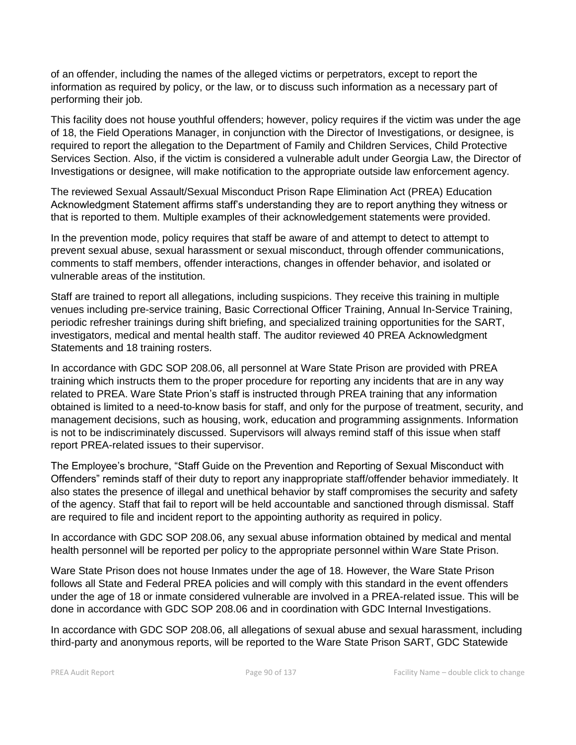of an offender, including the names of the alleged victims or perpetrators, except to report the information as required by policy, or the law, or to discuss such information as a necessary part of performing their job.

This facility does not house youthful offenders; however, policy requires if the victim was under the age of 18, the Field Operations Manager, in conjunction with the Director of Investigations, or designee, is required to report the allegation to the Department of Family and Children Services, Child Protective Services Section. Also, if the victim is considered a vulnerable adult under Georgia Law, the Director of Investigations or designee, will make notification to the appropriate outside law enforcement agency.

The reviewed Sexual Assault/Sexual Misconduct Prison Rape Elimination Act (PREA) Education Acknowledgment Statement affirms staff's understanding they are to report anything they witness or that is reported to them. Multiple examples of their acknowledgement statements were provided.

In the prevention mode, policy requires that staff be aware of and attempt to detect to attempt to prevent sexual abuse, sexual harassment or sexual misconduct, through offender communications, comments to staff members, offender interactions, changes in offender behavior, and isolated or vulnerable areas of the institution.

Staff are trained to report all allegations, including suspicions. They receive this training in multiple venues including pre-service training, Basic Correctional Officer Training, Annual In-Service Training, periodic refresher trainings during shift briefing, and specialized training opportunities for the SART, investigators, medical and mental health staff. The auditor reviewed 40 PREA Acknowledgment Statements and 18 training rosters.

In accordance with GDC SOP 208.06, all personnel at Ware State Prison are provided with PREA training which instructs them to the proper procedure for reporting any incidents that are in any way related to PREA. Ware State Prion's staff is instructed through PREA training that any information obtained is limited to a need-to-know basis for staff, and only for the purpose of treatment, security, and management decisions, such as housing, work, education and programming assignments. Information is not to be indiscriminately discussed. Supervisors will always remind staff of this issue when staff report PREA-related issues to their supervisor.

The Employee's brochure, "Staff Guide on the Prevention and Reporting of Sexual Misconduct with Offenders" reminds staff of their duty to report any inappropriate staff/offender behavior immediately. It also states the presence of illegal and unethical behavior by staff compromises the security and safety of the agency. Staff that fail to report will be held accountable and sanctioned through dismissal. Staff are required to file and incident report to the appointing authority as required in policy.

In accordance with GDC SOP 208.06, any sexual abuse information obtained by medical and mental health personnel will be reported per policy to the appropriate personnel within Ware State Prison.

Ware State Prison does not house Inmates under the age of 18. However, the Ware State Prison follows all State and Federal PREA policies and will comply with this standard in the event offenders under the age of 18 or inmate considered vulnerable are involved in a PREA-related issue. This will be done in accordance with GDC SOP 208.06 and in coordination with GDC Internal Investigations.

In accordance with GDC SOP 208.06, all allegations of sexual abuse and sexual harassment, including third-party and anonymous reports, will be reported to the Ware State Prison SART, GDC Statewide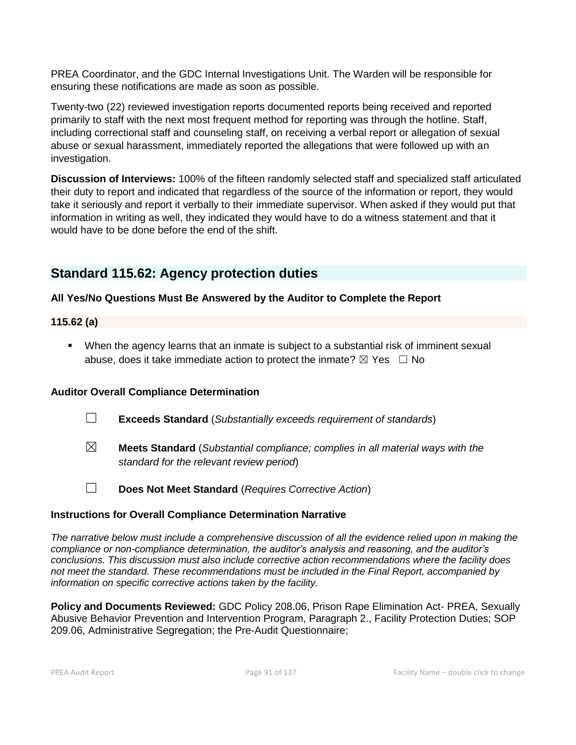PREA Coordinator, and the GDC Internal Investigations Unit. The Warden will be responsible for ensuring these notifications are made as soon as possible.

Twenty-two (22) reviewed investigation reports documented reports being received and reported primarily to staff with the next most frequent method for reporting was through the hotline. Staff, including correctional staff and counseling staff, on receiving a verbal report or allegation of sexual abuse or sexual harassment, immediately reported the allegations that were followed up with an investigation.

**Discussion of Interviews:** 100% of the fifteen randomly selected staff and specialized staff articulated their duty to report and indicated that regardless of the source of the information or report, they would take it seriously and report it verbally to their immediate supervisor. When asked if they would put that information in writing as well, they indicated they would have to do a witness statement and that it would have to be done before the end of the shift.

## **Standard 115.62: Agency protection duties**

### **All Yes/No Questions Must Be Answered by the Auditor to Complete the Report**

#### **115.62 (a)**

**•** When the agency learns that an inmate is subject to a substantial risk of imminent sexual abuse, does it take immediate action to protect the inmate?  $\boxtimes$  Yes  $\Box$  No

#### **Auditor Overall Compliance Determination**

- ☐ **Exceeds Standard** (*Substantially exceeds requirement of standards*)
- ☒ **Meets Standard** (*Substantial compliance; complies in all material ways with the standard for the relevant review period*)
- 
- ☐ **Does Not Meet Standard** (*Requires Corrective Action*)

#### **Instructions for Overall Compliance Determination Narrative**

*The narrative below must include a comprehensive discussion of all the evidence relied upon in making the compliance or non-compliance determination, the auditor's analysis and reasoning, and the auditor's conclusions. This discussion must also include corrective action recommendations where the facility does not meet the standard. These recommendations must be included in the Final Report, accompanied by information on specific corrective actions taken by the facility.*

**Policy and Documents Reviewed:** GDC Policy 208.06, Prison Rape Elimination Act- PREA, Sexually Abusive Behavior Prevention and Intervention Program, Paragraph 2., Facility Protection Duties; SOP 209.06, Administrative Segregation; the Pre-Audit Questionnaire;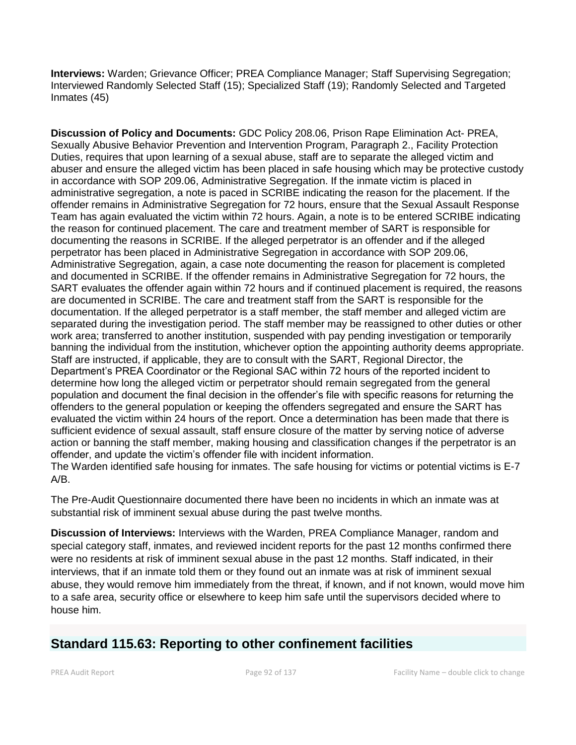**Interviews:** Warden; Grievance Officer; PREA Compliance Manager; Staff Supervising Segregation; Interviewed Randomly Selected Staff (15); Specialized Staff (19); Randomly Selected and Targeted Inmates (45)

**Discussion of Policy and Documents:** GDC Policy 208.06, Prison Rape Elimination Act- PREA, Sexually Abusive Behavior Prevention and Intervention Program, Paragraph 2., Facility Protection Duties, requires that upon learning of a sexual abuse, staff are to separate the alleged victim and abuser and ensure the alleged victim has been placed in safe housing which may be protective custody in accordance with SOP 209.06, Administrative Segregation. If the inmate victim is placed in administrative segregation, a note is paced in SCRIBE indicating the reason for the placement. If the offender remains in Administrative Segregation for 72 hours, ensure that the Sexual Assault Response Team has again evaluated the victim within 72 hours. Again, a note is to be entered SCRIBE indicating the reason for continued placement. The care and treatment member of SART is responsible for documenting the reasons in SCRIBE. If the alleged perpetrator is an offender and if the alleged perpetrator has been placed in Administrative Segregation in accordance with SOP 209.06, Administrative Segregation, again, a case note documenting the reason for placement is completed and documented in SCRIBE. If the offender remains in Administrative Segregation for 72 hours, the SART evaluates the offender again within 72 hours and if continued placement is required, the reasons are documented in SCRIBE. The care and treatment staff from the SART is responsible for the documentation. If the alleged perpetrator is a staff member, the staff member and alleged victim are separated during the investigation period. The staff member may be reassigned to other duties or other work area; transferred to another institution, suspended with pay pending investigation or temporarily banning the individual from the institution, whichever option the appointing authority deems appropriate. Staff are instructed, if applicable, they are to consult with the SART, Regional Director, the Department's PREA Coordinator or the Regional SAC within 72 hours of the reported incident to determine how long the alleged victim or perpetrator should remain segregated from the general population and document the final decision in the offender's file with specific reasons for returning the offenders to the general population or keeping the offenders segregated and ensure the SART has evaluated the victim within 24 hours of the report. Once a determination has been made that there is sufficient evidence of sexual assault, staff ensure closure of the matter by serving notice of adverse action or banning the staff member, making housing and classification changes if the perpetrator is an offender, and update the victim's offender file with incident information.

The Warden identified safe housing for inmates. The safe housing for victims or potential victims is E-7 A/B.

The Pre-Audit Questionnaire documented there have been no incidents in which an inmate was at substantial risk of imminent sexual abuse during the past twelve months.

**Discussion of Interviews:** Interviews with the Warden, PREA Compliance Manager, random and special category staff, inmates, and reviewed incident reports for the past 12 months confirmed there were no residents at risk of imminent sexual abuse in the past 12 months. Staff indicated, in their interviews, that if an inmate told them or they found out an inmate was at risk of imminent sexual abuse, they would remove him immediately from the threat, if known, and if not known, would move him to a safe area, security office or elsewhere to keep him safe until the supervisors decided where to house him.

## **Standard 115.63: Reporting to other confinement facilities**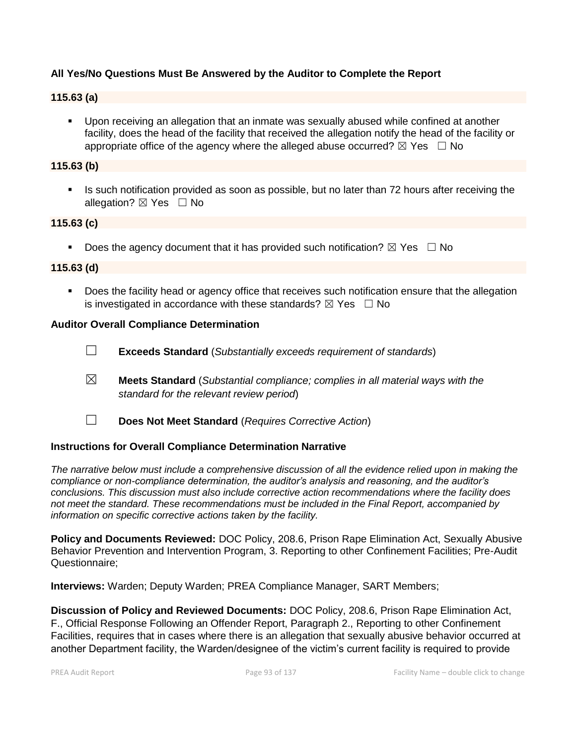### **All Yes/No Questions Must Be Answered by the Auditor to Complete the Report**

#### **115.63 (a)**

▪ Upon receiving an allegation that an inmate was sexually abused while confined at another facility, does the head of the facility that received the allegation notify the head of the facility or appropriate office of the agency where the alleged abuse occurred?  $\boxtimes$  Yes  $\Box$  No

#### **115.63 (b)**

Is such notification provided as soon as possible, but no later than 72 hours after receiving the allegation? ⊠ Yes □ No

#### **115.63 (c)**

**•** Does the agency document that it has provided such notification?  $\boxtimes$  Yes  $\Box$  No

#### **115.63 (d)**

■ Does the facility head or agency office that receives such notification ensure that the allegation is investigated in accordance with these standards?  $\boxtimes$  Yes  $\Box$  No

#### **Auditor Overall Compliance Determination**

- ☐ **Exceeds Standard** (*Substantially exceeds requirement of standards*)
- ☒ **Meets Standard** (*Substantial compliance; complies in all material ways with the standard for the relevant review period*)
- 
- ☐ **Does Not Meet Standard** (*Requires Corrective Action*)

#### **Instructions for Overall Compliance Determination Narrative**

*The narrative below must include a comprehensive discussion of all the evidence relied upon in making the compliance or non-compliance determination, the auditor's analysis and reasoning, and the auditor's conclusions. This discussion must also include corrective action recommendations where the facility does not meet the standard. These recommendations must be included in the Final Report, accompanied by information on specific corrective actions taken by the facility.*

**Policy and Documents Reviewed:** DOC Policy, 208.6, Prison Rape Elimination Act, Sexually Abusive Behavior Prevention and Intervention Program, 3. Reporting to other Confinement Facilities; Pre-Audit Questionnaire;

**Interviews:** Warden; Deputy Warden; PREA Compliance Manager, SART Members;

**Discussion of Policy and Reviewed Documents:** DOC Policy, 208.6, Prison Rape Elimination Act, F., Official Response Following an Offender Report, Paragraph 2., Reporting to other Confinement Facilities, requires that in cases where there is an allegation that sexually abusive behavior occurred at another Department facility, the Warden/designee of the victim's current facility is required to provide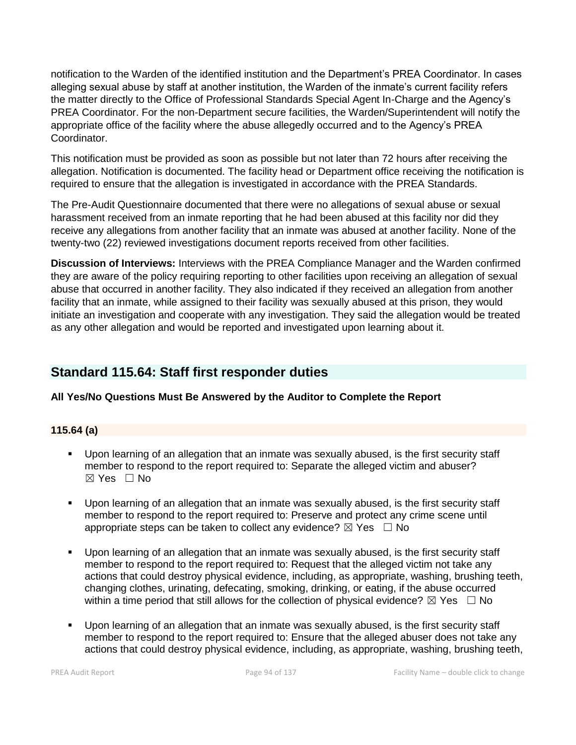notification to the Warden of the identified institution and the Department's PREA Coordinator. In cases alleging sexual abuse by staff at another institution, the Warden of the inmate's current facility refers the matter directly to the Office of Professional Standards Special Agent In-Charge and the Agency's PREA Coordinator. For the non-Department secure facilities, the Warden/Superintendent will notify the appropriate office of the facility where the abuse allegedly occurred and to the Agency's PREA Coordinator.

This notification must be provided as soon as possible but not later than 72 hours after receiving the allegation. Notification is documented. The facility head or Department office receiving the notification is required to ensure that the allegation is investigated in accordance with the PREA Standards.

The Pre-Audit Questionnaire documented that there were no allegations of sexual abuse or sexual harassment received from an inmate reporting that he had been abused at this facility nor did they receive any allegations from another facility that an inmate was abused at another facility. None of the twenty-two (22) reviewed investigations document reports received from other facilities.

**Discussion of Interviews:** Interviews with the PREA Compliance Manager and the Warden confirmed they are aware of the policy requiring reporting to other facilities upon receiving an allegation of sexual abuse that occurred in another facility. They also indicated if they received an allegation from another facility that an inmate, while assigned to their facility was sexually abused at this prison, they would initiate an investigation and cooperate with any investigation. They said the allegation would be treated as any other allegation and would be reported and investigated upon learning about it.

## **Standard 115.64: Staff first responder duties**

#### **All Yes/No Questions Must Be Answered by the Auditor to Complete the Report**

## **115.64 (a)**

- Upon learning of an allegation that an inmate was sexually abused, is the first security staff member to respond to the report required to: Separate the alleged victim and abuser?  $\boxtimes$  Yes  $\Box$  No
- Upon learning of an allegation that an inmate was sexually abused, is the first security staff member to respond to the report required to: Preserve and protect any crime scene until appropriate steps can be taken to collect any evidence?  $\boxtimes$  Yes  $\Box$  No
- Upon learning of an allegation that an inmate was sexually abused, is the first security staff member to respond to the report required to: Request that the alleged victim not take any actions that could destroy physical evidence, including, as appropriate, washing, brushing teeth, changing clothes, urinating, defecating, smoking, drinking, or eating, if the abuse occurred within a time period that still allows for the collection of physical evidence?  $\boxtimes$  Yes  $\Box$  No
- Upon learning of an allegation that an inmate was sexually abused, is the first security staff member to respond to the report required to: Ensure that the alleged abuser does not take any actions that could destroy physical evidence, including, as appropriate, washing, brushing teeth,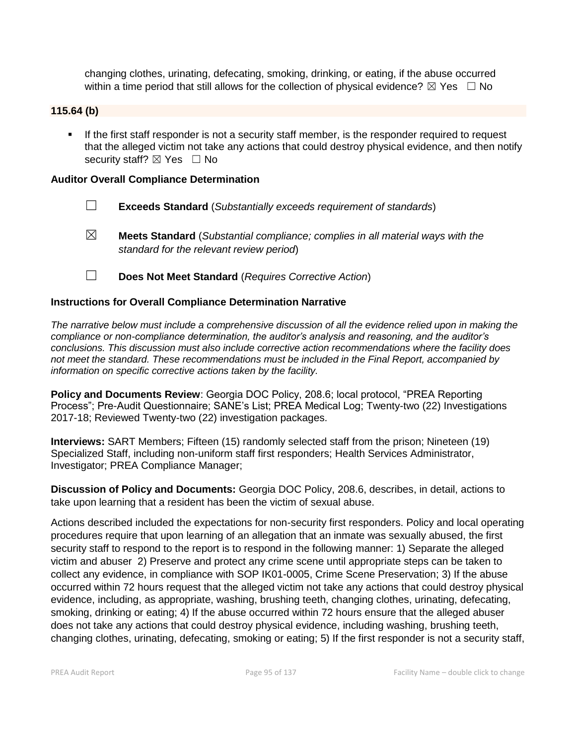changing clothes, urinating, defecating, smoking, drinking, or eating, if the abuse occurred within a time period that still allows for the collection of physical evidence?  $\boxtimes$  Yes  $\Box$  No

#### **115.64 (b)**

**.** If the first staff responder is not a security staff member, is the responder required to request that the alleged victim not take any actions that could destroy physical evidence, and then notify security staff?  $\boxtimes$  Yes  $\Box$  No

#### **Auditor Overall Compliance Determination**

- ☐ **Exceeds Standard** (*Substantially exceeds requirement of standards*)
- ☒ **Meets Standard** (*Substantial compliance; complies in all material ways with the standard for the relevant review period*)
- ☐ **Does Not Meet Standard** (*Requires Corrective Action*)

#### **Instructions for Overall Compliance Determination Narrative**

*The narrative below must include a comprehensive discussion of all the evidence relied upon in making the compliance or non-compliance determination, the auditor's analysis and reasoning, and the auditor's conclusions. This discussion must also include corrective action recommendations where the facility does not meet the standard. These recommendations must be included in the Final Report, accompanied by information on specific corrective actions taken by the facility.*

**Policy and Documents Review**: Georgia DOC Policy, 208.6; local protocol, "PREA Reporting Process"; Pre-Audit Questionnaire; SANE's List; PREA Medical Log; Twenty-two (22) Investigations 2017-18; Reviewed Twenty-two (22) investigation packages.

**Interviews:** SART Members; Fifteen (15) randomly selected staff from the prison; Nineteen (19) Specialized Staff, including non-uniform staff first responders; Health Services Administrator, Investigator; PREA Compliance Manager;

**Discussion of Policy and Documents:** Georgia DOC Policy, 208.6, describes, in detail, actions to take upon learning that a resident has been the victim of sexual abuse.

Actions described included the expectations for non-security first responders. Policy and local operating procedures require that upon learning of an allegation that an inmate was sexually abused, the first security staff to respond to the report is to respond in the following manner: 1) Separate the alleged victim and abuser 2) Preserve and protect any crime scene until appropriate steps can be taken to collect any evidence, in compliance with SOP IK01-0005, Crime Scene Preservation; 3) If the abuse occurred within 72 hours request that the alleged victim not take any actions that could destroy physical evidence, including, as appropriate, washing, brushing teeth, changing clothes, urinating, defecating, smoking, drinking or eating; 4) If the abuse occurred within 72 hours ensure that the alleged abuser does not take any actions that could destroy physical evidence, including washing, brushing teeth, changing clothes, urinating, defecating, smoking or eating; 5) If the first responder is not a security staff,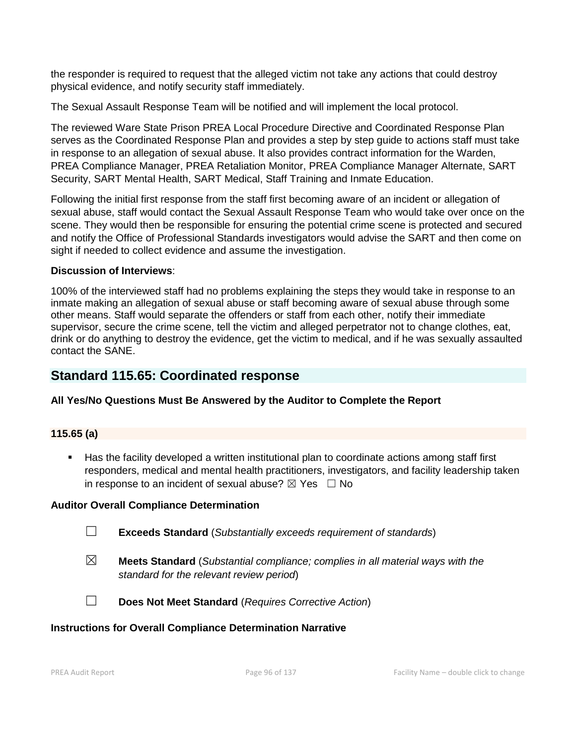the responder is required to request that the alleged victim not take any actions that could destroy physical evidence, and notify security staff immediately.

The Sexual Assault Response Team will be notified and will implement the local protocol.

The reviewed Ware State Prison PREA Local Procedure Directive and Coordinated Response Plan serves as the Coordinated Response Plan and provides a step by step guide to actions staff must take in response to an allegation of sexual abuse. It also provides contract information for the Warden, PREA Compliance Manager, PREA Retaliation Monitor, PREA Compliance Manager Alternate, SART Security, SART Mental Health, SART Medical, Staff Training and Inmate Education.

Following the initial first response from the staff first becoming aware of an incident or allegation of sexual abuse, staff would contact the Sexual Assault Response Team who would take over once on the scene. They would then be responsible for ensuring the potential crime scene is protected and secured and notify the Office of Professional Standards investigators would advise the SART and then come on sight if needed to collect evidence and assume the investigation.

#### **Discussion of Interviews**:

100% of the interviewed staff had no problems explaining the steps they would take in response to an inmate making an allegation of sexual abuse or staff becoming aware of sexual abuse through some other means. Staff would separate the offenders or staff from each other, notify their immediate supervisor, secure the crime scene, tell the victim and alleged perpetrator not to change clothes, eat, drink or do anything to destroy the evidence, get the victim to medical, and if he was sexually assaulted contact the SANE.

## **Standard 115.65: Coordinated response**

#### **All Yes/No Questions Must Be Answered by the Auditor to Complete the Report**

#### **115.65 (a)**

■ Has the facility developed a written institutional plan to coordinate actions among staff first responders, medical and mental health practitioners, investigators, and facility leadership taken in response to an incident of sexual abuse?  $\boxtimes$  Yes  $\Box$  No

#### **Auditor Overall Compliance Determination**

| $\Box$<br><b>Exceeds Standard</b> (Substantially exceeds requirement of standards) |  |  |  |  |
|------------------------------------------------------------------------------------|--|--|--|--|
|------------------------------------------------------------------------------------|--|--|--|--|

- ☒ **Meets Standard** (*Substantial compliance; complies in all material ways with the standard for the relevant review period*)
- 
- ☐ **Does Not Meet Standard** (*Requires Corrective Action*)

#### **Instructions for Overall Compliance Determination Narrative**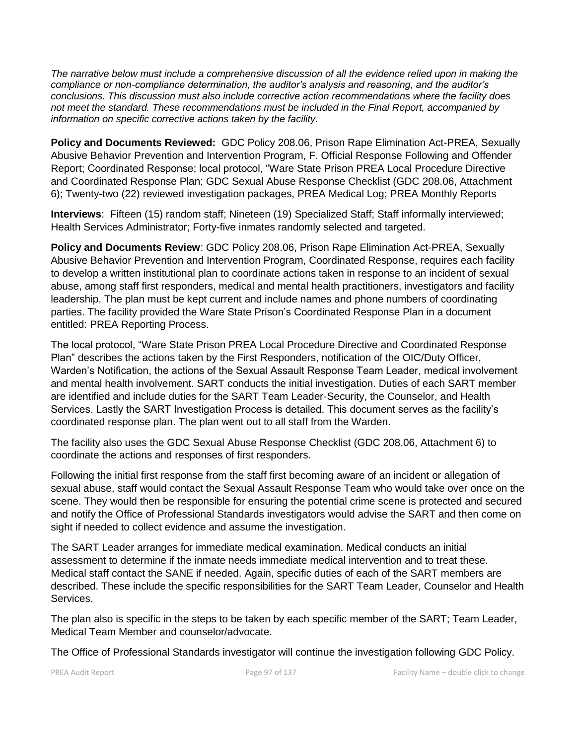*The narrative below must include a comprehensive discussion of all the evidence relied upon in making the compliance or non-compliance determination, the auditor's analysis and reasoning, and the auditor's conclusions. This discussion must also include corrective action recommendations where the facility does not meet the standard. These recommendations must be included in the Final Report, accompanied by information on specific corrective actions taken by the facility.*

**Policy and Documents Reviewed:** GDC Policy 208.06, Prison Rape Elimination Act-PREA, Sexually Abusive Behavior Prevention and Intervention Program, F. Official Response Following and Offender Report; Coordinated Response; local protocol, "Ware State Prison PREA Local Procedure Directive and Coordinated Response Plan; GDC Sexual Abuse Response Checklist (GDC 208.06, Attachment 6); Twenty-two (22) reviewed investigation packages, PREA Medical Log; PREA Monthly Reports

**Interviews**: Fifteen (15) random staff; Nineteen (19) Specialized Staff; Staff informally interviewed; Health Services Administrator; Forty-five inmates randomly selected and targeted.

**Policy and Documents Review**: GDC Policy 208.06, Prison Rape Elimination Act-PREA, Sexually Abusive Behavior Prevention and Intervention Program, Coordinated Response, requires each facility to develop a written institutional plan to coordinate actions taken in response to an incident of sexual abuse, among staff first responders, medical and mental health practitioners, investigators and facility leadership. The plan must be kept current and include names and phone numbers of coordinating parties. The facility provided the Ware State Prison's Coordinated Response Plan in a document entitled: PREA Reporting Process.

The local protocol, "Ware State Prison PREA Local Procedure Directive and Coordinated Response Plan" describes the actions taken by the First Responders, notification of the OIC/Duty Officer, Warden's Notification, the actions of the Sexual Assault Response Team Leader, medical involvement and mental health involvement. SART conducts the initial investigation. Duties of each SART member are identified and include duties for the SART Team Leader-Security, the Counselor, and Health Services. Lastly the SART Investigation Process is detailed. This document serves as the facility's coordinated response plan. The plan went out to all staff from the Warden.

The facility also uses the GDC Sexual Abuse Response Checklist (GDC 208.06, Attachment 6) to coordinate the actions and responses of first responders.

Following the initial first response from the staff first becoming aware of an incident or allegation of sexual abuse, staff would contact the Sexual Assault Response Team who would take over once on the scene. They would then be responsible for ensuring the potential crime scene is protected and secured and notify the Office of Professional Standards investigators would advise the SART and then come on sight if needed to collect evidence and assume the investigation.

The SART Leader arranges for immediate medical examination. Medical conducts an initial assessment to determine if the inmate needs immediate medical intervention and to treat these. Medical staff contact the SANE if needed. Again, specific duties of each of the SART members are described. These include the specific responsibilities for the SART Team Leader, Counselor and Health Services.

The plan also is specific in the steps to be taken by each specific member of the SART; Team Leader, Medical Team Member and counselor/advocate.

The Office of Professional Standards investigator will continue the investigation following GDC Policy.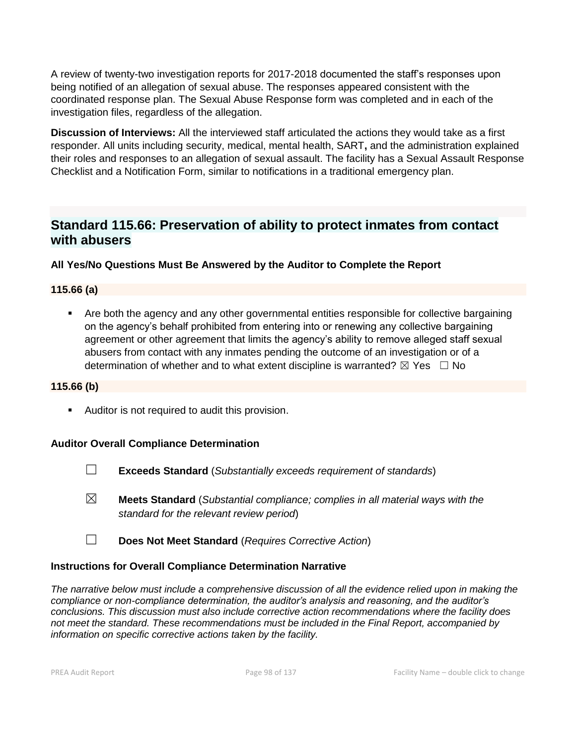A review of twenty-two investigation reports for 2017-2018 documented the staff's responses upon being notified of an allegation of sexual abuse. The responses appeared consistent with the coordinated response plan. The Sexual Abuse Response form was completed and in each of the investigation files, regardless of the allegation.

**Discussion of Interviews:** All the interviewed staff articulated the actions they would take as a first responder. All units including security, medical, mental health, SART**,** and the administration explained their roles and responses to an allegation of sexual assault. The facility has a Sexual Assault Response Checklist and a Notification Form, similar to notifications in a traditional emergency plan.

## **Standard 115.66: Preservation of ability to protect inmates from contact with abusers**

**All Yes/No Questions Must Be Answered by the Auditor to Complete the Report**

### **115.66 (a)**

■ Are both the agency and any other governmental entities responsible for collective bargaining on the agency's behalf prohibited from entering into or renewing any collective bargaining agreement or other agreement that limits the agency's ability to remove alleged staff sexual abusers from contact with any inmates pending the outcome of an investigation or of a determination of whether and to what extent discipline is warranted?  $\boxtimes$  Yes  $\Box$  No

#### **115.66 (b)**

■ Auditor is not required to audit this provision.

#### **Auditor Overall Compliance Determination**

- ☐ **Exceeds Standard** (*Substantially exceeds requirement of standards*)
- ☒ **Meets Standard** (*Substantial compliance; complies in all material ways with the standard for the relevant review period*)
- ☐ **Does Not Meet Standard** (*Requires Corrective Action*)

#### **Instructions for Overall Compliance Determination Narrative**

*The narrative below must include a comprehensive discussion of all the evidence relied upon in making the compliance or non-compliance determination, the auditor's analysis and reasoning, and the auditor's conclusions. This discussion must also include corrective action recommendations where the facility does not meet the standard. These recommendations must be included in the Final Report, accompanied by information on specific corrective actions taken by the facility.*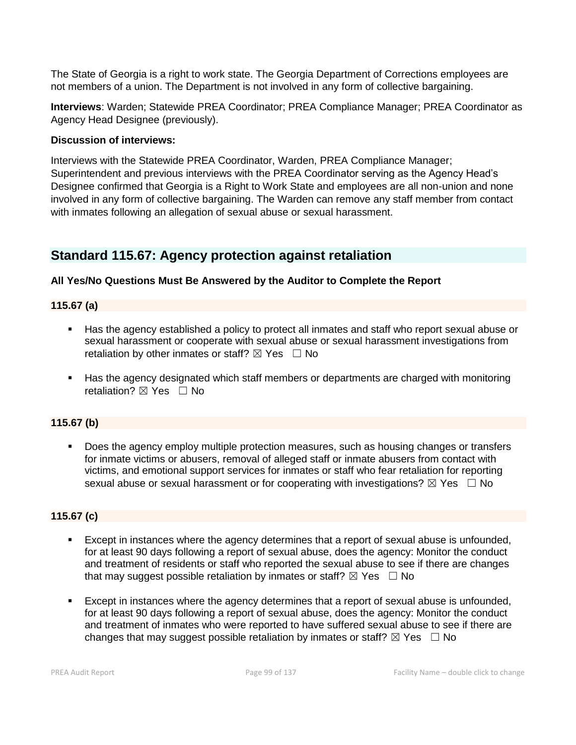The State of Georgia is a right to work state. The Georgia Department of Corrections employees are not members of a union. The Department is not involved in any form of collective bargaining.

**Interviews**: Warden; Statewide PREA Coordinator; PREA Compliance Manager; PREA Coordinator as Agency Head Designee (previously).

#### **Discussion of interviews:**

Interviews with the Statewide PREA Coordinator, Warden, PREA Compliance Manager; Superintendent and previous interviews with the PREA Coordinator serving as the Agency Head's Designee confirmed that Georgia is a Right to Work State and employees are all non-union and none involved in any form of collective bargaining. The Warden can remove any staff member from contact with inmates following an allegation of sexual abuse or sexual harassment.

## **Standard 115.67: Agency protection against retaliation**

#### **All Yes/No Questions Must Be Answered by the Auditor to Complete the Report**

**115.67 (a)**

- Has the agency established a policy to protect all inmates and staff who report sexual abuse or sexual harassment or cooperate with sexual abuse or sexual harassment investigations from retaliation by other inmates or staff?  $\boxtimes$  Yes  $\Box$  No
- Has the agency designated which staff members or departments are charged with monitoring retaliation?  $\nabla$  Yes  $\Box$  No

#### **115.67 (b)**

Does the agency employ multiple protection measures, such as housing changes or transfers for inmate victims or abusers, removal of alleged staff or inmate abusers from contact with victims, and emotional support services for inmates or staff who fear retaliation for reporting sexual abuse or sexual harassment or for cooperating with investigations?  $\boxtimes$  Yes  $\Box$  No

#### **115.67 (c)**

- Except in instances where the agency determines that a report of sexual abuse is unfounded, for at least 90 days following a report of sexual abuse, does the agency: Monitor the conduct and treatment of residents or staff who reported the sexual abuse to see if there are changes that may suggest possible retaliation by inmates or staff?  $\boxtimes$  Yes  $\Box$  No
- Except in instances where the agency determines that a report of sexual abuse is unfounded, for at least 90 days following a report of sexual abuse, does the agency: Monitor the conduct and treatment of inmates who were reported to have suffered sexual abuse to see if there are changes that may suggest possible retaliation by inmates or staff?  $\boxtimes$  Yes  $\Box$  No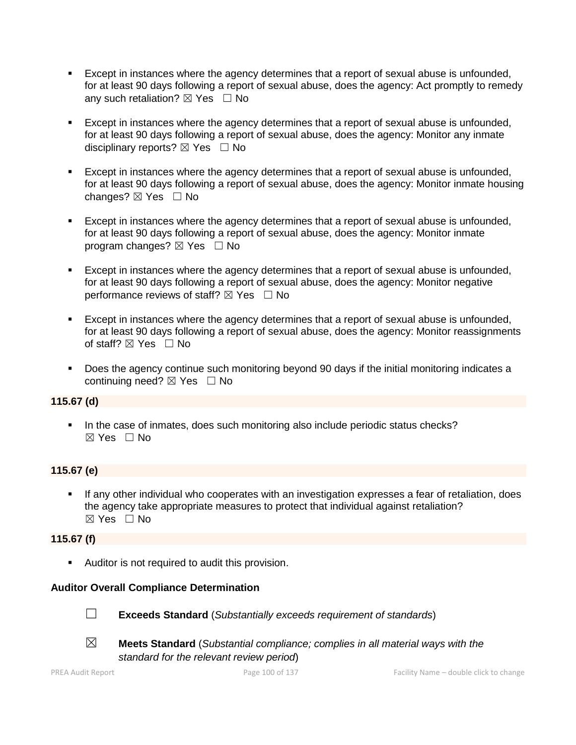- **Except in instances where the agency determines that a report of sexual abuse is unfounded,** for at least 90 days following a report of sexual abuse, does the agency: Act promptly to remedy any such retaliation?  $\boxtimes$  Yes  $\Box$  No
- Except in instances where the agency determines that a report of sexual abuse is unfounded, for at least 90 days following a report of sexual abuse, does the agency: Monitor any inmate disciplinary reports?  $\boxtimes$  Yes  $\Box$  No
- **Except in instances where the agency determines that a report of sexual abuse is unfounded,** for at least 90 days following a report of sexual abuse, does the agency: Monitor inmate housing changes?  $\boxtimes$  Yes  $\Box$  No
- Except in instances where the agency determines that a report of sexual abuse is unfounded, for at least 90 days following a report of sexual abuse, does the agency: Monitor inmate program changes?  $\boxtimes$  Yes  $\Box$  No
- Except in instances where the agency determines that a report of sexual abuse is unfounded, for at least 90 days following a report of sexual abuse, does the agency: Monitor negative performance reviews of staff?  $\boxtimes$  Yes  $\Box$  No
- Except in instances where the agency determines that a report of sexual abuse is unfounded, for at least 90 days following a report of sexual abuse, does the agency: Monitor reassignments of staff?  $\boxtimes$  Yes  $\Box$  No
- **•** Does the agency continue such monitoring beyond 90 days if the initial monitoring indicates a continuing need?  $\boxtimes$  Yes  $\Box$  No

#### **115.67 (d)**

■ In the case of inmates, does such monitoring also include periodic status checks?  $\boxtimes$  Yes  $\Box$  No

## **115.67 (e)**

If any other individual who cooperates with an investigation expresses a fear of retaliation, does the agency take appropriate measures to protect that individual against retaliation?  $\boxtimes$  Yes  $\Box$  No

#### **115.67 (f)**

■ Auditor is not required to audit this provision.

#### **Auditor Overall Compliance Determination**



☐ **Exceeds Standard** (*Substantially exceeds requirement of standards*)



- 
- ☒ **Meets Standard** (*Substantial compliance; complies in all material ways with the standard for the relevant review period*)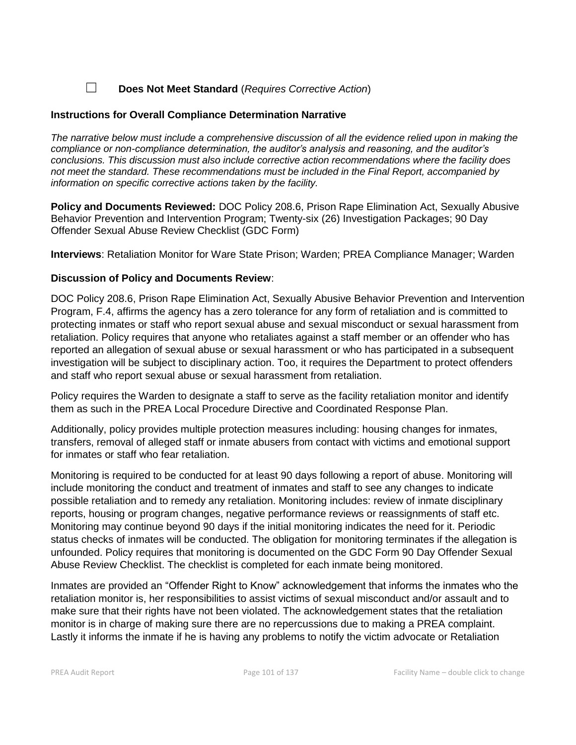☐ **Does Not Meet Standard** (*Requires Corrective Action*)

#### **Instructions for Overall Compliance Determination Narrative**

*The narrative below must include a comprehensive discussion of all the evidence relied upon in making the compliance or non-compliance determination, the auditor's analysis and reasoning, and the auditor's conclusions. This discussion must also include corrective action recommendations where the facility does not meet the standard. These recommendations must be included in the Final Report, accompanied by information on specific corrective actions taken by the facility.*

**Policy and Documents Reviewed:** DOC Policy 208.6, Prison Rape Elimination Act, Sexually Abusive Behavior Prevention and Intervention Program; Twenty-six (26) Investigation Packages; 90 Day Offender Sexual Abuse Review Checklist (GDC Form)

**Interviews**: Retaliation Monitor for Ware State Prison; Warden; PREA Compliance Manager; Warden

### **Discussion of Policy and Documents Review**:

DOC Policy 208.6, Prison Rape Elimination Act, Sexually Abusive Behavior Prevention and Intervention Program, F.4, affirms the agency has a zero tolerance for any form of retaliation and is committed to protecting inmates or staff who report sexual abuse and sexual misconduct or sexual harassment from retaliation. Policy requires that anyone who retaliates against a staff member or an offender who has reported an allegation of sexual abuse or sexual harassment or who has participated in a subsequent investigation will be subject to disciplinary action. Too, it requires the Department to protect offenders and staff who report sexual abuse or sexual harassment from retaliation.

Policy requires the Warden to designate a staff to serve as the facility retaliation monitor and identify them as such in the PREA Local Procedure Directive and Coordinated Response Plan.

Additionally, policy provides multiple protection measures including: housing changes for inmates, transfers, removal of alleged staff or inmate abusers from contact with victims and emotional support for inmates or staff who fear retaliation.

Monitoring is required to be conducted for at least 90 days following a report of abuse. Monitoring will include monitoring the conduct and treatment of inmates and staff to see any changes to indicate possible retaliation and to remedy any retaliation. Monitoring includes: review of inmate disciplinary reports, housing or program changes, negative performance reviews or reassignments of staff etc. Monitoring may continue beyond 90 days if the initial monitoring indicates the need for it. Periodic status checks of inmates will be conducted. The obligation for monitoring terminates if the allegation is unfounded. Policy requires that monitoring is documented on the GDC Form 90 Day Offender Sexual Abuse Review Checklist. The checklist is completed for each inmate being monitored.

Inmates are provided an "Offender Right to Know" acknowledgement that informs the inmates who the retaliation monitor is, her responsibilities to assist victims of sexual misconduct and/or assault and to make sure that their rights have not been violated. The acknowledgement states that the retaliation monitor is in charge of making sure there are no repercussions due to making a PREA complaint. Lastly it informs the inmate if he is having any problems to notify the victim advocate or Retaliation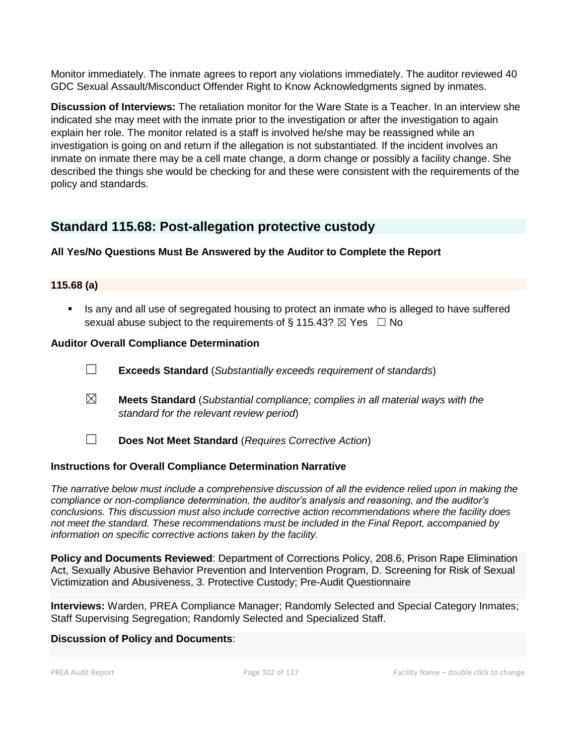Monitor immediately. The inmate agrees to report any violations immediately. The auditor reviewed 40 GDC Sexual Assault/Misconduct Offender Right to Know Acknowledgments signed by inmates.

**Discussion of Interviews:** The retaliation monitor for the Ware State is a Teacher. In an interview she indicated she may meet with the inmate prior to the investigation or after the investigation to again explain her role. The monitor related is a staff is involved he/she may be reassigned while an investigation is going on and return if the allegation is not substantiated. If the incident involves an inmate on inmate there may be a cell mate change, a dorm change or possibly a facility change. She described the things she would be checking for and these were consistent with the requirements of the policy and standards.

## **Standard 115.68: Post-allegation protective custody**

## **All Yes/No Questions Must Be Answered by the Auditor to Complete the Report**

## **115.68 (a)**

**■** Is any and all use of segregated housing to protect an inmate who is alleged to have suffered sexual abuse subject to the requirements of § 115.43?  $\boxtimes$  Yes  $\Box$  No

### **Auditor Overall Compliance Determination**

- ☐ **Exceeds Standard** (*Substantially exceeds requirement of standards*)
- ☒ **Meets Standard** (*Substantial compliance; complies in all material ways with the standard for the relevant review period*)
- 
- ☐ **Does Not Meet Standard** (*Requires Corrective Action*)

## **Instructions for Overall Compliance Determination Narrative**

*The narrative below must include a comprehensive discussion of all the evidence relied upon in making the compliance or non-compliance determination, the auditor's analysis and reasoning, and the auditor's conclusions. This discussion must also include corrective action recommendations where the facility does not meet the standard. These recommendations must be included in the Final Report, accompanied by information on specific corrective actions taken by the facility.*

**Policy and Documents Reviewed**: Department of Corrections Policy, 208.6, Prison Rape Elimination Act, Sexually Abusive Behavior Prevention and Intervention Program, D. Screening for Risk of Sexual Victimization and Abusiveness, 3. Protective Custody; Pre-Audit Questionnaire

**Interviews:** Warden, PREA Compliance Manager; Randomly Selected and Special Category Inmates; Staff Supervising Segregation; Randomly Selected and Specialized Staff.

#### **Discussion of Policy and Documents**: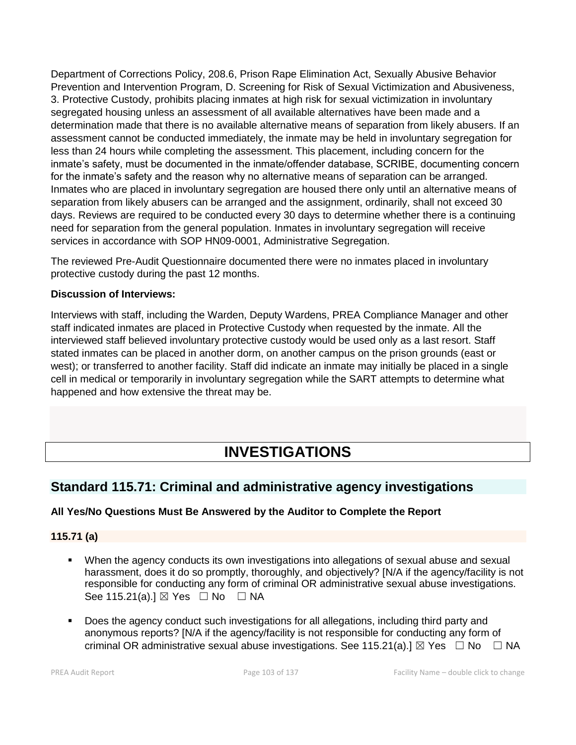Department of Corrections Policy, 208.6, Prison Rape Elimination Act, Sexually Abusive Behavior Prevention and Intervention Program, D. Screening for Risk of Sexual Victimization and Abusiveness, 3. Protective Custody, prohibits placing inmates at high risk for sexual victimization in involuntary segregated housing unless an assessment of all available alternatives have been made and a determination made that there is no available alternative means of separation from likely abusers. If an assessment cannot be conducted immediately, the inmate may be held in involuntary segregation for less than 24 hours while completing the assessment. This placement, including concern for the inmate's safety, must be documented in the inmate/offender database, SCRIBE, documenting concern for the inmate's safety and the reason why no alternative means of separation can be arranged. Inmates who are placed in involuntary segregation are housed there only until an alternative means of separation from likely abusers can be arranged and the assignment, ordinarily, shall not exceed 30 days. Reviews are required to be conducted every 30 days to determine whether there is a continuing need for separation from the general population. Inmates in involuntary segregation will receive services in accordance with SOP HN09-0001, Administrative Segregation.

The reviewed Pre-Audit Questionnaire documented there were no inmates placed in involuntary protective custody during the past 12 months.

### **Discussion of Interviews:**

Interviews with staff, including the Warden, Deputy Wardens, PREA Compliance Manager and other staff indicated inmates are placed in Protective Custody when requested by the inmate. All the interviewed staff believed involuntary protective custody would be used only as a last resort. Staff stated inmates can be placed in another dorm, on another campus on the prison grounds (east or west); or transferred to another facility. Staff did indicate an inmate may initially be placed in a single cell in medical or temporarily in involuntary segregation while the SART attempts to determine what happened and how extensive the threat may be.

# **INVESTIGATIONS**

## **Standard 115.71: Criminal and administrative agency investigations**

## **All Yes/No Questions Must Be Answered by the Auditor to Complete the Report**

#### **115.71 (a)**

- When the agency conducts its own investigations into allegations of sexual abuse and sexual harassment, does it do so promptly, thoroughly, and objectively? [N/A if the agency/facility is not responsible for conducting any form of criminal OR administrative sexual abuse investigations. See 115.21(a).]  $\boxtimes$  Yes  $\Box$  No  $\Box$  NA
- Does the agency conduct such investigations for all allegations, including third party and anonymous reports? [N/A if the agency/facility is not responsible for conducting any form of criminal OR administrative sexual abuse investigations. See 115.21(a).]  $\boxtimes$  Yes  $\Box$  No  $\Box$  NA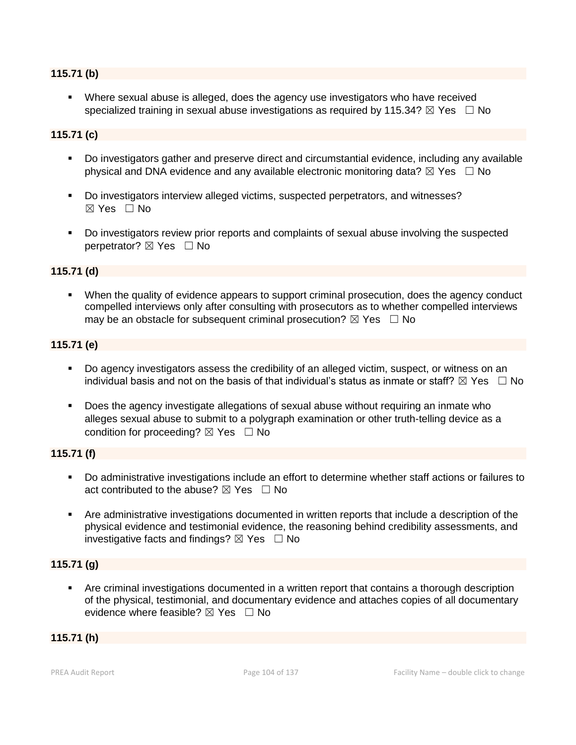#### **115.71 (b)**

Where sexual abuse is alleged, does the agency use investigators who have received specialized training in sexual abuse investigations as required by 115.34?  $\boxtimes$  Yes  $\Box$  No

#### **115.71 (c)**

- Do investigators gather and preserve direct and circumstantial evidence, including any available physical and DNA evidence and any available electronic monitoring data?  $\boxtimes$  Yes  $\Box$  No
- Do investigators interview alleged victims, suspected perpetrators, and witnesses? ☒ Yes ☐ No
- Do investigators review prior reports and complaints of sexual abuse involving the suspected perpetrator?  $\boxtimes$  Yes  $\Box$  No

#### **115.71 (d)**

▪ When the quality of evidence appears to support criminal prosecution, does the agency conduct compelled interviews only after consulting with prosecutors as to whether compelled interviews may be an obstacle for subsequent criminal prosecution?  $\boxtimes$  Yes  $\Box$  No

#### **115.71 (e)**

- Do agency investigators assess the credibility of an alleged victim, suspect, or witness on an individual basis and not on the basis of that individual's status as inmate or staff?  $\boxtimes$  Yes  $\Box$  No
- Does the agency investigate allegations of sexual abuse without requiring an inmate who alleges sexual abuse to submit to a polygraph examination or other truth-telling device as a condition for proceeding?  $\boxtimes$  Yes  $\Box$  No

#### **115.71 (f)**

- Do administrative investigations include an effort to determine whether staff actions or failures to act contributed to the abuse?  $\boxtimes$  Yes  $\Box$  No
- Are administrative investigations documented in written reports that include a description of the physical evidence and testimonial evidence, the reasoning behind credibility assessments, and investigative facts and findings?  $\boxtimes$  Yes  $\Box$  No

#### **115.71 (g)**

Are criminal investigations documented in a written report that contains a thorough description of the physical, testimonial, and documentary evidence and attaches copies of all documentary evidence where feasible?  $\boxtimes$  Yes  $\Box$  No

#### **115.71 (h)**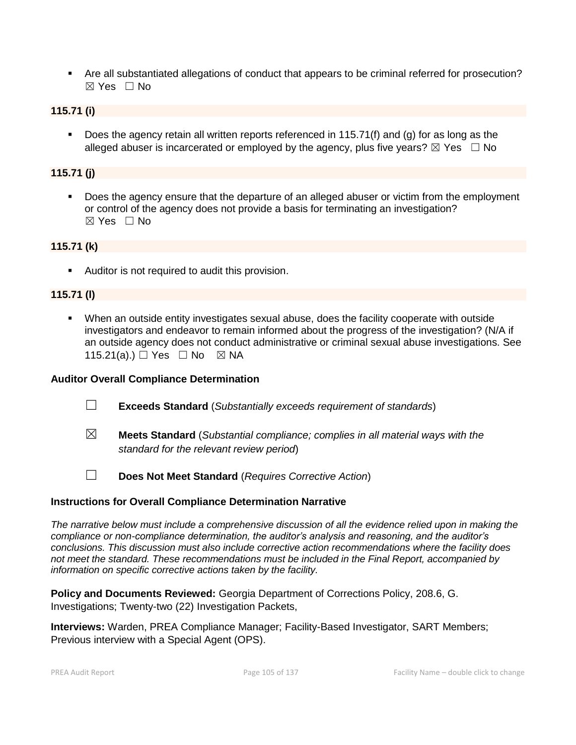▪ Are all substantiated allegations of conduct that appears to be criminal referred for prosecution?  $\boxtimes$  Yes  $\Box$  No

#### **115.71 (i)**

■ Does the agency retain all written reports referenced in 115.71(f) and (g) for as long as the alleged abuser is incarcerated or employed by the agency, plus five years?  $\boxtimes$  Yes  $\Box$  No

### **115.71 (j)**

■ Does the agency ensure that the departure of an alleged abuser or victim from the employment or control of the agency does not provide a basis for terminating an investigation?  $\boxtimes$  Yes  $\Box$  No

#### **115.71 (k)**

■ Auditor is not required to audit this provision.

#### **115.71 (l)**

▪ When an outside entity investigates sexual abuse, does the facility cooperate with outside investigators and endeavor to remain informed about the progress of the investigation? (N/A if an outside agency does not conduct administrative or criminal sexual abuse investigations. See 115.21(a).) □ Yes □ No ⊠ NA

#### **Auditor Overall Compliance Determination**

- ☐ **Exceeds Standard** (*Substantially exceeds requirement of standards*)
- ☒ **Meets Standard** (*Substantial compliance; complies in all material ways with the standard for the relevant review period*)
- ☐ **Does Not Meet Standard** (*Requires Corrective Action*)

#### **Instructions for Overall Compliance Determination Narrative**

*The narrative below must include a comprehensive discussion of all the evidence relied upon in making the compliance or non-compliance determination, the auditor's analysis and reasoning, and the auditor's conclusions. This discussion must also include corrective action recommendations where the facility does not meet the standard. These recommendations must be included in the Final Report, accompanied by information on specific corrective actions taken by the facility.*

**Policy and Documents Reviewed:** Georgia Department of Corrections Policy, 208.6, G. Investigations; Twenty-two (22) Investigation Packets,

**Interviews:** Warden, PREA Compliance Manager; Facility-Based Investigator, SART Members; Previous interview with a Special Agent (OPS).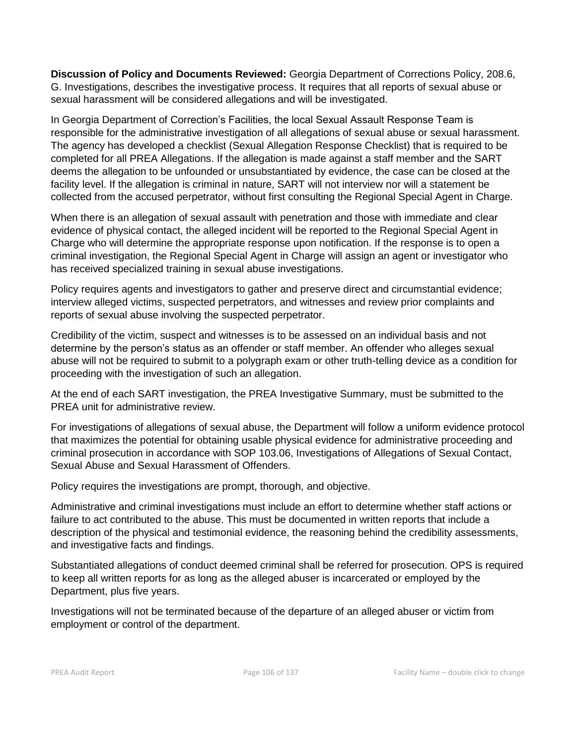**Discussion of Policy and Documents Reviewed:** Georgia Department of Corrections Policy, 208.6, G. Investigations, describes the investigative process. It requires that all reports of sexual abuse or sexual harassment will be considered allegations and will be investigated.

In Georgia Department of Correction's Facilities, the local Sexual Assault Response Team is responsible for the administrative investigation of all allegations of sexual abuse or sexual harassment. The agency has developed a checklist (Sexual Allegation Response Checklist) that is required to be completed for all PREA Allegations. If the allegation is made against a staff member and the SART deems the allegation to be unfounded or unsubstantiated by evidence, the case can be closed at the facility level. If the allegation is criminal in nature, SART will not interview nor will a statement be collected from the accused perpetrator, without first consulting the Regional Special Agent in Charge.

When there is an allegation of sexual assault with penetration and those with immediate and clear evidence of physical contact, the alleged incident will be reported to the Regional Special Agent in Charge who will determine the appropriate response upon notification. If the response is to open a criminal investigation, the Regional Special Agent in Charge will assign an agent or investigator who has received specialized training in sexual abuse investigations.

Policy requires agents and investigators to gather and preserve direct and circumstantial evidence; interview alleged victims, suspected perpetrators, and witnesses and review prior complaints and reports of sexual abuse involving the suspected perpetrator.

Credibility of the victim, suspect and witnesses is to be assessed on an individual basis and not determine by the person's status as an offender or staff member. An offender who alleges sexual abuse will not be required to submit to a polygraph exam or other truth-telling device as a condition for proceeding with the investigation of such an allegation.

At the end of each SART investigation, the PREA Investigative Summary, must be submitted to the PREA unit for administrative review.

For investigations of allegations of sexual abuse, the Department will follow a uniform evidence protocol that maximizes the potential for obtaining usable physical evidence for administrative proceeding and criminal prosecution in accordance with SOP 103.06, Investigations of Allegations of Sexual Contact, Sexual Abuse and Sexual Harassment of Offenders.

Policy requires the investigations are prompt, thorough, and objective.

Administrative and criminal investigations must include an effort to determine whether staff actions or failure to act contributed to the abuse. This must be documented in written reports that include a description of the physical and testimonial evidence, the reasoning behind the credibility assessments, and investigative facts and findings.

Substantiated allegations of conduct deemed criminal shall be referred for prosecution. OPS is required to keep all written reports for as long as the alleged abuser is incarcerated or employed by the Department, plus five years.

Investigations will not be terminated because of the departure of an alleged abuser or victim from employment or control of the department.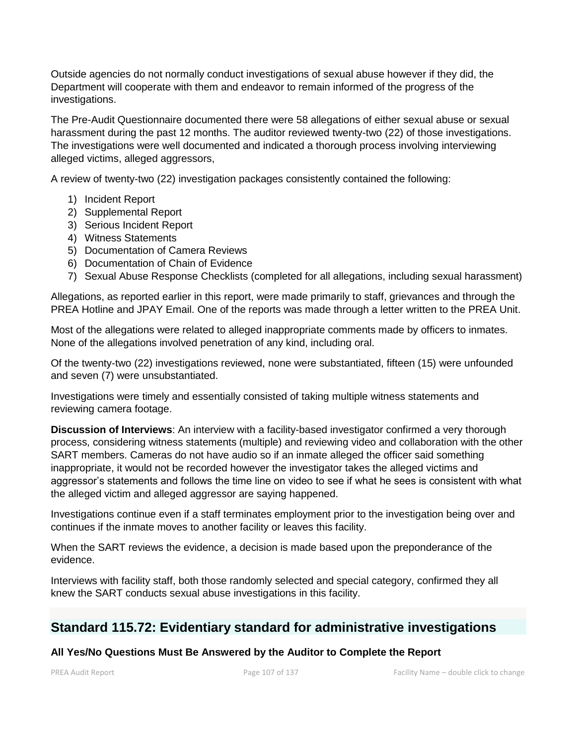Outside agencies do not normally conduct investigations of sexual abuse however if they did, the Department will cooperate with them and endeavor to remain informed of the progress of the investigations.

The Pre-Audit Questionnaire documented there were 58 allegations of either sexual abuse or sexual harassment during the past 12 months. The auditor reviewed twenty-two (22) of those investigations. The investigations were well documented and indicated a thorough process involving interviewing alleged victims, alleged aggressors,

A review of twenty-two (22) investigation packages consistently contained the following:

- 1) Incident Report
- 2) Supplemental Report
- 3) Serious Incident Report
- 4) Witness Statements
- 5) Documentation of Camera Reviews
- 6) Documentation of Chain of Evidence
- 7) Sexual Abuse Response Checklists (completed for all allegations, including sexual harassment)

Allegations, as reported earlier in this report, were made primarily to staff, grievances and through the PREA Hotline and JPAY Email. One of the reports was made through a letter written to the PREA Unit.

Most of the allegations were related to alleged inappropriate comments made by officers to inmates. None of the allegations involved penetration of any kind, including oral.

Of the twenty-two (22) investigations reviewed, none were substantiated, fifteen (15) were unfounded and seven (7) were unsubstantiated.

Investigations were timely and essentially consisted of taking multiple witness statements and reviewing camera footage.

**Discussion of Interviews**: An interview with a facility-based investigator confirmed a very thorough process, considering witness statements (multiple) and reviewing video and collaboration with the other SART members. Cameras do not have audio so if an inmate alleged the officer said something inappropriate, it would not be recorded however the investigator takes the alleged victims and aggressor's statements and follows the time line on video to see if what he sees is consistent with what the alleged victim and alleged aggressor are saying happened.

Investigations continue even if a staff terminates employment prior to the investigation being over and continues if the inmate moves to another facility or leaves this facility.

When the SART reviews the evidence, a decision is made based upon the preponderance of the evidence.

Interviews with facility staff, both those randomly selected and special category, confirmed they all knew the SART conducts sexual abuse investigations in this facility.

## **Standard 115.72: Evidentiary standard for administrative investigations**

#### **All Yes/No Questions Must Be Answered by the Auditor to Complete the Report**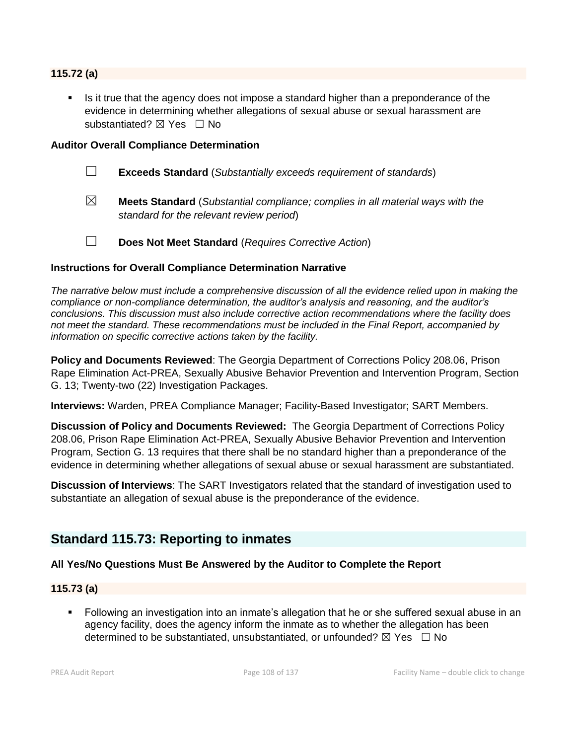#### **115.72 (a)**

Is it true that the agency does not impose a standard higher than a preponderance of the evidence in determining whether allegations of sexual abuse or sexual harassment are substantiated? ⊠ Yes □ No

#### **Auditor Overall Compliance Determination**

- ☐ **Exceeds Standard** (*Substantially exceeds requirement of standards*)
- ☒ **Meets Standard** (*Substantial compliance; complies in all material ways with the standard for the relevant review period*)
- ☐ **Does Not Meet Standard** (*Requires Corrective Action*)

#### **Instructions for Overall Compliance Determination Narrative**

*The narrative below must include a comprehensive discussion of all the evidence relied upon in making the compliance or non-compliance determination, the auditor's analysis and reasoning, and the auditor's conclusions. This discussion must also include corrective action recommendations where the facility does not meet the standard. These recommendations must be included in the Final Report, accompanied by information on specific corrective actions taken by the facility.*

**Policy and Documents Reviewed**: The Georgia Department of Corrections Policy 208.06, Prison Rape Elimination Act-PREA, Sexually Abusive Behavior Prevention and Intervention Program, Section G. 13; Twenty-two (22) Investigation Packages.

**Interviews:** Warden, PREA Compliance Manager; Facility-Based Investigator; SART Members.

**Discussion of Policy and Documents Reviewed:** The Georgia Department of Corrections Policy 208.06, Prison Rape Elimination Act-PREA, Sexually Abusive Behavior Prevention and Intervention Program, Section G. 13 requires that there shall be no standard higher than a preponderance of the evidence in determining whether allegations of sexual abuse or sexual harassment are substantiated.

**Discussion of Interviews**: The SART Investigators related that the standard of investigation used to substantiate an allegation of sexual abuse is the preponderance of the evidence.

## **Standard 115.73: Reporting to inmates**

#### **All Yes/No Questions Must Be Answered by the Auditor to Complete the Report**

#### **115.73 (a)**

▪ Following an investigation into an inmate's allegation that he or she suffered sexual abuse in an agency facility, does the agency inform the inmate as to whether the allegation has been determined to be substantiated, unsubstantiated, or unfounded?  $\boxtimes$  Yes  $\Box$  No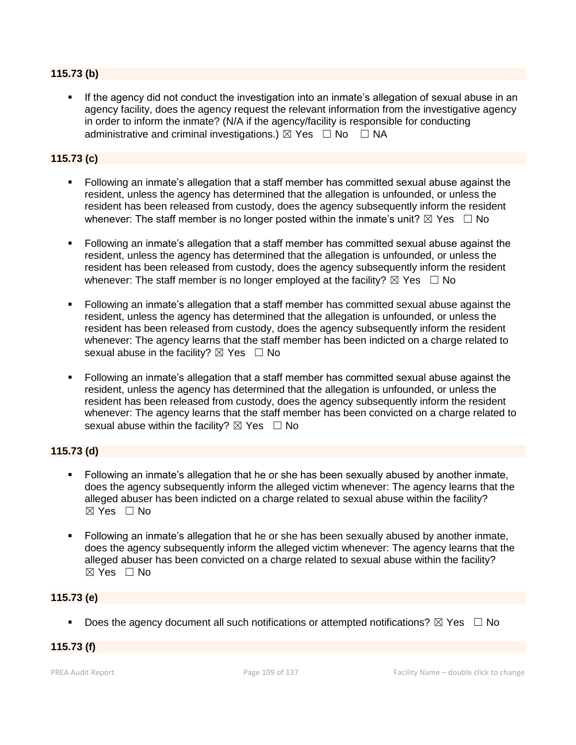# **115.73 (b)**

If the agency did not conduct the investigation into an inmate's allegation of sexual abuse in an agency facility, does the agency request the relevant information from the investigative agency in order to inform the inmate? (N/A if the agency/facility is responsible for conducting administrative and criminal investigations.)  $\boxtimes$  Yes  $\Box$  No  $\Box$  NA

# **115.73 (c)**

- Following an inmate's allegation that a staff member has committed sexual abuse against the resident, unless the agency has determined that the allegation is unfounded, or unless the resident has been released from custody, does the agency subsequently inform the resident whenever: The staff member is no longer posted within the inmate's unit?  $\boxtimes$  Yes  $\Box$  No
- Following an inmate's allegation that a staff member has committed sexual abuse against the resident, unless the agency has determined that the allegation is unfounded, or unless the resident has been released from custody, does the agency subsequently inform the resident whenever: The staff member is no longer employed at the facility?  $\boxtimes$  Yes  $\Box$  No
- Following an inmate's allegation that a staff member has committed sexual abuse against the resident, unless the agency has determined that the allegation is unfounded, or unless the resident has been released from custody, does the agency subsequently inform the resident whenever: The agency learns that the staff member has been indicted on a charge related to sexual abuse in the facility?  $\boxtimes$  Yes  $\Box$  No
- Following an inmate's allegation that a staff member has committed sexual abuse against the resident, unless the agency has determined that the allegation is unfounded, or unless the resident has been released from custody, does the agency subsequently inform the resident whenever: The agency learns that the staff member has been convicted on a charge related to sexual abuse within the facility?  $\boxtimes$  Yes  $\Box$  No

# **115.73 (d)**

- Following an inmate's allegation that he or she has been sexually abused by another inmate, does the agency subsequently inform the alleged victim whenever: The agency learns that the alleged abuser has been indicted on a charge related to sexual abuse within the facility?  $\boxtimes$  Yes  $\Box$  No
- Following an inmate's allegation that he or she has been sexually abused by another inmate, does the agency subsequently inform the alleged victim whenever: The agency learns that the alleged abuser has been convicted on a charge related to sexual abuse within the facility?  $\boxtimes$  Yes  $\Box$  No

# **115.73 (e)**

**•** Does the agency document all such notifications or attempted notifications?  $\boxtimes$  Yes  $\Box$  No

# **115.73 (f)**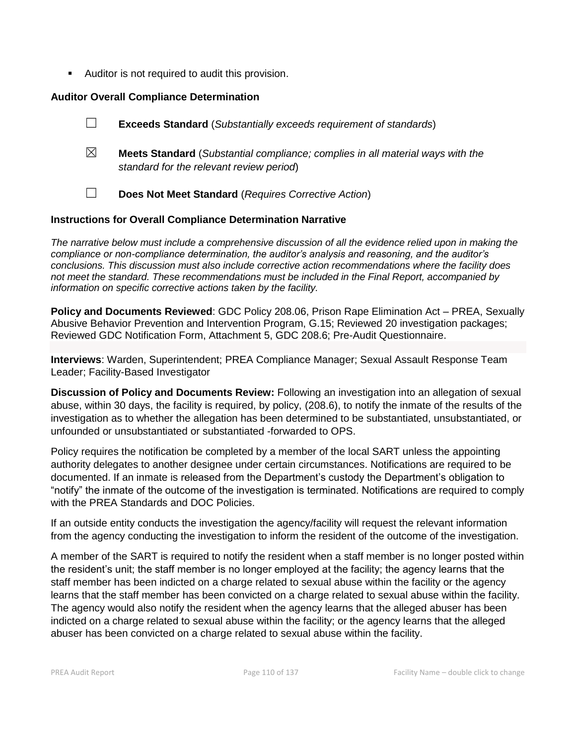■ Auditor is not required to audit this provision.

# **Auditor Overall Compliance Determination**

|             | <b>Exceeds Standard</b> (Substantially exceeds requirement of standards)                                                          |
|-------------|-----------------------------------------------------------------------------------------------------------------------------------|
| $\boxtimes$ | <b>Meets Standard</b> (Substantial compliance; complies in all material ways with the<br>standard for the relevant review period) |
|             | Does Not Meet Standard (Requires Corrective Action)                                                                               |

### **Instructions for Overall Compliance Determination Narrative**

*The narrative below must include a comprehensive discussion of all the evidence relied upon in making the compliance or non-compliance determination, the auditor's analysis and reasoning, and the auditor's conclusions. This discussion must also include corrective action recommendations where the facility does not meet the standard. These recommendations must be included in the Final Report, accompanied by information on specific corrective actions taken by the facility.*

**Policy and Documents Reviewed**: GDC Policy 208.06, Prison Rape Elimination Act – PREA, Sexually Abusive Behavior Prevention and Intervention Program, G.15; Reviewed 20 investigation packages; Reviewed GDC Notification Form, Attachment 5, GDC 208.6; Pre-Audit Questionnaire.

**Interviews**: Warden, Superintendent; PREA Compliance Manager; Sexual Assault Response Team Leader; Facility-Based Investigator

**Discussion of Policy and Documents Review:** Following an investigation into an allegation of sexual abuse, within 30 days, the facility is required, by policy, (208.6), to notify the inmate of the results of the investigation as to whether the allegation has been determined to be substantiated, unsubstantiated, or unfounded or unsubstantiated or substantiated -forwarded to OPS.

Policy requires the notification be completed by a member of the local SART unless the appointing authority delegates to another designee under certain circumstances. Notifications are required to be documented. If an inmate is released from the Department's custody the Department's obligation to "notify" the inmate of the outcome of the investigation is terminated. Notifications are required to comply with the PREA Standards and DOC Policies.

If an outside entity conducts the investigation the agency/facility will request the relevant information from the agency conducting the investigation to inform the resident of the outcome of the investigation.

A member of the SART is required to notify the resident when a staff member is no longer posted within the resident's unit; the staff member is no longer employed at the facility; the agency learns that the staff member has been indicted on a charge related to sexual abuse within the facility or the agency learns that the staff member has been convicted on a charge related to sexual abuse within the facility. The agency would also notify the resident when the agency learns that the alleged abuser has been indicted on a charge related to sexual abuse within the facility; or the agency learns that the alleged abuser has been convicted on a charge related to sexual abuse within the facility.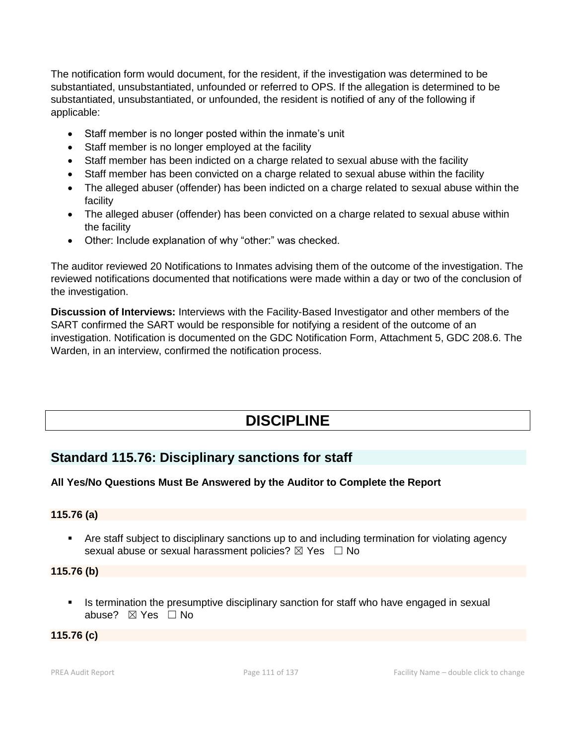The notification form would document, for the resident, if the investigation was determined to be substantiated, unsubstantiated, unfounded or referred to OPS. If the allegation is determined to be substantiated, unsubstantiated, or unfounded, the resident is notified of any of the following if applicable:

- Staff member is no longer posted within the inmate's unit
- Staff member is no longer employed at the facility
- Staff member has been indicted on a charge related to sexual abuse with the facility
- Staff member has been convicted on a charge related to sexual abuse within the facility
- The alleged abuser (offender) has been indicted on a charge related to sexual abuse within the facility
- The alleged abuser (offender) has been convicted on a charge related to sexual abuse within the facility
- Other: Include explanation of why "other:" was checked.

The auditor reviewed 20 Notifications to Inmates advising them of the outcome of the investigation. The reviewed notifications documented that notifications were made within a day or two of the conclusion of the investigation.

**Discussion of Interviews:** Interviews with the Facility-Based Investigator and other members of the SART confirmed the SART would be responsible for notifying a resident of the outcome of an investigation. Notification is documented on the GDC Notification Form, Attachment 5, GDC 208.6. The Warden, in an interview, confirmed the notification process.

# **DISCIPLINE**

# **Standard 115.76: Disciplinary sanctions for staff**

# **All Yes/No Questions Must Be Answered by the Auditor to Complete the Report**

# **115.76 (a)**

**•** Are staff subject to disciplinary sanctions up to and including termination for violating agency sexual abuse or sexual harassment policies?  $\boxtimes$  Yes  $\Box$  No

### **115.76 (b)**

**•** Is termination the presumptive disciplinary sanction for staff who have engaged in sexual abuse? ☒ Yes ☐ No

# **115.76 (c)**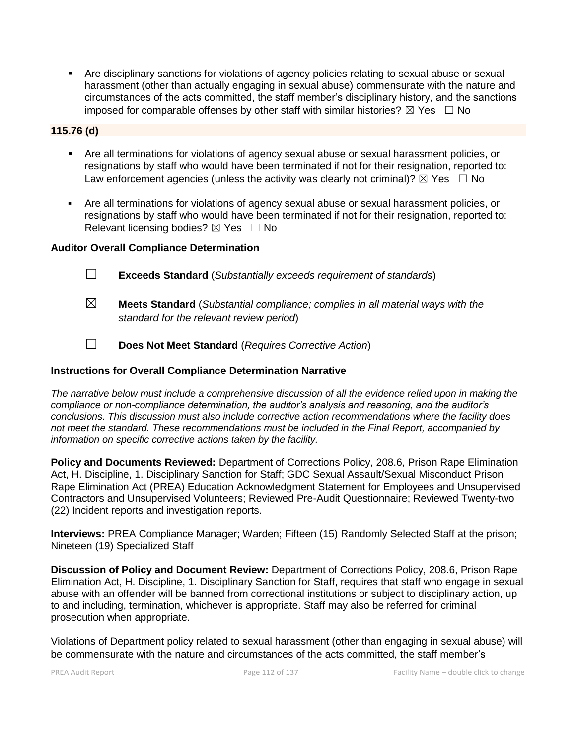▪ Are disciplinary sanctions for violations of agency policies relating to sexual abuse or sexual harassment (other than actually engaging in sexual abuse) commensurate with the nature and circumstances of the acts committed, the staff member's disciplinary history, and the sanctions imposed for comparable offenses by other staff with similar histories?  $\boxtimes$  Yes  $\Box$  No

# **115.76 (d)**

- **EXT** Are all terminations for violations of agency sexual abuse or sexual harassment policies, or resignations by staff who would have been terminated if not for their resignation, reported to: Law enforcement agencies (unless the activity was clearly not criminal)?  $\boxtimes$  Yes  $\Box$  No
- Are all terminations for violations of agency sexual abuse or sexual harassment policies, or resignations by staff who would have been terminated if not for their resignation, reported to: Relevant licensing bodies? ⊠ Yes □ No

# **Auditor Overall Compliance Determination**

- ☐ **Exceeds Standard** (*Substantially exceeds requirement of standards*)
- ☒ **Meets Standard** (*Substantial compliance; complies in all material ways with the standard for the relevant review period*)
- ☐ **Does Not Meet Standard** (*Requires Corrective Action*)

# **Instructions for Overall Compliance Determination Narrative**

*The narrative below must include a comprehensive discussion of all the evidence relied upon in making the compliance or non-compliance determination, the auditor's analysis and reasoning, and the auditor's conclusions. This discussion must also include corrective action recommendations where the facility does not meet the standard. These recommendations must be included in the Final Report, accompanied by information on specific corrective actions taken by the facility.*

**Policy and Documents Reviewed:** Department of Corrections Policy, 208.6, Prison Rape Elimination Act, H. Discipline, 1. Disciplinary Sanction for Staff; GDC Sexual Assault/Sexual Misconduct Prison Rape Elimination Act (PREA) Education Acknowledgment Statement for Employees and Unsupervised Contractors and Unsupervised Volunteers; Reviewed Pre-Audit Questionnaire; Reviewed Twenty-two (22) Incident reports and investigation reports.

**Interviews:** PREA Compliance Manager; Warden; Fifteen (15) Randomly Selected Staff at the prison; Nineteen (19) Specialized Staff

**Discussion of Policy and Document Review:** Department of Corrections Policy, 208.6, Prison Rape Elimination Act, H. Discipline, 1. Disciplinary Sanction for Staff, requires that staff who engage in sexual abuse with an offender will be banned from correctional institutions or subject to disciplinary action, up to and including, termination, whichever is appropriate. Staff may also be referred for criminal prosecution when appropriate.

Violations of Department policy related to sexual harassment (other than engaging in sexual abuse) will be commensurate with the nature and circumstances of the acts committed, the staff member's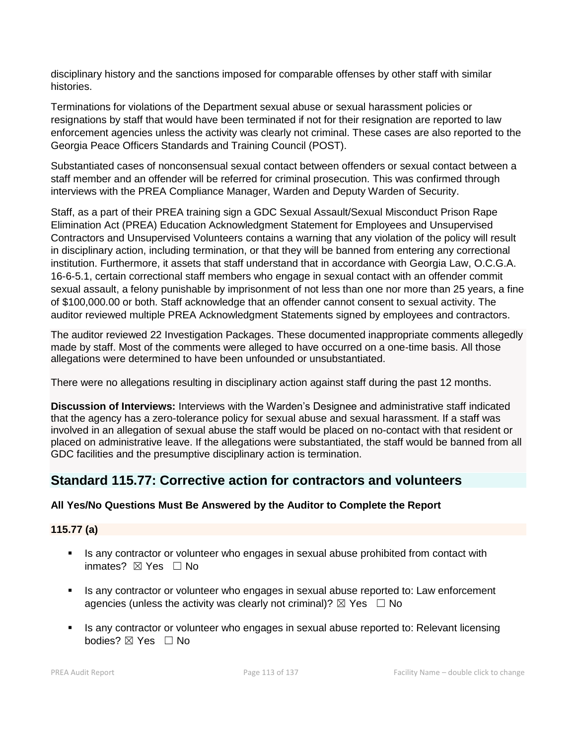disciplinary history and the sanctions imposed for comparable offenses by other staff with similar histories.

Terminations for violations of the Department sexual abuse or sexual harassment policies or resignations by staff that would have been terminated if not for their resignation are reported to law enforcement agencies unless the activity was clearly not criminal. These cases are also reported to the Georgia Peace Officers Standards and Training Council (POST).

Substantiated cases of nonconsensual sexual contact between offenders or sexual contact between a staff member and an offender will be referred for criminal prosecution. This was confirmed through interviews with the PREA Compliance Manager, Warden and Deputy Warden of Security.

Staff, as a part of their PREA training sign a GDC Sexual Assault/Sexual Misconduct Prison Rape Elimination Act (PREA) Education Acknowledgment Statement for Employees and Unsupervised Contractors and Unsupervised Volunteers contains a warning that any violation of the policy will result in disciplinary action, including termination, or that they will be banned from entering any correctional institution. Furthermore, it assets that staff understand that in accordance with Georgia Law, O.C.G.A. 16-6-5.1, certain correctional staff members who engage in sexual contact with an offender commit sexual assault, a felony punishable by imprisonment of not less than one nor more than 25 years, a fine of \$100,000.00 or both. Staff acknowledge that an offender cannot consent to sexual activity. The auditor reviewed multiple PREA Acknowledgment Statements signed by employees and contractors.

The auditor reviewed 22 Investigation Packages. These documented inappropriate comments allegedly made by staff. Most of the comments were alleged to have occurred on a one-time basis. All those allegations were determined to have been unfounded or unsubstantiated.

There were no allegations resulting in disciplinary action against staff during the past 12 months.

**Discussion of Interviews:** Interviews with the Warden's Designee and administrative staff indicated that the agency has a zero-tolerance policy for sexual abuse and sexual harassment. If a staff was involved in an allegation of sexual abuse the staff would be placed on no-contact with that resident or placed on administrative leave. If the allegations were substantiated, the staff would be banned from all GDC facilities and the presumptive disciplinary action is termination.

# **Standard 115.77: Corrective action for contractors and volunteers**

# **All Yes/No Questions Must Be Answered by the Auditor to Complete the Report**

# **115.77 (a)**

- **EXT** Is any contractor or volunteer who engages in sexual abuse prohibited from contact with inmates?  $⊠$  Yes  $□$  No
- **EXECT** Is any contractor or volunteer who engages in sexual abuse reported to: Law enforcement agencies (unless the activity was clearly not criminal)?  $\boxtimes$  Yes  $\Box$  No
- Is any contractor or volunteer who engages in sexual abuse reported to: Relevant licensing bodies? ⊠ Yes □ No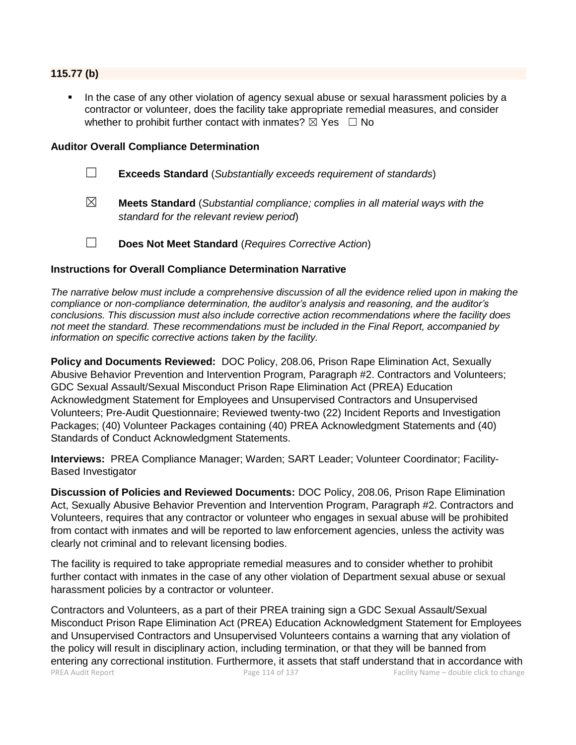### **115.77 (b)**

In the case of any other violation of agency sexual abuse or sexual harassment policies by a contractor or volunteer, does the facility take appropriate remedial measures, and consider whether to prohibit further contact with inmates?  $\boxtimes$  Yes  $\Box$  No

#### **Auditor Overall Compliance Determination**

- ☐ **Exceeds Standard** (*Substantially exceeds requirement of standards*)
- ☒ **Meets Standard** (*Substantial compliance; complies in all material ways with the standard for the relevant review period*)
- ☐ **Does Not Meet Standard** (*Requires Corrective Action*)

### **Instructions for Overall Compliance Determination Narrative**

*The narrative below must include a comprehensive discussion of all the evidence relied upon in making the compliance or non-compliance determination, the auditor's analysis and reasoning, and the auditor's conclusions. This discussion must also include corrective action recommendations where the facility does not meet the standard. These recommendations must be included in the Final Report, accompanied by information on specific corrective actions taken by the facility.*

**Policy and Documents Reviewed:** DOC Policy, 208.06, Prison Rape Elimination Act, Sexually Abusive Behavior Prevention and Intervention Program, Paragraph #2. Contractors and Volunteers; GDC Sexual Assault/Sexual Misconduct Prison Rape Elimination Act (PREA) Education Acknowledgment Statement for Employees and Unsupervised Contractors and Unsupervised Volunteers; Pre-Audit Questionnaire; Reviewed twenty-two (22) Incident Reports and Investigation Packages; (40) Volunteer Packages containing (40) PREA Acknowledgment Statements and (40) Standards of Conduct Acknowledgment Statements.

**Interviews:** PREA Compliance Manager; Warden; SART Leader; Volunteer Coordinator; Facility-Based Investigator

**Discussion of Policies and Reviewed Documents:** DOC Policy, 208.06, Prison Rape Elimination Act, Sexually Abusive Behavior Prevention and Intervention Program, Paragraph #2. Contractors and Volunteers, requires that any contractor or volunteer who engages in sexual abuse will be prohibited from contact with inmates and will be reported to law enforcement agencies, unless the activity was clearly not criminal and to relevant licensing bodies.

The facility is required to take appropriate remedial measures and to consider whether to prohibit further contact with inmates in the case of any other violation of Department sexual abuse or sexual harassment policies by a contractor or volunteer.

PREA Audit Report **PREA Audit Report Page 114 of 137** Facility Name – double click to change Contractors and Volunteers, as a part of their PREA training sign a GDC Sexual Assault/Sexual Misconduct Prison Rape Elimination Act (PREA) Education Acknowledgment Statement for Employees and Unsupervised Contractors and Unsupervised Volunteers contains a warning that any violation of the policy will result in disciplinary action, including termination, or that they will be banned from entering any correctional institution. Furthermore, it assets that staff understand that in accordance with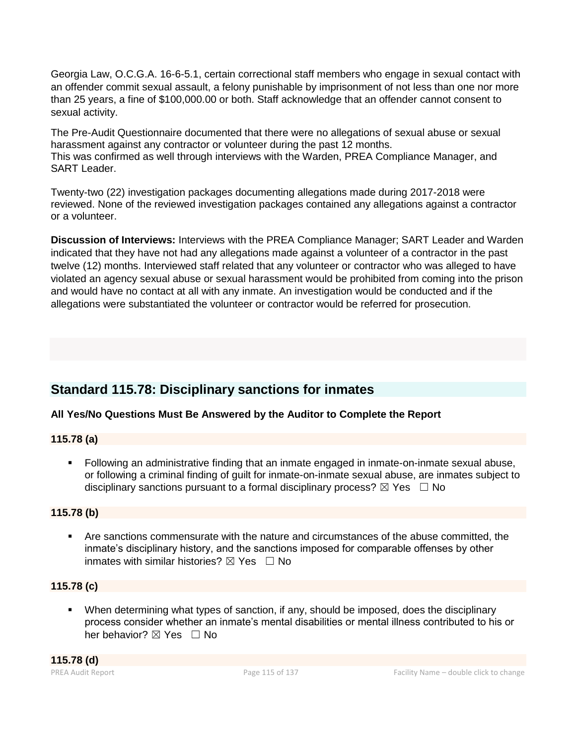Georgia Law, O.C.G.A. 16-6-5.1, certain correctional staff members who engage in sexual contact with an offender commit sexual assault, a felony punishable by imprisonment of not less than one nor more than 25 years, a fine of \$100,000.00 or both. Staff acknowledge that an offender cannot consent to sexual activity.

The Pre-Audit Questionnaire documented that there were no allegations of sexual abuse or sexual harassment against any contractor or volunteer during the past 12 months. This was confirmed as well through interviews with the Warden, PREA Compliance Manager, and SART Leader.

Twenty-two (22) investigation packages documenting allegations made during 2017-2018 were reviewed. None of the reviewed investigation packages contained any allegations against a contractor or a volunteer.

**Discussion of Interviews:** Interviews with the PREA Compliance Manager; SART Leader and Warden indicated that they have not had any allegations made against a volunteer of a contractor in the past twelve (12) months. Interviewed staff related that any volunteer or contractor who was alleged to have violated an agency sexual abuse or sexual harassment would be prohibited from coming into the prison and would have no contact at all with any inmate. An investigation would be conducted and if the allegations were substantiated the volunteer or contractor would be referred for prosecution.

# **Standard 115.78: Disciplinary sanctions for inmates**

# **All Yes/No Questions Must Be Answered by the Auditor to Complete the Report**

# **115.78 (a)**

▪ Following an administrative finding that an inmate engaged in inmate-on-inmate sexual abuse, or following a criminal finding of guilt for inmate-on-inmate sexual abuse, are inmates subject to disciplinary sanctions pursuant to a formal disciplinary process?  $\boxtimes$  Yes  $\Box$  No

# **115.78 (b)**

■ Are sanctions commensurate with the nature and circumstances of the abuse committed, the inmate's disciplinary history, and the sanctions imposed for comparable offenses by other inmates with similar histories?  $\boxtimes$  Yes  $\Box$  No

# **115.78 (c)**

▪ When determining what types of sanction, if any, should be imposed, does the disciplinary process consider whether an inmate's mental disabilities or mental illness contributed to his or her behavior?  $\boxtimes$  Yes  $\Box$  No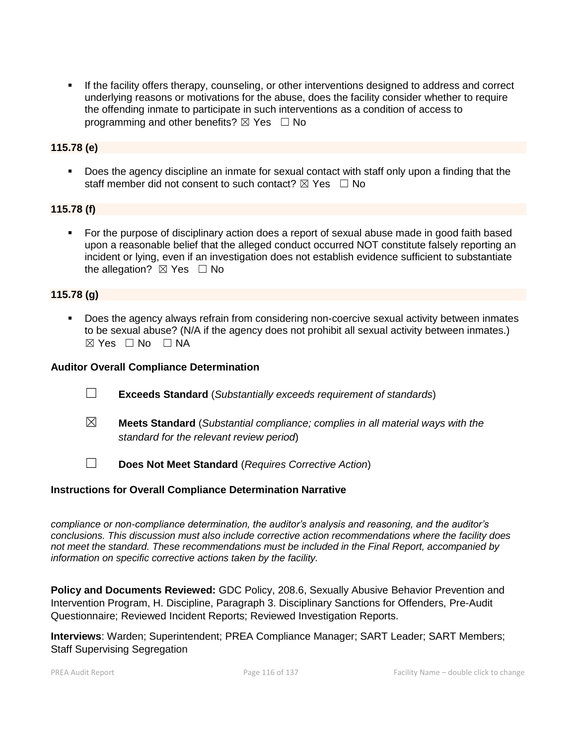**■** If the facility offers therapy, counseling, or other interventions designed to address and correct underlying reasons or motivations for the abuse, does the facility consider whether to require the offending inmate to participate in such interventions as a condition of access to programming and other benefits?  $\boxtimes$  Yes  $\Box$  No

# **115.78 (e)**

▪ Does the agency discipline an inmate for sexual contact with staff only upon a finding that the staff member did not consent to such contact?  $\boxtimes$  Yes  $\Box$  No

# **115.78 (f)**

■ For the purpose of disciplinary action does a report of sexual abuse made in good faith based upon a reasonable belief that the alleged conduct occurred NOT constitute falsely reporting an incident or lying, even if an investigation does not establish evidence sufficient to substantiate the allegation?  $\boxtimes$  Yes  $\Box$  No

# **115.78 (g)**

**•** Does the agency always refrain from considering non-coercive sexual activity between inmates to be sexual abuse? (N/A if the agency does not prohibit all sexual activity between inmates.)  $\boxtimes$  Yes  $\Box$  No  $\Box$  NA

### **Auditor Overall Compliance Determination**

- ☐ **Exceeds Standard** (*Substantially exceeds requirement of standards*)
- ☒ **Meets Standard** (*Substantial compliance; complies in all material ways with the standard for the relevant review period*)
- ☐ **Does Not Meet Standard** (*Requires Corrective Action*)

### **Instructions for Overall Compliance Determination Narrative**

*compliance or non-compliance determination, the auditor's analysis and reasoning, and the auditor's conclusions. This discussion must also include corrective action recommendations where the facility does not meet the standard. These recommendations must be included in the Final Report, accompanied by information on specific corrective actions taken by the facility.*

**Policy and Documents Reviewed:** GDC Policy, 208.6, Sexually Abusive Behavior Prevention and Intervention Program, H. Discipline, Paragraph 3. Disciplinary Sanctions for Offenders, Pre-Audit Questionnaire; Reviewed Incident Reports; Reviewed Investigation Reports.

**Interviews**: Warden; Superintendent; PREA Compliance Manager; SART Leader; SART Members; Staff Supervising Segregation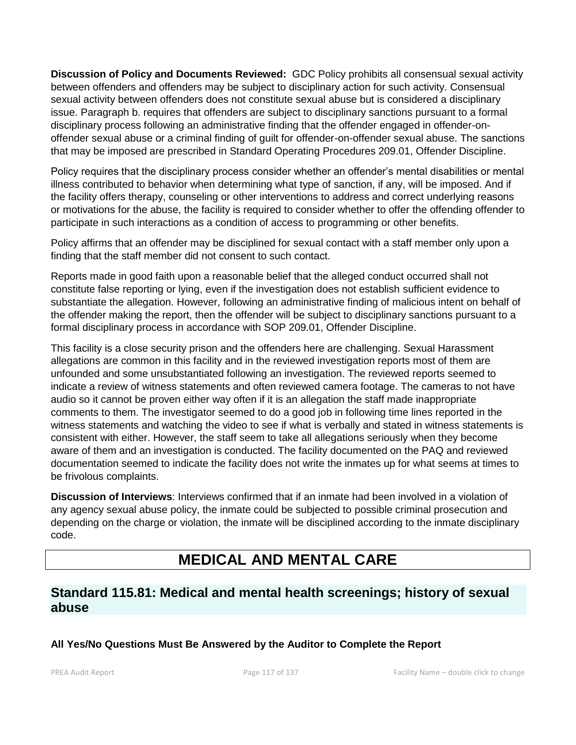**Discussion of Policy and Documents Reviewed:** GDC Policy prohibits all consensual sexual activity between offenders and offenders may be subject to disciplinary action for such activity. Consensual sexual activity between offenders does not constitute sexual abuse but is considered a disciplinary issue. Paragraph b. requires that offenders are subject to disciplinary sanctions pursuant to a formal disciplinary process following an administrative finding that the offender engaged in offender-onoffender sexual abuse or a criminal finding of guilt for offender-on-offender sexual abuse. The sanctions that may be imposed are prescribed in Standard Operating Procedures 209.01, Offender Discipline.

Policy requires that the disciplinary process consider whether an offender's mental disabilities or mental illness contributed to behavior when determining what type of sanction, if any, will be imposed. And if the facility offers therapy, counseling or other interventions to address and correct underlying reasons or motivations for the abuse, the facility is required to consider whether to offer the offending offender to participate in such interactions as a condition of access to programming or other benefits.

Policy affirms that an offender may be disciplined for sexual contact with a staff member only upon a finding that the staff member did not consent to such contact.

Reports made in good faith upon a reasonable belief that the alleged conduct occurred shall not constitute false reporting or lying, even if the investigation does not establish sufficient evidence to substantiate the allegation. However, following an administrative finding of malicious intent on behalf of the offender making the report, then the offender will be subject to disciplinary sanctions pursuant to a formal disciplinary process in accordance with SOP 209.01, Offender Discipline.

This facility is a close security prison and the offenders here are challenging. Sexual Harassment allegations are common in this facility and in the reviewed investigation reports most of them are unfounded and some unsubstantiated following an investigation. The reviewed reports seemed to indicate a review of witness statements and often reviewed camera footage. The cameras to not have audio so it cannot be proven either way often if it is an allegation the staff made inappropriate comments to them. The investigator seemed to do a good job in following time lines reported in the witness statements and watching the video to see if what is verbally and stated in witness statements is consistent with either. However, the staff seem to take all allegations seriously when they become aware of them and an investigation is conducted. The facility documented on the PAQ and reviewed documentation seemed to indicate the facility does not write the inmates up for what seems at times to be frivolous complaints.

**Discussion of Interviews**: Interviews confirmed that if an inmate had been involved in a violation of any agency sexual abuse policy, the inmate could be subjected to possible criminal prosecution and depending on the charge or violation, the inmate will be disciplined according to the inmate disciplinary code.

# **MEDICAL AND MENTAL CARE**

# **Standard 115.81: Medical and mental health screenings; history of sexual abuse**

# **All Yes/No Questions Must Be Answered by the Auditor to Complete the Report**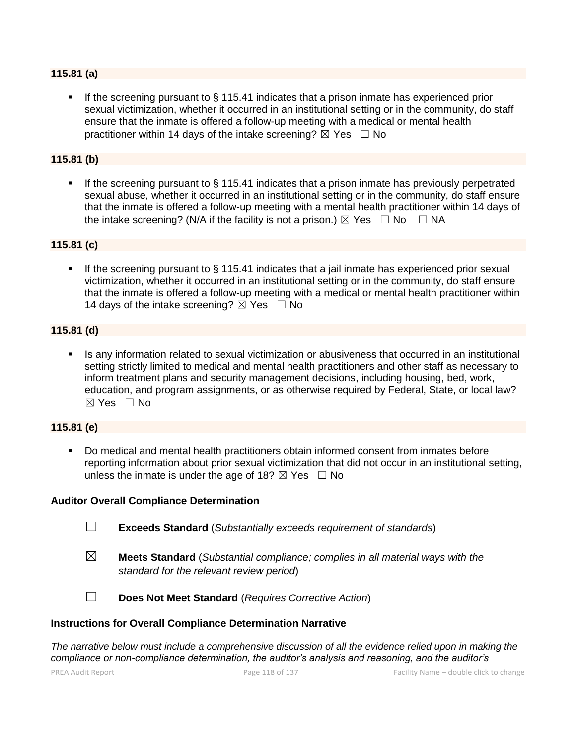### **115.81 (a)**

If the screening pursuant to  $\S$  115.41 indicates that a prison inmate has experienced prior sexual victimization, whether it occurred in an institutional setting or in the community, do staff ensure that the inmate is offered a follow-up meeting with a medical or mental health practitioner within 14 days of the intake screening?  $\boxtimes$  Yes  $\Box$  No

### **115.81 (b)**

**.** If the screening pursuant to  $\S$  115.41 indicates that a prison inmate has previously perpetrated sexual abuse, whether it occurred in an institutional setting or in the community, do staff ensure that the inmate is offered a follow-up meeting with a mental health practitioner within 14 days of the intake screening? (N/A if the facility is not a prison.)  $\boxtimes$  Yes  $\Box$  No  $\Box$  NA

### **115.81 (c)**

If the screening pursuant to  $\S$  115.41 indicates that a jail inmate has experienced prior sexual victimization, whether it occurred in an institutional setting or in the community, do staff ensure that the inmate is offered a follow-up meeting with a medical or mental health practitioner within 14 days of the intake screening?  $\boxtimes$  Yes  $\Box$  No

### **115.81 (d)**

Is any information related to sexual victimization or abusiveness that occurred in an institutional setting strictly limited to medical and mental health practitioners and other staff as necessary to inform treatment plans and security management decisions, including housing, bed, work, education, and program assignments, or as otherwise required by Federal, State, or local law?  $\boxtimes$  Yes  $\Box$  No

### **115.81 (e)**

Do medical and mental health practitioners obtain informed consent from inmates before reporting information about prior sexual victimization that did not occur in an institutional setting, unless the inmate is under the age of 18?  $\boxtimes$  Yes  $\Box$  No

### **Auditor Overall Compliance Determination**

- ☐ **Exceeds Standard** (*Substantially exceeds requirement of standards*)
- ☒ **Meets Standard** (*Substantial compliance; complies in all material ways with the standard for the relevant review period*)

☐ **Does Not Meet Standard** (*Requires Corrective Action*)

### **Instructions for Overall Compliance Determination Narrative**

*The narrative below must include a comprehensive discussion of all the evidence relied upon in making the compliance or non-compliance determination, the auditor's analysis and reasoning, and the auditor's*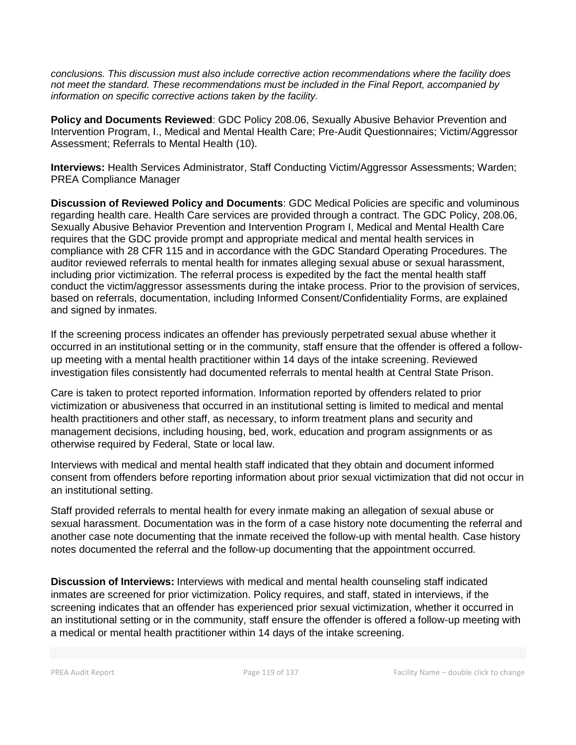*conclusions. This discussion must also include corrective action recommendations where the facility does not meet the standard. These recommendations must be included in the Final Report, accompanied by information on specific corrective actions taken by the facility.*

**Policy and Documents Reviewed**: GDC Policy 208.06, Sexually Abusive Behavior Prevention and Intervention Program, I., Medical and Mental Health Care; Pre-Audit Questionnaires; Victim/Aggressor Assessment; Referrals to Mental Health (10).

**Interviews:** Health Services Administrator, Staff Conducting Victim/Aggressor Assessments; Warden; PREA Compliance Manager

**Discussion of Reviewed Policy and Documents**: GDC Medical Policies are specific and voluminous regarding health care. Health Care services are provided through a contract. The GDC Policy, 208.06, Sexually Abusive Behavior Prevention and Intervention Program I, Medical and Mental Health Care requires that the GDC provide prompt and appropriate medical and mental health services in compliance with 28 CFR 115 and in accordance with the GDC Standard Operating Procedures. The auditor reviewed referrals to mental health for inmates alleging sexual abuse or sexual harassment, including prior victimization. The referral process is expedited by the fact the mental health staff conduct the victim/aggressor assessments during the intake process. Prior to the provision of services, based on referrals, documentation, including Informed Consent/Confidentiality Forms, are explained and signed by inmates.

If the screening process indicates an offender has previously perpetrated sexual abuse whether it occurred in an institutional setting or in the community, staff ensure that the offender is offered a followup meeting with a mental health practitioner within 14 days of the intake screening. Reviewed investigation files consistently had documented referrals to mental health at Central State Prison.

Care is taken to protect reported information. Information reported by offenders related to prior victimization or abusiveness that occurred in an institutional setting is limited to medical and mental health practitioners and other staff, as necessary, to inform treatment plans and security and management decisions, including housing, bed, work, education and program assignments or as otherwise required by Federal, State or local law.

Interviews with medical and mental health staff indicated that they obtain and document informed consent from offenders before reporting information about prior sexual victimization that did not occur in an institutional setting.

Staff provided referrals to mental health for every inmate making an allegation of sexual abuse or sexual harassment. Documentation was in the form of a case history note documenting the referral and another case note documenting that the inmate received the follow-up with mental health. Case history notes documented the referral and the follow-up documenting that the appointment occurred.

**Discussion of Interviews:** Interviews with medical and mental health counseling staff indicated inmates are screened for prior victimization. Policy requires, and staff, stated in interviews, if the screening indicates that an offender has experienced prior sexual victimization, whether it occurred in an institutional setting or in the community, staff ensure the offender is offered a follow-up meeting with a medical or mental health practitioner within 14 days of the intake screening.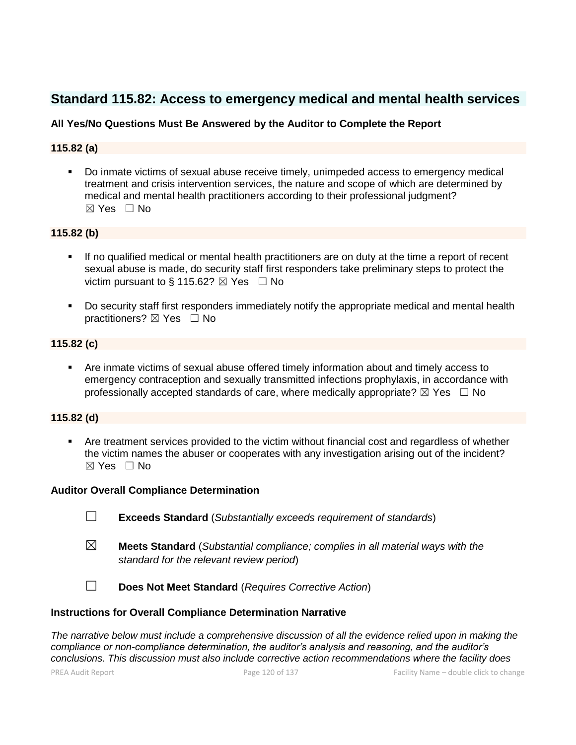# **Standard 115.82: Access to emergency medical and mental health services**

# **All Yes/No Questions Must Be Answered by the Auditor to Complete the Report**

# **115.82 (a)**

▪ Do inmate victims of sexual abuse receive timely, unimpeded access to emergency medical treatment and crisis intervention services, the nature and scope of which are determined by medical and mental health practitioners according to their professional judgment?  $\boxtimes$  Yes  $\Box$  No

# **115.82 (b)**

- If no qualified medical or mental health practitioners are on duty at the time a report of recent sexual abuse is made, do security staff first responders take preliminary steps to protect the victim pursuant to § 115.62?  $\boxtimes$  Yes  $\Box$  No
- Do security staff first responders immediately notify the appropriate medical and mental health practitioners?  $\boxtimes$  Yes  $\Box$  No

### **115.82 (c)**

Are inmate victims of sexual abuse offered timely information about and timely access to emergency contraception and sexually transmitted infections prophylaxis, in accordance with professionally accepted standards of care, where medically appropriate?  $\boxtimes$  Yes  $\Box$  No

# **115.82 (d)**

**•** Are treatment services provided to the victim without financial cost and regardless of whether the victim names the abuser or cooperates with any investigation arising out of the incident? ☒ Yes ☐ No

### **Auditor Overall Compliance Determination**

- ☐ **Exceeds Standard** (*Substantially exceeds requirement of standards*)
- ☒ **Meets Standard** (*Substantial compliance; complies in all material ways with the standard for the relevant review period*)

☐ **Does Not Meet Standard** (*Requires Corrective Action*)

### **Instructions for Overall Compliance Determination Narrative**

*The narrative below must include a comprehensive discussion of all the evidence relied upon in making the compliance or non-compliance determination, the auditor's analysis and reasoning, and the auditor's conclusions. This discussion must also include corrective action recommendations where the facility does*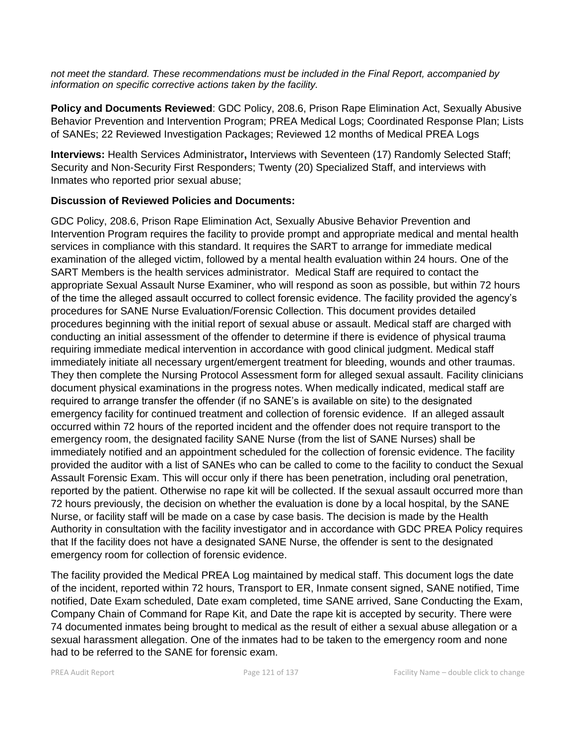*not meet the standard. These recommendations must be included in the Final Report, accompanied by information on specific corrective actions taken by the facility.*

**Policy and Documents Reviewed**: GDC Policy, 208.6, Prison Rape Elimination Act, Sexually Abusive Behavior Prevention and Intervention Program; PREA Medical Logs; Coordinated Response Plan; Lists of SANEs; 22 Reviewed Investigation Packages; Reviewed 12 months of Medical PREA Logs

**Interviews:** Health Services Administrator**,** Interviews with Seventeen (17) Randomly Selected Staff; Security and Non-Security First Responders; Twenty (20) Specialized Staff, and interviews with Inmates who reported prior sexual abuse;

# **Discussion of Reviewed Policies and Documents:**

GDC Policy, 208.6, Prison Rape Elimination Act, Sexually Abusive Behavior Prevention and Intervention Program requires the facility to provide prompt and appropriate medical and mental health services in compliance with this standard. It requires the SART to arrange for immediate medical examination of the alleged victim, followed by a mental health evaluation within 24 hours. One of the SART Members is the health services administrator. Medical Staff are required to contact the appropriate Sexual Assault Nurse Examiner, who will respond as soon as possible, but within 72 hours of the time the alleged assault occurred to collect forensic evidence. The facility provided the agency's procedures for SANE Nurse Evaluation/Forensic Collection. This document provides detailed procedures beginning with the initial report of sexual abuse or assault. Medical staff are charged with conducting an initial assessment of the offender to determine if there is evidence of physical trauma requiring immediate medical intervention in accordance with good clinical judgment. Medical staff immediately initiate all necessary urgent/emergent treatment for bleeding, wounds and other traumas. They then complete the Nursing Protocol Assessment form for alleged sexual assault. Facility clinicians document physical examinations in the progress notes. When medically indicated, medical staff are required to arrange transfer the offender (if no SANE's is available on site) to the designated emergency facility for continued treatment and collection of forensic evidence. If an alleged assault occurred within 72 hours of the reported incident and the offender does not require transport to the emergency room, the designated facility SANE Nurse (from the list of SANE Nurses) shall be immediately notified and an appointment scheduled for the collection of forensic evidence. The facility provided the auditor with a list of SANEs who can be called to come to the facility to conduct the Sexual Assault Forensic Exam. This will occur only if there has been penetration, including oral penetration, reported by the patient. Otherwise no rape kit will be collected. If the sexual assault occurred more than 72 hours previously, the decision on whether the evaluation is done by a local hospital, by the SANE Nurse, or facility staff will be made on a case by case basis. The decision is made by the Health Authority in consultation with the facility investigator and in accordance with GDC PREA Policy requires that If the facility does not have a designated SANE Nurse, the offender is sent to the designated emergency room for collection of forensic evidence.

The facility provided the Medical PREA Log maintained by medical staff. This document logs the date of the incident, reported within 72 hours, Transport to ER, Inmate consent signed, SANE notified, Time notified, Date Exam scheduled, Date exam completed, time SANE arrived, Sane Conducting the Exam, Company Chain of Command for Rape Kit, and Date the rape kit is accepted by security. There were 74 documented inmates being brought to medical as the result of either a sexual abuse allegation or a sexual harassment allegation. One of the inmates had to be taken to the emergency room and none had to be referred to the SANE for forensic exam.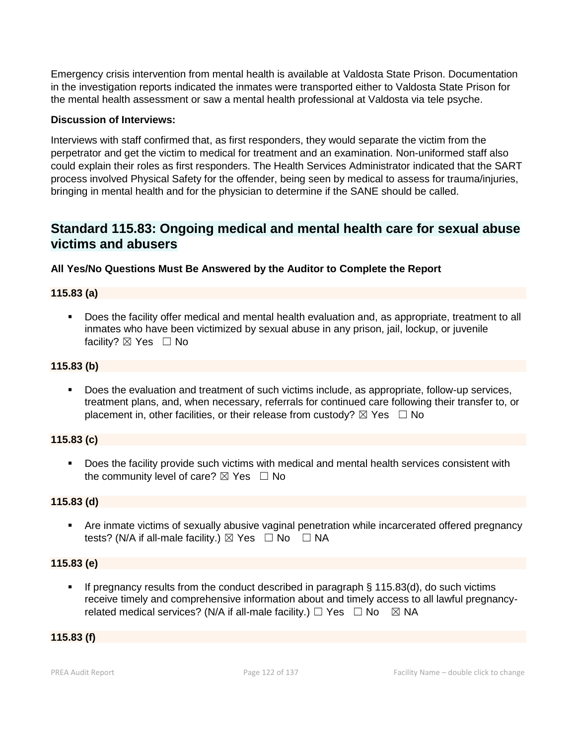Emergency crisis intervention from mental health is available at Valdosta State Prison. Documentation in the investigation reports indicated the inmates were transported either to Valdosta State Prison for the mental health assessment or saw a mental health professional at Valdosta via tele psyche.

# **Discussion of Interviews:**

Interviews with staff confirmed that, as first responders, they would separate the victim from the perpetrator and get the victim to medical for treatment and an examination. Non-uniformed staff also could explain their roles as first responders. The Health Services Administrator indicated that the SART process involved Physical Safety for the offender, being seen by medical to assess for trauma/injuries, bringing in mental health and for the physician to determine if the SANE should be called.

# **Standard 115.83: Ongoing medical and mental health care for sexual abuse victims and abusers**

# **All Yes/No Questions Must Be Answered by the Auditor to Complete the Report**

# **115.83 (a)**

▪ Does the facility offer medical and mental health evaluation and, as appropriate, treatment to all inmates who have been victimized by sexual abuse in any prison, jail, lockup, or juvenile facility?  $\boxtimes$  Yes  $\Box$  No

# **115.83 (b)**

Does the evaluation and treatment of such victims include, as appropriate, follow-up services, treatment plans, and, when necessary, referrals for continued care following their transfer to, or placement in, other facilities, or their release from custody?  $\boxtimes$  Yes  $\Box$  No

# **115.83 (c)**

▪ Does the facility provide such victims with medical and mental health services consistent with the community level of care?  $\boxtimes$  Yes  $\Box$  No

# **115.83 (d)**

■ Are inmate victims of sexually abusive vaginal penetration while incarcerated offered pregnancy tests? (N/A if all-male facility.)  $\boxtimes$  Yes  $\Box$  No  $\Box$  NA

# **115.83 (e)**

**.** If pregnancy results from the conduct described in paragraph  $\S$  115.83(d), do such victims receive timely and comprehensive information about and timely access to all lawful pregnancyrelated medical services? (N/A if all-male facility.)  $\Box$  Yes  $\Box$  No  $\boxtimes$  NA

# **115.83 (f)**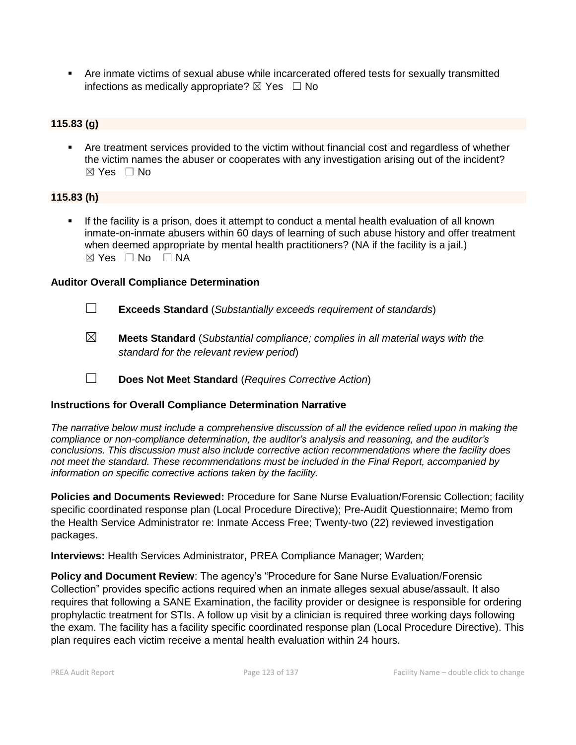▪ Are inmate victims of sexual abuse while incarcerated offered tests for sexually transmitted infections as medically appropriate?  $\boxtimes$  Yes  $\Box$  No

# **115.83 (g)**

Are treatment services provided to the victim without financial cost and regardless of whether the victim names the abuser or cooperates with any investigation arising out of the incident?  $\boxtimes$  Yes  $\Box$  No

# **115.83 (h)**

If the facility is a prison, does it attempt to conduct a mental health evaluation of all known inmate-on-inmate abusers within 60 days of learning of such abuse history and offer treatment when deemed appropriate by mental health practitioners? (NA if the facility is a jail.)  $\boxtimes$  Yes  $\Box$  No  $\Box$  NA

# **Auditor Overall Compliance Determination**

- ☐ **Exceeds Standard** (*Substantially exceeds requirement of standards*)
- ☒ **Meets Standard** (*Substantial compliance; complies in all material ways with the standard for the relevant review period*)
- ☐ **Does Not Meet Standard** (*Requires Corrective Action*)

# **Instructions for Overall Compliance Determination Narrative**

*The narrative below must include a comprehensive discussion of all the evidence relied upon in making the compliance or non-compliance determination, the auditor's analysis and reasoning, and the auditor's conclusions. This discussion must also include corrective action recommendations where the facility does not meet the standard. These recommendations must be included in the Final Report, accompanied by information on specific corrective actions taken by the facility.*

**Policies and Documents Reviewed:** Procedure for Sane Nurse Evaluation/Forensic Collection; facility specific coordinated response plan (Local Procedure Directive); Pre-Audit Questionnaire; Memo from the Health Service Administrator re: Inmate Access Free; Twenty-two (22) reviewed investigation packages.

**Interviews:** Health Services Administrator**,** PREA Compliance Manager; Warden;

**Policy and Document Review**: The agency's "Procedure for Sane Nurse Evaluation/Forensic Collection" provides specific actions required when an inmate alleges sexual abuse/assault. It also requires that following a SANE Examination, the facility provider or designee is responsible for ordering prophylactic treatment for STIs. A follow up visit by a clinician is required three working days following the exam. The facility has a facility specific coordinated response plan (Local Procedure Directive). This plan requires each victim receive a mental health evaluation within 24 hours.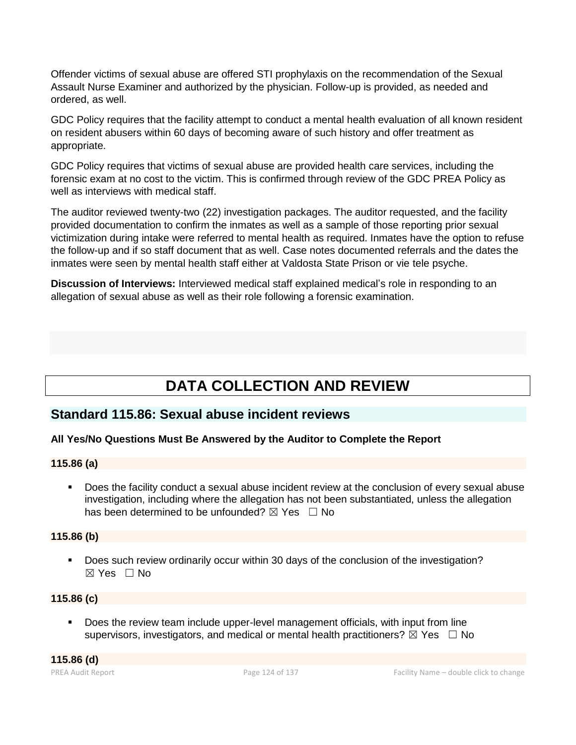Offender victims of sexual abuse are offered STI prophylaxis on the recommendation of the Sexual Assault Nurse Examiner and authorized by the physician. Follow-up is provided, as needed and ordered, as well.

GDC Policy requires that the facility attempt to conduct a mental health evaluation of all known resident on resident abusers within 60 days of becoming aware of such history and offer treatment as appropriate.

GDC Policy requires that victims of sexual abuse are provided health care services, including the forensic exam at no cost to the victim. This is confirmed through review of the GDC PREA Policy as well as interviews with medical staff.

The auditor reviewed twenty-two (22) investigation packages. The auditor requested, and the facility provided documentation to confirm the inmates as well as a sample of those reporting prior sexual victimization during intake were referred to mental health as required. Inmates have the option to refuse the follow-up and if so staff document that as well. Case notes documented referrals and the dates the inmates were seen by mental health staff either at Valdosta State Prison or vie tele psyche.

**Discussion of Interviews:** Interviewed medical staff explained medical's role in responding to an allegation of sexual abuse as well as their role following a forensic examination.

# **DATA COLLECTION AND REVIEW**

# **Standard 115.86: Sexual abuse incident reviews**

# **All Yes/No Questions Must Be Answered by the Auditor to Complete the Report**

# **115.86 (a)**

Does the facility conduct a sexual abuse incident review at the conclusion of every sexual abuse investigation, including where the allegation has not been substantiated, unless the allegation has been determined to be unfounded?  $\boxtimes$  Yes  $\Box$  No

# **115.86 (b)**

▪ Does such review ordinarily occur within 30 days of the conclusion of the investigation?  $\boxtimes$  Yes  $\Box$  No

# **115.86 (c)**

▪ Does the review team include upper-level management officials, with input from line supervisors, investigators, and medical or mental health practitioners?  $\boxtimes$  Yes  $\Box$  No

**115.86 (d)**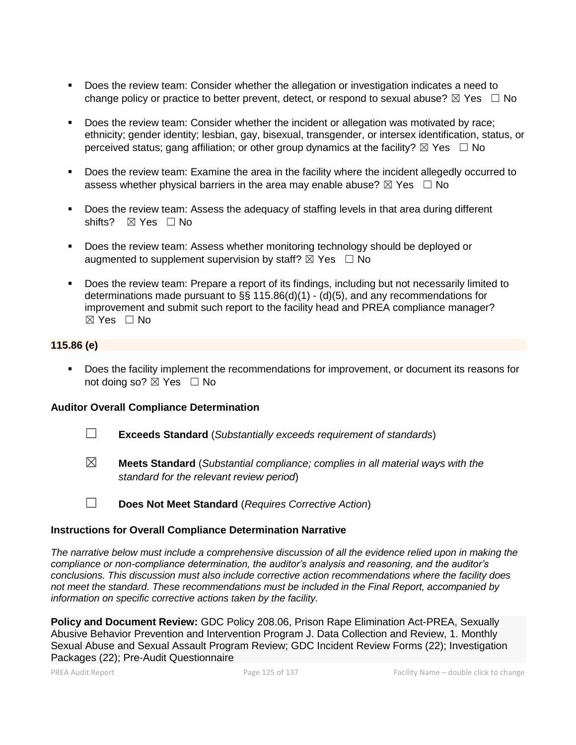- Does the review team: Consider whether the allegation or investigation indicates a need to change policy or practice to better prevent, detect, or respond to sexual abuse?  $\boxtimes$  Yes  $\Box$  No
- Does the review team: Consider whether the incident or allegation was motivated by race; ethnicity; gender identity; lesbian, gay, bisexual, transgender, or intersex identification, status, or perceived status; gang affiliation; or other group dynamics at the facility?  $\boxtimes$  Yes  $\Box$  No
- Does the review team: Examine the area in the facility where the incident allegedly occurred to assess whether physical barriers in the area may enable abuse?  $\boxtimes$  Yes  $\Box$  No
- Does the review team: Assess the adequacy of staffing levels in that area during different shifts? ⊠ Yes □ No
- Does the review team: Assess whether monitoring technology should be deployed or augmented to supplement supervision by staff?  $\boxtimes$  Yes  $\Box$  No
- Does the review team: Prepare a report of its findings, including but not necessarily limited to determinations made pursuant to §§ 115.86(d)(1) - (d)(5), and any recommendations for improvement and submit such report to the facility head and PREA compliance manager?  $\boxtimes$  Yes  $\Box$  No

# **115.86 (e)**

■ Does the facility implement the recommendations for improvement, or document its reasons for not doing so?  $\boxtimes$  Yes  $\Box$  No

### **Auditor Overall Compliance Determination**

- ☐ **Exceeds Standard** (*Substantially exceeds requirement of standards*)
- ☒ **Meets Standard** (*Substantial compliance; complies in all material ways with the standard for the relevant review period*)
- ☐ **Does Not Meet Standard** (*Requires Corrective Action*)

### **Instructions for Overall Compliance Determination Narrative**

*The narrative below must include a comprehensive discussion of all the evidence relied upon in making the compliance or non-compliance determination, the auditor's analysis and reasoning, and the auditor's conclusions. This discussion must also include corrective action recommendations where the facility does not meet the standard. These recommendations must be included in the Final Report, accompanied by information on specific corrective actions taken by the facility.*

**Policy and Document Review:** GDC Policy 208.06, Prison Rape Elimination Act-PREA, Sexually Abusive Behavior Prevention and Intervention Program J. Data Collection and Review, 1. Monthly Sexual Abuse and Sexual Assault Program Review; GDC Incident Review Forms (22); Investigation Packages (22); Pre-Audit Questionnaire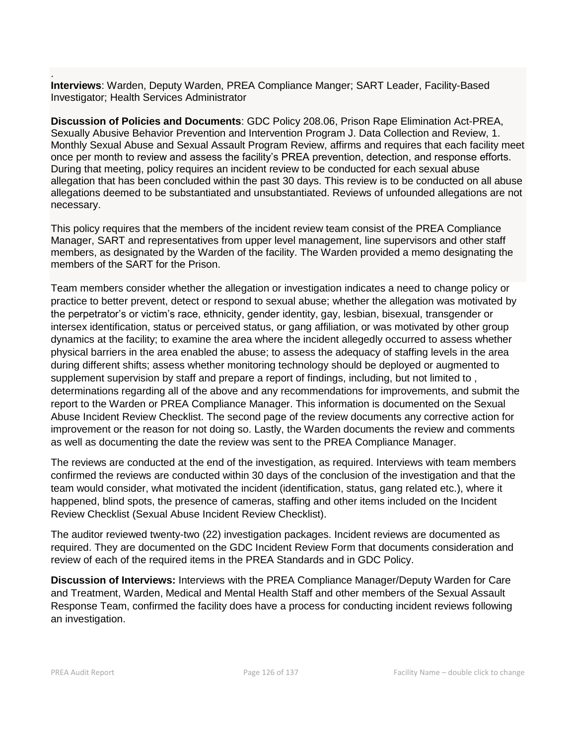. **Interviews**: Warden, Deputy Warden, PREA Compliance Manger; SART Leader, Facility-Based Investigator; Health Services Administrator

**Discussion of Policies and Documents**: GDC Policy 208.06, Prison Rape Elimination Act-PREA, Sexually Abusive Behavior Prevention and Intervention Program J. Data Collection and Review, 1. Monthly Sexual Abuse and Sexual Assault Program Review, affirms and requires that each facility meet once per month to review and assess the facility's PREA prevention, detection, and response efforts. During that meeting, policy requires an incident review to be conducted for each sexual abuse allegation that has been concluded within the past 30 days. This review is to be conducted on all abuse allegations deemed to be substantiated and unsubstantiated. Reviews of unfounded allegations are not necessary.

This policy requires that the members of the incident review team consist of the PREA Compliance Manager, SART and representatives from upper level management, line supervisors and other staff members, as designated by the Warden of the facility. The Warden provided a memo designating the members of the SART for the Prison.

Team members consider whether the allegation or investigation indicates a need to change policy or practice to better prevent, detect or respond to sexual abuse; whether the allegation was motivated by the perpetrator's or victim's race, ethnicity, gender identity, gay, lesbian, bisexual, transgender or intersex identification, status or perceived status, or gang affiliation, or was motivated by other group dynamics at the facility; to examine the area where the incident allegedly occurred to assess whether physical barriers in the area enabled the abuse; to assess the adequacy of staffing levels in the area during different shifts; assess whether monitoring technology should be deployed or augmented to supplement supervision by staff and prepare a report of findings, including, but not limited to , determinations regarding all of the above and any recommendations for improvements, and submit the report to the Warden or PREA Compliance Manager. This information is documented on the Sexual Abuse Incident Review Checklist. The second page of the review documents any corrective action for improvement or the reason for not doing so. Lastly, the Warden documents the review and comments as well as documenting the date the review was sent to the PREA Compliance Manager.

The reviews are conducted at the end of the investigation, as required. Interviews with team members confirmed the reviews are conducted within 30 days of the conclusion of the investigation and that the team would consider, what motivated the incident (identification, status, gang related etc.), where it happened, blind spots, the presence of cameras, staffing and other items included on the Incident Review Checklist (Sexual Abuse Incident Review Checklist).

The auditor reviewed twenty-two (22) investigation packages. Incident reviews are documented as required. They are documented on the GDC Incident Review Form that documents consideration and review of each of the required items in the PREA Standards and in GDC Policy.

**Discussion of Interviews:** Interviews with the PREA Compliance Manager/Deputy Warden for Care and Treatment, Warden, Medical and Mental Health Staff and other members of the Sexual Assault Response Team, confirmed the facility does have a process for conducting incident reviews following an investigation.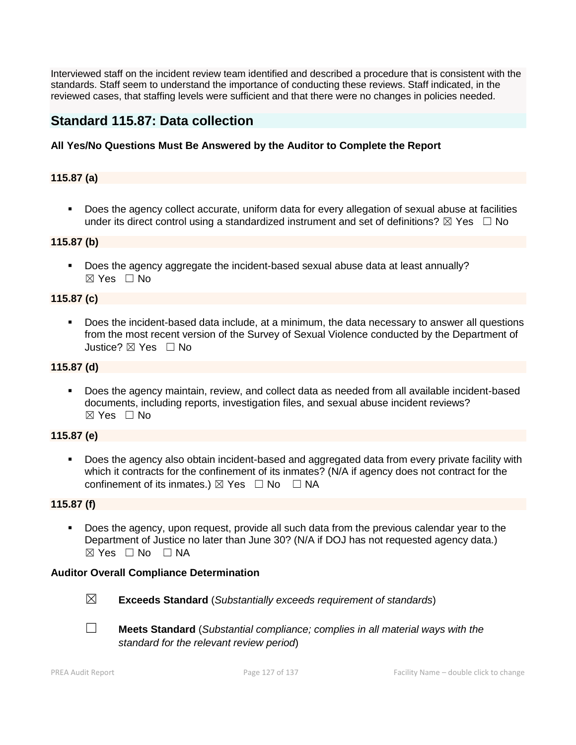Interviewed staff on the incident review team identified and described a procedure that is consistent with the standards. Staff seem to understand the importance of conducting these reviews. Staff indicated, in the reviewed cases, that staffing levels were sufficient and that there were no changes in policies needed.

# **Standard 115.87: Data collection**

# **All Yes/No Questions Must Be Answered by the Auditor to Complete the Report**

# **115.87 (a)**

■ Does the agency collect accurate, uniform data for every allegation of sexual abuse at facilities under its direct control using a standardized instrument and set of definitions?  $\boxtimes$  Yes  $\Box$  No

### **115.87 (b)**

▪ Does the agency aggregate the incident-based sexual abuse data at least annually?  $\boxtimes$  Yes  $\Box$  No

### **115.87 (c)**

▪ Does the incident-based data include, at a minimum, the data necessary to answer all questions from the most recent version of the Survey of Sexual Violence conducted by the Department of Justice? ⊠ Yes □ No

### **115.87 (d)**

▪ Does the agency maintain, review, and collect data as needed from all available incident-based documents, including reports, investigation files, and sexual abuse incident reviews?  $\boxtimes$  Yes  $\Box$  No

# **115.87 (e)**

Does the agency also obtain incident-based and aggregated data from every private facility with which it contracts for the confinement of its inmates? (N/A if agency does not contract for the confinement of its inmates.)  $\boxtimes$  Yes  $\Box$  No  $\Box$  NA

# **115.87 (f)**

Does the agency, upon request, provide all such data from the previous calendar year to the Department of Justice no later than June 30? (N/A if DOJ has not requested agency data.)  $\boxtimes$  Yes  $\Box$  No  $\Box$  NA

# **Auditor Overall Compliance Determination**



- ☒ **Exceeds Standard** (*Substantially exceeds requirement of standards*)
- ☐ **Meets Standard** (*Substantial compliance; complies in all material ways with the standard for the relevant review period*)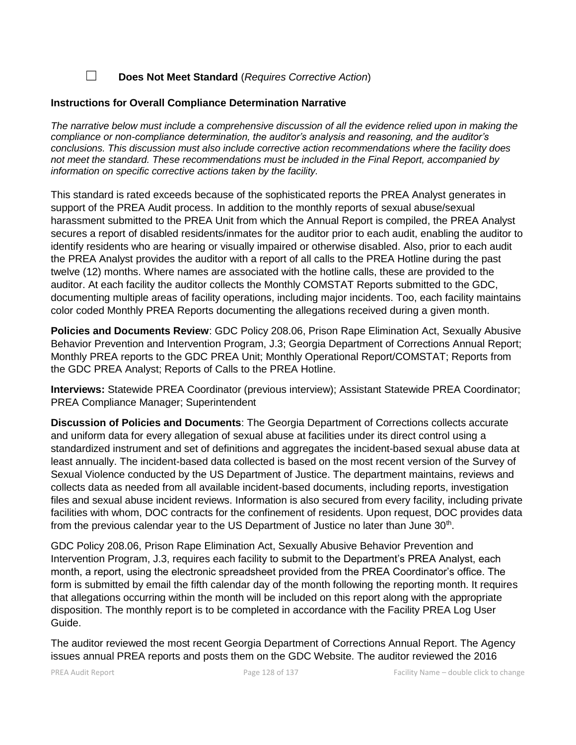☐ **Does Not Meet Standard** (*Requires Corrective Action*)

### **Instructions for Overall Compliance Determination Narrative**

*The narrative below must include a comprehensive discussion of all the evidence relied upon in making the compliance or non-compliance determination, the auditor's analysis and reasoning, and the auditor's conclusions. This discussion must also include corrective action recommendations where the facility does not meet the standard. These recommendations must be included in the Final Report, accompanied by information on specific corrective actions taken by the facility.*

This standard is rated exceeds because of the sophisticated reports the PREA Analyst generates in support of the PREA Audit process. In addition to the monthly reports of sexual abuse/sexual harassment submitted to the PREA Unit from which the Annual Report is compiled, the PREA Analyst secures a report of disabled residents/inmates for the auditor prior to each audit, enabling the auditor to identify residents who are hearing or visually impaired or otherwise disabled. Also, prior to each audit the PREA Analyst provides the auditor with a report of all calls to the PREA Hotline during the past twelve (12) months. Where names are associated with the hotline calls, these are provided to the auditor. At each facility the auditor collects the Monthly COMSTAT Reports submitted to the GDC, documenting multiple areas of facility operations, including major incidents. Too, each facility maintains color coded Monthly PREA Reports documenting the allegations received during a given month.

**Policies and Documents Review**: GDC Policy 208.06, Prison Rape Elimination Act, Sexually Abusive Behavior Prevention and Intervention Program, J.3; Georgia Department of Corrections Annual Report; Monthly PREA reports to the GDC PREA Unit; Monthly Operational Report/COMSTAT; Reports from the GDC PREA Analyst; Reports of Calls to the PREA Hotline.

**Interviews:** Statewide PREA Coordinator (previous interview); Assistant Statewide PREA Coordinator; PREA Compliance Manager; Superintendent

**Discussion of Policies and Documents**: The Georgia Department of Corrections collects accurate and uniform data for every allegation of sexual abuse at facilities under its direct control using a standardized instrument and set of definitions and aggregates the incident-based sexual abuse data at least annually. The incident-based data collected is based on the most recent version of the Survey of Sexual Violence conducted by the US Department of Justice. The department maintains, reviews and collects data as needed from all available incident-based documents, including reports, investigation files and sexual abuse incident reviews. Information is also secured from every facility, including private facilities with whom, DOC contracts for the confinement of residents. Upon request, DOC provides data from the previous calendar year to the US Department of Justice no later than June  $30<sup>th</sup>$ .

GDC Policy 208.06, Prison Rape Elimination Act, Sexually Abusive Behavior Prevention and Intervention Program, J.3, requires each facility to submit to the Department's PREA Analyst, each month, a report, using the electronic spreadsheet provided from the PREA Coordinator's office. The form is submitted by email the fifth calendar day of the month following the reporting month. It requires that allegations occurring within the month will be included on this report along with the appropriate disposition. The monthly report is to be completed in accordance with the Facility PREA Log User Guide.

The auditor reviewed the most recent Georgia Department of Corrections Annual Report. The Agency issues annual PREA reports and posts them on the GDC Website. The auditor reviewed the 2016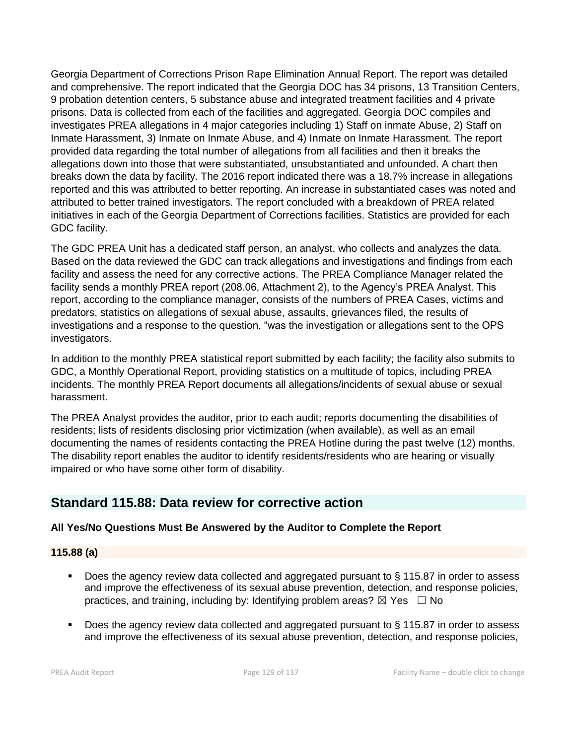Georgia Department of Corrections Prison Rape Elimination Annual Report. The report was detailed and comprehensive. The report indicated that the Georgia DOC has 34 prisons, 13 Transition Centers, 9 probation detention centers, 5 substance abuse and integrated treatment facilities and 4 private prisons. Data is collected from each of the facilities and aggregated. Georgia DOC compiles and investigates PREA allegations in 4 major categories including 1) Staff on inmate Abuse, 2) Staff on Inmate Harassment, 3) Inmate on Inmate Abuse, and 4) Inmate on Inmate Harassment. The report provided data regarding the total number of allegations from all facilities and then it breaks the allegations down into those that were substantiated, unsubstantiated and unfounded. A chart then breaks down the data by facility. The 2016 report indicated there was a 18.7% increase in allegations reported and this was attributed to better reporting. An increase in substantiated cases was noted and attributed to better trained investigators. The report concluded with a breakdown of PREA related initiatives in each of the Georgia Department of Corrections facilities. Statistics are provided for each GDC facility.

The GDC PREA Unit has a dedicated staff person, an analyst, who collects and analyzes the data. Based on the data reviewed the GDC can track allegations and investigations and findings from each facility and assess the need for any corrective actions. The PREA Compliance Manager related the facility sends a monthly PREA report (208.06, Attachment 2), to the Agency's PREA Analyst. This report, according to the compliance manager, consists of the numbers of PREA Cases, victims and predators, statistics on allegations of sexual abuse, assaults, grievances filed, the results of investigations and a response to the question, "was the investigation or allegations sent to the OPS investigators.

In addition to the monthly PREA statistical report submitted by each facility; the facility also submits to GDC, a Monthly Operational Report, providing statistics on a multitude of topics, including PREA incidents. The monthly PREA Report documents all allegations/incidents of sexual abuse or sexual harassment.

The PREA Analyst provides the auditor, prior to each audit; reports documenting the disabilities of residents; lists of residents disclosing prior victimization (when available), as well as an email documenting the names of residents contacting the PREA Hotline during the past twelve (12) months. The disability report enables the auditor to identify residents/residents who are hearing or visually impaired or who have some other form of disability.

# **Standard 115.88: Data review for corrective action**

# **All Yes/No Questions Must Be Answered by the Auditor to Complete the Report**

# **115.88 (a)**

- Does the agency review data collected and aggregated pursuant to  $\S$  115.87 in order to assess and improve the effectiveness of its sexual abuse prevention, detection, and response policies, practices, and training, including by: Identifying problem areas?  $\boxtimes$  Yes  $\Box$  No
- Does the agency review data collected and aggregated pursuant to § 115.87 in order to assess and improve the effectiveness of its sexual abuse prevention, detection, and response policies,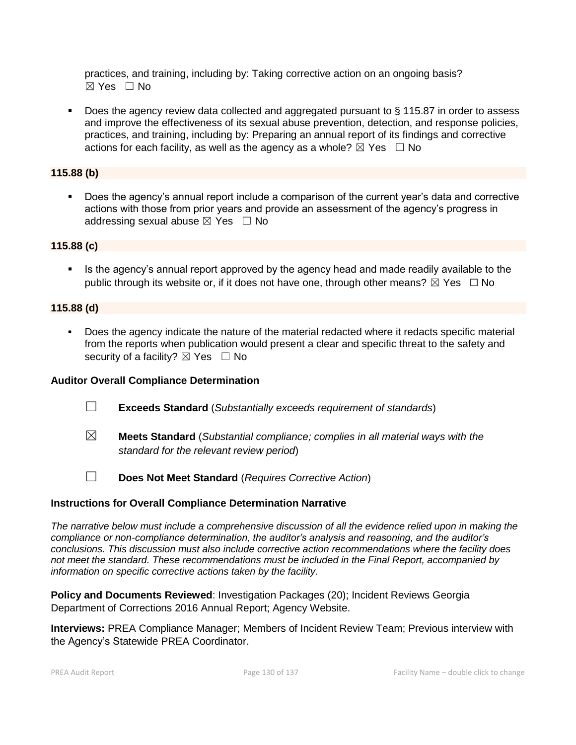practices, and training, including by: Taking corrective action on an ongoing basis? ☒ Yes ☐ No

■ Does the agency review data collected and aggregated pursuant to § 115.87 in order to assess and improve the effectiveness of its sexual abuse prevention, detection, and response policies, practices, and training, including by: Preparing an annual report of its findings and corrective actions for each facility, as well as the agency as a whole?  $\boxtimes$  Yes  $\Box$  No

# **115.88 (b)**

■ Does the agency's annual report include a comparison of the current year's data and corrective actions with those from prior years and provide an assessment of the agency's progress in addressing sexual abuse  $\boxtimes$  Yes  $\Box$  No

# **115.88 (c)**

Is the agency's annual report approved by the agency head and made readily available to the public through its website or, if it does not have one, through other means?  $\boxtimes$  Yes  $\Box$  No

# **115.88 (d)**

▪ Does the agency indicate the nature of the material redacted where it redacts specific material from the reports when publication would present a clear and specific threat to the safety and security of a facility?  $\boxtimes$  Yes  $\Box$  No

# **Auditor Overall Compliance Determination**

- ☐ **Exceeds Standard** (*Substantially exceeds requirement of standards*)
- ☒ **Meets Standard** (*Substantial compliance; complies in all material ways with the standard for the relevant review period*)
- ☐ **Does Not Meet Standard** (*Requires Corrective Action*)

# **Instructions for Overall Compliance Determination Narrative**

*The narrative below must include a comprehensive discussion of all the evidence relied upon in making the compliance or non-compliance determination, the auditor's analysis and reasoning, and the auditor's conclusions. This discussion must also include corrective action recommendations where the facility does not meet the standard. These recommendations must be included in the Final Report, accompanied by information on specific corrective actions taken by the facility.*

**Policy and Documents Reviewed**: Investigation Packages (20); Incident Reviews Georgia Department of Corrections 2016 Annual Report; Agency Website.

**Interviews:** PREA Compliance Manager; Members of Incident Review Team; Previous interview with the Agency's Statewide PREA Coordinator.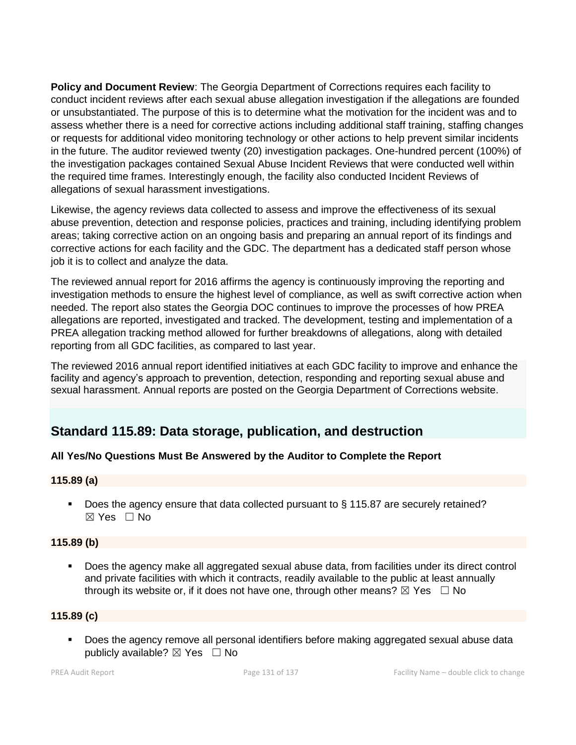**Policy and Document Review**: The Georgia Department of Corrections requires each facility to conduct incident reviews after each sexual abuse allegation investigation if the allegations are founded or unsubstantiated. The purpose of this is to determine what the motivation for the incident was and to assess whether there is a need for corrective actions including additional staff training, staffing changes or requests for additional video monitoring technology or other actions to help prevent similar incidents in the future. The auditor reviewed twenty (20) investigation packages. One-hundred percent (100%) of the investigation packages contained Sexual Abuse Incident Reviews that were conducted well within the required time frames. Interestingly enough, the facility also conducted Incident Reviews of allegations of sexual harassment investigations.

Likewise, the agency reviews data collected to assess and improve the effectiveness of its sexual abuse prevention, detection and response policies, practices and training, including identifying problem areas; taking corrective action on an ongoing basis and preparing an annual report of its findings and corrective actions for each facility and the GDC. The department has a dedicated staff person whose job it is to collect and analyze the data.

The reviewed annual report for 2016 affirms the agency is continuously improving the reporting and investigation methods to ensure the highest level of compliance, as well as swift corrective action when needed. The report also states the Georgia DOC continues to improve the processes of how PREA allegations are reported, investigated and tracked. The development, testing and implementation of a PREA allegation tracking method allowed for further breakdowns of allegations, along with detailed reporting from all GDC facilities, as compared to last year.

The reviewed 2016 annual report identified initiatives at each GDC facility to improve and enhance the facility and agency's approach to prevention, detection, responding and reporting sexual abuse and sexual harassment. Annual reports are posted on the Georgia Department of Corrections website.

# **Standard 115.89: Data storage, publication, and destruction**

# **All Yes/No Questions Must Be Answered by the Auditor to Complete the Report**

# **115.89 (a)**

■ Does the agency ensure that data collected pursuant to § 115.87 are securely retained? ☒ Yes ☐ No

# **115.89 (b)**

Does the agency make all aggregated sexual abuse data, from facilities under its direct control and private facilities with which it contracts, readily available to the public at least annually through its website or, if it does not have one, through other means?  $\boxtimes$  Yes  $\Box$  No

# **115.89 (c)**

■ Does the agency remove all personal identifiers before making aggregated sexual abuse data publicly available?  $\boxtimes$  Yes  $\Box$  No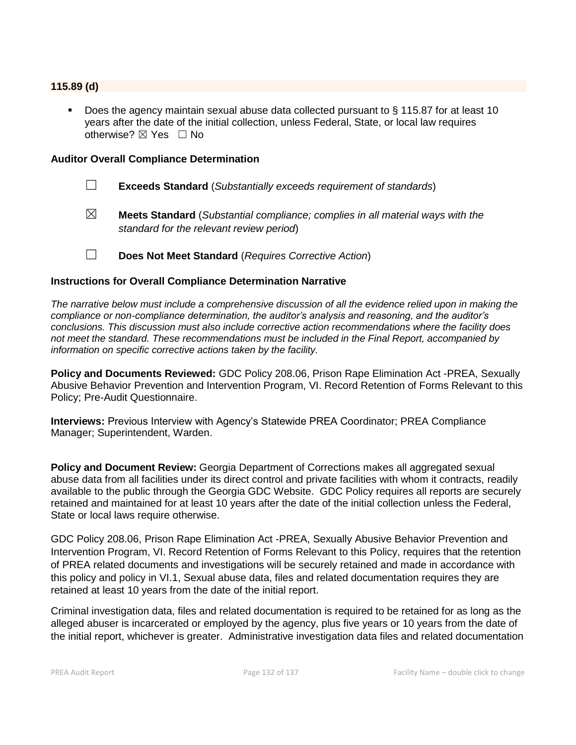### **115.89 (d)**

Does the agency maintain sexual abuse data collected pursuant to § 115.87 for at least 10 years after the date of the initial collection, unless Federal, State, or local law requires otherwise?  $\boxtimes$  Yes  $\Box$  No

#### **Auditor Overall Compliance Determination**

- ☐ **Exceeds Standard** (*Substantially exceeds requirement of standards*)
- ☒ **Meets Standard** (*Substantial compliance; complies in all material ways with the standard for the relevant review period*)
- ☐ **Does Not Meet Standard** (*Requires Corrective Action*)

### **Instructions for Overall Compliance Determination Narrative**

*The narrative below must include a comprehensive discussion of all the evidence relied upon in making the compliance or non-compliance determination, the auditor's analysis and reasoning, and the auditor's conclusions. This discussion must also include corrective action recommendations where the facility does not meet the standard. These recommendations must be included in the Final Report, accompanied by information on specific corrective actions taken by the facility.*

**Policy and Documents Reviewed:** GDC Policy 208.06, Prison Rape Elimination Act -PREA, Sexually Abusive Behavior Prevention and Intervention Program, VI. Record Retention of Forms Relevant to this Policy; Pre-Audit Questionnaire.

**Interviews:** Previous Interview with Agency's Statewide PREA Coordinator; PREA Compliance Manager; Superintendent, Warden.

**Policy and Document Review:** Georgia Department of Corrections makes all aggregated sexual abuse data from all facilities under its direct control and private facilities with whom it contracts, readily available to the public through the Georgia GDC Website. GDC Policy requires all reports are securely retained and maintained for at least 10 years after the date of the initial collection unless the Federal, State or local laws require otherwise.

GDC Policy 208.06, Prison Rape Elimination Act -PREA, Sexually Abusive Behavior Prevention and Intervention Program, VI. Record Retention of Forms Relevant to this Policy, requires that the retention of PREA related documents and investigations will be securely retained and made in accordance with this policy and policy in VI.1, Sexual abuse data, files and related documentation requires they are retained at least 10 years from the date of the initial report.

Criminal investigation data, files and related documentation is required to be retained for as long as the alleged abuser is incarcerated or employed by the agency, plus five years or 10 years from the date of the initial report, whichever is greater. Administrative investigation data files and related documentation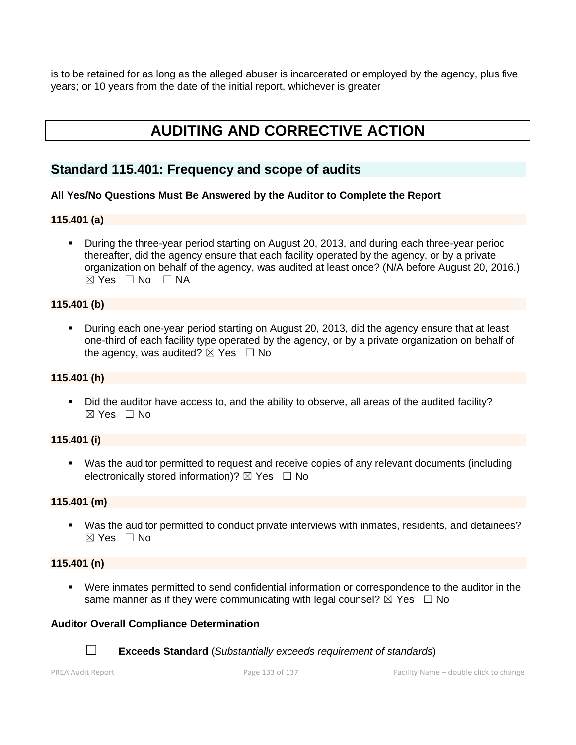is to be retained for as long as the alleged abuser is incarcerated or employed by the agency, plus five years; or 10 years from the date of the initial report, whichever is greater

# **AUDITING AND CORRECTIVE ACTION**

# **Standard 115.401: Frequency and scope of audits**

# **All Yes/No Questions Must Be Answered by the Auditor to Complete the Report**

### **115.401 (a)**

**•** During the three-year period starting on August 20, 2013, and during each three-year period thereafter, did the agency ensure that each facility operated by the agency, or by a private organization on behalf of the agency, was audited at least once? (N/A before August 20, 2016.) ☒ Yes ☐ No ☐ NA

### **115.401 (b)**

▪ During each one-year period starting on August 20, 2013, did the agency ensure that at least one-third of each facility type operated by the agency, or by a private organization on behalf of the agency, was audited?  $\boxtimes$  Yes  $\Box$  No

### **115.401 (h)**

▪ Did the auditor have access to, and the ability to observe, all areas of the audited facility?  $\boxtimes$  Yes  $\Box$  No

# **115.401 (i)**

▪ Was the auditor permitted to request and receive copies of any relevant documents (including electronically stored information)?  $\boxtimes$  Yes  $\Box$  No

### **115.401 (m)**

▪ Was the auditor permitted to conduct private interviews with inmates, residents, and detainees? ☒ Yes ☐ No

### **115.401 (n)**

▪ Were inmates permitted to send confidential information or correspondence to the auditor in the same manner as if they were communicating with legal counsel?  $\boxtimes$  Yes  $\Box$  No

### **Auditor Overall Compliance Determination**



☐ **Exceeds Standard** (*Substantially exceeds requirement of standards*)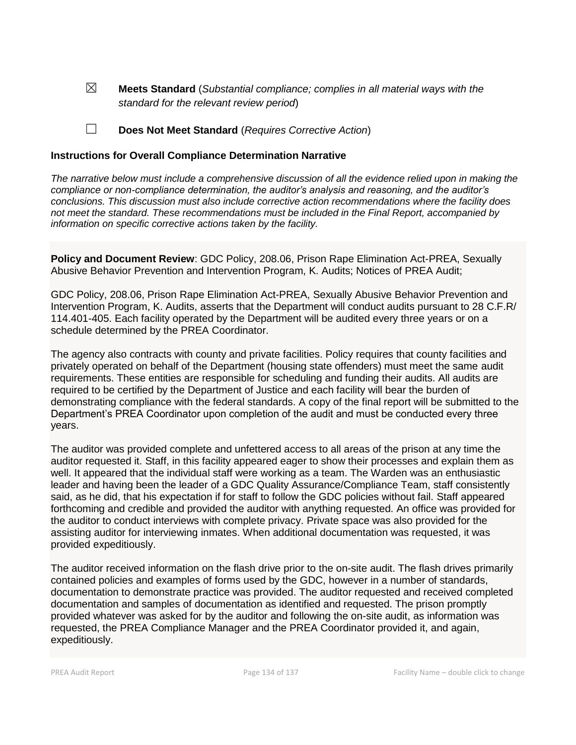☒ **Meets Standard** (*Substantial compliance; complies in all material ways with the standard for the relevant review period*)

☐ **Does Not Meet Standard** (*Requires Corrective Action*)

### **Instructions for Overall Compliance Determination Narrative**

*The narrative below must include a comprehensive discussion of all the evidence relied upon in making the compliance or non-compliance determination, the auditor's analysis and reasoning, and the auditor's conclusions. This discussion must also include corrective action recommendations where the facility does not meet the standard. These recommendations must be included in the Final Report, accompanied by information on specific corrective actions taken by the facility.*

**Policy and Document Review**: GDC Policy, 208.06, Prison Rape Elimination Act-PREA, Sexually Abusive Behavior Prevention and Intervention Program, K. Audits; Notices of PREA Audit;

GDC Policy, 208.06, Prison Rape Elimination Act-PREA, Sexually Abusive Behavior Prevention and Intervention Program, K. Audits, asserts that the Department will conduct audits pursuant to 28 C.F.R/ 114.401-405. Each facility operated by the Department will be audited every three years or on a schedule determined by the PREA Coordinator.

The agency also contracts with county and private facilities. Policy requires that county facilities and privately operated on behalf of the Department (housing state offenders) must meet the same audit requirements. These entities are responsible for scheduling and funding their audits. All audits are required to be certified by the Department of Justice and each facility will bear the burden of demonstrating compliance with the federal standards. A copy of the final report will be submitted to the Department's PREA Coordinator upon completion of the audit and must be conducted every three years.

The auditor was provided complete and unfettered access to all areas of the prison at any time the auditor requested it. Staff, in this facility appeared eager to show their processes and explain them as well. It appeared that the individual staff were working as a team. The Warden was an enthusiastic leader and having been the leader of a GDC Quality Assurance/Compliance Team, staff consistently said, as he did, that his expectation if for staff to follow the GDC policies without fail. Staff appeared forthcoming and credible and provided the auditor with anything requested. An office was provided for the auditor to conduct interviews with complete privacy. Private space was also provided for the assisting auditor for interviewing inmates. When additional documentation was requested, it was provided expeditiously.

The auditor received information on the flash drive prior to the on-site audit. The flash drives primarily contained policies and examples of forms used by the GDC, however in a number of standards, documentation to demonstrate practice was provided. The auditor requested and received completed documentation and samples of documentation as identified and requested. The prison promptly provided whatever was asked for by the auditor and following the on-site audit, as information was requested, the PREA Compliance Manager and the PREA Coordinator provided it, and again, expeditiously.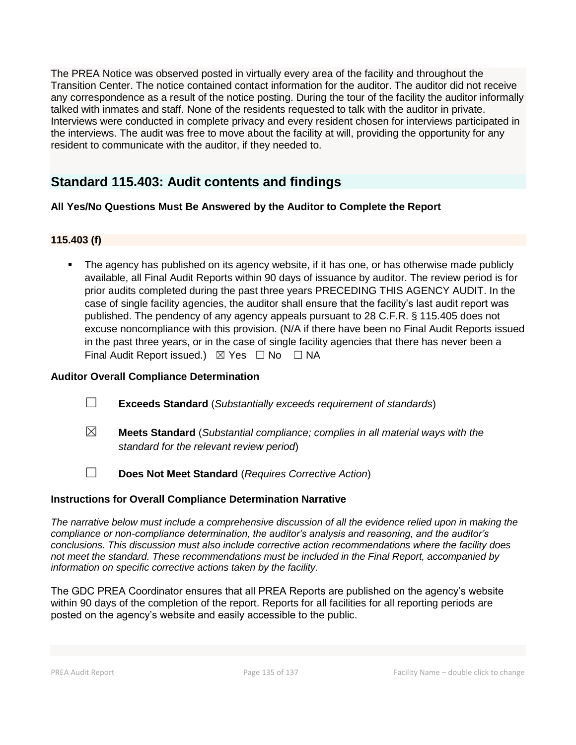The PREA Notice was observed posted in virtually every area of the facility and throughout the Transition Center. The notice contained contact information for the auditor. The auditor did not receive any correspondence as a result of the notice posting. During the tour of the facility the auditor informally talked with inmates and staff. None of the residents requested to talk with the auditor in private. Interviews were conducted in complete privacy and every resident chosen for interviews participated in the interviews. The audit was free to move about the facility at will, providing the opportunity for any resident to communicate with the auditor, if they needed to.

# **Standard 115.403: Audit contents and findings**

# **All Yes/No Questions Must Be Answered by the Auditor to Complete the Report**

# **115.403 (f)**

The agency has published on its agency website, if it has one, or has otherwise made publicly available, all Final Audit Reports within 90 days of issuance by auditor. The review period is for prior audits completed during the past three years PRECEDING THIS AGENCY AUDIT. In the case of single facility agencies, the auditor shall ensure that the facility's last audit report was published. The pendency of any agency appeals pursuant to 28 C.F.R. § 115.405 does not excuse noncompliance with this provision. (N/A if there have been no Final Audit Reports issued in the past three years, or in the case of single facility agencies that there has never been a Final Audit Report issued.)  $\boxtimes$  Yes  $\Box$  No  $\Box$  NA

# **Auditor Overall Compliance Determination**

- ☐ **Exceeds Standard** (*Substantially exceeds requirement of standards*)
- ☒ **Meets Standard** (*Substantial compliance; complies in all material ways with the standard for the relevant review period*)
- ☐ **Does Not Meet Standard** (*Requires Corrective Action*)

# **Instructions for Overall Compliance Determination Narrative**

*The narrative below must include a comprehensive discussion of all the evidence relied upon in making the compliance or non-compliance determination, the auditor's analysis and reasoning, and the auditor's conclusions. This discussion must also include corrective action recommendations where the facility does not meet the standard. These recommendations must be included in the Final Report, accompanied by information on specific corrective actions taken by the facility.*

The GDC PREA Coordinator ensures that all PREA Reports are published on the agency's website within 90 days of the completion of the report. Reports for all facilities for all reporting periods are posted on the agency's website and easily accessible to the public.